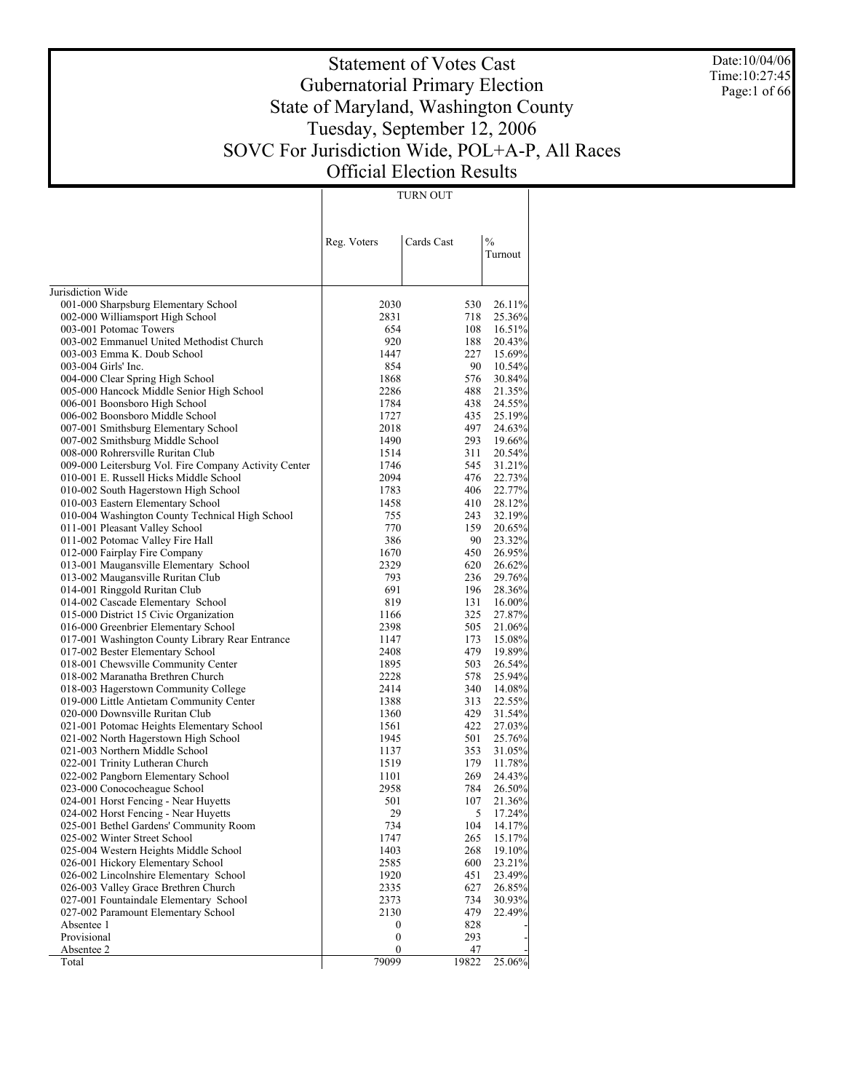Date:10/04/06 Time:10:27:45 Page:1 of 66

# Statement of Votes Cast Gubernatorial Primary Election State of Maryland, Washington County Tuesday, September 12, 2006 SOVC For Jurisdiction Wide, POL+A-P, All Races Official Election Results

TURN OUT

|                                                                          | Reg. Voters      | Cards Cast | $\frac{0}{0}$<br>Turnout |
|--------------------------------------------------------------------------|------------------|------------|--------------------------|
|                                                                          |                  |            |                          |
| Jurisdiction Wide                                                        |                  |            |                          |
| 001-000 Sharpsburg Elementary School                                     | 2030             | 530        | 26.11%                   |
| 002-000 Williamsport High School                                         | 2831             | 718        | 25.36%                   |
| 003-001 Potomac Towers                                                   | 654              | 108        | 16.51%                   |
| 003-002 Emmanuel United Methodist Church                                 | 920              | 188        | 20.43%                   |
| 003-003 Emma K. Doub School                                              | 1447             | 227        | 15.69%                   |
| 003-004 Girls' Inc.                                                      | 854              | 90         | 10.54%                   |
| 004-000 Clear Spring High School                                         | 1868             | 576        | 30.84%                   |
| 005-000 Hancock Middle Senior High School                                | 2286             | 488        | 21.35%                   |
| 006-001 Boonsboro High School                                            | 1784             | 438        | 24.55%                   |
| 006-002 Boonsboro Middle School                                          | 1727             | 435        | 25.19%                   |
| 007-001 Smithsburg Elementary School                                     | 2018             | 497        | 24.63%                   |
| 007-002 Smithsburg Middle School                                         | 1490             | 293        | 19.66%                   |
| 008-000 Rohrersville Ruritan Club                                        | 1514             | 311        | 20.54%                   |
| 009-000 Leitersburg Vol. Fire Company Activity Center                    | 1746             | 545        | 31.21%                   |
| 010-001 E. Russell Hicks Middle School                                   | 2094             | 476        | 22.73%                   |
| 010-002 South Hagerstown High School                                     | 1783             | 406        | 22.77%                   |
| 010-003 Eastern Elementary School                                        | 1458             | 410        | 28.12%                   |
| 010-004 Washington County Technical High School                          | 755              | 243        | 32.19%                   |
| 011-001 Pleasant Valley School                                           | 770              | 159        | 20.65%                   |
| 011-002 Potomac Valley Fire Hall                                         | 386              | 90         | 23.32%                   |
| 012-000 Fairplay Fire Company                                            | 1670             | 450        | 26.95%                   |
| 013-001 Maugansville Elementary School                                   | 2329             | 620        | 26.62%                   |
| 013-002 Maugansville Ruritan Club                                        | 793              | 236        | 29.76%                   |
| 014-001 Ringgold Ruritan Club                                            | 691              | 196        | 28.36%                   |
| 014-002 Cascade Elementary School                                        | 819              | 131        | $16.00\%$                |
| 015-000 District 15 Civic Organization                                   | 1166             | 325        | 27.87%                   |
| 016-000 Greenbrier Elementary School                                     | 2398             | 505        | 21.06%                   |
| 017-001 Washington County Library Rear Entrance                          | 1147             | 173        | 15.08%                   |
| 017-002 Bester Elementary School                                         | 2408             | 479<br>503 | 19.89%                   |
| 018-001 Chewsville Community Center<br>018-002 Maranatha Brethren Church | 1895<br>2228     | 578        | 26.54%                   |
| 018-003 Hagerstown Community College                                     | 2414             | 340        | 25.94%<br>14.08%         |
| 019-000 Little Antietam Community Center                                 | 1388             | 313        | 22.55%                   |
| 020-000 Downsville Ruritan Club                                          | 1360             | 429        | 31.54%                   |
| 021-001 Potomac Heights Elementary School                                | 1561             | 422        | 27.03%                   |
| 021-002 North Hagerstown High School                                     | 1945             | 501        | 25.76%                   |
| 021-003 Northern Middle School                                           | 1137             | 353        | 31.05%                   |
| 022-001 Trinity Lutheran Church                                          | 1519             | 179        | 11.78%                   |
| 022-002 Pangborn Elementary School                                       | 1101             | 269        | 24.43%                   |
| 023-000 Conococheague School                                             | 2958             | 784        | 26.50%                   |
| 024-001 Horst Fencing - Near Huyetts                                     | 501              | 107        | 21.36%                   |
| 024-002 Horst Fencing - Near Huyetts                                     | 29               | 5          | 17.24%                   |
| 025-001 Bethel Gardens' Community Room                                   | 734              | 104        | 14.17%                   |
| 025-002 Winter Street School                                             | 1747             | 265        | 15.17%                   |
| 025-004 Western Heights Middle School                                    | 1403             | 268        | 19.10%                   |
| 026-001 Hickory Elementary School                                        | 2585             | 600        | 23.21%                   |
| 026-002 Lincolnshire Elementary School                                   | 1920             | 451        | 23.49%                   |
| 026-003 Valley Grace Brethren Church                                     | 2335             | 627        | 26.85%                   |
| 027-001 Fountaindale Elementary School                                   | 2373             | 734        | 30.93%                   |
| 027-002 Paramount Elementary School                                      | 2130             | 479        | 22.49%                   |
| Absentee 1                                                               | 0                | 828        |                          |
| Provisional                                                              | $\boldsymbol{0}$ | 293        |                          |
| Absentee 2                                                               | 0                | 47         |                          |
| Total                                                                    | 79099            | 19822      | 25.06%                   |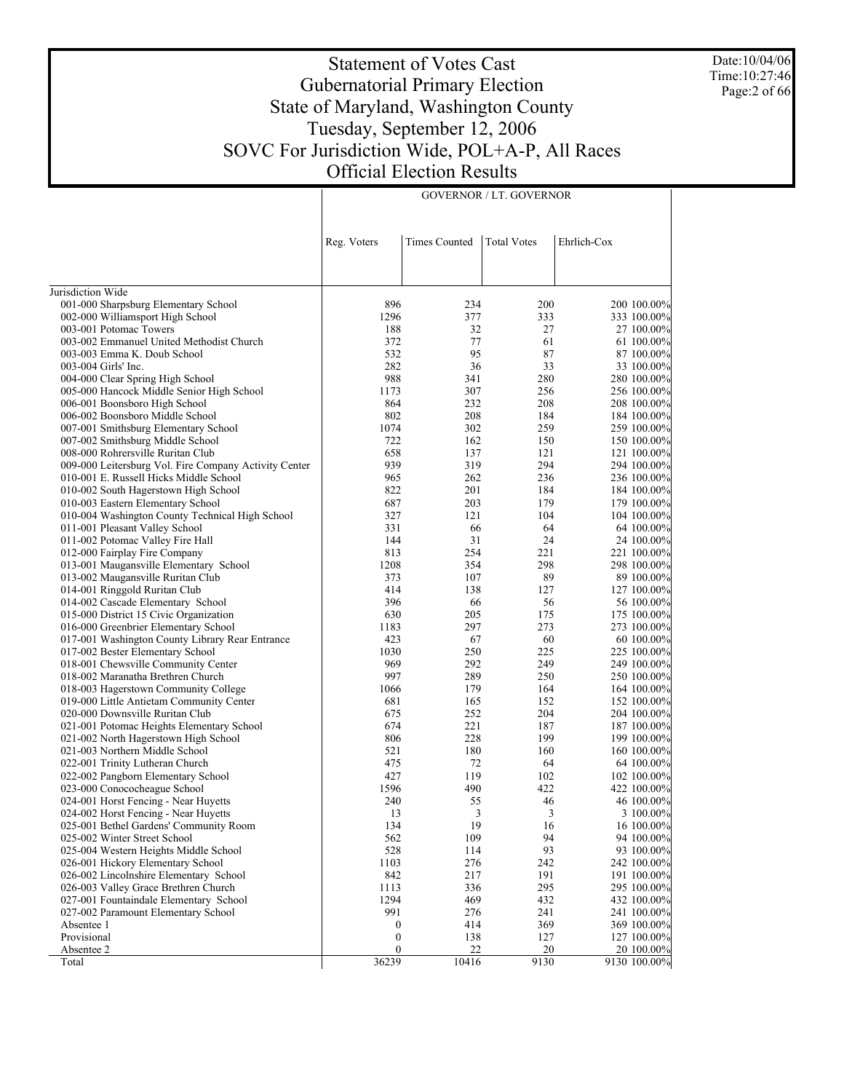Date:10/04/06 Time:10:27:46 Page:2 of 66

# Statement of Votes Cast Gubernatorial Primary Election State of Maryland, Washington County Tuesday, September 12, 2006 SOVC For Jurisdiction Wide, POL+A-P, All Races Official Election Results

GOVERNOR / LT. GOVERNOR

|                                                                                | Reg. Voters      | <b>Times Counted</b> | <b>Total Votes</b> | Ehrlich-Cox                |
|--------------------------------------------------------------------------------|------------------|----------------------|--------------------|----------------------------|
|                                                                                |                  |                      |                    |                            |
| Jurisdiction Wide                                                              |                  |                      |                    |                            |
| 001-000 Sharpsburg Elementary School                                           | 896              | 234                  | 200                | 200 100.00%                |
| 002-000 Williamsport High School                                               | 1296             | 377                  | 333                | 333 100.00%                |
| 003-001 Potomac Towers                                                         | 188              | 32                   | 27                 | 27 100.00%                 |
| 003-002 Emmanuel United Methodist Church                                       | 372              | 77                   | 61                 | 61 100.00%                 |
| 003-003 Emma K. Doub School                                                    | 532              | 95                   | 87                 | 87 100.00%                 |
| 003-004 Girls' Inc.                                                            | 282              | 36                   | 33                 | 33 100.00%                 |
| 004-000 Clear Spring High School                                               | 988              | 341                  | 280                | 280 100.00%                |
| 005-000 Hancock Middle Senior High School                                      | 1173             | 307                  | 256                | 256 100.00%                |
| 006-001 Boonsboro High School                                                  | 864              | 232                  | 208                | 208 100.00%                |
| 006-002 Boonsboro Middle School                                                | 802              | 208                  | 184                | 184 100.00%                |
| 007-001 Smithsburg Elementary School                                           | 1074             | 302                  | 259                | 259 100.00%                |
| 007-002 Smithsburg Middle School                                               | 722              | 162                  | 150                | 150 100.00%                |
| 008-000 Rohrersville Ruritan Club                                              | 658              | 137                  | 121                | 121 100.00%                |
| 009-000 Leitersburg Vol. Fire Company Activity Center                          | 939              | 319                  | 294                | 294 100.00%                |
| 010-001 E. Russell Hicks Middle School                                         | 965              | 262                  | 236                | 236 100.00%                |
| 010-002 South Hagerstown High School                                           | 822              | 201                  | 184                | 184 100.00%                |
| 010-003 Eastern Elementary School                                              | 687              | 203                  | 179                | 179 100.00%                |
| 010-004 Washington County Technical High School                                | 327              | 121                  | 104                | 104 100.00%                |
| 011-001 Pleasant Valley School                                                 | 331              | 66                   | 64                 | 64 100.00%                 |
| 011-002 Potomac Valley Fire Hall                                               | 144              | 31                   | 24                 | 24 100.00%                 |
| 012-000 Fairplay Fire Company                                                  | 813              | 254                  | 221                | 221 100.00%                |
| 013-001 Maugansville Elementary School                                         | 1208             | 354                  | 298                | 298 100.00%                |
| 013-002 Maugansville Ruritan Club                                              | 373              | 107                  | 89                 | 89 100.00%                 |
| 014-001 Ringgold Ruritan Club                                                  | 414              | 138                  | 127                | 127 100.00%                |
| 014-002 Cascade Elementary School                                              | 396              | 66                   | 56                 | 56 100.00%                 |
| 015-000 District 15 Civic Organization<br>016-000 Greenbrier Elementary School | 630<br>1183      | 205<br>297           | 175<br>273         | 175 100.00%<br>273 100.00% |
| 017-001 Washington County Library Rear Entrance                                | 423              | 67                   | 60                 | 60 100.00%                 |
| 017-002 Bester Elementary School                                               | 1030             | 250                  | 225                | 225 100.00%                |
| 018-001 Chewsville Community Center                                            | 969              | 292                  | 249                | 249 100.00%                |
| 018-002 Maranatha Brethren Church                                              | 997              | 289                  | 250                | 250 100.00%                |
| 018-003 Hagerstown Community College                                           | 1066             | 179                  | 164                | 164 100.00%                |
| 019-000 Little Antietam Community Center                                       | 681              | 165                  | 152                | 152 100.00%                |
| 020-000 Downsville Ruritan Club                                                | 675              | 252                  | 204                | 204 100.00%                |
| 021-001 Potomac Heights Elementary School                                      | 674              | 221                  | 187                | 187 100.00%                |
| 021-002 North Hagerstown High School                                           | 806              | 228                  | 199                | 199 100.00%                |
| 021-003 Northern Middle School                                                 | 521              | 180                  | 160                | 160 100.00%                |
| 022-001 Trinity Lutheran Church                                                | 475              | 72                   | 64                 | 64 100.00%                 |
| 022-002 Pangborn Elementary School                                             | 427              | 119                  | 102                | 102 100.00%                |
| 023-000 Conococheague School                                                   | 1596             | 490                  | 422                | 422 100.00%                |
| 024-001 Horst Fencing - Near Huyetts                                           | 240              | 55                   | 46                 | 46 100.00%                 |
| 024-002 Horst Fencing - Near Huyetts                                           | 13               | 3                    | 3                  | 3 100.00%                  |
| 025-001 Bethel Gardens' Community Room                                         | 134              | 19                   | 16                 | 16 100.00%                 |
| 025-002 Winter Street School                                                   | 562              | 109                  | 94                 | 94 100.00%                 |
| 025-004 Western Heights Middle School                                          | 528              | 114                  | 93                 | 93 100.00%                 |
| 026-001 Hickory Elementary School                                              | 1103             | 276                  | 242                | 242 100.00%                |
| 026-002 Lincolnshire Elementary School                                         | 842              | 217                  | 191                | 191 100.00%                |
| 026-003 Valley Grace Brethren Church                                           | 1113             | 336                  | 295                | 295 100.00%                |
| 027-001 Fountaindale Elementary School                                         | 1294             | 469                  | 432                | 432 100.00%                |
| 027-002 Paramount Elementary School                                            | 991              | 276                  | 241                | 241 100.00%                |
| Absentee 1                                                                     | $\boldsymbol{0}$ | 414                  | 369                | 369 100.00%                |
| Provisional                                                                    | $\boldsymbol{0}$ | 138                  | 127                | 127 100.00%                |
| Absentee 2                                                                     | $\boldsymbol{0}$ | 22                   | 20                 | 20 100.00%                 |
| Total                                                                          | 36239            | 10416                | 9130               | 9130 100.00%               |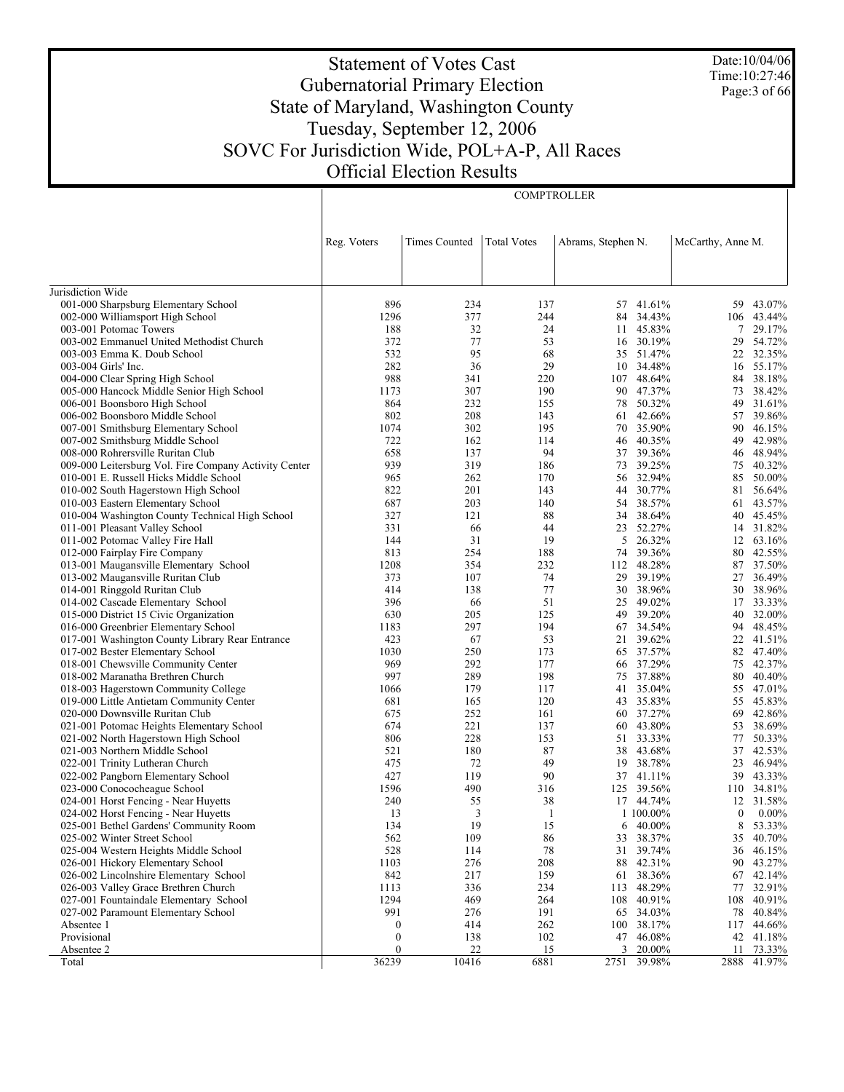Date:10/04/06 Time:10:27:46 Page:3 of 66

# Statement of Votes Cast Gubernatorial Primary Election State of Maryland, Washington County Tuesday, September 12, 2006 SOVC For Jurisdiction Wide, POL+A-P, All Races Official Election Results

**COMPTROLLER** 

|                                                                         | Reg. Voters | <b>Times Counted</b> | <b>Total Votes</b> | Abrams, Stephen N. |                  | McCarthy, Anne M. |                  |
|-------------------------------------------------------------------------|-------------|----------------------|--------------------|--------------------|------------------|-------------------|------------------|
|                                                                         |             |                      |                    |                    |                  |                   |                  |
|                                                                         |             |                      |                    |                    |                  |                   |                  |
|                                                                         |             |                      |                    |                    |                  |                   |                  |
| Jurisdiction Wide                                                       |             |                      |                    |                    |                  |                   |                  |
| 001-000 Sharpsburg Elementary School                                    | 896         | 234                  | 137                |                    | 57 41.61%        | 59.               | 43.07%           |
| 002-000 Williamsport High School                                        | 1296        | 377                  | 244                | 84                 | 34.43%           | 106               | 43.44%           |
| 003-001 Potomac Towers                                                  | 188<br>372  | 32<br>77             | 24                 | 11                 | 45.83%<br>30.19% | 7                 | 29.17%<br>54.72% |
| 003-002 Emmanuel United Methodist Church<br>003-003 Emma K. Doub School | 532         | 95                   | 53<br>68           | 16                 | 35 51.47%        | 29                | 22 32.35%        |
| 003-004 Girls' Inc.                                                     | 282         | 36                   | 29                 |                    | 10 34.48%        | 16                | 55.17%           |
| 004-000 Clear Spring High School                                        | 988         | 341                  | 220                |                    | 107 48.64%       | 84                | 38.18%           |
| 005-000 Hancock Middle Senior High School                               | 1173        | 307                  | 190                | 90                 | 47.37%           | 73                | 38.42%           |
| 006-001 Boonsboro High School                                           | 864         | 232                  | 155                | 78                 | 50.32%           | 49                | 31.61%           |
| 006-002 Boonsboro Middle School                                         | 802         | 208                  | 143                | 61                 | 42.66%           | 57                | 39.86%           |
| 007-001 Smithsburg Elementary School                                    | 1074        | 302                  | 195                |                    | 70 35.90%        | 90                | 46.15%           |
| 007-002 Smithsburg Middle School                                        | 722         | 162                  | 114                | 46                 | 40.35%           | 49                | 42.98%           |
| 008-000 Rohrersville Ruritan Club                                       | 658         | 137                  | 94                 |                    | 37 39.36%        | 46                | 48.94%           |
| 009-000 Leitersburg Vol. Fire Company Activity Center                   | 939         | 319                  | 186                | 73                 | 39.25%           | 75                | 40.32%           |
| 010-001 E. Russell Hicks Middle School                                  | 965         | 262                  | 170                |                    | 56 32.94%        | 85                | 50.00%           |
| 010-002 South Hagerstown High School                                    | 822         | 201                  | 143                | 44                 | 30.77%           | 81                | 56.64%           |
| 010-003 Eastern Elementary School                                       | 687         | 203                  | 140                | 54                 | 38.57%           | 61                | 43.57%           |
| 010-004 Washington County Technical High School                         | 327         | 121                  | 88                 | 34                 | 38.64%           | 40                | 45.45%           |
| 011-001 Pleasant Valley School                                          | 331         | 66                   | 44                 | 23                 | 52.27%           |                   | 14 31.82%        |
| 011-002 Potomac Valley Fire Hall                                        | 144         | 31                   | 19                 | 5                  | 26.32%           | 12                | 63.16%           |
| 012-000 Fairplay Fire Company                                           | 813         | 254                  | 188                | 74                 | 39.36%           | 80                | 42.55%           |
| 013-001 Maugansville Elementary School                                  | 1208        | 354                  | 232                |                    | 112 48.28%       | 87                | 37.50%           |
| 013-002 Maugansville Ruritan Club                                       | 373         | 107                  | 74                 | 29                 | 39.19%           | 27                | 36.49%           |
| 014-001 Ringgold Ruritan Club                                           | 414         | 138                  | 77                 | 30                 | 38.96%           | 30                | 38.96%           |
| 014-002 Cascade Elementary School                                       | 396         | 66                   | 51                 | 25                 | 49.02%           |                   | 17 33.33%        |
| 015-000 District 15 Civic Organization                                  | 630         | 205                  | 125                | 49                 | 39.20%           | 40                | 32.00%           |
| 016-000 Greenbrier Elementary School                                    | 1183        | 297                  | 194                |                    | 67 34.54%        | 94                | 48.45%           |
| 017-001 Washington County Library Rear Entrance                         | 423         | 67                   | 53                 | 21                 | 39.62%           | 22                | 41.51%           |
| 017-002 Bester Elementary School                                        | 1030        | 250                  | 173                |                    | 65 37.57%        | 82                | 47.40%           |
| 018-001 Chewsville Community Center                                     | 969         | 292                  | 177                | 66                 | 37.29%           | 75                | 42.37%           |
| 018-002 Maranatha Brethren Church                                       | 997         | 289                  | 198                |                    | 75 37.88%        | 80                | 40.40%           |
| 018-003 Hagerstown Community College                                    | 1066        | 179                  | 117                | 41                 | 35.04%           | 55                | 47.01%           |
| 019-000 Little Antietam Community Center                                | 681         | 165                  | 120                | 43                 | 35.83%           | 55                | 45.83%           |
| 020-000 Downsville Ruritan Club                                         | 675         | 252<br>221           | 161                | 60                 | 37.27%<br>43.80% | 69                | 42.86%           |
| 021-001 Potomac Heights Elementary School                               | 674<br>806  | 228                  | 137<br>153         | 60<br>51           | 33.33%           | 53<br>77          | 38.69%<br>50.33% |
| 021-002 North Hagerstown High School<br>021-003 Northern Middle School  | 521         | 180                  | 87                 | 38                 | 43.68%           | 37                | 42.53%           |
| 022-001 Trinity Lutheran Church                                         | 475         | 72                   | 49                 | 19                 | 38.78%           | 23                | 46.94%           |
| 022-002 Pangborn Elementary School                                      | 427         | 119                  | 90                 |                    | 37 41.11%        | 39                | 43.33%           |
| 023-000 Conococheague School                                            | 1596        | 490                  | 316                |                    | 125 39.56%       | 110               | 34.81%           |
| 024-001 Horst Fencing - Near Huyetts                                    | 240         | 55                   | 38                 |                    | 17 44.74%        |                   | 12 31.58%        |
| 024-002 Horst Fencing - Near Huyetts                                    | 13          | 3                    | -1                 |                    | 1 100,00%        | $\bf{0}$          | $0.00\%$         |
| 025-001 Bethel Gardens' Community Room                                  | 134         | 19                   | 15                 |                    | $6\quad 40.00\%$ |                   | 8 53.33%         |
| 025-002 Winter Street School                                            | 562         | 109                  | 86                 |                    | 33 38.37%        |                   | 35 40.70%        |
| 025-004 Western Heights Middle School                                   | 528         | 114                  | 78                 |                    | 31 39.74%        |                   | 36 46.15%        |
| 026-001 Hickory Elementary School                                       | 1103        | 276                  | 208                | 88                 | 42.31%           | 90                | 43.27%           |
| 026-002 Lincolnshire Elementary School                                  | 842         | 217                  | 159                | 61                 | 38.36%           |                   | 67 42.14%        |
| 026-003 Valley Grace Brethren Church                                    | 1113        | 336                  | 234                | 113                | 48.29%           | 77                | 32.91%           |
| 027-001 Fountaindale Elementary School                                  | 1294        | 469                  | 264                |                    | 108 40.91%       | 108               | 40.91%           |
| 027-002 Paramount Elementary School                                     | 991         | 276                  | 191                | 65                 | 34.03%           | 78                | 40.84%           |
| Absentee 1                                                              | 0           | 414                  | 262                |                    | 100 38.17%       | 117               | 44.66%           |
| Provisional                                                             | 0           | 138                  | 102                | 47                 | 46.08%           |                   | 42 41.18%        |
| Absentee 2                                                              | $\bf{0}$    | 22                   | 15                 | 3                  | 20.00%           | 11                | 73.33%           |
| Total                                                                   | 36239       | 10416                | 6881               |                    | 2751 39.98%      | 2888              | 41.97%           |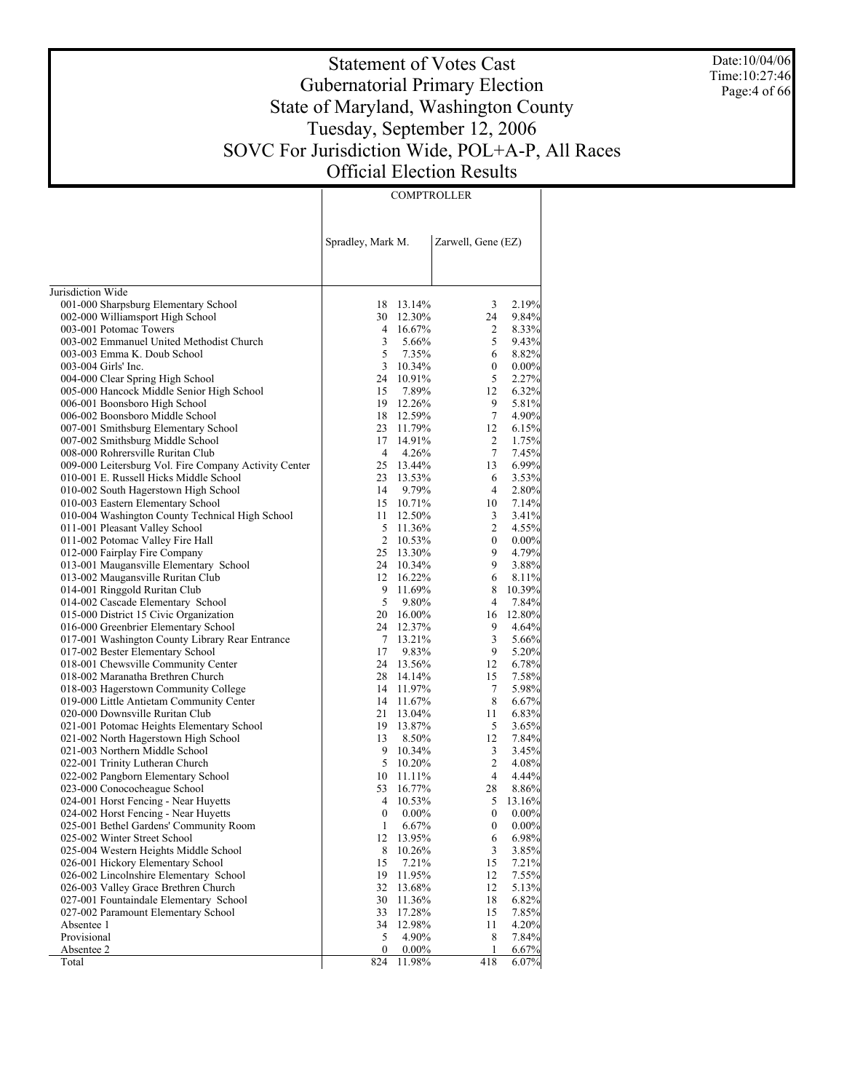Date:10/04/06 Time:10:27:46 Page: 4 of 66

# Statement of Votes Cast Gubernatorial Primary Election State of Maryland, Washington County Tuesday, September 12, 2006 SOVC For Jurisdiction Wide, POL+A-P, All Races Official Election Results

COMPTROLLER

|                                                                                | Spradley, Mark M. |                        | Zarwell, Gene (EZ) |                 |
|--------------------------------------------------------------------------------|-------------------|------------------------|--------------------|-----------------|
|                                                                                |                   |                        |                    |                 |
| Jurisdiction Wide<br>001-000 Sharpsburg Elementary School                      |                   | 18 13.14%              | 3                  | 2.19%           |
| 002-000 Williamsport High School                                               |                   | 30 12.30%              | 24                 | 9.84%           |
| 003-001 Potomac Towers                                                         |                   | 4 16.67%               | $\overline{c}$     | 8.33%           |
| 003-002 Emmanuel United Methodist Church                                       | 3                 | 5.66%                  | 5                  | 9.43%           |
| 003-003 Emma K. Doub School                                                    | 5                 | 7.35%                  | 6                  | 8.82%           |
| 003-004 Girls' Inc.                                                            |                   | 3 10.34%               | 0                  | 0.00%           |
| 004-000 Clear Spring High School                                               |                   | 24 10.91%              | 5                  | 2.27%           |
| 005-000 Hancock Middle Senior High School                                      | 15                | 7.89%                  | 12                 | 6.32%           |
| 006-001 Boonsboro High School                                                  |                   | 19 12.26%              | 9                  | 5.81%           |
| 006-002 Boonsboro Middle School                                                |                   | 18 12.59%              | 7                  | 4.90%           |
| 007-001 Smithsburg Elementary School                                           |                   | 23 11.79%              | 12                 | 6.15%           |
| 007-002 Smithsburg Middle School                                               |                   | 17 14.91%              | 2                  | 1.75%           |
| 008-000 Rohrersville Ruritan Club                                              | $\overline{4}$    | 4.26%                  | $\tau$             | 7.45%           |
| 009-000 Leitersburg Vol. Fire Company Activity Center                          |                   | 25 13.44%              | 13                 | 6.99%           |
| 010-001 E. Russell Hicks Middle School                                         |                   | 23 13.53%              | 6                  | 3.53%           |
| 010-002 South Hagerstown High School                                           | 14                | 9.79%                  | $\overline{4}$     | 2.80%           |
| 010-003 Eastern Elementary School                                              |                   | 15 10.71%              | 10                 | 7.14%           |
| 010-004 Washington County Technical High School                                |                   | 11 12.50%              | 3                  | 3.41%           |
| 011-001 Pleasant Valley School                                                 |                   | 5 11.36%               | 2                  | 4.55%           |
| 011-002 Potomac Valley Fire Hall                                               |                   | 2 10.53%               | $\boldsymbol{0}$   | 0.00%           |
| 012-000 Fairplay Fire Company                                                  |                   | 25 13.30%              | 9                  | 4.79%           |
| 013-001 Maugansville Elementary School                                         |                   | 24 10.34%              | 9                  | 3.88%           |
| 013-002 Maugansville Ruritan Club                                              |                   | 12 16.22%              | 6                  | 8.11%           |
| 014-001 Ringgold Ruritan Club                                                  | 9<br>5            | 11.69%                 | 8                  | 10.39%          |
| 014-002 Cascade Elementary School                                              |                   | 9.80%                  | 4<br>16            | 7.84%<br>12.80% |
| 015-000 District 15 Civic Organization<br>016-000 Greenbrier Elementary School |                   | 20 16.00%<br>24 12.37% | 9                  | 4.64%           |
| 017-001 Washington County Library Rear Entrance                                |                   | 7 13.21%               | 3                  | 5.66%           |
| 017-002 Bester Elementary School                                               | 17                | 9.83%                  | 9                  | 5.20%           |
| 018-001 Chewsville Community Center                                            |                   | 24 13.56%              | 12                 | 6.78%           |
| 018-002 Maranatha Brethren Church                                              |                   | 28 14.14%              | 15                 | 7.58%           |
| 018-003 Hagerstown Community College                                           |                   | 14 11.97%              | $\tau$             | 5.98%           |
| 019-000 Little Antietam Community Center                                       |                   | 14 11.67%              | 8                  | 6.67%           |
| 020-000 Downsville Ruritan Club                                                |                   | 21 13.04%              | 11                 | 6.83%           |
| 021-001 Potomac Heights Elementary School                                      |                   | 19 13.87%              | 5                  | 3.65%           |
| 021-002 North Hagerstown High School                                           | 13                | 8.50%                  | 12                 | 7.84%           |
| 021-003 Northern Middle School                                                 |                   | 9 10.34%               | 3                  | 3.45%           |
| 022-001 Trinity Lutheran Church                                                |                   | 5 10.20%               | 2                  | 4.08%           |
| 022-002 Pangborn Elementary School                                             |                   | 10 11.11%              | 4                  | 4.44%           |
| 023-000 Conococheague School                                                   |                   | 53 16.77%              | 28                 | 8.86%           |
| 024-001 Horst Fencing - Near Huyetts                                           | $\overline{4}$    | 10.53%                 | 5                  | 13.16%          |
| 024-002 Horst Fencing - Near Huyetts                                           | $\boldsymbol{0}$  | $0.00\%$               | $\boldsymbol{0}$   | 0.00%           |
| 025-001 Bethel Gardens' Community Room                                         | 1                 | 6.67%                  | $\boldsymbol{0}$   | $0.00\%$        |
| 025-002 Winter Street School                                                   | 12                | 13.95%                 | 6                  | 6.98%           |
| 025-004 Western Heights Middle School                                          | 8                 | 10.26%                 | 3                  | 3.85%           |
| 026-001 Hickory Elementary School                                              | 15                | 7.21%                  | 15                 | 7.21%           |
| 026-002 Lincolnshire Elementary School                                         | 19                | 11.95%                 | 12                 | 7.55%           |
| 026-003 Valley Grace Brethren Church                                           | 32                | 13.68%                 | 12                 | 5.13%           |
| 027-001 Fountaindale Elementary School<br>027-002 Paramount Elementary School  | 30<br>33          | 11.36%                 | 18                 | 6.82%<br>7.85%  |
| Absentee 1                                                                     | 34                | 17.28%<br>12.98%       | 15<br>11           | 4.20%           |
| Provisional                                                                    | 5                 | 4.90%                  | 8                  | 7.84%           |
| Absentee 2                                                                     | 0                 | $0.00\%$               | 1                  | 6.67%           |
| Total                                                                          | 824               | 11.98%                 | 418                | 6.07%           |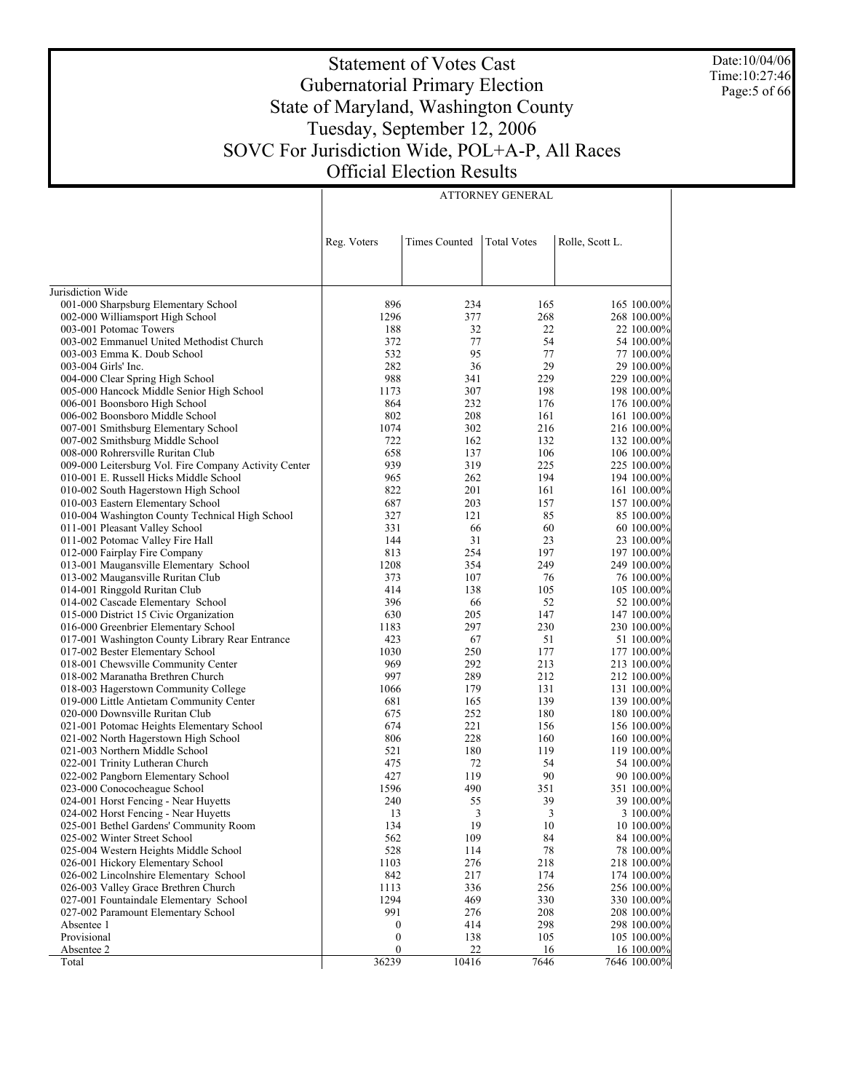Date:10/04/06 Time:10:27:46 Page: 5 of 66

# Statement of Votes Cast Gubernatorial Primary Election State of Maryland, Washington County Tuesday, September 12, 2006 SOVC For Jurisdiction Wide, POL+A-P, All Races Official Election Results

ATTORNEY GENERAL

|                                                                    | Reg. Voters      | <b>Times Counted</b> | <b>Total Votes</b> | Rolle, Scott L. |                           |
|--------------------------------------------------------------------|------------------|----------------------|--------------------|-----------------|---------------------------|
|                                                                    |                  |                      |                    |                 |                           |
| Jurisdiction Wide                                                  |                  |                      |                    |                 |                           |
| 001-000 Sharpsburg Elementary School                               | 896              | 234                  | 165                |                 | 165 100.00%               |
| 002-000 Williamsport High School                                   | 1296             | 377                  | 268                |                 | 268 100.00%               |
| 003-001 Potomac Towers                                             | 188              | 32                   | 22                 |                 | 22 100.00%                |
| 003-002 Emmanuel United Methodist Church                           | 372              | 77                   | 54                 |                 | 54 100.00%                |
| 003-003 Emma K. Doub School                                        | 532              | 95                   | 77                 |                 | 77 100.00%                |
| 003-004 Girls' Inc.                                                | 282              | 36                   | 29                 |                 | 29 100,00%                |
| 004-000 Clear Spring High School                                   | 988              | 341                  | 229                |                 | 229 100.00%               |
| 005-000 Hancock Middle Senior High School                          | 1173             | 307                  | 198                |                 | 198 100.00%               |
| 006-001 Boonsboro High School                                      | 864              | 232                  | 176                |                 | 176 100.00%               |
| 006-002 Boonsboro Middle School                                    | 802              | 208                  | 161                |                 | 161 100.00%               |
| 007-001 Smithsburg Elementary School                               | 1074             | 302                  | 216                |                 | 216 100.00%               |
| 007-002 Smithsburg Middle School                                   | 722              | 162                  | 132                |                 | 132 100.00%               |
| 008-000 Rohrersville Ruritan Club                                  | 658              | 137                  | 106                |                 | 106 100.00%               |
| 009-000 Leitersburg Vol. Fire Company Activity Center              | 939              | 319                  | 225                |                 | 225 100.00%               |
| 010-001 E. Russell Hicks Middle School                             | 965              | 262                  | 194                |                 | 194 100.00%               |
| 010-002 South Hagerstown High School                               | 822              | 201                  | 161                |                 | 161 100.00%               |
| 010-003 Eastern Elementary School                                  | 687<br>327       | 203<br>121           | 157<br>85          |                 | 157 100.00%<br>85 100.00% |
| 010-004 Washington County Technical High School                    | 331              | 66                   | 60                 |                 |                           |
| 011-001 Pleasant Valley School<br>011-002 Potomac Valley Fire Hall | 144              | 31                   | 23                 |                 | 60 100.00%<br>23 100.00%  |
| 012-000 Fairplay Fire Company                                      | 813              | 254                  | 197                |                 | 197 100.00%               |
| 013-001 Maugansville Elementary School                             | 1208             | 354                  | 249                |                 | 249 100.00%               |
| 013-002 Maugansville Ruritan Club                                  | 373              | 107                  | 76                 |                 | 76 100.00%                |
| 014-001 Ringgold Ruritan Club                                      | 414              | 138                  | 105                |                 | 105 100.00%               |
| 014-002 Cascade Elementary School                                  | 396              | 66                   | 52                 |                 | 52 100.00%                |
| 015-000 District 15 Civic Organization                             | 630              | 205                  | 147                |                 | 147 100.00%               |
| 016-000 Greenbrier Elementary School                               | 1183             | 297                  | 230                |                 | 230 100.00%               |
| 017-001 Washington County Library Rear Entrance                    | 423              | 67                   | 51                 |                 | 51 100.00%                |
| 017-002 Bester Elementary School                                   | 1030             | 250                  | 177                |                 | 177 100.00%               |
| 018-001 Chewsville Community Center                                | 969              | 292                  | 213                |                 | 213 100.00%               |
| 018-002 Maranatha Brethren Church                                  | 997              | 289                  | 212                |                 | 212 100.00%               |
| 018-003 Hagerstown Community College                               | 1066             | 179                  | 131                |                 | 131 100.00%               |
| 019-000 Little Antietam Community Center                           | 681              | 165                  | 139                |                 | 139 100.00%               |
| 020-000 Downsville Ruritan Club                                    | 675              | 252                  | 180                |                 | 180 100.00%               |
| 021-001 Potomac Heights Elementary School                          | 674              | 221                  | 156                |                 | 156 100.00%               |
| 021-002 North Hagerstown High School                               | 806              | 228                  | 160                |                 | 160 100.00%               |
| 021-003 Northern Middle School                                     | 521              | 180                  | 119                |                 | 119 100.00%               |
| 022-001 Trinity Lutheran Church                                    | 475              | 72                   | 54                 |                 | 54 100.00%                |
| 022-002 Pangborn Elementary School                                 | 427              | 119                  | 90                 |                 | 90 100.00%                |
| 023-000 Conococheague School                                       | 1596             | 490                  | 351                |                 | 351 100.00%               |
| 024-001 Horst Fencing - Near Huyetts                               | 240              | 55                   | 39                 |                 | 39 100.00%                |
| 024-002 Horst Fencing - Near Huyetts                               | 13               | 3                    | 3                  |                 | 3 100.00%                 |
| 025-001 Bethel Gardens' Community Room                             | 134              | 19                   | 10                 |                 | 10 100.00%                |
| 025-002 Winter Street School                                       | 562              | 109                  | 84                 |                 | 84 100.00%                |
| 025-004 Western Heights Middle School                              | 528              | 114                  | 78                 |                 | 78 100.00%                |
| 026-001 Hickory Elementary School                                  | 1103             | 276                  | 218                |                 | 218 100.00%               |
| 026-002 Lincolnshire Elementary School                             | 842              | 217                  | 174                |                 | 174 100.00%               |
| 026-003 Valley Grace Brethren Church                               | 1113             | 336                  | 256                |                 | 256 100.00%               |
| 027-001 Fountaindale Elementary School                             | 1294             | 469                  | 330                |                 | 330 100.00%               |
| 027-002 Paramount Elementary School                                | 991              | 276                  | 208                |                 | 208 100.00%               |
| Absentee 1                                                         | $\boldsymbol{0}$ | 414                  | 298                |                 | 298 100.00%               |
| Provisional                                                        | $\boldsymbol{0}$ | 138                  | 105                |                 | 105 100.00%               |
| Absentee 2                                                         | 0                | 22                   | 16                 |                 | 16 100.00%                |
| Total                                                              | 36239            | 10416                | 7646               |                 | 7646 100.00%              |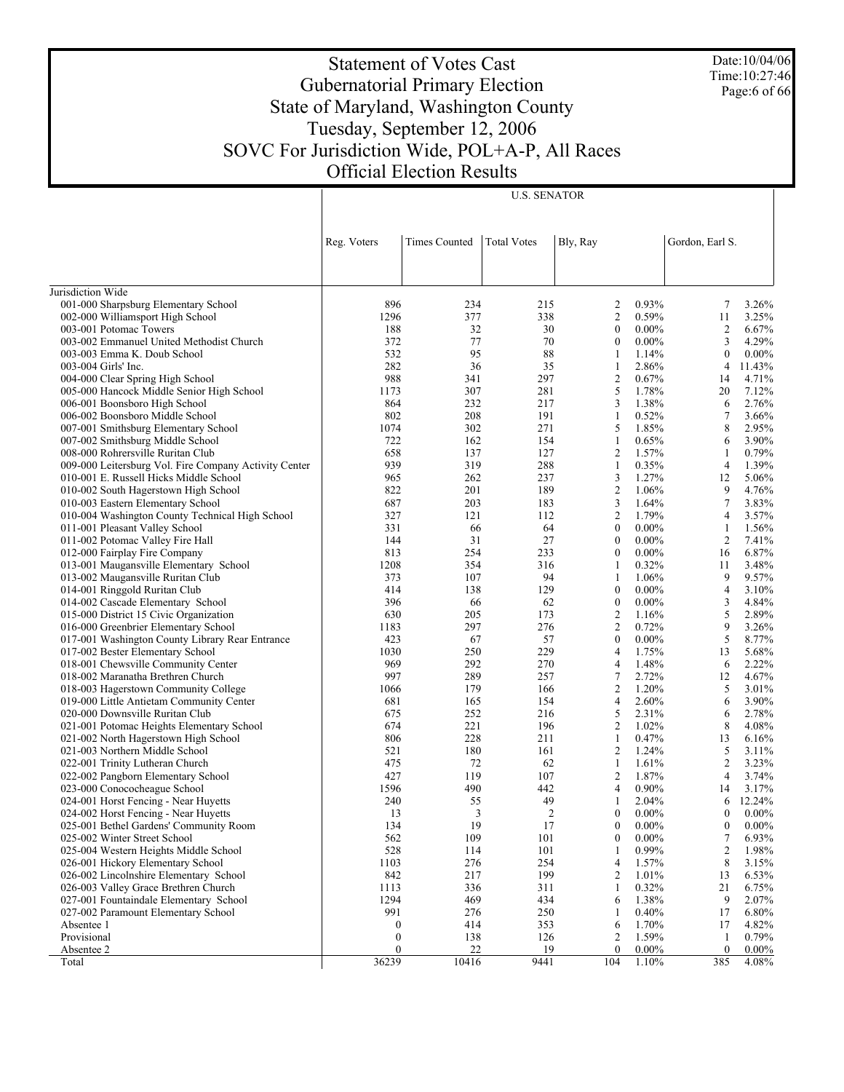Date:10/04/06 Time:10:27:46 Page:6 of 66

# Statement of Votes Cast Gubernatorial Primary Election State of Maryland, Washington County Tuesday, September 12, 2006 SOVC For Jurisdiction Wide, POL+A-P, All Races Official Election Results

|                                                       | Reg. Voters      | Times Counted | <b>Total Votes</b> | Bly, Ray                     | Gordon, Earl S.         |          |
|-------------------------------------------------------|------------------|---------------|--------------------|------------------------------|-------------------------|----------|
|                                                       |                  |               |                    |                              |                         |          |
|                                                       |                  |               |                    |                              |                         |          |
| Jurisdiction Wide                                     |                  |               |                    |                              |                         |          |
| 001-000 Sharpsburg Elementary School                  | 896              | 234           | 215                | 0.93%<br>2                   | 7                       | 3.26%    |
| 002-000 Williamsport High School                      | 1296             | 377           | 338                | 2<br>0.59%                   | 11                      | 3.25%    |
| 003-001 Potomac Towers                                | 188              | 32            | 30                 | $\mathbf{0}$<br>$0.00\%$     | 2                       | 6.67%    |
| 003-002 Emmanuel United Methodist Church              | 372              | 77            | 70                 | $0.00\%$<br>$\mathbf{0}$     | 3                       | 4.29%    |
| 003-003 Emma K. Doub School                           | 532              | 95            | 88                 | 1<br>1.14%                   | $\boldsymbol{0}$        | $0.00\%$ |
| 003-004 Girls' Inc.                                   | 282              | 36            | 35                 | 2.86%<br>1                   | 4                       | 11.43%   |
| 004-000 Clear Spring High School                      | 988              | 341           | 297                | $\overline{2}$<br>0.67%      | 14                      | 4.71%    |
| 005-000 Hancock Middle Senior High School             | 1173             | 307           | 281                | 5<br>1.78%                   | 20                      | 7.12%    |
| 006-001 Boonsboro High School                         | 864              | 232           | 217                | 3<br>1.38%                   | 6                       | 2.76%    |
| 006-002 Boonsboro Middle School                       | 802              | 208           | 191                | 0.52%<br>1                   | 7                       | 3.66%    |
| 007-001 Smithsburg Elementary School                  | 1074             | 302           | 271                | 5<br>1.85%                   | 8                       | 2.95%    |
| 007-002 Smithsburg Middle School                      | 722              | 162           | 154                | 0.65%<br>1                   | 6                       | 3.90%    |
| 008-000 Rohrersville Ruritan Club                     | 658              | 137           | 127                | $\overline{2}$<br>1.57%      | 1                       | 0.79%    |
| 009-000 Leitersburg Vol. Fire Company Activity Center | 939              | 319           | 288                | 0.35%<br>1                   | $\overline{4}$          | 1.39%    |
| 010-001 E. Russell Hicks Middle School                | 965              | 262           | 237                | 3<br>1.27%                   | 12                      | 5.06%    |
| 010-002 South Hagerstown High School                  | 822              | 201           | 189                | $\overline{c}$<br>1.06%      | 9                       | 4.76%    |
| 010-003 Eastern Elementary School                     | 687              | 203           | 183                | 3<br>1.64%                   | $\tau$                  | 3.83%    |
| 010-004 Washington County Technical High School       | 327              | 121           | 112                | $\overline{c}$<br>1.79%      | 4                       | 3.57%    |
| 011-001 Pleasant Valley School                        | 331              | 66            | 64                 | $0.00\%$<br>$\mathbf{0}$     | 1                       | 1.56%    |
| 011-002 Potomac Valley Fire Hall                      | 144              | 31            | 27                 | $0.00\%$<br>$\mathbf{0}$     | 2                       | 7.41%    |
| 012-000 Fairplay Fire Company                         | 813              | 254           | 233                | $0.00\%$<br>$\mathbf{0}$     | 16                      | 6.87%    |
| 013-001 Maugansville Elementary School                | 1208             | 354           | 316                | 0.32%<br>1                   | 11                      | 3.48%    |
| 013-002 Maugansville Ruritan Club                     | 373              | 107           | 94                 | 1<br>1.06%                   | 9                       | 9.57%    |
| 014-001 Ringgold Ruritan Club                         | 414              | 138           | 129                | $0.00\%$<br>$\mathbf{0}$     | $\overline{4}$          | 3.10%    |
| 014-002 Cascade Elementary School                     | 396              | 66            | 62                 | $0.00\%$<br>$\boldsymbol{0}$ | 3                       | 4.84%    |
| 015-000 District 15 Civic Organization                | 630              | 205           | 173                | $\overline{2}$<br>1.16%      | 5                       | 2.89%    |
| 016-000 Greenbrier Elementary School                  | 1183             | 297           | 276                | $\overline{2}$<br>0.72%      | 9                       | 3.26%    |
| 017-001 Washington County Library Rear Entrance       | 423              | 67            | 57                 | $\mathbf{0}$<br>$0.00\%$     | 5                       | 8.77%    |
| 017-002 Bester Elementary School                      | 1030             | 250           | 229                | 1.75%<br>$\overline{4}$      | 13                      | 5.68%    |
| 018-001 Chewsville Community Center                   | 969              | 292           | 270                | 1.48%<br>4                   | 6                       | 2.22%    |
| 018-002 Maranatha Brethren Church                     | 997              | 289           | 257                | $\tau$<br>2.72%              | 12                      | 4.67%    |
| 018-003 Hagerstown Community College                  | 1066             | 179           | 166                | 2<br>1.20%                   | 5                       | 3.01%    |
| 019-000 Little Antietam Community Center              | 681              | 165           | 154                | 2.60%<br>4                   | 6                       | 3.90%    |
| 020-000 Downsville Ruritan Club                       | 675              | 252           | 216                | 5<br>2.31%                   | 6                       | 2.78%    |
| 021-001 Potomac Heights Elementary School             | 674              | 221           | 196                | $\overline{2}$<br>1.02%      | 8                       | 4.08%    |
| 021-002 North Hagerstown High School                  | 806              | 228           | 211                | 0.47%<br>1                   | 13                      | 6.16%    |
| 021-003 Northern Middle School                        | 521              | 180           | 161                | 2<br>1.24%                   | 5                       | 3.11%    |
| 022-001 Trinity Lutheran Church                       | 475              | 72            | 62                 | 1.61%<br>1                   | 2                       | 3.23%    |
| 022-002 Pangborn Elementary School                    | 427              | 119           | 107                | $\overline{2}$<br>1.87%      | 4                       | 3.74%    |
| 023-000 Conococheague School                          | 1596             | 490           | 442                | 0.90%<br>4                   | 14                      | 3.17%    |
| 024-001 Horst Fencing - Near Huyetts                  | 240              | 55            | 49                 | 2.04%<br>1                   | 6                       | 12.24%   |
| 024-002 Horst Fencing - Near Huyetts                  | 13               | 3             | $\overline{2}$     | $0.00\%$<br>$\mathbf{0}$     | $\boldsymbol{0}$        | $0.00\%$ |
| 025-001 Bethel Gardens' Community Room                | 134              | 19            | 17                 | $0.00\%$<br>$\mathbf{0}$     | $\boldsymbol{0}$        | $0.00\%$ |
| 025-002 Winter Street School                          | 562              | 109           | 101                | $\boldsymbol{0}$<br>$0.00\%$ | 7                       | 6.93%    |
| 025-004 Western Heights Middle School                 | 528              | 114           | 101                | 1<br>0.99%                   | $\overline{\mathbf{c}}$ | 1.98%    |
| 026-001 Hickory Elementary School                     | 1103             | 276           | 254                | 1.57%<br>4                   | 8                       | 3.15%    |
| 026-002 Lincolnshire Elementary School                | 842              | 217           | 199                | $\overline{2}$<br>1.01%      | 13                      | 6.53%    |
| 026-003 Valley Grace Brethren Church                  | 1113             | 336           | 311                | 0.32%<br>1                   | 21                      | 6.75%    |
| 027-001 Fountaindale Elementary School                | 1294             | 469           | 434                | 1.38%<br>6                   | 9                       | 2.07%    |
| 027-002 Paramount Elementary School                   | 991              | 276           | 250                | 0.40%<br>-1                  | 17                      | 6.80%    |
| Absentee 1                                            | $\boldsymbol{0}$ | 414           | 353                | 1.70%<br>6                   | 17                      | 4.82%    |
| Provisional                                           | $\boldsymbol{0}$ | 138           | 126                | 1.59%<br>2                   | 1                       | 0.79%    |
| Absentee 2                                            | $\mathbf{0}$     | 22            | 19                 | $0.00\%$<br>$\mathbf{0}$     | $\boldsymbol{0}$        | $0.00\%$ |
| Total                                                 | 36239            | 10416         | 9441               | 104<br>1.10%                 | 385                     | 4.08%    |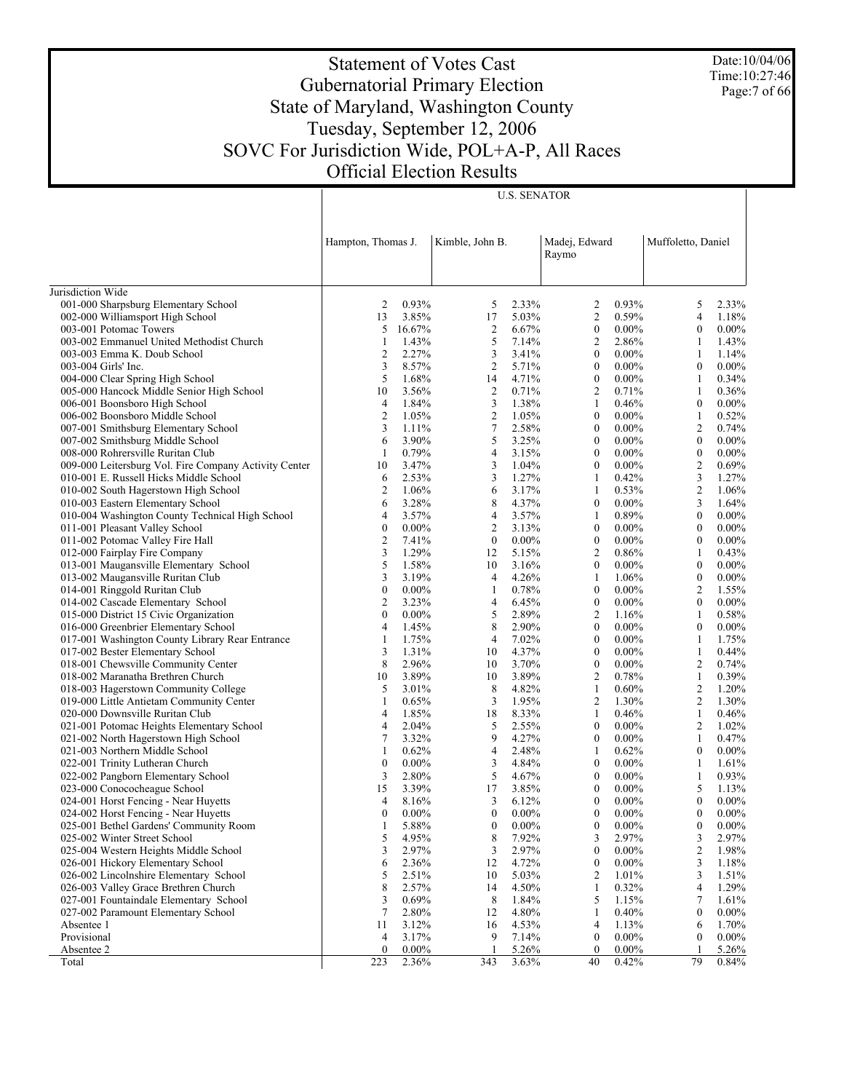Date:10/04/06 Time:10:27:46 Page: 7 of 66

# Statement of Votes Cast Gubernatorial Primary Election State of Maryland, Washington County Tuesday, September 12, 2006 SOVC For Jurisdiction Wide, POL+A-P, All Races Official Election Results

| Muffoletto, Daniel<br>Hampton, Thomas J.<br>Kimble, John B.<br>Madej, Edward<br>Raymo<br>Jurisdiction Wide<br>001-000 Sharpsburg Elementary School<br>0.93%<br>0.93%<br>2<br>5<br>2.33%<br>2<br>5<br>2.33%<br>3.85%<br>5.03%<br>2<br>0.59%<br>002-000 Williamsport High School<br>13<br>17<br>4<br>1.18%<br>5<br>$\overline{c}$<br>$\boldsymbol{0}$<br>$\boldsymbol{0}$<br>003-001 Potomac Towers<br>16.67%<br>6.67%<br>$0.00\%$<br>$0.00\%$<br>5<br>1.43%<br>7.14%<br>003-002 Emmanuel United Methodist Church<br>2<br>2.86%<br>1<br>1.43%<br>1<br>3<br>$\overline{c}$<br>2.27%<br>$\boldsymbol{0}$<br>$\mathbf{1}$<br>003-003 Emma K. Doub School<br>3.41%<br>$0.00\%$<br>1.14%<br>3<br>$\overline{2}$<br>8.57%<br>5.71%<br>$0.00\%$<br>$\boldsymbol{0}$<br>$0.00\%$<br>003-004 Girls' Inc.<br>$\boldsymbol{0}$<br>5<br>4.71%<br>$\boldsymbol{0}$<br>$0.00\%$<br>004-000 Clear Spring High School<br>1.68%<br>14<br>1<br>0.34%<br>005-000 Hancock Middle Senior High School<br>3.56%<br>$\overline{2}$<br>0.71%<br>$\overline{c}$<br>0.71%<br>10<br>1<br>0.36%<br>3<br>$\boldsymbol{0}$<br>006-001 Boonsboro High School<br>4<br>1.84%<br>1.38%<br>1<br>0.46%<br>$0.00\%$<br>$\overline{2}$<br>$\overline{2}$<br>1.05%<br>1.05%<br>$\boldsymbol{0}$<br>$\mathbf{1}$<br>006-002 Boonsboro Middle School<br>$0.00\%$<br>0.52%<br>$\tau$<br>3<br>2.58%<br>$\boldsymbol{0}$<br>$\overline{2}$<br>007-001 Smithsburg Elementary School<br>1.11%<br>$0.00\%$<br>0.74%<br>5<br>6<br>3.90%<br>3.25%<br>$0.00\%$<br>$0.00\%$<br>007-002 Smithsburg Middle School<br>$\boldsymbol{0}$<br>$\boldsymbol{0}$<br>4<br>$\boldsymbol{0}$<br>$\boldsymbol{0}$<br>008-000 Rohrersville Ruritan Club<br>1<br>0.79%<br>3.15%<br>$0.00\%$<br>$0.00\%$<br>3.47%<br>3<br>$\boldsymbol{0}$<br>$\overline{c}$<br>0.69%<br>009-000 Leitersburg Vol. Fire Company Activity Center<br>10<br>1.04%<br>$0.00\%$<br>3<br>1.27%<br>0.42%<br>3<br>010-001 E. Russell Hicks Middle School<br>2.53%<br>1<br>1.27%<br>6<br>6<br>$\overline{2}$<br>3.17%<br>0.53%<br>$\overline{c}$<br>010-002 South Hagerstown High School<br>1.06%<br>1<br>1.06%<br>8<br>6<br>$\boldsymbol{0}$<br>3<br>010-003 Eastern Elementary School<br>3.28%<br>4.37%<br>$0.00\%$<br>1.64%<br>010-004 Washington County Technical High School<br>3.57%<br>4<br>3.57%<br>0.89%<br>$0.00\%$<br>$\overline{4}$<br>1<br>$\boldsymbol{0}$<br>$\overline{c}$<br>$\boldsymbol{0}$<br>$\boldsymbol{0}$<br>011-001 Pleasant Valley School<br>$0.00\%$<br>3.13%<br>$0.00\%$<br>$\mathbf{0}$<br>$0.00\%$<br>$\boldsymbol{0}$<br>$\overline{c}$<br>7.41%<br>$0.00\%$<br>$\boldsymbol{0}$<br>$0.00\%$<br>$\boldsymbol{0}$<br>011-002 Potomac Valley Fire Hall<br>$0.00\%$<br>3<br>1.29%<br>12<br>5.15%<br>2<br>$\mathbf{1}$<br>012-000 Fairplay Fire Company<br>0.86%<br>0.43%<br>5<br>013-001 Maugansville Elementary School<br>1.58%<br>10<br>$\boldsymbol{0}$<br>$0.00\%$<br>3.16%<br>$\boldsymbol{0}$<br>$0.00\%$<br>3<br>$\overline{4}$<br>1.06%<br>013-002 Maugansville Ruritan Club<br>3.19%<br>4.26%<br>1<br>$\boldsymbol{0}$<br>$0.00\%$<br>$\boldsymbol{0}$<br>0.78%<br>$\boldsymbol{0}$<br>$0.00\%$<br>$\overline{c}$<br>014-001 Ringgold Ruritan Club<br>$0.00\%$<br>1<br>1.55%<br>$\overline{2}$<br>4<br>$\boldsymbol{0}$<br>$\boldsymbol{0}$<br>014-002 Cascade Elementary School<br>3.23%<br>6.45%<br>$0.00\%$<br>$0.00\%$<br>5<br>$\boldsymbol{0}$<br>2.89%<br>015-000 District 15 Civic Organization<br>$0.00\%$<br>$\overline{c}$<br>1.16%<br>1<br>0.58%<br>8<br>016-000 Greenbrier Elementary School<br>2.90%<br>$\boldsymbol{0}$<br>4<br>1.45%<br>$0.00\%$<br>$\boldsymbol{0}$<br>$0.00\%$<br>1.75%<br>$\overline{4}$<br>7.02%<br>$0.00\%$<br>017-001 Washington County Library Rear Entrance<br>$\boldsymbol{0}$<br>1<br>1.75%<br>1<br>3<br>10<br>4.37%<br>$\boldsymbol{0}$<br>$\mathbf{1}$<br>017-002 Bester Elementary School<br>1.31%<br>$0.00\%$<br>0.44%<br>8<br>018-001 Chewsville Community Center<br>2.96%<br>3.70%<br>$\boldsymbol{0}$<br>$0.00\%$<br>$\overline{c}$<br>10<br>0.74%<br>018-002 Maranatha Brethren Church<br>3.89%<br>3.89%<br>2<br>0.78%<br>$\mathbf{1}$<br>10<br>10<br>0.39%<br>8<br>018-003 Hagerstown Community College<br>5<br>4.82%<br>$\overline{c}$<br>3.01%<br>1<br>0.60%<br>1.20%<br>3<br>1.95%<br>$\overline{c}$<br>2<br>019-000 Little Antietam Community Center<br>0.65%<br>1.30%<br>1.30%<br>1<br>020-000 Downsville Ruritan Club<br>1.85%<br>$\mathbf{1}$<br>$\overline{4}$<br>18<br>8.33%<br>1<br>0.46%<br>0.46%<br>5<br>2.55%<br>$\boldsymbol{0}$<br>2<br>021-001 Potomac Heights Elementary School<br>4<br>2.04%<br>$0.00\%$<br>1.02%<br>9<br>7<br>3.32%<br>4.27%<br>0.47%<br>021-002 North Hagerstown High School<br>$\boldsymbol{0}$<br>$0.00\%$<br>1<br>4<br>2.48%<br>$\boldsymbol{0}$<br>021-003 Northern Middle School<br>1<br>0.62%<br>1<br>0.62%<br>$0.00\%$<br>$\boldsymbol{0}$<br>3<br>4.84%<br>022-001 Trinity Lutheran Church<br>$0.00\%$<br>$\boldsymbol{0}$<br>$0.00\%$<br>1<br>1.61%<br>5<br>3<br>4.67%<br>$\boldsymbol{0}$<br>$\mathbf{1}$<br>022-002 Pangborn Elementary School<br>2.80%<br>$0.00\%$<br>0.93%<br>023-000 Conococheague School<br>15<br>3.85%<br>5<br>3.39%<br>17<br>$\boldsymbol{0}$<br>$0.00\%$<br>1.13%<br>3<br>$\boldsymbol{0}$<br>$\mathbf{0}$<br>024-001 Horst Fencing - Near Huyetts<br>$\overline{4}$<br>8.16%<br>6.12%<br>$0.00\%$<br>$0.00\%$<br>$\boldsymbol{0}$<br>$\boldsymbol{0}$<br>$0.00\%$<br>$\boldsymbol{0}$<br>$0.00\%$<br>$\boldsymbol{0}$<br>$0.00\%$<br>024-002 Horst Fencing - Near Huyetts<br>$0.00\%$<br>025-001 Bethel Gardens' Community Room<br>5.88%<br>$\boldsymbol{0}$<br>0.00%<br>$\boldsymbol{0}$<br>$0.00\%$<br>$\boldsymbol{0}$<br>$0.00\%$<br>$\mathbf{1}$<br>5<br>8<br>3<br>2.97%<br>3<br>2.97%<br>4.95%<br>7.92%<br>025-002 Winter Street School<br>3<br>3<br>$\boldsymbol{0}$<br>2<br>025-004 Western Heights Middle School<br>2.97%<br>2.97%<br>$0.00\%$<br>1.98%<br>026-001 Hickory Elementary School<br>2.36%<br>4.72%<br>$\boldsymbol{0}$<br>$0.00\%$<br>6<br>12<br>3<br>1.18%<br>5<br>$\overline{c}$<br>026-002 Lincolnshire Elementary School<br>2.51%<br>10<br>5.03%<br>1.01%<br>3<br>1.51%<br>8<br>026-003 Valley Grace Brethren Church<br>2.57%<br>4.50%<br>1<br>0.32%<br>1.29%<br>14<br>4<br>5<br>027-001 Fountaindale Elementary School<br>3<br>0.69%<br>8<br>1.84%<br>1.15%<br>7<br>1.61%<br>027-002 Paramount Elementary School<br>7<br>2.80%<br>4.80%<br>0.40%<br>$0.00\%$<br>12<br>1<br>$\boldsymbol{0}$<br>Absentee 1<br>3.12%<br>16<br>4.53%<br>$\overline{4}$<br>11<br>1.13%<br>1.70%<br>6<br>Provisional<br>3.17%<br>9<br>7.14%<br>$\boldsymbol{0}$<br>$0.00\%$<br>$0.00\%$<br>4<br>$\boldsymbol{0}$<br>Absentee 2<br>$\theta$<br>$0.00\%$<br>5.26%<br>$\mathbf{0}$<br>$0.00\%$<br>5.26%<br>-1<br>223<br>343<br>79<br>Total<br>2.36%<br>3.63%<br>40<br>0.42%<br>0.84% |  |  |  |  |  |  |
|-------------------------------------------------------------------------------------------------------------------------------------------------------------------------------------------------------------------------------------------------------------------------------------------------------------------------------------------------------------------------------------------------------------------------------------------------------------------------------------------------------------------------------------------------------------------------------------------------------------------------------------------------------------------------------------------------------------------------------------------------------------------------------------------------------------------------------------------------------------------------------------------------------------------------------------------------------------------------------------------------------------------------------------------------------------------------------------------------------------------------------------------------------------------------------------------------------------------------------------------------------------------------------------------------------------------------------------------------------------------------------------------------------------------------------------------------------------------------------------------------------------------------------------------------------------------------------------------------------------------------------------------------------------------------------------------------------------------------------------------------------------------------------------------------------------------------------------------------------------------------------------------------------------------------------------------------------------------------------------------------------------------------------------------------------------------------------------------------------------------------------------------------------------------------------------------------------------------------------------------------------------------------------------------------------------------------------------------------------------------------------------------------------------------------------------------------------------------------------------------------------------------------------------------------------------------------------------------------------------------------------------------------------------------------------------------------------------------------------------------------------------------------------------------------------------------------------------------------------------------------------------------------------------------------------------------------------------------------------------------------------------------------------------------------------------------------------------------------------------------------------------------------------------------------------------------------------------------------------------------------------------------------------------------------------------------------------------------------------------------------------------------------------------------------------------------------------------------------------------------------------------------------------------------------------------------------------------------------------------------------------------------------------------------------------------------------------------------------------------------------------------------------------------------------------------------------------------------------------------------------------------------------------------------------------------------------------------------------------------------------------------------------------------------------------------------------------------------------------------------------------------------------------------------------------------------------------------------------------------------------------------------------------------------------------------------------------------------------------------------------------------------------------------------------------------------------------------------------------------------------------------------------------------------------------------------------------------------------------------------------------------------------------------------------------------------------------------------------------------------------------------------------------------------------------------------------------------------------------------------------------------------------------------------------------------------------------------------------------------------------------------------------------------------------------------------------------------------------------------------------------------------------------------------------------------------------------------------------------------------------------------------------------------------------------------------------------------------------------------------------------------------------------------------------------------------------------------------------------------------------------------------------------------------------------------------------------------------------------------------------------------------------------------------------------------------------------------------------------------------------------------------------------------------------------------------------------------------------------------------------------------------------------------------------------------------------------------------------------------------------------------------------------------------------------------------------------------------------------------------------------------------------------------------------------------------------------------------------------------------------------------------------------------------------------------------------------------------------------------------------------------------------------------------------------------------------------------------------------------------------------------------------------------------------------------------------------------------------------------------------------------------------------------------------------------------------------------------------------------------------------------------------------------------------------------------------------------------------------|--|--|--|--|--|--|
|                                                                                                                                                                                                                                                                                                                                                                                                                                                                                                                                                                                                                                                                                                                                                                                                                                                                                                                                                                                                                                                                                                                                                                                                                                                                                                                                                                                                                                                                                                                                                                                                                                                                                                                                                                                                                                                                                                                                                                                                                                                                                                                                                                                                                                                                                                                                                                                                                                                                                                                                                                                                                                                                                                                                                                                                                                                                                                                                                                                                                                                                                                                                                                                                                                                                                                                                                                                                                                                                                                                                                                                                                                                                                                                                                                                                                                                                                                                                                                                                                                                                                                                                                                                                                                                                                                                                                                                                                                                                                                                                                                                                                                                                                                                                                                                                                                                                                                                                                                                                                                                                                                                                                                                                                                                                                                                                                                                                                                                                                                                                                                                                                                                                                                                                                                                                                                                                                                                                                                                                                                                                                                                                                                                                                                                                                                                                                                                                                                                                                                                                                                                                                                                                                                                                                                                                                                                       |  |  |  |  |  |  |
|                                                                                                                                                                                                                                                                                                                                                                                                                                                                                                                                                                                                                                                                                                                                                                                                                                                                                                                                                                                                                                                                                                                                                                                                                                                                                                                                                                                                                                                                                                                                                                                                                                                                                                                                                                                                                                                                                                                                                                                                                                                                                                                                                                                                                                                                                                                                                                                                                                                                                                                                                                                                                                                                                                                                                                                                                                                                                                                                                                                                                                                                                                                                                                                                                                                                                                                                                                                                                                                                                                                                                                                                                                                                                                                                                                                                                                                                                                                                                                                                                                                                                                                                                                                                                                                                                                                                                                                                                                                                                                                                                                                                                                                                                                                                                                                                                                                                                                                                                                                                                                                                                                                                                                                                                                                                                                                                                                                                                                                                                                                                                                                                                                                                                                                                                                                                                                                                                                                                                                                                                                                                                                                                                                                                                                                                                                                                                                                                                                                                                                                                                                                                                                                                                                                                                                                                                                                       |  |  |  |  |  |  |
|                                                                                                                                                                                                                                                                                                                                                                                                                                                                                                                                                                                                                                                                                                                                                                                                                                                                                                                                                                                                                                                                                                                                                                                                                                                                                                                                                                                                                                                                                                                                                                                                                                                                                                                                                                                                                                                                                                                                                                                                                                                                                                                                                                                                                                                                                                                                                                                                                                                                                                                                                                                                                                                                                                                                                                                                                                                                                                                                                                                                                                                                                                                                                                                                                                                                                                                                                                                                                                                                                                                                                                                                                                                                                                                                                                                                                                                                                                                                                                                                                                                                                                                                                                                                                                                                                                                                                                                                                                                                                                                                                                                                                                                                                                                                                                                                                                                                                                                                                                                                                                                                                                                                                                                                                                                                                                                                                                                                                                                                                                                                                                                                                                                                                                                                                                                                                                                                                                                                                                                                                                                                                                                                                                                                                                                                                                                                                                                                                                                                                                                                                                                                                                                                                                                                                                                                                                                       |  |  |  |  |  |  |
|                                                                                                                                                                                                                                                                                                                                                                                                                                                                                                                                                                                                                                                                                                                                                                                                                                                                                                                                                                                                                                                                                                                                                                                                                                                                                                                                                                                                                                                                                                                                                                                                                                                                                                                                                                                                                                                                                                                                                                                                                                                                                                                                                                                                                                                                                                                                                                                                                                                                                                                                                                                                                                                                                                                                                                                                                                                                                                                                                                                                                                                                                                                                                                                                                                                                                                                                                                                                                                                                                                                                                                                                                                                                                                                                                                                                                                                                                                                                                                                                                                                                                                                                                                                                                                                                                                                                                                                                                                                                                                                                                                                                                                                                                                                                                                                                                                                                                                                                                                                                                                                                                                                                                                                                                                                                                                                                                                                                                                                                                                                                                                                                                                                                                                                                                                                                                                                                                                                                                                                                                                                                                                                                                                                                                                                                                                                                                                                                                                                                                                                                                                                                                                                                                                                                                                                                                                                       |  |  |  |  |  |  |
|                                                                                                                                                                                                                                                                                                                                                                                                                                                                                                                                                                                                                                                                                                                                                                                                                                                                                                                                                                                                                                                                                                                                                                                                                                                                                                                                                                                                                                                                                                                                                                                                                                                                                                                                                                                                                                                                                                                                                                                                                                                                                                                                                                                                                                                                                                                                                                                                                                                                                                                                                                                                                                                                                                                                                                                                                                                                                                                                                                                                                                                                                                                                                                                                                                                                                                                                                                                                                                                                                                                                                                                                                                                                                                                                                                                                                                                                                                                                                                                                                                                                                                                                                                                                                                                                                                                                                                                                                                                                                                                                                                                                                                                                                                                                                                                                                                                                                                                                                                                                                                                                                                                                                                                                                                                                                                                                                                                                                                                                                                                                                                                                                                                                                                                                                                                                                                                                                                                                                                                                                                                                                                                                                                                                                                                                                                                                                                                                                                                                                                                                                                                                                                                                                                                                                                                                                                                       |  |  |  |  |  |  |
|                                                                                                                                                                                                                                                                                                                                                                                                                                                                                                                                                                                                                                                                                                                                                                                                                                                                                                                                                                                                                                                                                                                                                                                                                                                                                                                                                                                                                                                                                                                                                                                                                                                                                                                                                                                                                                                                                                                                                                                                                                                                                                                                                                                                                                                                                                                                                                                                                                                                                                                                                                                                                                                                                                                                                                                                                                                                                                                                                                                                                                                                                                                                                                                                                                                                                                                                                                                                                                                                                                                                                                                                                                                                                                                                                                                                                                                                                                                                                                                                                                                                                                                                                                                                                                                                                                                                                                                                                                                                                                                                                                                                                                                                                                                                                                                                                                                                                                                                                                                                                                                                                                                                                                                                                                                                                                                                                                                                                                                                                                                                                                                                                                                                                                                                                                                                                                                                                                                                                                                                                                                                                                                                                                                                                                                                                                                                                                                                                                                                                                                                                                                                                                                                                                                                                                                                                                                       |  |  |  |  |  |  |
|                                                                                                                                                                                                                                                                                                                                                                                                                                                                                                                                                                                                                                                                                                                                                                                                                                                                                                                                                                                                                                                                                                                                                                                                                                                                                                                                                                                                                                                                                                                                                                                                                                                                                                                                                                                                                                                                                                                                                                                                                                                                                                                                                                                                                                                                                                                                                                                                                                                                                                                                                                                                                                                                                                                                                                                                                                                                                                                                                                                                                                                                                                                                                                                                                                                                                                                                                                                                                                                                                                                                                                                                                                                                                                                                                                                                                                                                                                                                                                                                                                                                                                                                                                                                                                                                                                                                                                                                                                                                                                                                                                                                                                                                                                                                                                                                                                                                                                                                                                                                                                                                                                                                                                                                                                                                                                                                                                                                                                                                                                                                                                                                                                                                                                                                                                                                                                                                                                                                                                                                                                                                                                                                                                                                                                                                                                                                                                                                                                                                                                                                                                                                                                                                                                                                                                                                                                                       |  |  |  |  |  |  |
|                                                                                                                                                                                                                                                                                                                                                                                                                                                                                                                                                                                                                                                                                                                                                                                                                                                                                                                                                                                                                                                                                                                                                                                                                                                                                                                                                                                                                                                                                                                                                                                                                                                                                                                                                                                                                                                                                                                                                                                                                                                                                                                                                                                                                                                                                                                                                                                                                                                                                                                                                                                                                                                                                                                                                                                                                                                                                                                                                                                                                                                                                                                                                                                                                                                                                                                                                                                                                                                                                                                                                                                                                                                                                                                                                                                                                                                                                                                                                                                                                                                                                                                                                                                                                                                                                                                                                                                                                                                                                                                                                                                                                                                                                                                                                                                                                                                                                                                                                                                                                                                                                                                                                                                                                                                                                                                                                                                                                                                                                                                                                                                                                                                                                                                                                                                                                                                                                                                                                                                                                                                                                                                                                                                                                                                                                                                                                                                                                                                                                                                                                                                                                                                                                                                                                                                                                                                       |  |  |  |  |  |  |
|                                                                                                                                                                                                                                                                                                                                                                                                                                                                                                                                                                                                                                                                                                                                                                                                                                                                                                                                                                                                                                                                                                                                                                                                                                                                                                                                                                                                                                                                                                                                                                                                                                                                                                                                                                                                                                                                                                                                                                                                                                                                                                                                                                                                                                                                                                                                                                                                                                                                                                                                                                                                                                                                                                                                                                                                                                                                                                                                                                                                                                                                                                                                                                                                                                                                                                                                                                                                                                                                                                                                                                                                                                                                                                                                                                                                                                                                                                                                                                                                                                                                                                                                                                                                                                                                                                                                                                                                                                                                                                                                                                                                                                                                                                                                                                                                                                                                                                                                                                                                                                                                                                                                                                                                                                                                                                                                                                                                                                                                                                                                                                                                                                                                                                                                                                                                                                                                                                                                                                                                                                                                                                                                                                                                                                                                                                                                                                                                                                                                                                                                                                                                                                                                                                                                                                                                                                                       |  |  |  |  |  |  |
|                                                                                                                                                                                                                                                                                                                                                                                                                                                                                                                                                                                                                                                                                                                                                                                                                                                                                                                                                                                                                                                                                                                                                                                                                                                                                                                                                                                                                                                                                                                                                                                                                                                                                                                                                                                                                                                                                                                                                                                                                                                                                                                                                                                                                                                                                                                                                                                                                                                                                                                                                                                                                                                                                                                                                                                                                                                                                                                                                                                                                                                                                                                                                                                                                                                                                                                                                                                                                                                                                                                                                                                                                                                                                                                                                                                                                                                                                                                                                                                                                                                                                                                                                                                                                                                                                                                                                                                                                                                                                                                                                                                                                                                                                                                                                                                                                                                                                                                                                                                                                                                                                                                                                                                                                                                                                                                                                                                                                                                                                                                                                                                                                                                                                                                                                                                                                                                                                                                                                                                                                                                                                                                                                                                                                                                                                                                                                                                                                                                                                                                                                                                                                                                                                                                                                                                                                                                       |  |  |  |  |  |  |
|                                                                                                                                                                                                                                                                                                                                                                                                                                                                                                                                                                                                                                                                                                                                                                                                                                                                                                                                                                                                                                                                                                                                                                                                                                                                                                                                                                                                                                                                                                                                                                                                                                                                                                                                                                                                                                                                                                                                                                                                                                                                                                                                                                                                                                                                                                                                                                                                                                                                                                                                                                                                                                                                                                                                                                                                                                                                                                                                                                                                                                                                                                                                                                                                                                                                                                                                                                                                                                                                                                                                                                                                                                                                                                                                                                                                                                                                                                                                                                                                                                                                                                                                                                                                                                                                                                                                                                                                                                                                                                                                                                                                                                                                                                                                                                                                                                                                                                                                                                                                                                                                                                                                                                                                                                                                                                                                                                                                                                                                                                                                                                                                                                                                                                                                                                                                                                                                                                                                                                                                                                                                                                                                                                                                                                                                                                                                                                                                                                                                                                                                                                                                                                                                                                                                                                                                                                                       |  |  |  |  |  |  |
|                                                                                                                                                                                                                                                                                                                                                                                                                                                                                                                                                                                                                                                                                                                                                                                                                                                                                                                                                                                                                                                                                                                                                                                                                                                                                                                                                                                                                                                                                                                                                                                                                                                                                                                                                                                                                                                                                                                                                                                                                                                                                                                                                                                                                                                                                                                                                                                                                                                                                                                                                                                                                                                                                                                                                                                                                                                                                                                                                                                                                                                                                                                                                                                                                                                                                                                                                                                                                                                                                                                                                                                                                                                                                                                                                                                                                                                                                                                                                                                                                                                                                                                                                                                                                                                                                                                                                                                                                                                                                                                                                                                                                                                                                                                                                                                                                                                                                                                                                                                                                                                                                                                                                                                                                                                                                                                                                                                                                                                                                                                                                                                                                                                                                                                                                                                                                                                                                                                                                                                                                                                                                                                                                                                                                                                                                                                                                                                                                                                                                                                                                                                                                                                                                                                                                                                                                                                       |  |  |  |  |  |  |
|                                                                                                                                                                                                                                                                                                                                                                                                                                                                                                                                                                                                                                                                                                                                                                                                                                                                                                                                                                                                                                                                                                                                                                                                                                                                                                                                                                                                                                                                                                                                                                                                                                                                                                                                                                                                                                                                                                                                                                                                                                                                                                                                                                                                                                                                                                                                                                                                                                                                                                                                                                                                                                                                                                                                                                                                                                                                                                                                                                                                                                                                                                                                                                                                                                                                                                                                                                                                                                                                                                                                                                                                                                                                                                                                                                                                                                                                                                                                                                                                                                                                                                                                                                                                                                                                                                                                                                                                                                                                                                                                                                                                                                                                                                                                                                                                                                                                                                                                                                                                                                                                                                                                                                                                                                                                                                                                                                                                                                                                                                                                                                                                                                                                                                                                                                                                                                                                                                                                                                                                                                                                                                                                                                                                                                                                                                                                                                                                                                                                                                                                                                                                                                                                                                                                                                                                                                                       |  |  |  |  |  |  |
|                                                                                                                                                                                                                                                                                                                                                                                                                                                                                                                                                                                                                                                                                                                                                                                                                                                                                                                                                                                                                                                                                                                                                                                                                                                                                                                                                                                                                                                                                                                                                                                                                                                                                                                                                                                                                                                                                                                                                                                                                                                                                                                                                                                                                                                                                                                                                                                                                                                                                                                                                                                                                                                                                                                                                                                                                                                                                                                                                                                                                                                                                                                                                                                                                                                                                                                                                                                                                                                                                                                                                                                                                                                                                                                                                                                                                                                                                                                                                                                                                                                                                                                                                                                                                                                                                                                                                                                                                                                                                                                                                                                                                                                                                                                                                                                                                                                                                                                                                                                                                                                                                                                                                                                                                                                                                                                                                                                                                                                                                                                                                                                                                                                                                                                                                                                                                                                                                                                                                                                                                                                                                                                                                                                                                                                                                                                                                                                                                                                                                                                                                                                                                                                                                                                                                                                                                                                       |  |  |  |  |  |  |
|                                                                                                                                                                                                                                                                                                                                                                                                                                                                                                                                                                                                                                                                                                                                                                                                                                                                                                                                                                                                                                                                                                                                                                                                                                                                                                                                                                                                                                                                                                                                                                                                                                                                                                                                                                                                                                                                                                                                                                                                                                                                                                                                                                                                                                                                                                                                                                                                                                                                                                                                                                                                                                                                                                                                                                                                                                                                                                                                                                                                                                                                                                                                                                                                                                                                                                                                                                                                                                                                                                                                                                                                                                                                                                                                                                                                                                                                                                                                                                                                                                                                                                                                                                                                                                                                                                                                                                                                                                                                                                                                                                                                                                                                                                                                                                                                                                                                                                                                                                                                                                                                                                                                                                                                                                                                                                                                                                                                                                                                                                                                                                                                                                                                                                                                                                                                                                                                                                                                                                                                                                                                                                                                                                                                                                                                                                                                                                                                                                                                                                                                                                                                                                                                                                                                                                                                                                                       |  |  |  |  |  |  |
|                                                                                                                                                                                                                                                                                                                                                                                                                                                                                                                                                                                                                                                                                                                                                                                                                                                                                                                                                                                                                                                                                                                                                                                                                                                                                                                                                                                                                                                                                                                                                                                                                                                                                                                                                                                                                                                                                                                                                                                                                                                                                                                                                                                                                                                                                                                                                                                                                                                                                                                                                                                                                                                                                                                                                                                                                                                                                                                                                                                                                                                                                                                                                                                                                                                                                                                                                                                                                                                                                                                                                                                                                                                                                                                                                                                                                                                                                                                                                                                                                                                                                                                                                                                                                                                                                                                                                                                                                                                                                                                                                                                                                                                                                                                                                                                                                                                                                                                                                                                                                                                                                                                                                                                                                                                                                                                                                                                                                                                                                                                                                                                                                                                                                                                                                                                                                                                                                                                                                                                                                                                                                                                                                                                                                                                                                                                                                                                                                                                                                                                                                                                                                                                                                                                                                                                                                                                       |  |  |  |  |  |  |
|                                                                                                                                                                                                                                                                                                                                                                                                                                                                                                                                                                                                                                                                                                                                                                                                                                                                                                                                                                                                                                                                                                                                                                                                                                                                                                                                                                                                                                                                                                                                                                                                                                                                                                                                                                                                                                                                                                                                                                                                                                                                                                                                                                                                                                                                                                                                                                                                                                                                                                                                                                                                                                                                                                                                                                                                                                                                                                                                                                                                                                                                                                                                                                                                                                                                                                                                                                                                                                                                                                                                                                                                                                                                                                                                                                                                                                                                                                                                                                                                                                                                                                                                                                                                                                                                                                                                                                                                                                                                                                                                                                                                                                                                                                                                                                                                                                                                                                                                                                                                                                                                                                                                                                                                                                                                                                                                                                                                                                                                                                                                                                                                                                                                                                                                                                                                                                                                                                                                                                                                                                                                                                                                                                                                                                                                                                                                                                                                                                                                                                                                                                                                                                                                                                                                                                                                                                                       |  |  |  |  |  |  |
|                                                                                                                                                                                                                                                                                                                                                                                                                                                                                                                                                                                                                                                                                                                                                                                                                                                                                                                                                                                                                                                                                                                                                                                                                                                                                                                                                                                                                                                                                                                                                                                                                                                                                                                                                                                                                                                                                                                                                                                                                                                                                                                                                                                                                                                                                                                                                                                                                                                                                                                                                                                                                                                                                                                                                                                                                                                                                                                                                                                                                                                                                                                                                                                                                                                                                                                                                                                                                                                                                                                                                                                                                                                                                                                                                                                                                                                                                                                                                                                                                                                                                                                                                                                                                                                                                                                                                                                                                                                                                                                                                                                                                                                                                                                                                                                                                                                                                                                                                                                                                                                                                                                                                                                                                                                                                                                                                                                                                                                                                                                                                                                                                                                                                                                                                                                                                                                                                                                                                                                                                                                                                                                                                                                                                                                                                                                                                                                                                                                                                                                                                                                                                                                                                                                                                                                                                                                       |  |  |  |  |  |  |
|                                                                                                                                                                                                                                                                                                                                                                                                                                                                                                                                                                                                                                                                                                                                                                                                                                                                                                                                                                                                                                                                                                                                                                                                                                                                                                                                                                                                                                                                                                                                                                                                                                                                                                                                                                                                                                                                                                                                                                                                                                                                                                                                                                                                                                                                                                                                                                                                                                                                                                                                                                                                                                                                                                                                                                                                                                                                                                                                                                                                                                                                                                                                                                                                                                                                                                                                                                                                                                                                                                                                                                                                                                                                                                                                                                                                                                                                                                                                                                                                                                                                                                                                                                                                                                                                                                                                                                                                                                                                                                                                                                                                                                                                                                                                                                                                                                                                                                                                                                                                                                                                                                                                                                                                                                                                                                                                                                                                                                                                                                                                                                                                                                                                                                                                                                                                                                                                                                                                                                                                                                                                                                                                                                                                                                                                                                                                                                                                                                                                                                                                                                                                                                                                                                                                                                                                                                                       |  |  |  |  |  |  |
|                                                                                                                                                                                                                                                                                                                                                                                                                                                                                                                                                                                                                                                                                                                                                                                                                                                                                                                                                                                                                                                                                                                                                                                                                                                                                                                                                                                                                                                                                                                                                                                                                                                                                                                                                                                                                                                                                                                                                                                                                                                                                                                                                                                                                                                                                                                                                                                                                                                                                                                                                                                                                                                                                                                                                                                                                                                                                                                                                                                                                                                                                                                                                                                                                                                                                                                                                                                                                                                                                                                                                                                                                                                                                                                                                                                                                                                                                                                                                                                                                                                                                                                                                                                                                                                                                                                                                                                                                                                                                                                                                                                                                                                                                                                                                                                                                                                                                                                                                                                                                                                                                                                                                                                                                                                                                                                                                                                                                                                                                                                                                                                                                                                                                                                                                                                                                                                                                                                                                                                                                                                                                                                                                                                                                                                                                                                                                                                                                                                                                                                                                                                                                                                                                                                                                                                                                                                       |  |  |  |  |  |  |
|                                                                                                                                                                                                                                                                                                                                                                                                                                                                                                                                                                                                                                                                                                                                                                                                                                                                                                                                                                                                                                                                                                                                                                                                                                                                                                                                                                                                                                                                                                                                                                                                                                                                                                                                                                                                                                                                                                                                                                                                                                                                                                                                                                                                                                                                                                                                                                                                                                                                                                                                                                                                                                                                                                                                                                                                                                                                                                                                                                                                                                                                                                                                                                                                                                                                                                                                                                                                                                                                                                                                                                                                                                                                                                                                                                                                                                                                                                                                                                                                                                                                                                                                                                                                                                                                                                                                                                                                                                                                                                                                                                                                                                                                                                                                                                                                                                                                                                                                                                                                                                                                                                                                                                                                                                                                                                                                                                                                                                                                                                                                                                                                                                                                                                                                                                                                                                                                                                                                                                                                                                                                                                                                                                                                                                                                                                                                                                                                                                                                                                                                                                                                                                                                                                                                                                                                                                                       |  |  |  |  |  |  |
|                                                                                                                                                                                                                                                                                                                                                                                                                                                                                                                                                                                                                                                                                                                                                                                                                                                                                                                                                                                                                                                                                                                                                                                                                                                                                                                                                                                                                                                                                                                                                                                                                                                                                                                                                                                                                                                                                                                                                                                                                                                                                                                                                                                                                                                                                                                                                                                                                                                                                                                                                                                                                                                                                                                                                                                                                                                                                                                                                                                                                                                                                                                                                                                                                                                                                                                                                                                                                                                                                                                                                                                                                                                                                                                                                                                                                                                                                                                                                                                                                                                                                                                                                                                                                                                                                                                                                                                                                                                                                                                                                                                                                                                                                                                                                                                                                                                                                                                                                                                                                                                                                                                                                                                                                                                                                                                                                                                                                                                                                                                                                                                                                                                                                                                                                                                                                                                                                                                                                                                                                                                                                                                                                                                                                                                                                                                                                                                                                                                                                                                                                                                                                                                                                                                                                                                                                                                       |  |  |  |  |  |  |
|                                                                                                                                                                                                                                                                                                                                                                                                                                                                                                                                                                                                                                                                                                                                                                                                                                                                                                                                                                                                                                                                                                                                                                                                                                                                                                                                                                                                                                                                                                                                                                                                                                                                                                                                                                                                                                                                                                                                                                                                                                                                                                                                                                                                                                                                                                                                                                                                                                                                                                                                                                                                                                                                                                                                                                                                                                                                                                                                                                                                                                                                                                                                                                                                                                                                                                                                                                                                                                                                                                                                                                                                                                                                                                                                                                                                                                                                                                                                                                                                                                                                                                                                                                                                                                                                                                                                                                                                                                                                                                                                                                                                                                                                                                                                                                                                                                                                                                                                                                                                                                                                                                                                                                                                                                                                                                                                                                                                                                                                                                                                                                                                                                                                                                                                                                                                                                                                                                                                                                                                                                                                                                                                                                                                                                                                                                                                                                                                                                                                                                                                                                                                                                                                                                                                                                                                                                                       |  |  |  |  |  |  |
|                                                                                                                                                                                                                                                                                                                                                                                                                                                                                                                                                                                                                                                                                                                                                                                                                                                                                                                                                                                                                                                                                                                                                                                                                                                                                                                                                                                                                                                                                                                                                                                                                                                                                                                                                                                                                                                                                                                                                                                                                                                                                                                                                                                                                                                                                                                                                                                                                                                                                                                                                                                                                                                                                                                                                                                                                                                                                                                                                                                                                                                                                                                                                                                                                                                                                                                                                                                                                                                                                                                                                                                                                                                                                                                                                                                                                                                                                                                                                                                                                                                                                                                                                                                                                                                                                                                                                                                                                                                                                                                                                                                                                                                                                                                                                                                                                                                                                                                                                                                                                                                                                                                                                                                                                                                                                                                                                                                                                                                                                                                                                                                                                                                                                                                                                                                                                                                                                                                                                                                                                                                                                                                                                                                                                                                                                                                                                                                                                                                                                                                                                                                                                                                                                                                                                                                                                                                       |  |  |  |  |  |  |
|                                                                                                                                                                                                                                                                                                                                                                                                                                                                                                                                                                                                                                                                                                                                                                                                                                                                                                                                                                                                                                                                                                                                                                                                                                                                                                                                                                                                                                                                                                                                                                                                                                                                                                                                                                                                                                                                                                                                                                                                                                                                                                                                                                                                                                                                                                                                                                                                                                                                                                                                                                                                                                                                                                                                                                                                                                                                                                                                                                                                                                                                                                                                                                                                                                                                                                                                                                                                                                                                                                                                                                                                                                                                                                                                                                                                                                                                                                                                                                                                                                                                                                                                                                                                                                                                                                                                                                                                                                                                                                                                                                                                                                                                                                                                                                                                                                                                                                                                                                                                                                                                                                                                                                                                                                                                                                                                                                                                                                                                                                                                                                                                                                                                                                                                                                                                                                                                                                                                                                                                                                                                                                                                                                                                                                                                                                                                                                                                                                                                                                                                                                                                                                                                                                                                                                                                                                                       |  |  |  |  |  |  |
|                                                                                                                                                                                                                                                                                                                                                                                                                                                                                                                                                                                                                                                                                                                                                                                                                                                                                                                                                                                                                                                                                                                                                                                                                                                                                                                                                                                                                                                                                                                                                                                                                                                                                                                                                                                                                                                                                                                                                                                                                                                                                                                                                                                                                                                                                                                                                                                                                                                                                                                                                                                                                                                                                                                                                                                                                                                                                                                                                                                                                                                                                                                                                                                                                                                                                                                                                                                                                                                                                                                                                                                                                                                                                                                                                                                                                                                                                                                                                                                                                                                                                                                                                                                                                                                                                                                                                                                                                                                                                                                                                                                                                                                                                                                                                                                                                                                                                                                                                                                                                                                                                                                                                                                                                                                                                                                                                                                                                                                                                                                                                                                                                                                                                                                                                                                                                                                                                                                                                                                                                                                                                                                                                                                                                                                                                                                                                                                                                                                                                                                                                                                                                                                                                                                                                                                                                                                       |  |  |  |  |  |  |
|                                                                                                                                                                                                                                                                                                                                                                                                                                                                                                                                                                                                                                                                                                                                                                                                                                                                                                                                                                                                                                                                                                                                                                                                                                                                                                                                                                                                                                                                                                                                                                                                                                                                                                                                                                                                                                                                                                                                                                                                                                                                                                                                                                                                                                                                                                                                                                                                                                                                                                                                                                                                                                                                                                                                                                                                                                                                                                                                                                                                                                                                                                                                                                                                                                                                                                                                                                                                                                                                                                                                                                                                                                                                                                                                                                                                                                                                                                                                                                                                                                                                                                                                                                                                                                                                                                                                                                                                                                                                                                                                                                                                                                                                                                                                                                                                                                                                                                                                                                                                                                                                                                                                                                                                                                                                                                                                                                                                                                                                                                                                                                                                                                                                                                                                                                                                                                                                                                                                                                                                                                                                                                                                                                                                                                                                                                                                                                                                                                                                                                                                                                                                                                                                                                                                                                                                                                                       |  |  |  |  |  |  |
|                                                                                                                                                                                                                                                                                                                                                                                                                                                                                                                                                                                                                                                                                                                                                                                                                                                                                                                                                                                                                                                                                                                                                                                                                                                                                                                                                                                                                                                                                                                                                                                                                                                                                                                                                                                                                                                                                                                                                                                                                                                                                                                                                                                                                                                                                                                                                                                                                                                                                                                                                                                                                                                                                                                                                                                                                                                                                                                                                                                                                                                                                                                                                                                                                                                                                                                                                                                                                                                                                                                                                                                                                                                                                                                                                                                                                                                                                                                                                                                                                                                                                                                                                                                                                                                                                                                                                                                                                                                                                                                                                                                                                                                                                                                                                                                                                                                                                                                                                                                                                                                                                                                                                                                                                                                                                                                                                                                                                                                                                                                                                                                                                                                                                                                                                                                                                                                                                                                                                                                                                                                                                                                                                                                                                                                                                                                                                                                                                                                                                                                                                                                                                                                                                                                                                                                                                                                       |  |  |  |  |  |  |
|                                                                                                                                                                                                                                                                                                                                                                                                                                                                                                                                                                                                                                                                                                                                                                                                                                                                                                                                                                                                                                                                                                                                                                                                                                                                                                                                                                                                                                                                                                                                                                                                                                                                                                                                                                                                                                                                                                                                                                                                                                                                                                                                                                                                                                                                                                                                                                                                                                                                                                                                                                                                                                                                                                                                                                                                                                                                                                                                                                                                                                                                                                                                                                                                                                                                                                                                                                                                                                                                                                                                                                                                                                                                                                                                                                                                                                                                                                                                                                                                                                                                                                                                                                                                                                                                                                                                                                                                                                                                                                                                                                                                                                                                                                                                                                                                                                                                                                                                                                                                                                                                                                                                                                                                                                                                                                                                                                                                                                                                                                                                                                                                                                                                                                                                                                                                                                                                                                                                                                                                                                                                                                                                                                                                                                                                                                                                                                                                                                                                                                                                                                                                                                                                                                                                                                                                                                                       |  |  |  |  |  |  |
|                                                                                                                                                                                                                                                                                                                                                                                                                                                                                                                                                                                                                                                                                                                                                                                                                                                                                                                                                                                                                                                                                                                                                                                                                                                                                                                                                                                                                                                                                                                                                                                                                                                                                                                                                                                                                                                                                                                                                                                                                                                                                                                                                                                                                                                                                                                                                                                                                                                                                                                                                                                                                                                                                                                                                                                                                                                                                                                                                                                                                                                                                                                                                                                                                                                                                                                                                                                                                                                                                                                                                                                                                                                                                                                                                                                                                                                                                                                                                                                                                                                                                                                                                                                                                                                                                                                                                                                                                                                                                                                                                                                                                                                                                                                                                                                                                                                                                                                                                                                                                                                                                                                                                                                                                                                                                                                                                                                                                                                                                                                                                                                                                                                                                                                                                                                                                                                                                                                                                                                                                                                                                                                                                                                                                                                                                                                                                                                                                                                                                                                                                                                                                                                                                                                                                                                                                                                       |  |  |  |  |  |  |
|                                                                                                                                                                                                                                                                                                                                                                                                                                                                                                                                                                                                                                                                                                                                                                                                                                                                                                                                                                                                                                                                                                                                                                                                                                                                                                                                                                                                                                                                                                                                                                                                                                                                                                                                                                                                                                                                                                                                                                                                                                                                                                                                                                                                                                                                                                                                                                                                                                                                                                                                                                                                                                                                                                                                                                                                                                                                                                                                                                                                                                                                                                                                                                                                                                                                                                                                                                                                                                                                                                                                                                                                                                                                                                                                                                                                                                                                                                                                                                                                                                                                                                                                                                                                                                                                                                                                                                                                                                                                                                                                                                                                                                                                                                                                                                                                                                                                                                                                                                                                                                                                                                                                                                                                                                                                                                                                                                                                                                                                                                                                                                                                                                                                                                                                                                                                                                                                                                                                                                                                                                                                                                                                                                                                                                                                                                                                                                                                                                                                                                                                                                                                                                                                                                                                                                                                                                                       |  |  |  |  |  |  |
|                                                                                                                                                                                                                                                                                                                                                                                                                                                                                                                                                                                                                                                                                                                                                                                                                                                                                                                                                                                                                                                                                                                                                                                                                                                                                                                                                                                                                                                                                                                                                                                                                                                                                                                                                                                                                                                                                                                                                                                                                                                                                                                                                                                                                                                                                                                                                                                                                                                                                                                                                                                                                                                                                                                                                                                                                                                                                                                                                                                                                                                                                                                                                                                                                                                                                                                                                                                                                                                                                                                                                                                                                                                                                                                                                                                                                                                                                                                                                                                                                                                                                                                                                                                                                                                                                                                                                                                                                                                                                                                                                                                                                                                                                                                                                                                                                                                                                                                                                                                                                                                                                                                                                                                                                                                                                                                                                                                                                                                                                                                                                                                                                                                                                                                                                                                                                                                                                                                                                                                                                                                                                                                                                                                                                                                                                                                                                                                                                                                                                                                                                                                                                                                                                                                                                                                                                                                       |  |  |  |  |  |  |
|                                                                                                                                                                                                                                                                                                                                                                                                                                                                                                                                                                                                                                                                                                                                                                                                                                                                                                                                                                                                                                                                                                                                                                                                                                                                                                                                                                                                                                                                                                                                                                                                                                                                                                                                                                                                                                                                                                                                                                                                                                                                                                                                                                                                                                                                                                                                                                                                                                                                                                                                                                                                                                                                                                                                                                                                                                                                                                                                                                                                                                                                                                                                                                                                                                                                                                                                                                                                                                                                                                                                                                                                                                                                                                                                                                                                                                                                                                                                                                                                                                                                                                                                                                                                                                                                                                                                                                                                                                                                                                                                                                                                                                                                                                                                                                                                                                                                                                                                                                                                                                                                                                                                                                                                                                                                                                                                                                                                                                                                                                                                                                                                                                                                                                                                                                                                                                                                                                                                                                                                                                                                                                                                                                                                                                                                                                                                                                                                                                                                                                                                                                                                                                                                                                                                                                                                                                                       |  |  |  |  |  |  |
|                                                                                                                                                                                                                                                                                                                                                                                                                                                                                                                                                                                                                                                                                                                                                                                                                                                                                                                                                                                                                                                                                                                                                                                                                                                                                                                                                                                                                                                                                                                                                                                                                                                                                                                                                                                                                                                                                                                                                                                                                                                                                                                                                                                                                                                                                                                                                                                                                                                                                                                                                                                                                                                                                                                                                                                                                                                                                                                                                                                                                                                                                                                                                                                                                                                                                                                                                                                                                                                                                                                                                                                                                                                                                                                                                                                                                                                                                                                                                                                                                                                                                                                                                                                                                                                                                                                                                                                                                                                                                                                                                                                                                                                                                                                                                                                                                                                                                                                                                                                                                                                                                                                                                                                                                                                                                                                                                                                                                                                                                                                                                                                                                                                                                                                                                                                                                                                                                                                                                                                                                                                                                                                                                                                                                                                                                                                                                                                                                                                                                                                                                                                                                                                                                                                                                                                                                                                       |  |  |  |  |  |  |
|                                                                                                                                                                                                                                                                                                                                                                                                                                                                                                                                                                                                                                                                                                                                                                                                                                                                                                                                                                                                                                                                                                                                                                                                                                                                                                                                                                                                                                                                                                                                                                                                                                                                                                                                                                                                                                                                                                                                                                                                                                                                                                                                                                                                                                                                                                                                                                                                                                                                                                                                                                                                                                                                                                                                                                                                                                                                                                                                                                                                                                                                                                                                                                                                                                                                                                                                                                                                                                                                                                                                                                                                                                                                                                                                                                                                                                                                                                                                                                                                                                                                                                                                                                                                                                                                                                                                                                                                                                                                                                                                                                                                                                                                                                                                                                                                                                                                                                                                                                                                                                                                                                                                                                                                                                                                                                                                                                                                                                                                                                                                                                                                                                                                                                                                                                                                                                                                                                                                                                                                                                                                                                                                                                                                                                                                                                                                                                                                                                                                                                                                                                                                                                                                                                                                                                                                                                                       |  |  |  |  |  |  |
|                                                                                                                                                                                                                                                                                                                                                                                                                                                                                                                                                                                                                                                                                                                                                                                                                                                                                                                                                                                                                                                                                                                                                                                                                                                                                                                                                                                                                                                                                                                                                                                                                                                                                                                                                                                                                                                                                                                                                                                                                                                                                                                                                                                                                                                                                                                                                                                                                                                                                                                                                                                                                                                                                                                                                                                                                                                                                                                                                                                                                                                                                                                                                                                                                                                                                                                                                                                                                                                                                                                                                                                                                                                                                                                                                                                                                                                                                                                                                                                                                                                                                                                                                                                                                                                                                                                                                                                                                                                                                                                                                                                                                                                                                                                                                                                                                                                                                                                                                                                                                                                                                                                                                                                                                                                                                                                                                                                                                                                                                                                                                                                                                                                                                                                                                                                                                                                                                                                                                                                                                                                                                                                                                                                                                                                                                                                                                                                                                                                                                                                                                                                                                                                                                                                                                                                                                                                       |  |  |  |  |  |  |
|                                                                                                                                                                                                                                                                                                                                                                                                                                                                                                                                                                                                                                                                                                                                                                                                                                                                                                                                                                                                                                                                                                                                                                                                                                                                                                                                                                                                                                                                                                                                                                                                                                                                                                                                                                                                                                                                                                                                                                                                                                                                                                                                                                                                                                                                                                                                                                                                                                                                                                                                                                                                                                                                                                                                                                                                                                                                                                                                                                                                                                                                                                                                                                                                                                                                                                                                                                                                                                                                                                                                                                                                                                                                                                                                                                                                                                                                                                                                                                                                                                                                                                                                                                                                                                                                                                                                                                                                                                                                                                                                                                                                                                                                                                                                                                                                                                                                                                                                                                                                                                                                                                                                                                                                                                                                                                                                                                                                                                                                                                                                                                                                                                                                                                                                                                                                                                                                                                                                                                                                                                                                                                                                                                                                                                                                                                                                                                                                                                                                                                                                                                                                                                                                                                                                                                                                                                                       |  |  |  |  |  |  |
|                                                                                                                                                                                                                                                                                                                                                                                                                                                                                                                                                                                                                                                                                                                                                                                                                                                                                                                                                                                                                                                                                                                                                                                                                                                                                                                                                                                                                                                                                                                                                                                                                                                                                                                                                                                                                                                                                                                                                                                                                                                                                                                                                                                                                                                                                                                                                                                                                                                                                                                                                                                                                                                                                                                                                                                                                                                                                                                                                                                                                                                                                                                                                                                                                                                                                                                                                                                                                                                                                                                                                                                                                                                                                                                                                                                                                                                                                                                                                                                                                                                                                                                                                                                                                                                                                                                                                                                                                                                                                                                                                                                                                                                                                                                                                                                                                                                                                                                                                                                                                                                                                                                                                                                                                                                                                                                                                                                                                                                                                                                                                                                                                                                                                                                                                                                                                                                                                                                                                                                                                                                                                                                                                                                                                                                                                                                                                                                                                                                                                                                                                                                                                                                                                                                                                                                                                                                       |  |  |  |  |  |  |
|                                                                                                                                                                                                                                                                                                                                                                                                                                                                                                                                                                                                                                                                                                                                                                                                                                                                                                                                                                                                                                                                                                                                                                                                                                                                                                                                                                                                                                                                                                                                                                                                                                                                                                                                                                                                                                                                                                                                                                                                                                                                                                                                                                                                                                                                                                                                                                                                                                                                                                                                                                                                                                                                                                                                                                                                                                                                                                                                                                                                                                                                                                                                                                                                                                                                                                                                                                                                                                                                                                                                                                                                                                                                                                                                                                                                                                                                                                                                                                                                                                                                                                                                                                                                                                                                                                                                                                                                                                                                                                                                                                                                                                                                                                                                                                                                                                                                                                                                                                                                                                                                                                                                                                                                                                                                                                                                                                                                                                                                                                                                                                                                                                                                                                                                                                                                                                                                                                                                                                                                                                                                                                                                                                                                                                                                                                                                                                                                                                                                                                                                                                                                                                                                                                                                                                                                                                                       |  |  |  |  |  |  |
|                                                                                                                                                                                                                                                                                                                                                                                                                                                                                                                                                                                                                                                                                                                                                                                                                                                                                                                                                                                                                                                                                                                                                                                                                                                                                                                                                                                                                                                                                                                                                                                                                                                                                                                                                                                                                                                                                                                                                                                                                                                                                                                                                                                                                                                                                                                                                                                                                                                                                                                                                                                                                                                                                                                                                                                                                                                                                                                                                                                                                                                                                                                                                                                                                                                                                                                                                                                                                                                                                                                                                                                                                                                                                                                                                                                                                                                                                                                                                                                                                                                                                                                                                                                                                                                                                                                                                                                                                                                                                                                                                                                                                                                                                                                                                                                                                                                                                                                                                                                                                                                                                                                                                                                                                                                                                                                                                                                                                                                                                                                                                                                                                                                                                                                                                                                                                                                                                                                                                                                                                                                                                                                                                                                                                                                                                                                                                                                                                                                                                                                                                                                                                                                                                                                                                                                                                                                       |  |  |  |  |  |  |
|                                                                                                                                                                                                                                                                                                                                                                                                                                                                                                                                                                                                                                                                                                                                                                                                                                                                                                                                                                                                                                                                                                                                                                                                                                                                                                                                                                                                                                                                                                                                                                                                                                                                                                                                                                                                                                                                                                                                                                                                                                                                                                                                                                                                                                                                                                                                                                                                                                                                                                                                                                                                                                                                                                                                                                                                                                                                                                                                                                                                                                                                                                                                                                                                                                                                                                                                                                                                                                                                                                                                                                                                                                                                                                                                                                                                                                                                                                                                                                                                                                                                                                                                                                                                                                                                                                                                                                                                                                                                                                                                                                                                                                                                                                                                                                                                                                                                                                                                                                                                                                                                                                                                                                                                                                                                                                                                                                                                                                                                                                                                                                                                                                                                                                                                                                                                                                                                                                                                                                                                                                                                                                                                                                                                                                                                                                                                                                                                                                                                                                                                                                                                                                                                                                                                                                                                                                                       |  |  |  |  |  |  |
|                                                                                                                                                                                                                                                                                                                                                                                                                                                                                                                                                                                                                                                                                                                                                                                                                                                                                                                                                                                                                                                                                                                                                                                                                                                                                                                                                                                                                                                                                                                                                                                                                                                                                                                                                                                                                                                                                                                                                                                                                                                                                                                                                                                                                                                                                                                                                                                                                                                                                                                                                                                                                                                                                                                                                                                                                                                                                                                                                                                                                                                                                                                                                                                                                                                                                                                                                                                                                                                                                                                                                                                                                                                                                                                                                                                                                                                                                                                                                                                                                                                                                                                                                                                                                                                                                                                                                                                                                                                                                                                                                                                                                                                                                                                                                                                                                                                                                                                                                                                                                                                                                                                                                                                                                                                                                                                                                                                                                                                                                                                                                                                                                                                                                                                                                                                                                                                                                                                                                                                                                                                                                                                                                                                                                                                                                                                                                                                                                                                                                                                                                                                                                                                                                                                                                                                                                                                       |  |  |  |  |  |  |
|                                                                                                                                                                                                                                                                                                                                                                                                                                                                                                                                                                                                                                                                                                                                                                                                                                                                                                                                                                                                                                                                                                                                                                                                                                                                                                                                                                                                                                                                                                                                                                                                                                                                                                                                                                                                                                                                                                                                                                                                                                                                                                                                                                                                                                                                                                                                                                                                                                                                                                                                                                                                                                                                                                                                                                                                                                                                                                                                                                                                                                                                                                                                                                                                                                                                                                                                                                                                                                                                                                                                                                                                                                                                                                                                                                                                                                                                                                                                                                                                                                                                                                                                                                                                                                                                                                                                                                                                                                                                                                                                                                                                                                                                                                                                                                                                                                                                                                                                                                                                                                                                                                                                                                                                                                                                                                                                                                                                                                                                                                                                                                                                                                                                                                                                                                                                                                                                                                                                                                                                                                                                                                                                                                                                                                                                                                                                                                                                                                                                                                                                                                                                                                                                                                                                                                                                                                                       |  |  |  |  |  |  |
|                                                                                                                                                                                                                                                                                                                                                                                                                                                                                                                                                                                                                                                                                                                                                                                                                                                                                                                                                                                                                                                                                                                                                                                                                                                                                                                                                                                                                                                                                                                                                                                                                                                                                                                                                                                                                                                                                                                                                                                                                                                                                                                                                                                                                                                                                                                                                                                                                                                                                                                                                                                                                                                                                                                                                                                                                                                                                                                                                                                                                                                                                                                                                                                                                                                                                                                                                                                                                                                                                                                                                                                                                                                                                                                                                                                                                                                                                                                                                                                                                                                                                                                                                                                                                                                                                                                                                                                                                                                                                                                                                                                                                                                                                                                                                                                                                                                                                                                                                                                                                                                                                                                                                                                                                                                                                                                                                                                                                                                                                                                                                                                                                                                                                                                                                                                                                                                                                                                                                                                                                                                                                                                                                                                                                                                                                                                                                                                                                                                                                                                                                                                                                                                                                                                                                                                                                                                       |  |  |  |  |  |  |
|                                                                                                                                                                                                                                                                                                                                                                                                                                                                                                                                                                                                                                                                                                                                                                                                                                                                                                                                                                                                                                                                                                                                                                                                                                                                                                                                                                                                                                                                                                                                                                                                                                                                                                                                                                                                                                                                                                                                                                                                                                                                                                                                                                                                                                                                                                                                                                                                                                                                                                                                                                                                                                                                                                                                                                                                                                                                                                                                                                                                                                                                                                                                                                                                                                                                                                                                                                                                                                                                                                                                                                                                                                                                                                                                                                                                                                                                                                                                                                                                                                                                                                                                                                                                                                                                                                                                                                                                                                                                                                                                                                                                                                                                                                                                                                                                                                                                                                                                                                                                                                                                                                                                                                                                                                                                                                                                                                                                                                                                                                                                                                                                                                                                                                                                                                                                                                                                                                                                                                                                                                                                                                                                                                                                                                                                                                                                                                                                                                                                                                                                                                                                                                                                                                                                                                                                                                                       |  |  |  |  |  |  |
|                                                                                                                                                                                                                                                                                                                                                                                                                                                                                                                                                                                                                                                                                                                                                                                                                                                                                                                                                                                                                                                                                                                                                                                                                                                                                                                                                                                                                                                                                                                                                                                                                                                                                                                                                                                                                                                                                                                                                                                                                                                                                                                                                                                                                                                                                                                                                                                                                                                                                                                                                                                                                                                                                                                                                                                                                                                                                                                                                                                                                                                                                                                                                                                                                                                                                                                                                                                                                                                                                                                                                                                                                                                                                                                                                                                                                                                                                                                                                                                                                                                                                                                                                                                                                                                                                                                                                                                                                                                                                                                                                                                                                                                                                                                                                                                                                                                                                                                                                                                                                                                                                                                                                                                                                                                                                                                                                                                                                                                                                                                                                                                                                                                                                                                                                                                                                                                                                                                                                                                                                                                                                                                                                                                                                                                                                                                                                                                                                                                                                                                                                                                                                                                                                                                                                                                                                                                       |  |  |  |  |  |  |
|                                                                                                                                                                                                                                                                                                                                                                                                                                                                                                                                                                                                                                                                                                                                                                                                                                                                                                                                                                                                                                                                                                                                                                                                                                                                                                                                                                                                                                                                                                                                                                                                                                                                                                                                                                                                                                                                                                                                                                                                                                                                                                                                                                                                                                                                                                                                                                                                                                                                                                                                                                                                                                                                                                                                                                                                                                                                                                                                                                                                                                                                                                                                                                                                                                                                                                                                                                                                                                                                                                                                                                                                                                                                                                                                                                                                                                                                                                                                                                                                                                                                                                                                                                                                                                                                                                                                                                                                                                                                                                                                                                                                                                                                                                                                                                                                                                                                                                                                                                                                                                                                                                                                                                                                                                                                                                                                                                                                                                                                                                                                                                                                                                                                                                                                                                                                                                                                                                                                                                                                                                                                                                                                                                                                                                                                                                                                                                                                                                                                                                                                                                                                                                                                                                                                                                                                                                                       |  |  |  |  |  |  |
|                                                                                                                                                                                                                                                                                                                                                                                                                                                                                                                                                                                                                                                                                                                                                                                                                                                                                                                                                                                                                                                                                                                                                                                                                                                                                                                                                                                                                                                                                                                                                                                                                                                                                                                                                                                                                                                                                                                                                                                                                                                                                                                                                                                                                                                                                                                                                                                                                                                                                                                                                                                                                                                                                                                                                                                                                                                                                                                                                                                                                                                                                                                                                                                                                                                                                                                                                                                                                                                                                                                                                                                                                                                                                                                                                                                                                                                                                                                                                                                                                                                                                                                                                                                                                                                                                                                                                                                                                                                                                                                                                                                                                                                                                                                                                                                                                                                                                                                                                                                                                                                                                                                                                                                                                                                                                                                                                                                                                                                                                                                                                                                                                                                                                                                                                                                                                                                                                                                                                                                                                                                                                                                                                                                                                                                                                                                                                                                                                                                                                                                                                                                                                                                                                                                                                                                                                                                       |  |  |  |  |  |  |
|                                                                                                                                                                                                                                                                                                                                                                                                                                                                                                                                                                                                                                                                                                                                                                                                                                                                                                                                                                                                                                                                                                                                                                                                                                                                                                                                                                                                                                                                                                                                                                                                                                                                                                                                                                                                                                                                                                                                                                                                                                                                                                                                                                                                                                                                                                                                                                                                                                                                                                                                                                                                                                                                                                                                                                                                                                                                                                                                                                                                                                                                                                                                                                                                                                                                                                                                                                                                                                                                                                                                                                                                                                                                                                                                                                                                                                                                                                                                                                                                                                                                                                                                                                                                                                                                                                                                                                                                                                                                                                                                                                                                                                                                                                                                                                                                                                                                                                                                                                                                                                                                                                                                                                                                                                                                                                                                                                                                                                                                                                                                                                                                                                                                                                                                                                                                                                                                                                                                                                                                                                                                                                                                                                                                                                                                                                                                                                                                                                                                                                                                                                                                                                                                                                                                                                                                                                                       |  |  |  |  |  |  |
|                                                                                                                                                                                                                                                                                                                                                                                                                                                                                                                                                                                                                                                                                                                                                                                                                                                                                                                                                                                                                                                                                                                                                                                                                                                                                                                                                                                                                                                                                                                                                                                                                                                                                                                                                                                                                                                                                                                                                                                                                                                                                                                                                                                                                                                                                                                                                                                                                                                                                                                                                                                                                                                                                                                                                                                                                                                                                                                                                                                                                                                                                                                                                                                                                                                                                                                                                                                                                                                                                                                                                                                                                                                                                                                                                                                                                                                                                                                                                                                                                                                                                                                                                                                                                                                                                                                                                                                                                                                                                                                                                                                                                                                                                                                                                                                                                                                                                                                                                                                                                                                                                                                                                                                                                                                                                                                                                                                                                                                                                                                                                                                                                                                                                                                                                                                                                                                                                                                                                                                                                                                                                                                                                                                                                                                                                                                                                                                                                                                                                                                                                                                                                                                                                                                                                                                                                                                       |  |  |  |  |  |  |
|                                                                                                                                                                                                                                                                                                                                                                                                                                                                                                                                                                                                                                                                                                                                                                                                                                                                                                                                                                                                                                                                                                                                                                                                                                                                                                                                                                                                                                                                                                                                                                                                                                                                                                                                                                                                                                                                                                                                                                                                                                                                                                                                                                                                                                                                                                                                                                                                                                                                                                                                                                                                                                                                                                                                                                                                                                                                                                                                                                                                                                                                                                                                                                                                                                                                                                                                                                                                                                                                                                                                                                                                                                                                                                                                                                                                                                                                                                                                                                                                                                                                                                                                                                                                                                                                                                                                                                                                                                                                                                                                                                                                                                                                                                                                                                                                                                                                                                                                                                                                                                                                                                                                                                                                                                                                                                                                                                                                                                                                                                                                                                                                                                                                                                                                                                                                                                                                                                                                                                                                                                                                                                                                                                                                                                                                                                                                                                                                                                                                                                                                                                                                                                                                                                                                                                                                                                                       |  |  |  |  |  |  |
|                                                                                                                                                                                                                                                                                                                                                                                                                                                                                                                                                                                                                                                                                                                                                                                                                                                                                                                                                                                                                                                                                                                                                                                                                                                                                                                                                                                                                                                                                                                                                                                                                                                                                                                                                                                                                                                                                                                                                                                                                                                                                                                                                                                                                                                                                                                                                                                                                                                                                                                                                                                                                                                                                                                                                                                                                                                                                                                                                                                                                                                                                                                                                                                                                                                                                                                                                                                                                                                                                                                                                                                                                                                                                                                                                                                                                                                                                                                                                                                                                                                                                                                                                                                                                                                                                                                                                                                                                                                                                                                                                                                                                                                                                                                                                                                                                                                                                                                                                                                                                                                                                                                                                                                                                                                                                                                                                                                                                                                                                                                                                                                                                                                                                                                                                                                                                                                                                                                                                                                                                                                                                                                                                                                                                                                                                                                                                                                                                                                                                                                                                                                                                                                                                                                                                                                                                                                       |  |  |  |  |  |  |
|                                                                                                                                                                                                                                                                                                                                                                                                                                                                                                                                                                                                                                                                                                                                                                                                                                                                                                                                                                                                                                                                                                                                                                                                                                                                                                                                                                                                                                                                                                                                                                                                                                                                                                                                                                                                                                                                                                                                                                                                                                                                                                                                                                                                                                                                                                                                                                                                                                                                                                                                                                                                                                                                                                                                                                                                                                                                                                                                                                                                                                                                                                                                                                                                                                                                                                                                                                                                                                                                                                                                                                                                                                                                                                                                                                                                                                                                                                                                                                                                                                                                                                                                                                                                                                                                                                                                                                                                                                                                                                                                                                                                                                                                                                                                                                                                                                                                                                                                                                                                                                                                                                                                                                                                                                                                                                                                                                                                                                                                                                                                                                                                                                                                                                                                                                                                                                                                                                                                                                                                                                                                                                                                                                                                                                                                                                                                                                                                                                                                                                                                                                                                                                                                                                                                                                                                                                                       |  |  |  |  |  |  |
|                                                                                                                                                                                                                                                                                                                                                                                                                                                                                                                                                                                                                                                                                                                                                                                                                                                                                                                                                                                                                                                                                                                                                                                                                                                                                                                                                                                                                                                                                                                                                                                                                                                                                                                                                                                                                                                                                                                                                                                                                                                                                                                                                                                                                                                                                                                                                                                                                                                                                                                                                                                                                                                                                                                                                                                                                                                                                                                                                                                                                                                                                                                                                                                                                                                                                                                                                                                                                                                                                                                                                                                                                                                                                                                                                                                                                                                                                                                                                                                                                                                                                                                                                                                                                                                                                                                                                                                                                                                                                                                                                                                                                                                                                                                                                                                                                                                                                                                                                                                                                                                                                                                                                                                                                                                                                                                                                                                                                                                                                                                                                                                                                                                                                                                                                                                                                                                                                                                                                                                                                                                                                                                                                                                                                                                                                                                                                                                                                                                                                                                                                                                                                                                                                                                                                                                                                                                       |  |  |  |  |  |  |
|                                                                                                                                                                                                                                                                                                                                                                                                                                                                                                                                                                                                                                                                                                                                                                                                                                                                                                                                                                                                                                                                                                                                                                                                                                                                                                                                                                                                                                                                                                                                                                                                                                                                                                                                                                                                                                                                                                                                                                                                                                                                                                                                                                                                                                                                                                                                                                                                                                                                                                                                                                                                                                                                                                                                                                                                                                                                                                                                                                                                                                                                                                                                                                                                                                                                                                                                                                                                                                                                                                                                                                                                                                                                                                                                                                                                                                                                                                                                                                                                                                                                                                                                                                                                                                                                                                                                                                                                                                                                                                                                                                                                                                                                                                                                                                                                                                                                                                                                                                                                                                                                                                                                                                                                                                                                                                                                                                                                                                                                                                                                                                                                                                                                                                                                                                                                                                                                                                                                                                                                                                                                                                                                                                                                                                                                                                                                                                                                                                                                                                                                                                                                                                                                                                                                                                                                                                                       |  |  |  |  |  |  |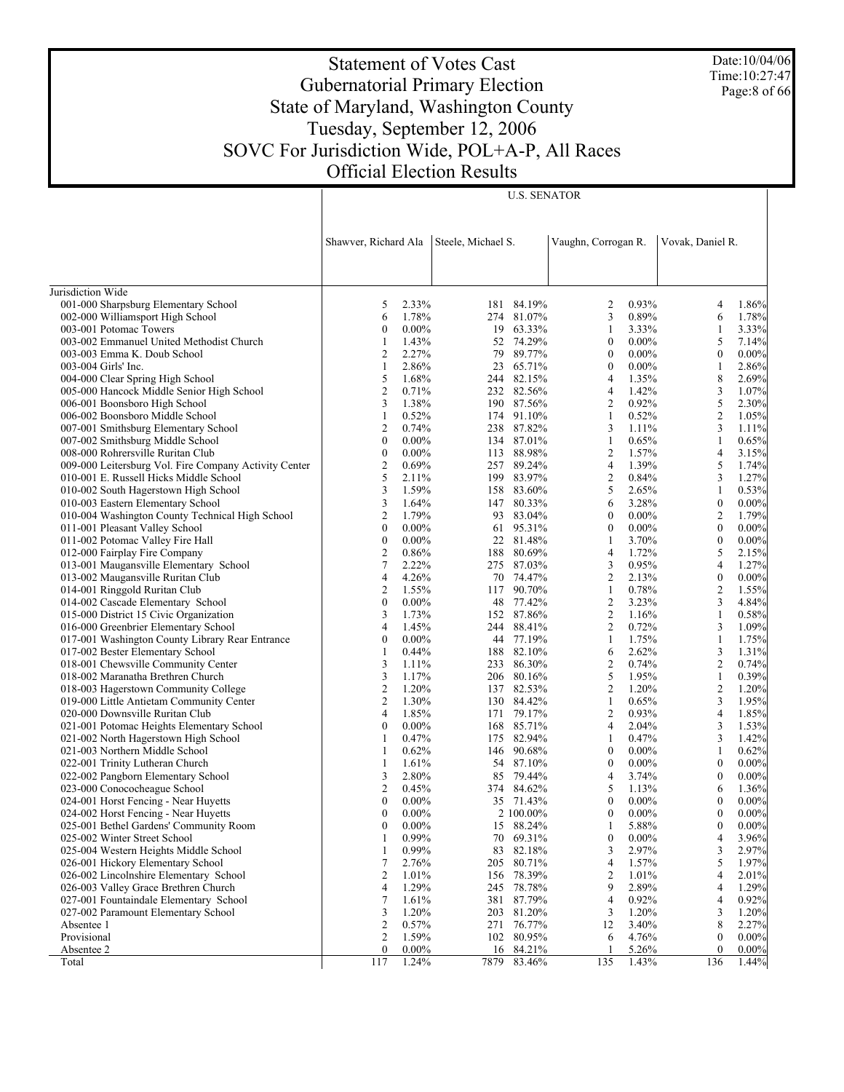Date:10/04/06 Time:10:27:47 Page:8 of 66

# Statement of Votes Cast Gubernatorial Primary Election State of Maryland, Washington County Tuesday, September 12, 2006 SOVC For Jurisdiction Wide, POL+A-P, All Races Official Election Results

|                                                                               | Shawver, Richard Ala |                   | Steele, Michael S. |                      | Vaughn, Corrogan R.              |                | Vovak, Daniel R. |                |
|-------------------------------------------------------------------------------|----------------------|-------------------|--------------------|----------------------|----------------------------------|----------------|------------------|----------------|
|                                                                               |                      |                   |                    |                      |                                  |                |                  |                |
| Jurisdiction Wide                                                             |                      |                   |                    |                      |                                  |                |                  |                |
| 001-000 Sharpsburg Elementary School                                          | 5                    | 2.33%             | 181                | 84.19%               | 2                                | 0.93%          | 4                | 1.86%          |
| 002-000 Williamsport High School                                              | 6                    | 1.78%             |                    | 274 81.07%           | 3                                | 0.89%          | 6                | 1.78%          |
| 003-001 Potomac Towers                                                        | $\boldsymbol{0}$     | $0.00\%$          |                    | 19 63.33%            | $\mathbf{1}$                     | 3.33%          | 1                | 3.33%          |
| 003-002 Emmanuel United Methodist Church                                      | 1                    | 1.43%             |                    | 52 74.29%            | $\boldsymbol{0}$                 | $0.00\%$       | 5                | 7.14%          |
| 003-003 Emma K. Doub School                                                   | 2                    | 2.27%             |                    | 79 89.77%            | $\boldsymbol{0}$                 | $0.00\%$       | $\boldsymbol{0}$ | $0.00\%$       |
| 003-004 Girls' Inc.                                                           | 1                    | 2.86%             |                    | 23 65.71%            | $\boldsymbol{0}$                 | $0.00\%$       | $\mathbf{1}$     | 2.86%          |
| 004-000 Clear Spring High School                                              | 5                    | 1.68%             |                    | 244 82.15%           | $\overline{4}$                   | 1.35%          | 8                | 2.69%          |
| 005-000 Hancock Middle Senior High School                                     | 2                    | 0.71%             |                    | 232 82.56%           | $\overline{4}$                   | 1.42%          | 3                | 1.07%          |
| 006-001 Boonsboro High School                                                 | 3                    | 1.38%             |                    | 190 87.56%           | 2                                | 0.92%          | 5                | 2.30%          |
| 006-002 Boonsboro Middle School                                               | 1                    | 0.52%             |                    | 174 91.10%           | 1                                | 0.52%          | $\mathfrak{2}$   | 1.05%          |
| 007-001 Smithsburg Elementary School                                          | 2                    | 0.74%             |                    | 238 87.82%           | 3                                | 1.11%          | 3                | 1.11%          |
| 007-002 Smithsburg Middle School                                              | $\boldsymbol{0}$     | $0.00\%$          |                    | 134 87.01%           | $\mathbf{1}$                     | 0.65%          | 1                | 0.65%          |
| 008-000 Rohrersville Ruritan Club                                             | $\boldsymbol{0}$     | $0.00\%$          |                    | 113 88.98%           | 2                                | 1.57%          | 4                | 3.15%          |
| 009-000 Leitersburg Vol. Fire Company Activity Center                         | 2                    | 0.69%             |                    | 257 89.24%           | $\overline{4}$                   | 1.39%          | 5                | 1.74%          |
| 010-001 E. Russell Hicks Middle School                                        | 5                    | 2.11%             |                    | 199 83.97%           | $\overline{c}$                   | 0.84%          | 3                | 1.27%          |
| 010-002 South Hagerstown High School                                          | 3                    | 1.59%             |                    | 158 83.60%           | 5                                | 2.65%          | 1                | 0.53%          |
| 010-003 Eastern Elementary School                                             | 3                    | 1.64%             |                    | 147 80.33%           | 6                                | 3.28%          | $\boldsymbol{0}$ | $0.00\%$       |
| 010-004 Washington County Technical High School                               | 2                    | 1.79%             |                    | 93 83.04%            | $\boldsymbol{0}$                 | $0.00\%$       | $\overline{2}$   | 1.79%          |
| 011-001 Pleasant Valley School                                                | $\boldsymbol{0}$     | $0.00\%$          |                    | 61 95.31%            | $\boldsymbol{0}$                 | $0.00\%$       | $\boldsymbol{0}$ | $0.00\%$       |
| 011-002 Potomac Valley Fire Hall                                              | $\boldsymbol{0}$     | $0.00\%$          |                    | 22 81.48%            | 1                                | 3.70%          | $\boldsymbol{0}$ | $0.00\%$       |
| 012-000 Fairplay Fire Company                                                 | 2                    | 0.86%             |                    | 188 80.69%           | $\overline{4}$                   | 1.72%          | 5                | 2.15%          |
| 013-001 Maugansville Elementary School                                        | 7                    | 2.22%             |                    | 275 87.03%           | 3                                | 0.95%          | 4                | 1.27%          |
| 013-002 Maugansville Ruritan Club                                             | 4                    | 4.26%             |                    | 70 74.47%            | $\overline{c}$                   | 2.13%          | $\boldsymbol{0}$ | $0.00\%$       |
| 014-001 Ringgold Ruritan Club                                                 | 2                    | 1.55%             |                    | 117 90.70%           | $\mathbf{1}$                     | 0.78%          | $\overline{2}$   | 1.55%          |
| 014-002 Cascade Elementary School                                             | $\boldsymbol{0}$     | $0.00\%$          |                    | 48 77.42%            | $\overline{c}$                   | 3.23%          | 3                | 4.84%          |
| 015-000 District 15 Civic Organization                                        | 3                    | 1.73%             |                    | 152 87.86%           | $\overline{c}$                   | 1.16%          | 1                | 0.58%          |
| 016-000 Greenbrier Elementary School                                          | 4                    | 1.45%             |                    | 244 88.41%           | $\overline{c}$                   | 0.72%          | 3                | 1.09%          |
| 017-001 Washington County Library Rear Entrance                               | $\boldsymbol{0}$     | $0.00\%$          |                    | 44 77.19%            | $\mathbf{1}$                     | 1.75%          | 1                | 1.75%          |
| 017-002 Bester Elementary School                                              | 1                    | 0.44%             |                    | 188 82.10%           | 6                                | 2.62%          | 3                | 1.31%          |
| 018-001 Chewsville Community Center                                           | 3                    | 1.11%             |                    | 233 86.30%           | $\overline{c}$                   | 0.74%          | $\mathfrak{2}$   | 0.74%          |
| 018-002 Maranatha Brethren Church                                             | 3                    | 1.17%             |                    | 206 80.16%           | 5                                | 1.95%          | $\mathbf{1}$     | 0.39%          |
| 018-003 Hagerstown Community College                                          | 2                    | 1.20%             |                    | 137 82.53%           | $\overline{c}$                   | 1.20%          | 2                | 1.20%          |
| 019-000 Little Antietam Community Center                                      | $\overline{c}$       | 1.30%             |                    | 130 84.42%           | $\mathbf{1}$                     | 0.65%          | 3                | 1.95%          |
| 020-000 Downsville Ruritan Club                                               | 4                    | 1.85%             |                    | 171 79.17%           | $\overline{c}$                   | 0.93%          | 4                | 1.85%          |
| 021-001 Potomac Heights Elementary School                                     | $\boldsymbol{0}$     | $0.00\%$          |                    | 168 85.71%           | $\overline{4}$                   | 2.04%          | 3                | 1.53%          |
| 021-002 North Hagerstown High School                                          | 1                    | 0.47%             |                    | 175 82.94%           | 1                                | 0.47%          | 3                | 1.42%          |
| 021-003 Northern Middle School                                                | 1                    | 0.62%             |                    | 146 90.68%           | $\boldsymbol{0}$                 | $0.00\%$       | 1                | 0.62%          |
| 022-001 Trinity Lutheran Church                                               | 1                    | 1.61%             |                    | 54 87.10%            | $\boldsymbol{0}$                 | $0.00\%$       | $\boldsymbol{0}$ | $0.00\%$       |
| 022-002 Pangborn Elementary School                                            | 3                    | 2.80%             |                    | 85 79.44%            | $\overline{4}$                   | 3.74%          | $\boldsymbol{0}$ | $0.00\%$       |
| 023-000 Conococheague School                                                  | 2                    | 0.45%             |                    | 374 84.62%           | 5                                | 1.13%          | 6                | 1.36%          |
| 024-001 Horst Fencing - Near Huyetts                                          | $\boldsymbol{0}$     | $0.00\%$          |                    | 35 71.43%            | $\boldsymbol{0}$                 | $0.00\%$       | $\boldsymbol{0}$ | $0.00\%$       |
| 024-002 Horst Fencing - Near Huyetts                                          | $\boldsymbol{0}$     | $0.00\%$          |                    | 2 100.00%            | $\boldsymbol{0}$                 | $0.00\%$       | $\boldsymbol{0}$ | 0.00%          |
| 025-001 Bethel Gardens' Community Room                                        | $\mathbf{0}$         | $0.00\%$          |                    | 15 88.24%            | 1                                | 5.88%          | $\mathbf{0}$     | 0.00%          |
| 025-002 Winter Street School                                                  | 1                    | $0.99\%$          |                    | 70 69.31%            | $\boldsymbol{0}$                 | $0.00\%$       | 4                | $3.96\%$       |
| 025-004 Western Heights Middle School                                         | 1<br>7               | 0.99%             |                    | 83 82.18%            | 3                                | 2.97%          | 3<br>5           | 2.97%<br>1.97% |
| 026-001 Hickory Elementary School<br>026-002 Lincolnshire Elementary School   |                      | 2.76%             | 205                | 80.71%               | $\overline{4}$<br>$\overline{c}$ | 1.57%          |                  |                |
|                                                                               | 2                    | 1.01%             | 156                | 78.39%               | 9                                | 1.01%          | 4                | 2.01%          |
| 026-003 Valley Grace Brethren Church                                          | 4<br>7               | 1.29%<br>1.61%    |                    | 245 78.78%           |                                  | 2.89%          | 4<br>4           | 1.29%<br>0.92% |
| 027-001 Fountaindale Elementary School<br>027-002 Paramount Elementary School | 3                    |                   | 381                | 87.79%<br>203 81.20% | $\overline{4}$<br>3              | 0.92%          | 3                |                |
| Absentee 1                                                                    |                      | 1.20%             |                    |                      | 12                               | 1.20%<br>3.40% | 8                | 1.20%          |
| Provisional                                                                   | 2<br>2               | 0.57%             | 271                | 76.77%               |                                  |                | $\boldsymbol{0}$ | 2.27%<br>0.00% |
| Absentee 2                                                                    | $\mathbf{0}$         | 1.59%<br>$0.00\%$ | 16                 | 102 80.95%<br>84.21% | 6<br>$\mathbf{1}$                | 4.76%<br>5.26% | $\mathbf{0}$     | 0.00%          |
| Total                                                                         | 117                  | 1.24%             | 7879               | 83.46%               | 135                              | 1.43%          | 136              | $1.44\%$       |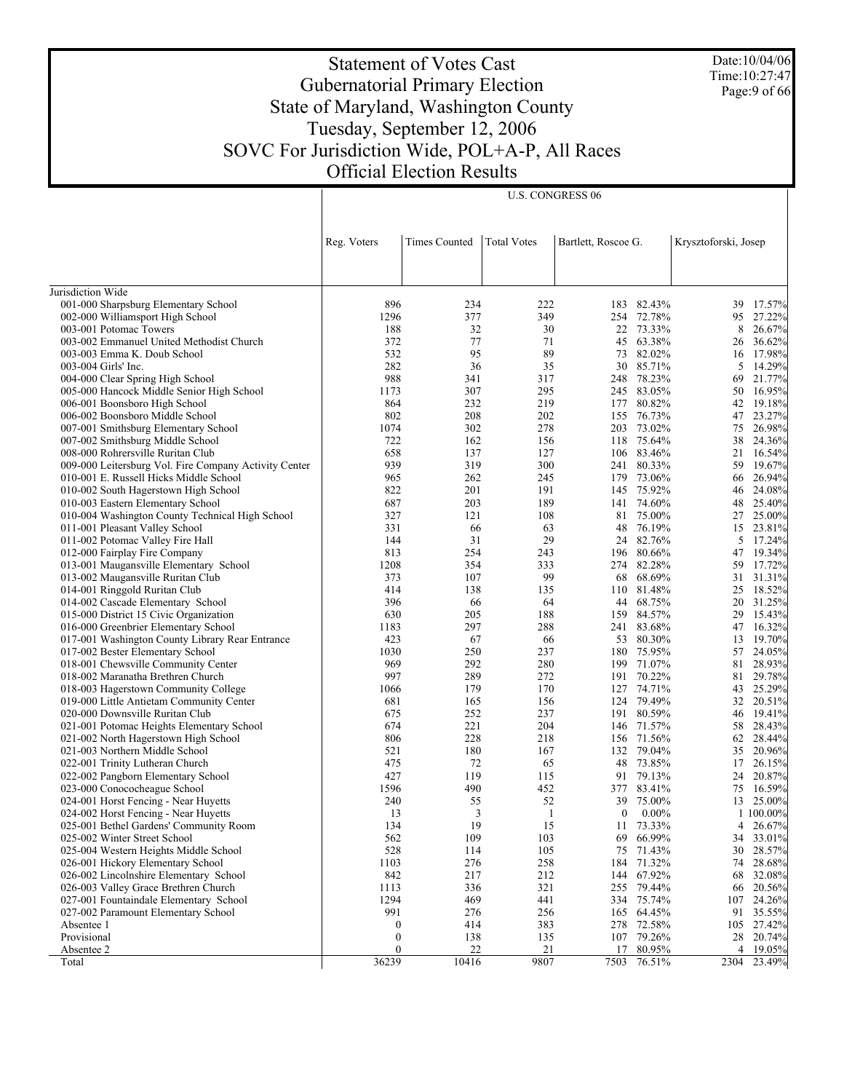Date:10/04/06 Time:10:27:47 Page:9 of 66

# Statement of Votes Cast Gubernatorial Primary Election State of Maryland, Washington County Tuesday, September 12, 2006 SOVC For Jurisdiction Wide, POL+A-P, All Races Official Election Results

U.S. CONGRESS 06

|                                                       | Reg. Voters      | <b>Times Counted</b> | <b>Total Votes</b> | Bartlett, Roscoe G. |          | Krysztoforski, Josep |           |
|-------------------------------------------------------|------------------|----------------------|--------------------|---------------------|----------|----------------------|-----------|
|                                                       |                  |                      |                    |                     |          |                      |           |
| Jurisdiction Wide                                     |                  |                      |                    |                     |          |                      |           |
| 001-000 Sharpsburg Elementary School                  | 896              | 234                  | 222                | 183                 | 82.43%   | 39                   | 17.57%    |
| 002-000 Williamsport High School                      | 1296             | 377                  | 349                | 254 72.78%          |          | 95                   | 27.22%    |
| 003-001 Potomac Towers                                | 188              | 32                   | 30                 | 22                  | 73.33%   | 8                    | 26.67%    |
| 003-002 Emmanuel United Methodist Church              | 372              | 77                   | 71                 | 45                  | 63.38%   | 26                   | 36.62%    |
| 003-003 Emma K. Doub School                           | 532              | 95                   | 89                 | 73                  | 82.02%   | 16                   | 17.98%    |
| 003-004 Girls' Inc.                                   | 282              | 36                   | 35                 | 30                  | 85.71%   | 5                    | 14.29%    |
| 004-000 Clear Spring High School                      | 988              | 341                  | 317                | 248                 | 78.23%   | 69                   | 21.77%    |
| 005-000 Hancock Middle Senior High School             | 1173             | 307                  | 295                | 245 83.05%          |          | 50                   | 16.95%    |
| 006-001 Boonsboro High School                         | 864              | 232                  | 219                | 177                 | 80.82%   | 42                   | 19.18%    |
| 006-002 Boonsboro Middle School                       | 802              | 208                  | 202                | 155                 | 76.73%   | 47                   | 23.27%    |
| 007-001 Smithsburg Elementary School                  | 1074             | 302                  | 278                | 203                 | 73.02%   | 75                   | 26.98%    |
| 007-002 Smithsburg Middle School                      | 722              | 162                  | 156                | 118 75.64%          |          | 38                   | 24.36%    |
| 008-000 Rohrersville Ruritan Club                     | 658              | 137                  | 127                | 106 83.46%          |          | 21                   | 16.54%    |
| 009-000 Leitersburg Vol. Fire Company Activity Center | 939              | 319                  | 300                | 241 80.33%          |          | 59                   | 19.67%    |
| 010-001 E. Russell Hicks Middle School                | 965              | 262                  | 245                | 179                 | 73.06%   | 66                   | 26.94%    |
| 010-002 South Hagerstown High School                  | 822              | 201                  | 191                | 145                 | 75.92%   | 46                   | 24.08%    |
| 010-003 Eastern Elementary School                     | 687              | 203                  | 189                | 141                 | 74.60%   | 48                   | 25.40%    |
| 010-004 Washington County Technical High School       | 327              | 121                  | 108                | 81 75.00%           |          | 27                   | 25.00%    |
| 011-001 Pleasant Valley School                        | 331              | 66                   | 63                 | 48                  | 76.19%   | 15                   | 23.81%    |
| 011-002 Potomac Valley Fire Hall                      | 144              | 31                   | 29                 | 24                  | 82.76%   | 5                    | 17.24%    |
| 012-000 Fairplay Fire Company                         | 813              | 254                  | 243                | 196                 | 80.66%   | 47                   | 19.34%    |
| 013-001 Maugansville Elementary School                | 1208             | 354                  | 333                | 274                 | 82.28%   | 59                   | 17.72%    |
| 013-002 Maugansville Ruritan Club                     | 373              | 107                  | 99                 | 68                  | 68.69%   | 31                   | 31.31%    |
| 014-001 Ringgold Ruritan Club                         | 414              | 138                  | 135                | 110 81.48%          |          | 25                   | 18.52%    |
| 014-002 Cascade Elementary School                     | 396              | 66                   | 64                 | 44                  | 68.75%   | 20                   | 31.25%    |
| 015-000 District 15 Civic Organization                | 630              | 205                  | 188                | 159                 | 84.57%   | 29                   | 15.43%    |
| 016-000 Greenbrier Elementary School                  | 1183             | 297                  | 288                | 241                 | 83.68%   | 47                   | 16.32%    |
| 017-001 Washington County Library Rear Entrance       | 423              | 67                   | 66                 | 53                  | 80.30%   | 13                   | 19.70%    |
| 017-002 Bester Elementary School                      | 1030             | 250                  | 237                | 180                 | 75.95%   | 57                   | 24.05%    |
| 018-001 Chewsville Community Center                   | 969              | 292                  | 280                | 199 71.07%          |          | 81                   | 28.93%    |
| 018-002 Maranatha Brethren Church                     | 997              | 289                  | 272                | 191                 | 70.22%   | 81                   | 29.78%    |
| 018-003 Hagerstown Community College                  | 1066             | 179                  | 170                | 127 74.71%          |          | 43                   | 25.29%    |
| 019-000 Little Antietam Community Center              | 681              | 165                  | 156                | 124                 | 79.49%   | 32                   | 20.51%    |
| 020-000 Downsville Ruritan Club                       | 675              | 252                  | 237                | 191 80.59%          |          | 46                   | 19.41%    |
| 021-001 Potomac Heights Elementary School             | 674              | 221                  | 204                | 146                 | 71.57%   | 58                   | 28.43%    |
| 021-002 North Hagerstown High School                  | 806              | 228                  | 218                | 156 71.56%          |          | 62                   | 28.44%    |
| 021-003 Northern Middle School                        | 521              | 180                  | 167                | 132                 | 79.04%   | 35                   | 20.96%    |
| 022-001 Trinity Lutheran Church                       | 475              | 72                   | 65                 | 48 73.85%           |          | 17                   | 26.15%    |
| 022-002 Pangborn Elementary School                    | 427              | 119                  | 115                | 91                  | 79.13%   | 24                   | 20.87%    |
| 023-000 Conococheague School                          | 1596             | 490                  | 452                | 377 83.41%          |          | 75                   | 16.59%    |
| 024-001 Horst Fencing - Near Huyetts                  | 240              | 55                   | 52                 | 39                  | 75.00%   | 13                   | 25.00%    |
| 024-002 Horst Fencing - Near Huyetts                  | 13               | 3                    | -1                 | $\bf{0}$            | $0.00\%$ |                      | 1 100.00% |
| 025-001 Bethel Gardens' Community Room                | 134              | 19                   | 15                 | 11 73.33%           |          | 4                    | 26.67%    |
| 025-002 Winter Street School                          | 562              | 109                  | 103                | 69                  | 66.99%   | 34                   | 33.01%    |
| 025-004 Western Heights Middle School                 | 528              | 114                  | 105                | 75                  | 71.43%   | 30                   | 28.57%    |
| 026-001 Hickory Elementary School                     | 1103             | 276                  | 258                | 184 71.32%          |          | 74                   | 28.68%    |
| 026-002 Lincolnshire Elementary School                | 842              | 217                  | 212                | 144                 | 67.92%   | 68                   | 32.08%    |
| 026-003 Valley Grace Brethren Church                  | 1113             | 336                  | 321                | 255 79.44%          |          | 66                   | 20.56%    |
| 027-001 Fountaindale Elementary School                | 1294             | 469                  | 441                | 334 75.74%          |          | 107                  | 24.26%    |
| 027-002 Paramount Elementary School                   | 991              | 276                  | 256                | 165 64.45%          |          | 91                   | 35.55%    |
| Absentee 1                                            | $\boldsymbol{0}$ | 414                  | 383                | 278                 | 72.58%   | 105                  | 27.42%    |
| Provisional                                           | $\boldsymbol{0}$ | 138                  | 135                | 107 79.26%          |          |                      | 28 20.74% |
| Absentee 2                                            | $\mathbf{0}$     | 22                   | 21                 | 17                  | 80.95%   | 4                    | 19.05%    |
| Total                                                 | 36239            | 10416                | 9807               | 7503                | 76.51%   | 2304                 | 23.49%    |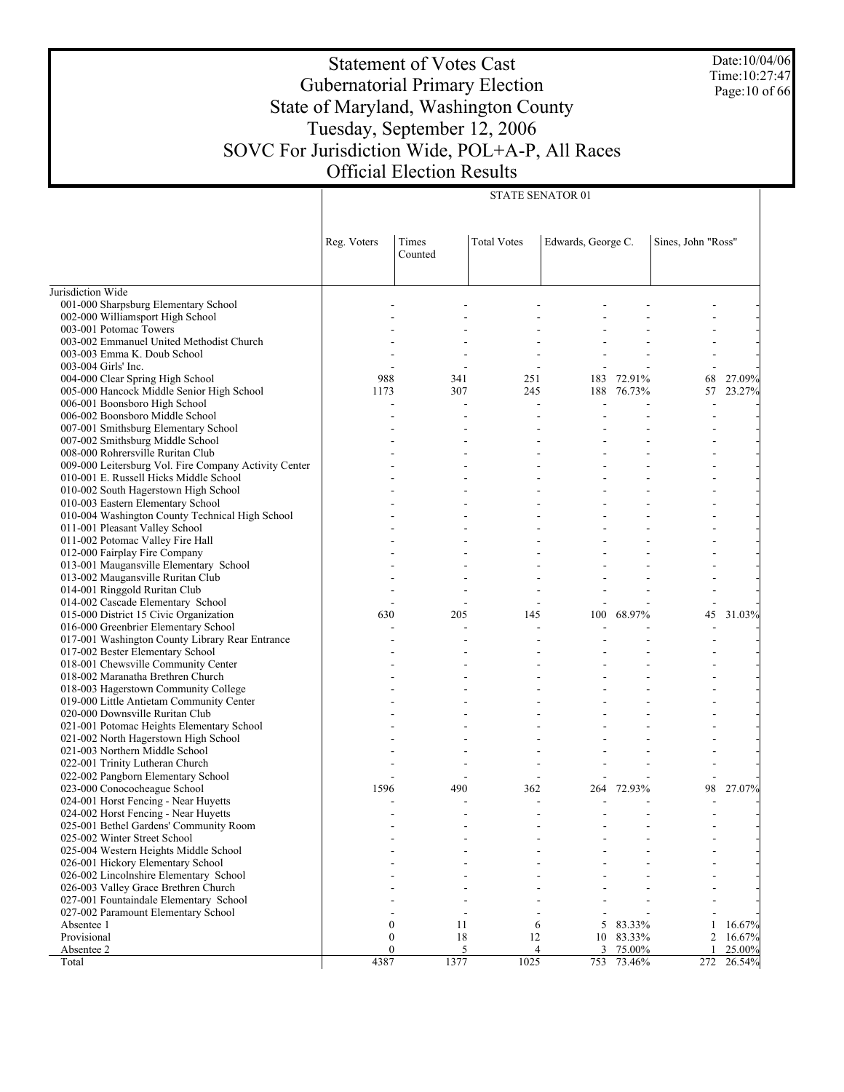Date:10/04/06 Time:10:27:47 Page:10 of 66

# Statement of Votes Cast Gubernatorial Primary Election State of Maryland, Washington County Tuesday, September 12, 2006 SOVC For Jurisdiction Wide, POL+A-P, All Races Official Election Results

STATE SENATOR 01

|                                                                    | Reg. Voters  | Times<br>Counted | <b>Total Votes</b> | Edwards, George C.<br>Sines, John "Ross" |        |     |        |
|--------------------------------------------------------------------|--------------|------------------|--------------------|------------------------------------------|--------|-----|--------|
| Jurisdiction Wide                                                  |              |                  |                    |                                          |        |     |        |
| 001-000 Sharpsburg Elementary School                               |              |                  |                    |                                          |        |     |        |
| 002-000 Williamsport High School                                   |              |                  |                    |                                          |        |     |        |
| 003-001 Potomac Towers                                             |              |                  |                    |                                          |        |     |        |
| 003-002 Emmanuel United Methodist Church                           |              |                  |                    |                                          |        |     |        |
| 003-003 Emma K. Doub School                                        |              |                  |                    |                                          |        |     |        |
| 003-004 Girls' Inc.                                                |              |                  |                    |                                          |        |     |        |
| 004-000 Clear Spring High School                                   | 988          | 341              | 251                | 183                                      | 72.91% | 68  | 27.09% |
| 005-000 Hancock Middle Senior High School                          | 1173         | 307              | 245                | 188                                      | 76.73% | 57  | 23.27% |
| 006-001 Boonsboro High School                                      |              |                  |                    |                                          |        |     |        |
| 006-002 Boonsboro Middle School                                    |              |                  |                    |                                          |        |     |        |
| 007-001 Smithsburg Elementary School                               |              |                  |                    |                                          |        |     |        |
| 007-002 Smithsburg Middle School                                   |              |                  |                    |                                          |        |     |        |
| 008-000 Rohrersville Ruritan Club                                  |              |                  |                    |                                          |        |     |        |
| 009-000 Leitersburg Vol. Fire Company Activity Center              |              |                  |                    |                                          |        |     |        |
| 010-001 E. Russell Hicks Middle School                             |              |                  |                    |                                          |        |     |        |
| 010-002 South Hagerstown High School                               |              |                  |                    |                                          |        |     |        |
| 010-003 Eastern Elementary School                                  |              |                  |                    |                                          |        |     |        |
| 010-004 Washington County Technical High School                    |              |                  |                    |                                          |        |     |        |
| 011-001 Pleasant Valley School                                     |              |                  |                    |                                          |        |     |        |
| 011-002 Potomac Valley Fire Hall<br>012-000 Fairplay Fire Company  |              |                  |                    |                                          |        |     |        |
|                                                                    |              |                  |                    |                                          |        |     |        |
| 013-001 Maugansville Elementary School                             |              |                  |                    |                                          |        |     |        |
| 013-002 Maugansville Ruritan Club<br>014-001 Ringgold Ruritan Club |              |                  |                    |                                          |        |     |        |
| 014-002 Cascade Elementary School                                  |              | L,               | $\overline{a}$     |                                          |        |     |        |
| 015-000 District 15 Civic Organization                             | 630          | 205              | 145                | 100                                      | 68.97% | 45  | 31.03% |
| 016-000 Greenbrier Elementary School                               |              |                  |                    |                                          |        |     |        |
| 017-001 Washington County Library Rear Entrance                    |              |                  |                    |                                          |        |     |        |
| 017-002 Bester Elementary School                                   |              |                  |                    |                                          |        |     |        |
| 018-001 Chewsville Community Center                                |              |                  |                    |                                          |        |     |        |
| 018-002 Maranatha Brethren Church                                  |              |                  |                    |                                          |        |     |        |
| 018-003 Hagerstown Community College                               |              |                  |                    |                                          |        |     |        |
| 019-000 Little Antietam Community Center                           |              |                  |                    |                                          |        |     |        |
| 020-000 Downsville Ruritan Club                                    |              |                  |                    |                                          |        |     |        |
| 021-001 Potomac Heights Elementary School                          |              |                  |                    |                                          |        |     |        |
| 021-002 North Hagerstown High School                               |              |                  |                    |                                          |        |     |        |
| 021-003 Northern Middle School                                     |              |                  |                    |                                          |        |     |        |
| 022-001 Trinity Lutheran Church                                    |              |                  |                    |                                          |        |     |        |
| 022-002 Pangborn Elementary School                                 |              |                  |                    |                                          |        |     |        |
| 023-000 Conococheague School                                       | 1596         | 490              | 362                | 264                                      | 72.93% | 98  | 27.07% |
| 024-001 Horst Fencing - Near Huyetts                               |              |                  |                    |                                          |        |     |        |
| 024-002 Horst Fencing - Near Huyetts                               |              |                  |                    |                                          |        |     |        |
| 025-001 Bethel Gardens' Community Room                             |              |                  |                    |                                          |        |     |        |
| 025-002 Winter Street School                                       |              |                  |                    |                                          |        |     |        |
| 025-004 Western Heights Middle School                              |              |                  |                    |                                          |        |     |        |
| 026-001 Hickory Elementary School                                  |              |                  |                    |                                          |        |     |        |
| 026-002 Lincolnshire Elementary School                             |              |                  |                    |                                          |        |     |        |
| 026-003 Valley Grace Brethren Church                               |              |                  |                    |                                          |        |     |        |
| 027-001 Fountaindale Elementary School                             |              |                  |                    |                                          |        |     |        |
| 027-002 Paramount Elementary School                                |              |                  |                    |                                          |        |     |        |
| Absentee 1                                                         | $\mathbf{0}$ | 11               | 6                  | 5                                        | 83.33% | 1   | 16.67% |
| Provisional                                                        | 0            | 18               | 12                 | 10                                       | 83.33% | 2   | 16.67% |
| Absentee 2                                                         | 0            | 5                | 4                  | 3                                        | 75.00% | 1   | 25.00% |
| Total                                                              | 4387         | 1377             | 1025               | 753                                      | 73.46% | 272 | 26.54% |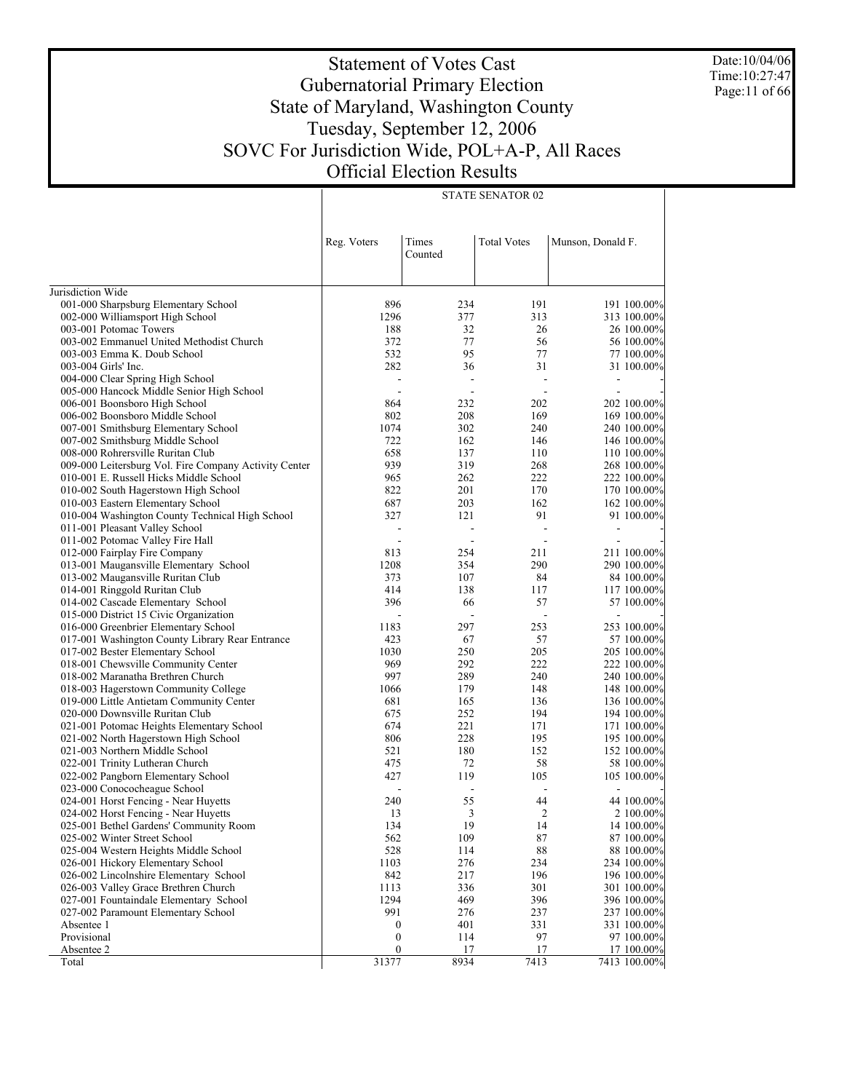Date:10/04/06 Time:10:27:47 Page:11 of 66

# Statement of Votes Cast Gubernatorial Primary Election State of Maryland, Washington County Tuesday, September 12, 2006 SOVC For Jurisdiction Wide, POL+A-P, All Races Official Election Results

|                                                                                   | Reg. Voters      | Times<br>Counted         | <b>Total Votes</b> | Munson, Donald F.          |
|-----------------------------------------------------------------------------------|------------------|--------------------------|--------------------|----------------------------|
| Jurisdiction Wide                                                                 |                  |                          |                    |                            |
| 001-000 Sharpsburg Elementary School                                              | 896              | 234                      | 191                | 191 100.00%                |
| 002-000 Williamsport High School                                                  | 1296             | 377                      | 313                | 313 100.00%                |
| 003-001 Potomac Towers                                                            | 188              | 32                       | 26                 | 26 100.00%                 |
| 003-002 Emmanuel United Methodist Church                                          | 372              | 77                       | 56                 | 56 100.00%                 |
| 003-003 Emma K. Doub School                                                       | 532              | 95                       | 77                 | 77 100.00%                 |
| 003-004 Girls' Inc.                                                               | 282              | 36                       | 31                 | 31 100.00%                 |
| 004-000 Clear Spring High School                                                  |                  | $\overline{\phantom{a}}$ |                    | $\overline{a}$             |
| 005-000 Hancock Middle Senior High School                                         |                  | $\overline{\phantom{a}}$ |                    | $\overline{\phantom{a}}$   |
| 006-001 Boonsboro High School                                                     | 864              | 232                      | 202                | 202 100.00%                |
| 006-002 Boonsboro Middle School                                                   | 802              | 208                      | 169                | 169 100.00%                |
| 007-001 Smithsburg Elementary School                                              | 1074             | 302                      | 240                | 240 100.00%                |
| 007-002 Smithsburg Middle School                                                  | 722              | 162                      | 146                | 146 100.00%                |
| 008-000 Rohrersville Ruritan Club                                                 | 658              | 137                      | 110                | 110 100.00%                |
| 009-000 Leitersburg Vol. Fire Company Activity Center                             | 939              | 319                      | 268                | 268 100.00%                |
| 010-001 E. Russell Hicks Middle School                                            | 965              | 262                      | 222                | 222 100.00%                |
| 010-002 South Hagerstown High School                                              | 822              | 201                      | 170                | 170 100.00%                |
| 010-003 Eastern Elementary School                                                 | 687              | 203                      | 162                | 162 100.00%                |
| 010-004 Washington County Technical High School                                   | 327              | 121                      | 91                 | 91 100.00%                 |
| 011-001 Pleasant Valley School                                                    |                  | L,                       |                    |                            |
| 011-002 Potomac Valley Fire Hall                                                  |                  | $\overline{a}$           |                    |                            |
| 012-000 Fairplay Fire Company                                                     | 813              | 254                      | 211                | 211 100.00%                |
| 013-001 Maugansville Elementary School                                            | 1208             | 354                      | 290                | 290 100.00%                |
| 013-002 Maugansville Ruritan Club                                                 | 373              | 107                      | 84                 | 84 100.00%                 |
| 014-001 Ringgold Ruritan Club                                                     | 414              | 138                      | 117                | 117 100.00%                |
| 014-002 Cascade Elementary School                                                 | 396              | 66                       | 57                 | 57 100.00%                 |
| 015-000 District 15 Civic Organization                                            |                  | $\overline{a}$           |                    |                            |
| 016-000 Greenbrier Elementary School                                              | 1183             | 297                      | 253                | 253 100.00%                |
| 017-001 Washington County Library Rear Entrance                                   | 423              | 67                       | 57                 | 57 100.00%                 |
| 017-002 Bester Elementary School                                                  | 1030             | 250                      | 205                | 205 100.00%                |
| 018-001 Chewsville Community Center                                               | 969              | 292                      | 222                | 222 100.00%                |
| 018-002 Maranatha Brethren Church                                                 | 997              | 289                      | 240                | 240 100.00%                |
| 018-003 Hagerstown Community College                                              | 1066             | 179                      | 148                | 148 100.00%                |
| 019-000 Little Antietam Community Center                                          | 681              | 165                      | 136                | 136 100.00%                |
| 020-000 Downsville Ruritan Club                                                   | 675<br>674       | 252<br>221               | 194<br>171         | 194 100.00%                |
| 021-001 Potomac Heights Elementary School<br>021-002 North Hagerstown High School | 806              | 228                      | 195                | 171 100.00%<br>195 100.00% |
| 021-003 Northern Middle School                                                    | 521              | 180                      | 152                | 152 100.00%                |
| 022-001 Trinity Lutheran Church                                                   | 475              | 72                       | 58                 | 58 100.00%                 |
| 022-002 Pangborn Elementary School                                                | 427              | 119                      | 105                | 105 100.00%                |
| 023-000 Conococheague School                                                      |                  | $\overline{a}$           |                    |                            |
| 024-001 Horst Fencing - Near Huyetts                                              | 240              | 55                       | 44                 | 44 100.00%                 |
| 024-002 Horst Fencing - Near Huyetts                                              | 13               | 3                        | 2                  | 2 100.00%                  |
| 025-001 Bethel Gardens' Community Room                                            | 134              | 19                       | 14                 | 14 100.00%                 |
| 025-002 Winter Street School                                                      | 562              | 109                      | 87                 | 87 100.00%                 |
| 025-004 Western Heights Middle School                                             | 528              | 114                      | 88                 | 88 100.00%                 |
| 026-001 Hickory Elementary School                                                 | 1103             | 276                      | 234                | 234 100.00%                |
| 026-002 Lincolnshire Elementary School                                            | 842              | 217                      | 196                | 196 100.00%                |
| 026-003 Valley Grace Brethren Church                                              | 1113             | 336                      | 301                | 301 100.00%                |
| 027-001 Fountaindale Elementary School                                            | 1294             | 469                      | 396                | 396 100.00%                |
| 027-002 Paramount Elementary School                                               | 991              | 276                      | 237                | 237 100.00%                |
| Absentee 1                                                                        | $\boldsymbol{0}$ | 401                      | 331                | 331 100.00%                |
| Provisional                                                                       | $\boldsymbol{0}$ | 114                      | 97                 | 97 100.00%                 |
| Absentee 2                                                                        | $\boldsymbol{0}$ | 17                       | 17                 | 17 100.00%                 |
| Total                                                                             | 31377            | 8934                     | 7413               | 7413 100.00%               |

STATE SENATOR 02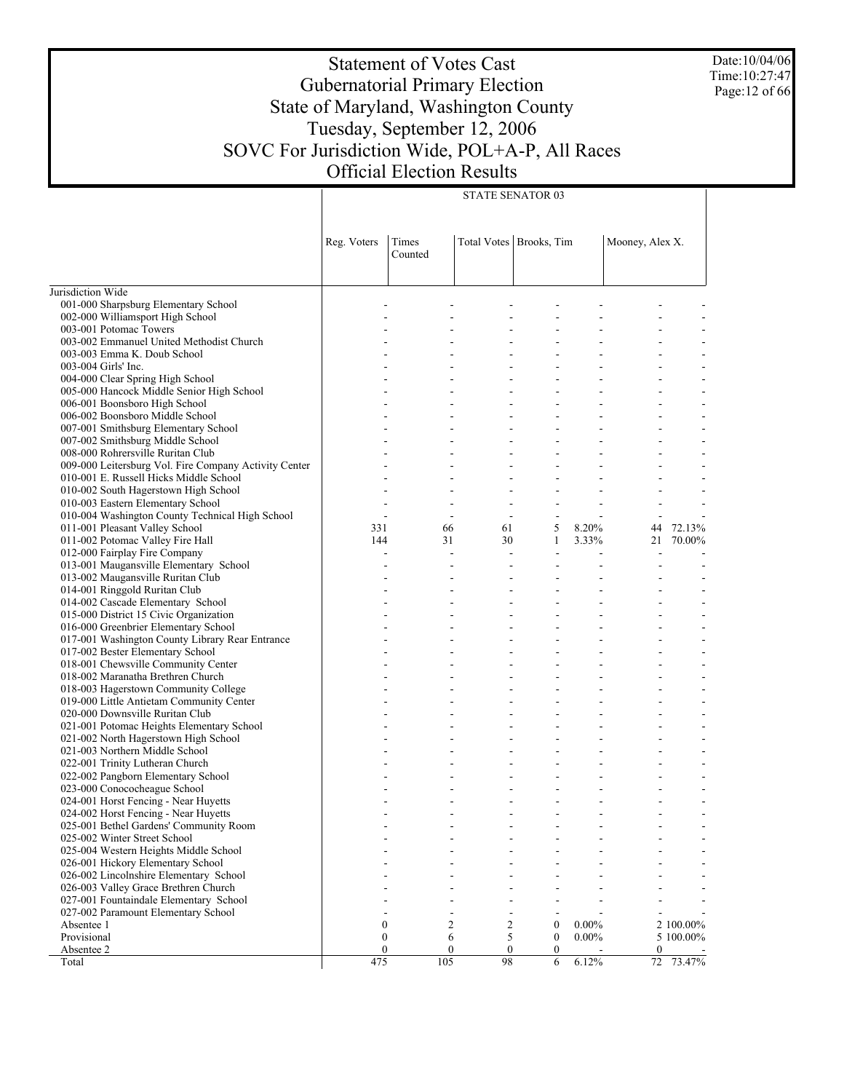Date:10/04/06 Time:10:27:47 Page:12 of 66

# Statement of Votes Cast Gubernatorial Primary Election State of Maryland, Washington County Tuesday, September 12, 2006 SOVC For Jurisdiction Wide, POL+A-P, All Races Official Election Results

STATE SENATOR 03

|                                                                        | Reg. Voters              | Times<br>Counted         | Total Votes   Brooks, Tim                            |                                                      | Mooney, Alex X.                            |                          |
|------------------------------------------------------------------------|--------------------------|--------------------------|------------------------------------------------------|------------------------------------------------------|--------------------------------------------|--------------------------|
| Jurisdiction Wide                                                      |                          |                          |                                                      |                                                      |                                            |                          |
| 001-000 Sharpsburg Elementary School                                   |                          |                          |                                                      |                                                      |                                            |                          |
| 002-000 Williamsport High School                                       |                          |                          | $\overline{a}$                                       |                                                      |                                            |                          |
| 003-001 Potomac Towers                                                 |                          |                          |                                                      |                                                      |                                            |                          |
| 003-002 Emmanuel United Methodist Church                               |                          | $\overline{\phantom{a}}$ |                                                      | $\overline{a}$                                       | $\overline{\phantom{a}}$                   | $\overline{\phantom{a}}$ |
| 003-003 Emma K. Doub School                                            |                          |                          |                                                      |                                                      | $\sim$                                     |                          |
| 003-004 Girls' Inc.                                                    |                          | $\overline{\phantom{a}}$ |                                                      | $\overline{a}$                                       | $\overline{\phantom{a}}$                   |                          |
| 004-000 Clear Spring High School                                       |                          |                          |                                                      |                                                      |                                            |                          |
| 005-000 Hancock Middle Senior High School                              |                          | ÷                        |                                                      | ÷<br>÷                                               | $\overline{\phantom{a}}$                   | $\blacksquare$           |
| 006-001 Boonsboro High School                                          |                          |                          |                                                      |                                                      |                                            |                          |
| 006-002 Boonsboro Middle School                                        |                          | ÷.                       |                                                      | ÷.<br>L.                                             | $\sim$                                     |                          |
| 007-001 Smithsburg Elementary School                                   |                          |                          |                                                      |                                                      |                                            |                          |
| 007-002 Smithsburg Middle School                                       |                          | ÷.                       |                                                      | ÷.<br>L.                                             | $\sim$                                     | $\overline{a}$           |
| 008-000 Rohrersville Ruritan Club                                      |                          |                          |                                                      |                                                      |                                            |                          |
| 009-000 Leitersburg Vol. Fire Company Activity Center                  |                          | ÷.                       |                                                      | ÷.                                                   | $\sim$                                     |                          |
| 010-001 E. Russell Hicks Middle School                                 |                          |                          |                                                      |                                                      |                                            |                          |
| 010-002 South Hagerstown High School                                   |                          |                          |                                                      |                                                      |                                            |                          |
| 010-003 Eastern Elementary School                                      |                          |                          |                                                      |                                                      |                                            |                          |
| 010-004 Washington County Technical High School                        | $\overline{\phantom{a}}$ |                          | $\overline{\phantom{a}}$<br>$\overline{\phantom{a}}$ | $\overline{\phantom{a}}$<br>$\overline{\phantom{a}}$ | $\overline{\phantom{a}}$                   |                          |
| 011-001 Pleasant Valley School                                         | 331                      | 66                       | 61                                                   | 5<br>8.20%                                           | 44                                         | 72.13%                   |
| 011-002 Potomac Valley Fire Hall                                       | 144                      | 31                       | 30                                                   | 3.33%<br>1                                           | 21                                         | 70.00%                   |
| 012-000 Fairplay Fire Company                                          | L,                       |                          | $\overline{a}$<br>÷.                                 | ÷.                                                   | $\blacksquare$                             |                          |
| 013-001 Maugansville Elementary School                                 |                          | $\overline{a}$           |                                                      |                                                      |                                            |                          |
| 013-002 Maugansville Ruritan Club                                      |                          |                          |                                                      |                                                      |                                            |                          |
| 014-001 Ringgold Ruritan Club                                          |                          | $\overline{\phantom{a}}$ |                                                      | ÷<br>÷                                               | $\overline{\phantom{a}}$                   | $\blacksquare$           |
| 014-002 Cascade Elementary School                                      |                          |                          |                                                      |                                                      |                                            |                          |
| 015-000 District 15 Civic Organization                                 |                          | ÷.                       |                                                      | ÷.<br>÷                                              | $\sim$                                     | $\overline{a}$           |
| 016-000 Greenbrier Elementary School                                   |                          |                          |                                                      |                                                      |                                            |                          |
| 017-001 Washington County Library Rear Entrance                        |                          | ÷.                       |                                                      | ÷.<br>L.                                             | $\sim$                                     | $\overline{a}$           |
| 017-002 Bester Elementary School                                       |                          |                          |                                                      |                                                      |                                            |                          |
| 018-001 Chewsville Community Center                                    |                          | ÷.                       |                                                      | ÷.<br>L.                                             | $\sim$                                     | $\overline{a}$           |
| 018-002 Maranatha Brethren Church                                      |                          |                          |                                                      |                                                      | $\overline{\phantom{a}}$                   |                          |
| 018-003 Hagerstown Community College                                   |                          |                          |                                                      | ÷                                                    | $\overline{\phantom{a}}$                   | $\blacksquare$           |
| 019-000 Little Antietam Community Center                               |                          |                          |                                                      |                                                      | $\overline{\phantom{a}}$                   |                          |
| 020-000 Downsville Ruritan Club                                        |                          | $\overline{\phantom{a}}$ |                                                      | $\overline{a}$                                       | $\overline{\phantom{a}}$                   | $\overline{\phantom{a}}$ |
| 021-001 Potomac Heights Elementary School                              |                          |                          |                                                      | ÷                                                    | $\blacksquare$                             | $\overline{a}$           |
| 021-002 North Hagerstown High School<br>021-003 Northern Middle School |                          |                          |                                                      | $\overline{a}$                                       | $\overline{\phantom{a}}$                   | $\overline{\phantom{a}}$ |
|                                                                        |                          |                          |                                                      | L,                                                   | $\overline{a}$                             |                          |
| 022-001 Trinity Lutheran Church<br>022-002 Pangborn Elementary School  |                          | $\overline{\phantom{a}}$ |                                                      | $\overline{a}$<br>÷                                  | $\overline{\phantom{a}}$<br>$\overline{a}$ | $\overline{\phantom{a}}$ |
| 023-000 Conococheague School                                           |                          |                          |                                                      | $\blacksquare$                                       | $\overline{\phantom{a}}$                   |                          |
| 024-001 Horst Fencing - Near Huyetts                                   |                          |                          |                                                      |                                                      |                                            |                          |
| 024-002 Horst Fencing - Near Huyetts                                   |                          |                          |                                                      | $\overline{a}$<br>÷                                  | $\overline{\phantom{a}}$                   |                          |
| 025-001 Bethel Gardens' Community Room                                 |                          |                          |                                                      |                                                      |                                            |                          |
| 025-002 Winter Street School                                           |                          |                          |                                                      |                                                      |                                            |                          |
| 025-004 Western Heights Middle School                                  |                          |                          |                                                      |                                                      |                                            |                          |
| 026-001 Hickory Elementary School                                      |                          |                          |                                                      |                                                      |                                            |                          |
| 026-002 Lincolnshire Elementary School                                 |                          |                          |                                                      |                                                      |                                            |                          |
| 026-003 Valley Grace Brethren Church                                   |                          |                          |                                                      |                                                      |                                            |                          |
| 027-001 Fountaindale Elementary School                                 |                          |                          |                                                      |                                                      |                                            |                          |
| 027-002 Paramount Elementary School                                    |                          |                          |                                                      |                                                      |                                            |                          |
| Absentee 1                                                             | $\boldsymbol{0}$         |                          | $\overline{c}$<br>$\overline{2}$                     | $\boldsymbol{0}$<br>$0.00\%$                         |                                            | 2 100.00%                |
| Provisional                                                            | $\boldsymbol{0}$         |                          | 5<br>6                                               | $0.00\%$<br>$\boldsymbol{0}$                         |                                            | 5 100.00%                |
| Absentee 2                                                             | $\mathbf{0}$             | $\boldsymbol{0}$         | $\boldsymbol{0}$                                     | $\mathbf{0}$                                         | 0                                          |                          |
| Total                                                                  | 475                      | 105                      | 98                                                   | 6.12%<br>6                                           | 72                                         | 73.47%                   |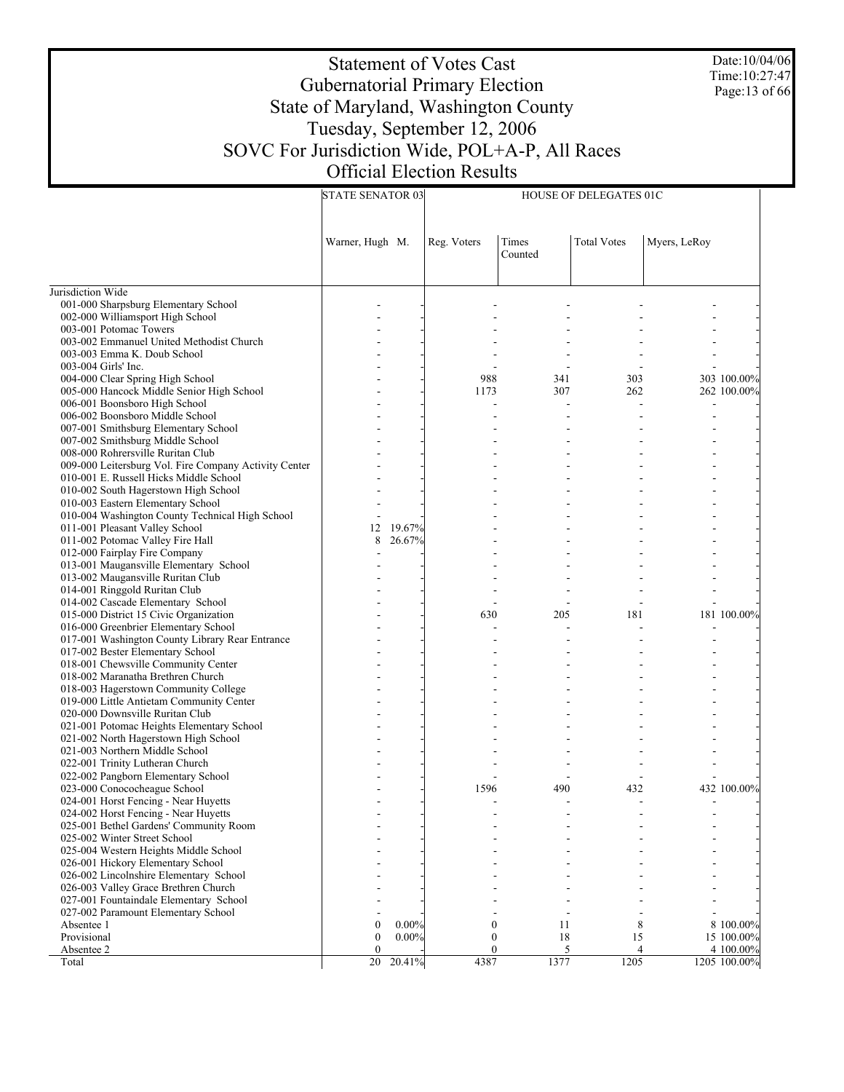Date:10/04/06 Time:10:27:47 Page:13 of 66

# Statement of Votes Cast Gubernatorial Primary Election State of Maryland, Washington County Tuesday, September 12, 2006 SOVC For Jurisdiction Wide, POL+A-P, All Races Official Election Results

|                                                                         | <b>STATE SENATOR 03</b> | HOUSE OF DELEGATES 01C |              |                  |                    |              |              |
|-------------------------------------------------------------------------|-------------------------|------------------------|--------------|------------------|--------------------|--------------|--------------|
|                                                                         | Warner, Hugh M.         |                        | Reg. Voters  | Times<br>Counted | <b>Total Votes</b> | Myers, LeRoy |              |
| Jurisdiction Wide                                                       |                         |                        |              |                  |                    |              |              |
| 001-000 Sharpsburg Elementary School                                    |                         |                        |              |                  |                    |              |              |
| 002-000 Williamsport High School                                        |                         |                        |              |                  |                    |              |              |
| 003-001 Potomac Towers                                                  |                         |                        |              |                  |                    |              |              |
| 003-002 Emmanuel United Methodist Church                                |                         |                        |              |                  |                    |              |              |
| 003-003 Emma K. Doub School                                             |                         |                        |              |                  |                    |              |              |
| 003-004 Girls' Inc.                                                     |                         |                        |              |                  |                    |              |              |
| 004-000 Clear Spring High School                                        |                         |                        | 988          | 341              | 303                |              | 303 100.00%  |
| 005-000 Hancock Middle Senior High School                               |                         |                        | 1173         | 307              | 262                |              | 262 100.00%  |
| 006-001 Boonsboro High School                                           |                         |                        |              |                  |                    |              |              |
| 006-002 Boonsboro Middle School                                         |                         |                        |              |                  |                    |              |              |
| 007-001 Smithsburg Elementary School                                    |                         |                        |              |                  |                    |              |              |
| 007-002 Smithsburg Middle School                                        |                         |                        |              |                  |                    |              |              |
| 008-000 Rohrersville Ruritan Club                                       |                         |                        |              |                  |                    |              |              |
| 009-000 Leitersburg Vol. Fire Company Activity Center                   |                         |                        |              |                  |                    |              |              |
| 010-001 E. Russell Hicks Middle School                                  |                         |                        |              |                  |                    |              |              |
| 010-002 South Hagerstown High School                                    |                         |                        |              |                  |                    |              |              |
| 010-003 Eastern Elementary School                                       |                         |                        |              |                  |                    |              |              |
| 010-004 Washington County Technical High School                         |                         |                        |              |                  |                    |              |              |
| 011-001 Pleasant Valley School                                          | 12<br>8                 | 19.67%                 |              |                  |                    |              |              |
| 011-002 Potomac Valley Fire Hall                                        |                         | 26.67%                 |              |                  |                    |              |              |
| 012-000 Fairplay Fire Company<br>013-001 Maugansville Elementary School |                         |                        |              |                  |                    |              |              |
|                                                                         |                         |                        |              |                  |                    |              |              |
| 013-002 Maugansville Ruritan Club<br>014-001 Ringgold Ruritan Club      |                         |                        |              |                  |                    |              |              |
| 014-002 Cascade Elementary School                                       |                         |                        |              |                  |                    |              |              |
| 015-000 District 15 Civic Organization                                  |                         |                        | 630          | 205              | 181                |              | 181 100.00%  |
| 016-000 Greenbrier Elementary School                                    |                         |                        |              |                  |                    |              |              |
| 017-001 Washington County Library Rear Entrance                         |                         |                        |              |                  |                    |              |              |
| 017-002 Bester Elementary School                                        |                         |                        |              |                  |                    |              |              |
| 018-001 Chewsville Community Center                                     |                         |                        |              |                  |                    |              |              |
| 018-002 Maranatha Brethren Church                                       |                         |                        |              |                  |                    |              |              |
| 018-003 Hagerstown Community College                                    |                         |                        |              |                  |                    |              |              |
| 019-000 Little Antietam Community Center                                |                         |                        |              |                  |                    |              |              |
| 020-000 Downsville Ruritan Club                                         |                         |                        |              |                  |                    |              |              |
| 021-001 Potomac Heights Elementary School                               |                         |                        |              |                  |                    |              |              |
| 021-002 North Hagerstown High School                                    |                         |                        |              |                  |                    |              |              |
| 021-003 Northern Middle School                                          |                         |                        |              |                  |                    |              |              |
| 022-001 Trinity Lutheran Church                                         |                         |                        |              |                  |                    |              |              |
| 022-002 Pangborn Elementary School                                      |                         |                        |              |                  |                    |              |              |
| 023-000 Conococheague School                                            |                         |                        | 1596         | 490              | 432                |              | 432 100.00%  |
| 024-001 Horst Fencing - Near Huyetts                                    |                         |                        |              |                  |                    |              |              |
| 024-002 Horst Fencing - Near Huyetts                                    |                         |                        |              |                  |                    |              |              |
| 025-001 Bethel Gardens' Community Room                                  |                         |                        |              |                  |                    |              |              |
| 025-002 Winter Street School                                            |                         |                        |              |                  |                    |              |              |
| 025-004 Western Heights Middle School                                   |                         |                        |              |                  |                    |              |              |
| 026-001 Hickory Elementary School                                       |                         |                        |              |                  |                    |              |              |
| 026-002 Lincolnshire Elementary School                                  |                         |                        |              |                  |                    |              |              |
| 026-003 Valley Grace Brethren Church                                    |                         |                        |              |                  |                    |              |              |
| 027-001 Fountaindale Elementary School                                  |                         |                        |              |                  |                    |              |              |
| 027-002 Paramount Elementary School                                     |                         |                        |              |                  |                    |              |              |
| Absentee 1                                                              | $\mathbf{0}$            | $0.00\%$               | $\mathbf{0}$ | 11               | 8                  |              | 8 100.00%    |
| Provisional                                                             | $\mathbf{0}$            | $0.00\%$               | $\mathbf{0}$ | 18               | 15                 |              | 15 100.00%   |
| Absentee 2                                                              | $\Omega$                |                        | $\mathbf{0}$ | 5                | 4                  |              | 4 100.00%    |
| Total                                                                   | 20                      | 20.41%                 | 4387         | 1377             | 1205               |              | 1205 100.00% |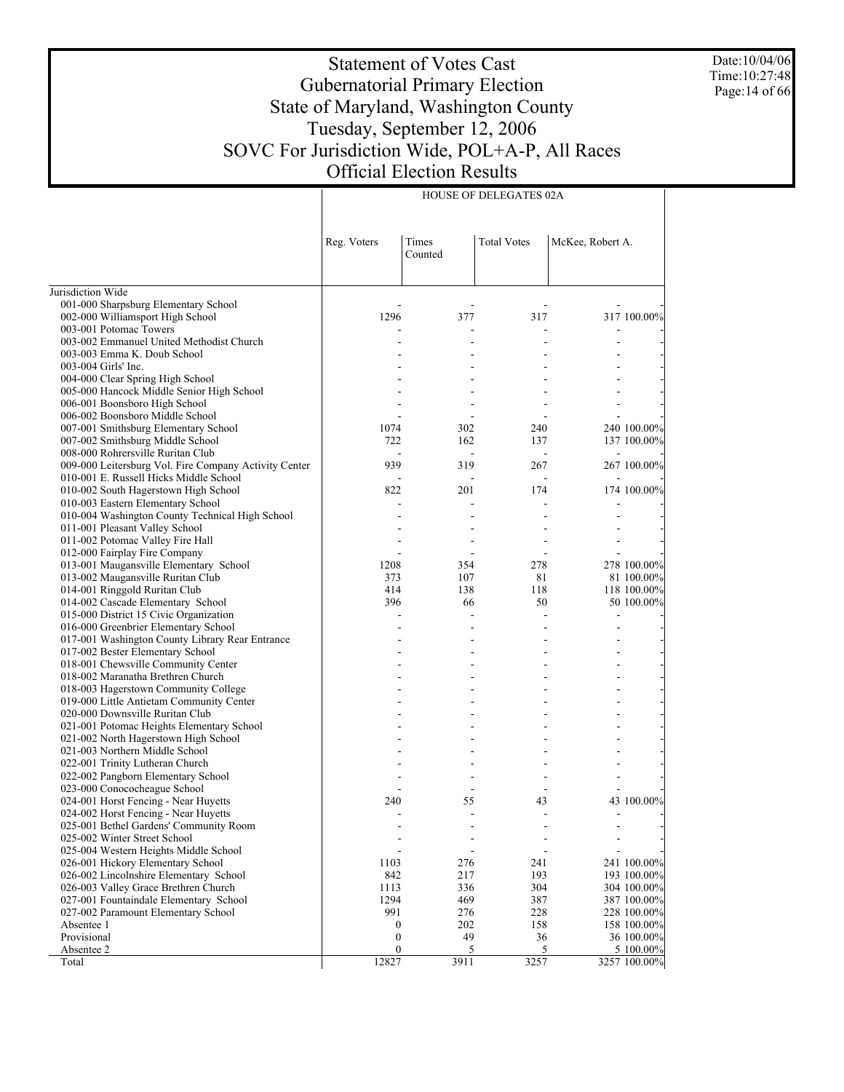Date:10/04/06 Time:10:27:48 Page:14 of 66

# Statement of Votes Cast Gubernatorial Primary Election State of Maryland, Washington County Tuesday, September 12, 2006 SOVC For Jurisdiction Wide, POL+A-P, All Races Official Election Results

HOUSE OF DELEGATES 02A

|                                                                             | Reg. Voters      | Times<br>Counted         | <b>Total Votes</b> | McKee, Robert A. |                            |
|-----------------------------------------------------------------------------|------------------|--------------------------|--------------------|------------------|----------------------------|
| Jurisdiction Wide                                                           |                  |                          |                    |                  |                            |
| 001-000 Sharpsburg Elementary School                                        |                  |                          |                    |                  |                            |
| 002-000 Williamsport High School                                            | 1296             | 377                      | 317                |                  | 317 100.00%                |
| 003-001 Potomac Towers                                                      |                  |                          |                    |                  |                            |
| 003-002 Emmanuel United Methodist Church                                    |                  |                          |                    |                  |                            |
| 003-003 Emma K. Doub School                                                 |                  |                          |                    |                  |                            |
| 003-004 Girls' Inc.                                                         |                  |                          |                    |                  |                            |
| 004-000 Clear Spring High School                                            |                  |                          |                    |                  |                            |
| 005-000 Hancock Middle Senior High School                                   |                  |                          |                    |                  |                            |
| 006-001 Boonsboro High School                                               |                  |                          |                    |                  |                            |
| 006-002 Boonsboro Middle School                                             |                  |                          |                    |                  |                            |
| 007-001 Smithsburg Elementary School                                        | 1074             | 302                      | 240                |                  | 240 100.00%                |
| 007-002 Smithsburg Middle School                                            | 722              | 162                      | 137                |                  | 137 100.00%                |
| 008-000 Rohrersville Ruritan Club                                           |                  |                          |                    |                  |                            |
| 009-000 Leitersburg Vol. Fire Company Activity Center                       | 939              | 319                      | 267                |                  | 267 100.00%                |
| 010-001 E. Russell Hicks Middle School                                      |                  |                          |                    |                  |                            |
| 010-002 South Hagerstown High School                                        | 822              | 201                      | 174                |                  | 174 100.00%                |
| 010-003 Eastern Elementary School                                           |                  |                          |                    |                  |                            |
| 010-004 Washington County Technical High School                             |                  |                          |                    |                  |                            |
| 011-001 Pleasant Valley School                                              |                  |                          |                    |                  |                            |
| 011-002 Potomac Valley Fire Hall                                            |                  |                          |                    |                  |                            |
| 012-000 Fairplay Fire Company                                               |                  |                          |                    |                  |                            |
| 013-001 Maugansville Elementary School                                      | 1208             | 354                      | 278                |                  | 278 100.00%                |
| 013-002 Maugansville Ruritan Club                                           | 373              | 107                      | 81                 |                  | 81 100.00%                 |
| 014-001 Ringgold Ruritan Club                                               | 414              | 138                      | 118                |                  | 118 100.00%                |
| 014-002 Cascade Elementary School                                           | 396              | 66                       | 50                 |                  | 50 100.00%                 |
| 015-000 District 15 Civic Organization                                      |                  |                          |                    |                  |                            |
| 016-000 Greenbrier Elementary School                                        |                  |                          |                    |                  |                            |
| 017-001 Washington County Library Rear Entrance                             |                  | ÷                        |                    |                  |                            |
| 017-002 Bester Elementary School                                            |                  |                          |                    |                  |                            |
| 018-001 Chewsville Community Center                                         |                  |                          |                    |                  |                            |
| 018-002 Maranatha Brethren Church                                           |                  |                          |                    |                  |                            |
| 018-003 Hagerstown Community College                                        |                  |                          |                    |                  |                            |
| 019-000 Little Antietam Community Center                                    |                  |                          |                    |                  |                            |
| 020-000 Downsville Ruritan Club                                             |                  |                          |                    |                  |                            |
| 021-001 Potomac Heights Elementary School                                   |                  |                          |                    |                  |                            |
| 021-002 North Hagerstown High School                                        |                  |                          |                    |                  |                            |
| 021-003 Northern Middle School                                              |                  |                          |                    |                  |                            |
| 022-001 Trinity Lutheran Church                                             |                  |                          |                    |                  |                            |
| 022-002 Pangborn Elementary School                                          |                  |                          |                    |                  |                            |
| 023-000 Conococheague School                                                |                  | $\overline{\phantom{a}}$ |                    |                  |                            |
| 024-001 Horst Fencing - Near Huyetts                                        | 240              | 55<br>L.                 | 43                 |                  | 43 100.00%                 |
| 024-002 Horst Fencing - Near Huyetts                                        |                  |                          |                    |                  |                            |
| 025-001 Bethel Gardens' Community Room                                      |                  |                          |                    |                  |                            |
| 025-002 Winter Street School                                                |                  |                          |                    |                  |                            |
| 025-004 Western Heights Middle School                                       |                  |                          |                    |                  |                            |
| 026-001 Hickory Elementary School<br>026-002 Lincolnshire Elementary School | 1103<br>842      | 276<br>217               | 241<br>193         |                  | 241 100.00%<br>193 100.00% |
| 026-003 Valley Grace Brethren Church                                        | 1113             | 336                      | 304                |                  |                            |
| 027-001 Fountaindale Elementary School                                      | 1294             |                          | 387                |                  | 304 100.00%<br>387 100.00% |
| 027-002 Paramount Elementary School                                         | 991              | 469<br>276               | 228                |                  | 228 100.00%                |
| Absentee 1                                                                  | 0                | 202                      | 158                |                  | 158 100.00%                |
| Provisional                                                                 | $\boldsymbol{0}$ | 49                       | 36                 |                  | 36 100.00%                 |
| Absentee 2                                                                  | $\boldsymbol{0}$ | 5                        | 5                  |                  | 5 100.00%                  |
| Total                                                                       | 12827            | 3911                     | 3257               |                  | 3257 100.00%               |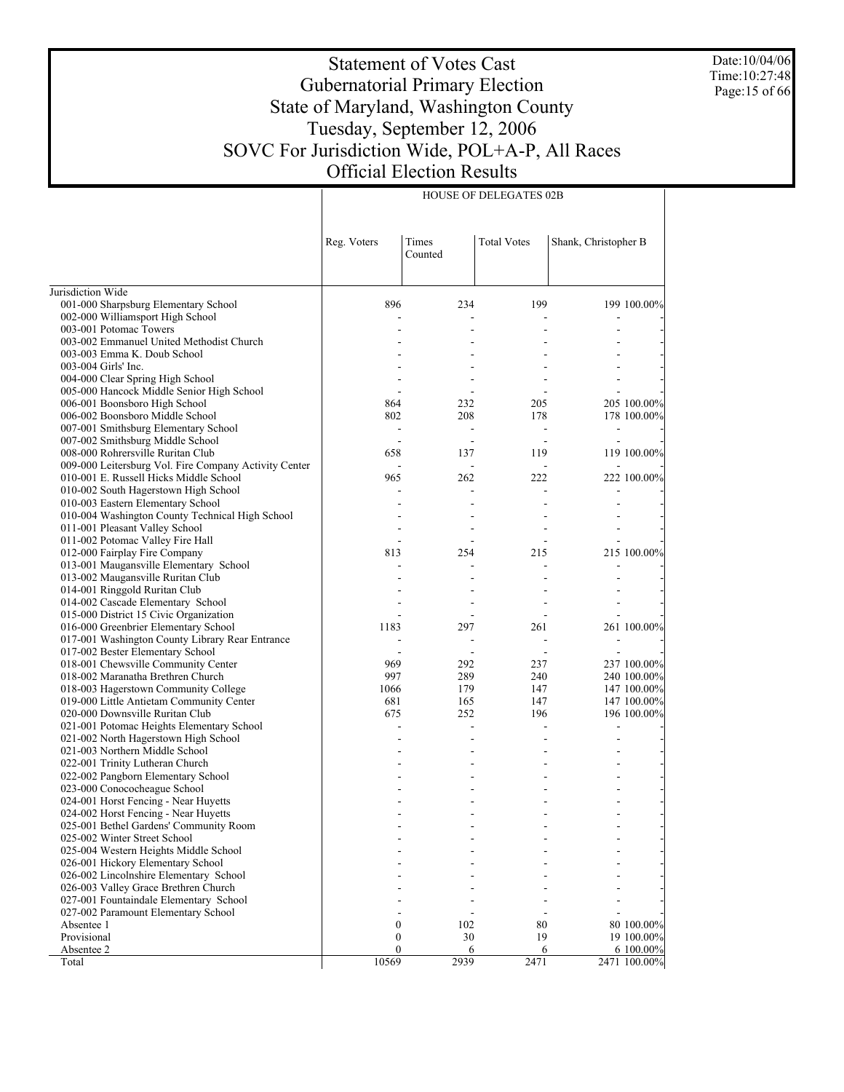Date:10/04/06 Time:10:27:48 Page:15 of 66

# Statement of Votes Cast Gubernatorial Primary Election State of Maryland, Washington County Tuesday, September 12, 2006 SOVC For Jurisdiction Wide, POL+A-P, All Races Official Election Results

|                                                       | Reg. Voters      | Times<br>Counted | <b>Total Votes</b> | Shank, Christopher B |              |
|-------------------------------------------------------|------------------|------------------|--------------------|----------------------|--------------|
| Jurisdiction Wide                                     |                  |                  |                    |                      |              |
| 001-000 Sharpsburg Elementary School                  | 896              | 234              | 199                |                      | 199 100.00%  |
| 002-000 Williamsport High School                      |                  |                  |                    |                      |              |
| 003-001 Potomac Towers                                |                  |                  |                    |                      |              |
| 003-002 Emmanuel United Methodist Church              |                  |                  |                    |                      |              |
| 003-003 Emma K. Doub School                           |                  |                  |                    |                      |              |
| 003-004 Girls' Inc.                                   |                  |                  |                    |                      |              |
| 004-000 Clear Spring High School                      |                  |                  |                    |                      |              |
| 005-000 Hancock Middle Senior High School             |                  |                  |                    |                      |              |
| 006-001 Boonsboro High School                         | 864              | 232              | 205                |                      | 205 100.00%  |
| 006-002 Boonsboro Middle School                       | 802              | 208              | 178                |                      | 178 100.00%  |
| 007-001 Smithsburg Elementary School                  |                  |                  |                    |                      |              |
| 007-002 Smithsburg Middle School                      |                  |                  |                    |                      |              |
| 008-000 Rohrersville Ruritan Club                     | 658              | 137              | 119                |                      | 119 100.00%  |
| 009-000 Leitersburg Vol. Fire Company Activity Center |                  |                  |                    |                      |              |
| 010-001 E. Russell Hicks Middle School                | 965              | 262              | 222                |                      | 222 100.00%  |
| 010-002 South Hagerstown High School                  |                  |                  |                    |                      |              |
| 010-003 Eastern Elementary School                     |                  |                  |                    |                      |              |
| 010-004 Washington County Technical High School       |                  |                  |                    |                      |              |
| 011-001 Pleasant Valley School                        |                  |                  |                    |                      |              |
| 011-002 Potomac Valley Fire Hall                      |                  |                  |                    |                      |              |
| 012-000 Fairplay Fire Company                         | 813              | 254              | 215                |                      | 215 100.00%  |
| 013-001 Maugansville Elementary School                |                  |                  |                    |                      |              |
| 013-002 Maugansville Ruritan Club                     |                  |                  |                    |                      |              |
| 014-001 Ringgold Ruritan Club                         |                  |                  |                    |                      |              |
| 014-002 Cascade Elementary School                     |                  |                  |                    |                      |              |
| 015-000 District 15 Civic Organization                |                  |                  |                    |                      |              |
| 016-000 Greenbrier Elementary School                  | 1183             | 297              | 261                |                      | 261 100.00%  |
| 017-001 Washington County Library Rear Entrance       |                  |                  |                    |                      |              |
| 017-002 Bester Elementary School                      |                  |                  |                    |                      |              |
| 018-001 Chewsville Community Center                   | 969              | 292              | 237                |                      | 237 100.00%  |
| 018-002 Maranatha Brethren Church                     | 997              | 289              | 240                |                      | 240 100.00%  |
| 018-003 Hagerstown Community College                  | 1066             | 179              | 147                |                      | 147 100.00%  |
| 019-000 Little Antietam Community Center              | 681              | 165              | 147                |                      | 147 100.00%  |
| 020-000 Downsville Ruritan Club                       | 675              | 252              | 196                |                      | 196 100.00%  |
| 021-001 Potomac Heights Elementary School             |                  | $\overline{a}$   |                    |                      |              |
| 021-002 North Hagerstown High School                  |                  |                  |                    |                      |              |
| 021-003 Northern Middle School                        |                  |                  |                    |                      |              |
| 022-001 Trinity Lutheran Church                       |                  |                  |                    |                      |              |
| 022-002 Pangborn Elementary School                    |                  |                  |                    |                      |              |
| 023-000 Conococheague School                          |                  |                  |                    |                      |              |
| 024-001 Horst Fencing - Near Huyetts                  |                  |                  |                    |                      |              |
| 024-002 Horst Fencing - Near Huyetts                  |                  |                  |                    |                      |              |
| 025-001 Bethel Gardens' Community Room                |                  |                  |                    |                      |              |
| 025-002 Winter Street School                          |                  |                  |                    |                      |              |
| 025-004 Western Heights Middle School                 |                  |                  |                    |                      |              |
| 026-001 Hickory Elementary School                     |                  |                  |                    |                      |              |
| 026-002 Lincolnshire Elementary School                |                  |                  |                    |                      |              |
| 026-003 Valley Grace Brethren Church                  |                  |                  |                    |                      |              |
| 027-001 Fountaindale Elementary School                |                  |                  |                    |                      |              |
| 027-002 Paramount Elementary School                   |                  |                  |                    |                      |              |
| Absentee 1                                            | $\mathbf{0}$     | 102              | 80                 |                      | 80 100.00%   |
| Provisional                                           | $\boldsymbol{0}$ | 30               | 19                 |                      | 19 100.00%   |
| Absentee 2                                            | $\mathbf{0}$     | 6                | 6                  |                      | 6 100.00%    |
| Total                                                 | 10569            | 2939             | 2471               |                      | 2471 100.00% |

HOUSE OF DELEGATES 02B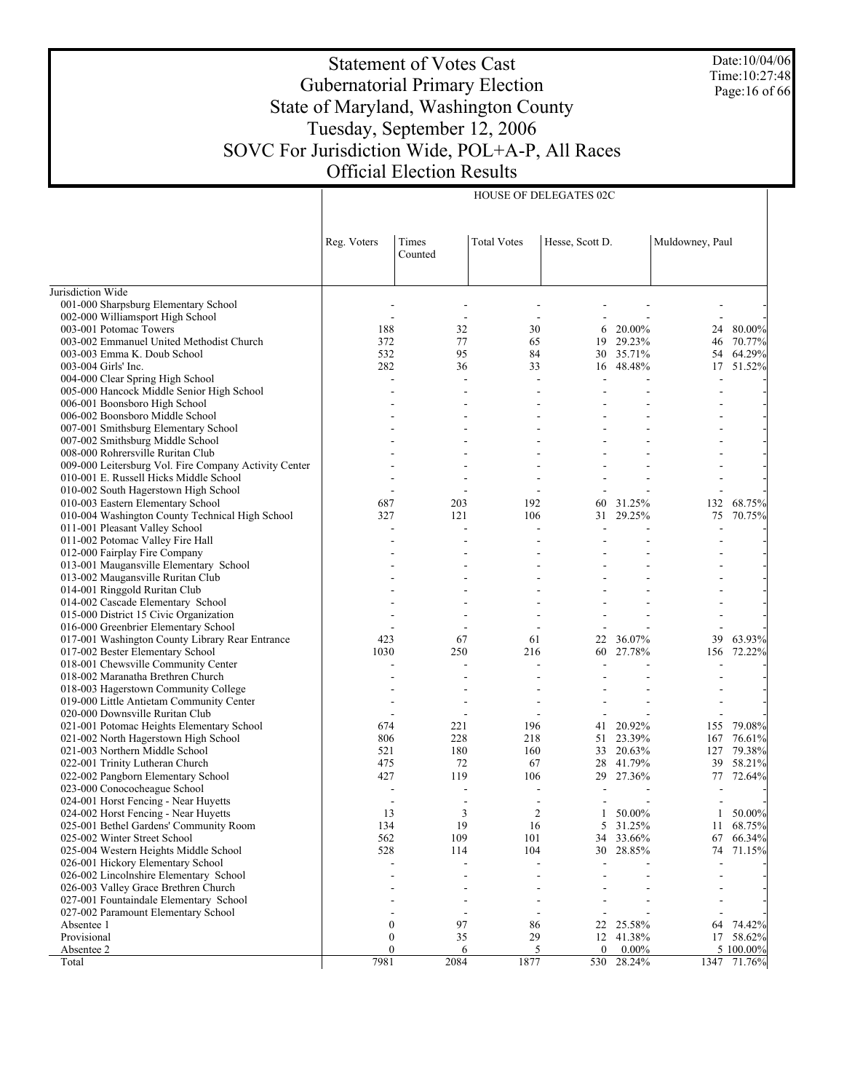Date:10/04/06 Time:10:27:48 Page:16 of 66

# Statement of Votes Cast Gubernatorial Primary Election State of Maryland, Washington County Tuesday, September 12, 2006 SOVC For Jurisdiction Wide, POL+A-P, All Races Official Election Results

HOUSE OF DELEGATES 02C

|                                                                                | Reg. Voters      | Times<br>Counted | <b>Total Votes</b> | Hesse, Scott D.  |           | Muldowney, Paul |           |
|--------------------------------------------------------------------------------|------------------|------------------|--------------------|------------------|-----------|-----------------|-----------|
| Jurisdiction Wide                                                              |                  |                  |                    |                  |           |                 |           |
| 001-000 Sharpsburg Elementary School                                           |                  |                  |                    |                  |           |                 |           |
| 002-000 Williamsport High School                                               |                  |                  |                    |                  |           |                 |           |
| 003-001 Potomac Towers                                                         | 188              | 32               | 30                 | 6                | 20.00%    | 24              | 80.00%    |
| 003-002 Emmanuel United Methodist Church                                       | 372              | 77               | 65                 | 19               | 29.23%    | 46              | 70.77%    |
| 003-003 Emma K. Doub School                                                    | 532              | 95               | 84                 |                  | 30 35.71% | 54              | 64.29%    |
| 003-004 Girls' Inc.                                                            | 282              | 36               | 33                 |                  | 16 48.48% | 17              | 51.52%    |
| 004-000 Clear Spring High School                                               |                  | $\overline{a}$   |                    |                  |           |                 |           |
| 005-000 Hancock Middle Senior High School                                      |                  |                  |                    |                  |           |                 |           |
| 006-001 Boonsboro High School                                                  |                  |                  |                    |                  |           |                 |           |
| 006-002 Boonsboro Middle School                                                |                  |                  |                    |                  |           |                 |           |
| 007-001 Smithsburg Elementary School                                           |                  |                  |                    |                  |           |                 |           |
| 007-002 Smithsburg Middle School                                               |                  |                  |                    |                  |           |                 |           |
| 008-000 Rohrersville Ruritan Club                                              |                  |                  |                    |                  |           |                 |           |
| 009-000 Leitersburg Vol. Fire Company Activity Center                          |                  |                  |                    |                  |           |                 |           |
| 010-001 E. Russell Hicks Middle School                                         |                  |                  |                    |                  |           |                 |           |
| 010-002 South Hagerstown High School                                           |                  |                  |                    |                  |           |                 |           |
| 010-003 Eastern Elementary School                                              | 687              | 203              | 192                | 60               | 31.25%    | 132             | 68.75%    |
| 010-004 Washington County Technical High School                                | 327              | 121              | 106                | 31               | 29.25%    | 75              | 70.75%    |
| 011-001 Pleasant Valley School                                                 |                  |                  |                    |                  |           |                 |           |
| 011-002 Potomac Valley Fire Hall                                               |                  |                  |                    |                  |           |                 |           |
| 012-000 Fairplay Fire Company                                                  |                  |                  |                    |                  |           |                 |           |
| 013-001 Maugansville Elementary School                                         |                  |                  |                    |                  |           |                 |           |
| 013-002 Maugansville Ruritan Club                                              |                  |                  |                    |                  |           |                 |           |
| 014-001 Ringgold Ruritan Club                                                  |                  |                  |                    |                  |           |                 |           |
| 014-002 Cascade Elementary School                                              |                  |                  |                    |                  |           |                 |           |
| 015-000 District 15 Civic Organization                                         |                  |                  |                    |                  |           |                 |           |
| 016-000 Greenbrier Elementary School                                           |                  |                  |                    |                  |           |                 |           |
| 017-001 Washington County Library Rear Entrance                                | 423              | 67               | 61                 | 22               | 36.07%    | 39              | 63.93%    |
| 017-002 Bester Elementary School                                               | 1030             | 250              | 216                |                  | 60 27.78% | 156             | 72.22%    |
| 018-001 Chewsville Community Center                                            |                  |                  |                    |                  |           |                 |           |
| 018-002 Maranatha Brethren Church                                              |                  |                  |                    |                  |           |                 |           |
| 018-003 Hagerstown Community College                                           |                  |                  |                    |                  |           |                 |           |
| 019-000 Little Antietam Community Center                                       |                  |                  |                    |                  |           |                 |           |
| 020-000 Downsville Ruritan Club                                                |                  |                  |                    |                  |           |                 |           |
| 021-001 Potomac Heights Elementary School                                      | 674              | 221              | 196                | 41               | 20.92%    | 155             | 79.08%    |
| 021-002 North Hagerstown High School                                           | 806              | 228              | 218                | 51               | 23.39%    | 167             | 76.61%    |
| 021-003 Northern Middle School                                                 | 521              | 180              | 160                | 33               | 20.63%    | 127             | 79.38%    |
| 022-001 Trinity Lutheran Church                                                | 475              | 72               | 67                 |                  | 28 41.79% | 39              | 58.21%    |
| 022-002 Pangborn Elementary School                                             | 427              | 119              | 106                |                  | 29 27.36% | 77              | 72.64%    |
| 023-000 Conococheague School                                                   |                  |                  |                    |                  |           |                 |           |
| 024-001 Horst Fencing - Near Huyetts                                           |                  |                  |                    |                  |           |                 |           |
| 024-002 Horst Fencing - Near Huyetts                                           | 13               | 3                | 2                  | $\mathbf{1}$     | 50.00%    | 1               | 50.00%    |
| 025-001 Bethel Gardens' Community Room                                         | 134              | 19               | 16                 |                  | 5 31.25%  |                 | 11 68.75% |
| 025-002 Winter Street School                                                   | 562              | 109              | 101                |                  | 34 33.66% | 67              | 66.34%    |
| 025-004 Western Heights Middle School                                          | 528              | 114              | 104                |                  | 30 28.85% | 74              | 71.15%    |
| 026-001 Hickory Elementary School                                              |                  |                  |                    |                  |           |                 |           |
| 026-002 Lincolnshire Elementary School<br>026-003 Valley Grace Brethren Church |                  |                  |                    |                  |           |                 |           |
|                                                                                |                  |                  |                    |                  |           |                 |           |
| 027-001 Fountaindale Elementary School<br>027-002 Paramount Elementary School  |                  |                  |                    |                  |           |                 |           |
| Absentee 1                                                                     | $\boldsymbol{0}$ | 97               | 86                 | 22               | 25.58%    | 64              | 74.42%    |
| Provisional                                                                    | $\boldsymbol{0}$ | 35               | 29                 | 12               | 41.38%    |                 | 17 58.62% |
| Absentee 2                                                                     | $\mathbf{0}$     | 6                | 5                  | $\boldsymbol{0}$ | $0.00\%$  |                 | 5 100.00% |
| Total                                                                          | 7981             | 2084             | 1877               | 530              | 28.24%    | 1347            | 71.76%    |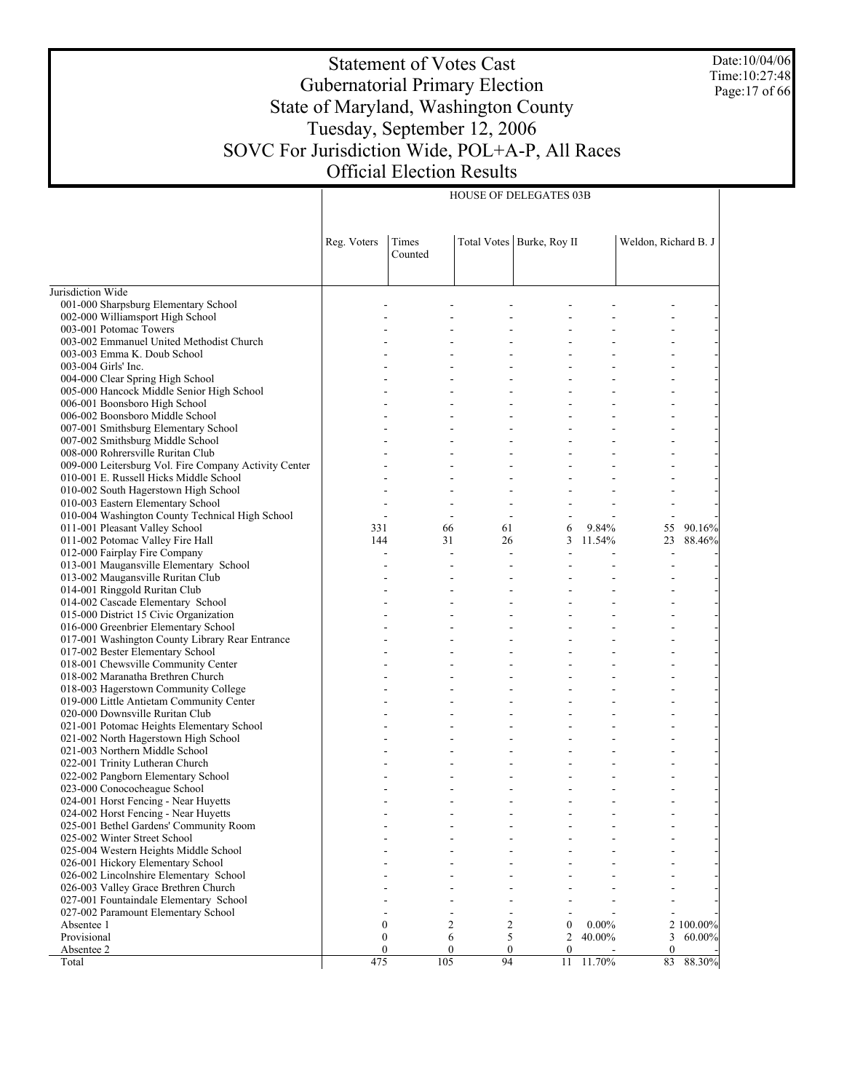Date:10/04/06 Time:10:27:48 Page:17 of 66

# Statement of Votes Cast Gubernatorial Primary Election State of Maryland, Washington County Tuesday, September 12, 2006 SOVC For Jurisdiction Wide, POL+A-P, All Races Official Election Results

HOUSE OF DELEGATES 03B

|                                                                   | Reg. Voters    | Times<br>Counted |                  | Total Votes   Burke, Roy II |          | Weldon, Richard B. J |           |
|-------------------------------------------------------------------|----------------|------------------|------------------|-----------------------------|----------|----------------------|-----------|
| Jurisdiction Wide                                                 |                |                  |                  |                             |          |                      |           |
| 001-000 Sharpsburg Elementary School                              |                |                  |                  |                             |          |                      |           |
| 002-000 Williamsport High School                                  |                |                  |                  |                             |          |                      |           |
| 003-001 Potomac Towers                                            |                |                  |                  |                             |          |                      |           |
| 003-002 Emmanuel United Methodist Church                          |                |                  |                  |                             |          |                      |           |
| 003-003 Emma K. Doub School                                       |                |                  |                  |                             |          |                      |           |
| 003-004 Girls' Inc.                                               |                |                  |                  |                             |          |                      |           |
| 004-000 Clear Spring High School                                  |                |                  |                  |                             |          |                      |           |
| 005-000 Hancock Middle Senior High School                         |                |                  |                  |                             |          |                      |           |
| 006-001 Boonsboro High School                                     |                |                  |                  |                             |          |                      |           |
| 006-002 Boonsboro Middle School                                   |                |                  |                  |                             |          |                      |           |
| 007-001 Smithsburg Elementary School                              |                |                  |                  |                             |          |                      |           |
| 007-002 Smithsburg Middle School                                  |                |                  |                  |                             |          |                      |           |
| 008-000 Rohrersville Ruritan Club                                 |                |                  |                  |                             |          |                      |           |
| 009-000 Leitersburg Vol. Fire Company Activity Center             |                |                  |                  |                             |          |                      |           |
| 010-001 E. Russell Hicks Middle School                            |                |                  |                  |                             |          |                      |           |
| 010-002 South Hagerstown High School                              |                |                  |                  |                             |          |                      |           |
| 010-003 Eastern Elementary School                                 |                |                  |                  |                             |          |                      |           |
| 010-004 Washington County Technical High School                   | $\overline{a}$ | $\overline{a}$   | $\overline{a}$   |                             |          |                      |           |
| 011-001 Pleasant Valley School                                    | 331            | 66               | 61               | 6                           | 9.84%    | 55                   | 90.16%    |
| 011-002 Potomac Valley Fire Hall                                  | 144            | 31               | 26               | 3                           | 11.54%   | 23                   | 88.46%    |
| 012-000 Fairplay Fire Company                                     |                | $\overline{a}$   | $\overline{a}$   |                             |          |                      |           |
| 013-001 Maugansville Elementary School                            |                |                  |                  |                             |          |                      |           |
| 013-002 Maugansville Ruritan Club                                 |                |                  |                  |                             |          |                      |           |
| 014-001 Ringgold Ruritan Club                                     |                |                  |                  |                             |          |                      |           |
| 014-002 Cascade Elementary School                                 |                |                  |                  |                             |          |                      |           |
| 015-000 District 15 Civic Organization                            |                |                  |                  |                             |          |                      |           |
| 016-000 Greenbrier Elementary School                              |                |                  |                  |                             |          |                      |           |
| 017-001 Washington County Library Rear Entrance                   |                |                  |                  |                             |          |                      |           |
| 017-002 Bester Elementary School                                  |                |                  |                  |                             |          |                      |           |
| 018-001 Chewsville Community Center                               |                |                  |                  |                             |          |                      |           |
| 018-002 Maranatha Brethren Church                                 |                |                  |                  |                             |          |                      |           |
| 018-003 Hagerstown Community College                              |                |                  |                  |                             |          |                      |           |
| 019-000 Little Antietam Community Center                          |                |                  |                  |                             |          |                      |           |
| 020-000 Downsville Ruritan Club                                   |                |                  |                  |                             |          |                      |           |
| 021-001 Potomac Heights Elementary School                         |                |                  |                  |                             |          |                      |           |
| 021-002 North Hagerstown High School                              |                |                  |                  |                             |          |                      |           |
| 021-003 Northern Middle School<br>022-001 Trinity Lutheran Church |                |                  |                  |                             |          |                      |           |
| 022-002 Pangborn Elementary School                                |                |                  |                  |                             |          |                      |           |
| 023-000 Conococheague School                                      |                |                  |                  |                             |          |                      |           |
| 024-001 Horst Fencing - Near Huyetts                              |                |                  |                  |                             |          |                      |           |
| 024-002 Horst Fencing - Near Huyetts                              |                |                  |                  |                             |          |                      |           |
| 025-001 Bethel Gardens' Community Room                            |                |                  |                  |                             |          |                      |           |
| 025-002 Winter Street School                                      |                |                  |                  |                             |          |                      |           |
| 025-004 Western Heights Middle School                             |                |                  |                  |                             |          |                      |           |
| 026-001 Hickory Elementary School                                 |                |                  |                  |                             |          |                      |           |
| 026-002 Lincolnshire Elementary School                            |                |                  |                  |                             |          |                      |           |
| 026-003 Valley Grace Brethren Church                              |                |                  |                  |                             |          |                      |           |
| 027-001 Fountaindale Elementary School                            |                |                  |                  |                             |          |                      |           |
| 027-002 Paramount Elementary School                               |                |                  |                  |                             |          |                      |           |
| Absentee 1                                                        | $\mathbf{0}$   | $\overline{c}$   | 2                | $\boldsymbol{0}$            | $0.00\%$ |                      | 2 100.00% |
| Provisional                                                       | $\mathbf{0}$   | 6                | 5                | $\overline{c}$              | 40.00%   | 3                    | 60.00%    |
| Absentee 2                                                        | $\mathbf{0}$   | $\boldsymbol{0}$ | $\boldsymbol{0}$ | $\mathbf{0}$                |          | $\mathbf{0}$         |           |
| Total                                                             | 475            | 105              | 94               | 11                          | 11.70%   | 83                   | 88.30%    |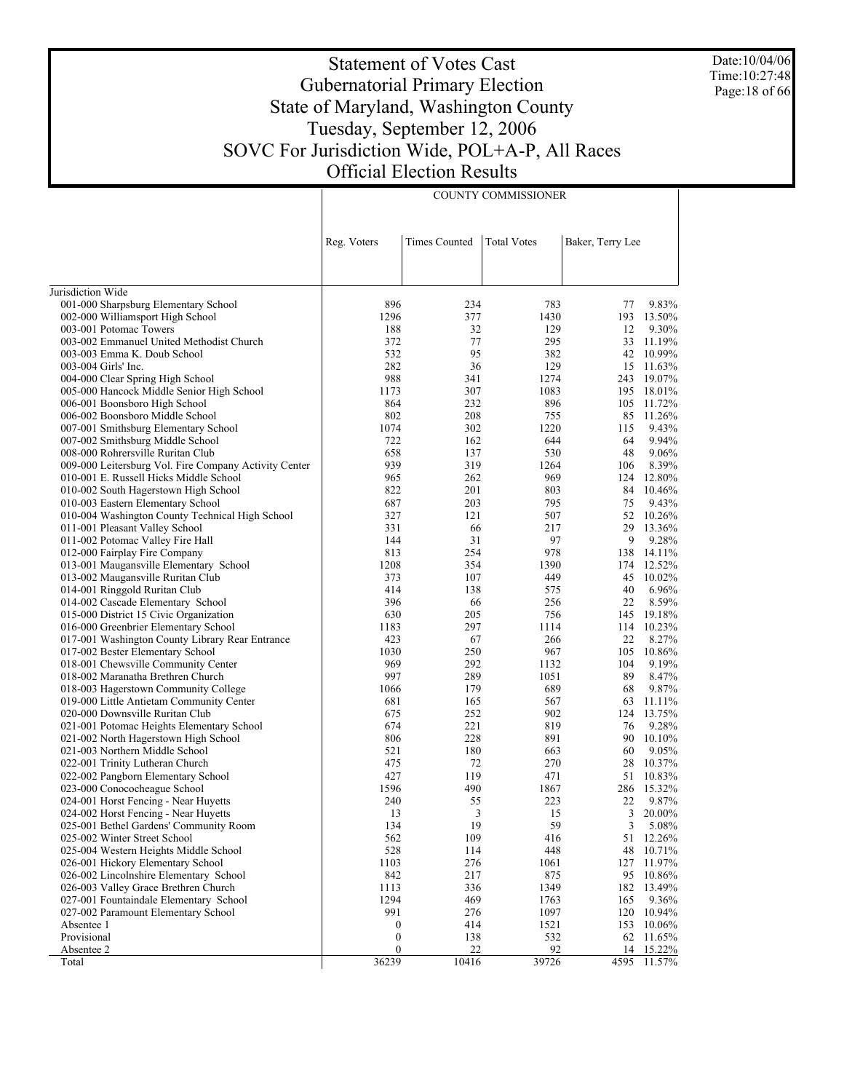Date:10/04/06 Time:10:27:48 Page:18 of 66

# Statement of Votes Cast Gubernatorial Primary Election State of Maryland, Washington County Tuesday, September 12, 2006 SOVC For Jurisdiction Wide, POL+A-P, All Races Official Election Results

COUNTY COMMISSIONER

|                                                                                     | Reg. Voters      | <b>Times Counted</b> | <b>Total Votes</b> | Baker, Terry Lee |                      |
|-------------------------------------------------------------------------------------|------------------|----------------------|--------------------|------------------|----------------------|
|                                                                                     |                  |                      |                    |                  |                      |
| Jurisdiction Wide                                                                   |                  |                      |                    |                  |                      |
| 001-000 Sharpsburg Elementary School                                                | 896              | 234                  | 783                | 77               | 9.83%                |
| 002-000 Williamsport High School                                                    | 1296             | 377                  | 1430               | 193              | 13.50%               |
| 003-001 Potomac Towers                                                              | 188              | 32                   | 129                | 12               | 9.30%                |
| 003-002 Emmanuel United Methodist Church                                            | 372              | 77                   | 295                | 33               | 11.19%               |
| 003-003 Emma K. Doub School                                                         | 532              | 95                   | 382                |                  | 42 10.99%            |
| 003-004 Girls' Inc.                                                                 | 282              | 36                   | 129                | 15               | 11.63%               |
| 004-000 Clear Spring High School                                                    | 988              | 341                  | 1274               |                  | 243 19.07%           |
| 005-000 Hancock Middle Senior High School                                           | 1173             | 307                  | 1083               |                  | 195 18.01%           |
| 006-001 Boonsboro High School                                                       | 864              | 232                  | 896                | 105              | 11.72%               |
| 006-002 Boonsboro Middle School                                                     | 802              | 208                  | 755                | 85               | 11.26%               |
| 007-001 Smithsburg Elementary School                                                | 1074             | 302                  | 1220               | 115              | 9.43%                |
| 007-002 Smithsburg Middle School                                                    | 722              | 162                  | 644                | 64               | 9.94%                |
| 008-000 Rohrersville Ruritan Club                                                   | 658              | 137                  | 530                | 48               | 9.06%                |
| 009-000 Leitersburg Vol. Fire Company Activity Center                               | 939              | 319                  | 1264               | 106              | 8.39%                |
| 010-001 E. Russell Hicks Middle School                                              | 965              | 262                  | 969                |                  | 124 12.80%           |
| 010-002 South Hagerstown High School                                                | 822              | 201                  | 803                | 84               | 10.46%               |
| 010-003 Eastern Elementary School                                                   | 687              | 203                  | 795                | 75               | 9.43%                |
| 010-004 Washington County Technical High School                                     | 327              | 121                  | 507                | 52               | 10.26%               |
| 011-001 Pleasant Valley School                                                      | 331              | 66                   | 217                |                  | 29 13.36%            |
| 011-002 Potomac Valley Fire Hall                                                    | 144              | 31                   | 97                 | 9                | 9.28%                |
| 012-000 Fairplay Fire Company                                                       | 813              | 254                  | 978                | 138              | 14.11%               |
| 013-001 Maugansville Elementary School                                              | 1208             | 354                  | 1390               | 174              | 12.52%               |
| 013-002 Maugansville Ruritan Club                                                   | 373              | 107                  | 449                | 45               | 10.02%               |
| 014-001 Ringgold Ruritan Club                                                       | 414              | 138                  | 575                | 40               | 6.96%<br>8.59%       |
| 014-002 Cascade Elementary School                                                   | 396              | 66                   | 256                | 22               |                      |
| 015-000 District 15 Civic Organization                                              | 630              | 205<br>297           | 756<br>1114        | 145              | 19.18%<br>114 10.23% |
| 016-000 Greenbrier Elementary School                                                | 1183<br>423      | 67                   | 266                | 22               | 8.27%                |
| 017-001 Washington County Library Rear Entrance<br>017-002 Bester Elementary School | 1030             | 250                  | 967                | 105              | 10.86%               |
| 018-001 Chewsville Community Center                                                 | 969              | 292                  | 1132               | 104              | 9.19%                |
| 018-002 Maranatha Brethren Church                                                   | 997              | 289                  | 1051               | 89               | 8.47%                |
| 018-003 Hagerstown Community College                                                | 1066             | 179                  | 689                | 68               | 9.87%                |
| 019-000 Little Antietam Community Center                                            | 681              | 165                  | 567                | 63               | 11.11%               |
| 020-000 Downsville Ruritan Club                                                     | 675              | 252                  | 902                | 124              | 13.75%               |
| 021-001 Potomac Heights Elementary School                                           | 674              | 221                  | 819                | 76               | 9.28%                |
| 021-002 North Hagerstown High School                                                | 806              | 228                  | 891                | 90               | 10.10%               |
| 021-003 Northern Middle School                                                      | 521              | 180                  | 663                | 60               | 9.05%                |
| 022-001 Trinity Lutheran Church                                                     | 475              | 72                   | 270                | 28               | 10.37%               |
| 022-002 Pangborn Elementary School                                                  | 427              | 119                  | 471                |                  | 51 10.83%            |
| 023-000 Conococheague School                                                        | 1596             | 490                  | 1867               | 286              | 15.32%               |
| 024-001 Horst Fencing - Near Huyetts                                                | 240              | 55                   | 223                | 22               | 9.87%                |
| 024-002 Horst Fencing - Near Huyetts                                                | 13               | 3                    | 15                 | 3                | 20.00%               |
| 025-001 Bethel Gardens' Community Room                                              | 134              | 19                   | 59                 |                  | 3 5.08%              |
| 025-002 Winter Street School                                                        | 562              | 109                  | 416                |                  | 51 12.26%            |
| 025-004 Western Heights Middle School                                               | 528              | 114                  | 448                | 48               | 10.71%               |
| 026-001 Hickory Elementary School                                                   | 1103             | 276                  | 1061               | 127              | 11.97%               |
| 026-002 Lincolnshire Elementary School                                              | 842              | 217                  | 875                | 95               | 10.86%               |
| 026-003 Valley Grace Brethren Church                                                | 1113             | 336                  | 1349               | 182              | 13.49%               |
| 027-001 Fountaindale Elementary School                                              | 1294             | 469                  | 1763               | 165              | 9.36%                |
| 027-002 Paramount Elementary School                                                 | 991              | 276                  | 1097               | 120              | 10.94%               |
| Absentee 1                                                                          | $\boldsymbol{0}$ | 414                  | 1521               | 153              | 10.06%               |
| Provisional                                                                         | $\boldsymbol{0}$ | 138                  | 532                | 62               | 11.65%               |
| Absentee 2                                                                          | $\mathbf{0}$     | 22                   | 92                 | 14               | 15.22%               |
| Total                                                                               | 36239            | 10416                | 39726              | 4595             | 11.57%               |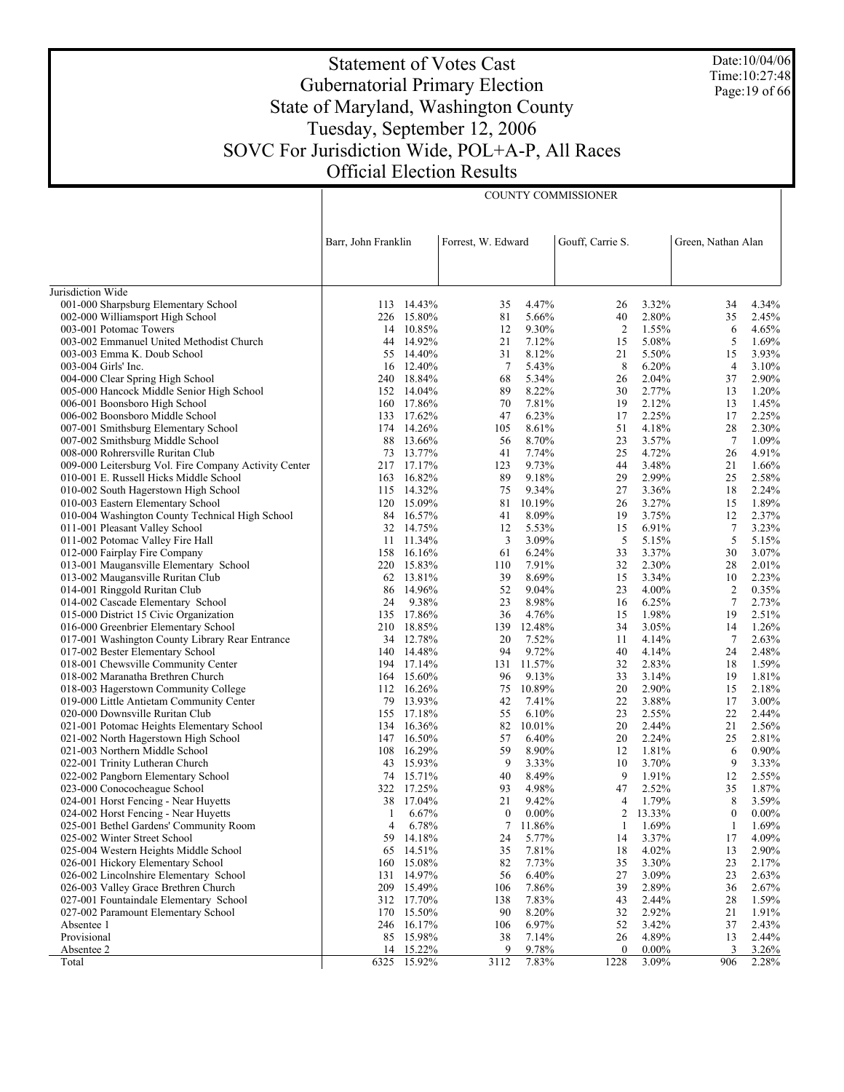Date:10/04/06 Time:10:27:48 Page:19 of 66

# Statement of Votes Cast Gubernatorial Primary Election State of Maryland, Washington County Tuesday, September 12, 2006 SOVC For Jurisdiction Wide, POL+A-P, All Races Official Election Results

COUNTY COMMISSIONER

|                                                                         | Barr, John Franklin |                          | Forrest, W. Edward |                     | Gouff, Carrie S. |                | Green, Nathan Alan |                |
|-------------------------------------------------------------------------|---------------------|--------------------------|--------------------|---------------------|------------------|----------------|--------------------|----------------|
|                                                                         |                     |                          |                    |                     |                  |                |                    |                |
| Jurisdiction Wide                                                       |                     | 113 14.43%               |                    | 4.47%               |                  | 3.32%          |                    | 4.34%          |
| 001-000 Sharpsburg Elementary School                                    |                     | 226 15.80%               | 35<br>81           | 5.66%               | 26<br>40         | 2.80%          | 34<br>35           | 2.45%          |
| 002-000 Williamsport High School<br>003-001 Potomac Towers              |                     | 14 10.85%                | 12                 | 9.30%               | $\overline{2}$   | 1.55%          | 6                  | 4.65%          |
| 003-002 Emmanuel United Methodist Church                                |                     | 44 14.92%                | 21                 | 7.12%               | 15               | 5.08%          | 5                  | 1.69%          |
| 003-003 Emma K. Doub School                                             |                     | 55 14.40%                | 31                 | 8.12%               | 21               | 5.50%          | 15                 | 3.93%          |
| 003-004 Girls' Inc.                                                     |                     | 16 12.40%                | $7\phantom{.0}$    | 5.43%               | 8                | 6.20%          | $\overline{4}$     | 3.10%          |
| 004-000 Clear Spring High School                                        |                     | 240 18.84%               | 68                 | 5.34%               | 26               | 2.04%          | 37                 | 2.90%          |
| 005-000 Hancock Middle Senior High School                               |                     | 152 14.04%               | 89                 | 8.22%               | 30               | 2.77%          | 13                 | 1.20%          |
| 006-001 Boonsboro High School                                           |                     | 160 17.86%               | 70                 | 7.81%               | 19               | 2.12%          | 13                 | 1.45%          |
| 006-002 Boonsboro Middle School                                         |                     | 133 17.62%               | 47                 | 6.23%               | 17               | 2.25%          | 17                 | 2.25%          |
| 007-001 Smithsburg Elementary School                                    |                     | 174 14.26%               | 105                | 8.61%               | 51               | 4.18%          | 28                 | 2.30%          |
| 007-002 Smithsburg Middle School                                        | 88                  | 13.66%                   | 56                 | 8.70%               | 23               | 3.57%          | $7\phantom{.0}$    | 1.09%          |
| 008-000 Rohrersville Ruritan Club                                       |                     | 73 13.77%                | 41                 | 7.74%               | 25               | 4.72%          | 26                 | 4.91%          |
| 009-000 Leitersburg Vol. Fire Company Activity Center                   |                     | 217 17.17%               | 123                | 9.73%               | 44               | 3.48%          | 21                 | 1.66%          |
| 010-001 E. Russell Hicks Middle School                                  |                     | 163 16.82%               | 89                 | 9.18%               | 29               | 2.99%          | 25                 | 2.58%          |
| 010-002 South Hagerstown High School                                    |                     | 115 14.32%               | 75                 | 9.34%               | 27               | 3.36%          | 18                 | 2.24%          |
| 010-003 Eastern Elementary School                                       |                     | 120 15.09%               | 81                 | 10.19%              | 26               | 3.27%          | 15                 | 1.89%          |
| 010-004 Washington County Technical High School                         |                     | 84 16.57%                | 41                 | 8.09%               | 19               | 3.75%          | 12                 | 2.37%          |
| 011-001 Pleasant Valley School                                          |                     | 32 14.75%                | 12                 | 5.53%               | 15               | 6.91%          | $\overline{7}$     | 3.23%          |
| 011-002 Potomac Valley Fire Hall                                        |                     | 11 11.34%                | 3                  | 3.09%               | 5                | 5.15%          | 5                  | 5.15%          |
| 012-000 Fairplay Fire Company                                           |                     | 158 16.16%               | 61                 | 6.24%               | 33               | 3.37%          | 30                 | 3.07%          |
| 013-001 Maugansville Elementary School                                  |                     | 220 15.83%               | 110                | 7.91%               | 32               | 2.30%          | 28                 | 2.01%          |
| 013-002 Maugansville Ruritan Club                                       |                     | 62 13.81%                | 39                 | 8.69%               | 15               | 3.34%          | 10                 | 2.23%          |
| 014-001 Ringgold Ruritan Club                                           |                     | 86 14.96%                | 52                 | 9.04%               | 23               | 4.00%          | $\overline{2}$     | 0.35%          |
| 014-002 Cascade Elementary School                                       | 24                  | 9.38%                    | 23                 | 8.98%               | 16               | 6.25%          | $\tau$             | 2.73%          |
| 015-000 District 15 Civic Organization                                  |                     | 135 17.86%               | 36                 | 4.76%               | 15               | 1.98%          | 19                 | 2.51%          |
| 016-000 Greenbrier Elementary School                                    |                     | 210 18.85%               |                    | 139 12.48%          | 34               | 3.05%          | 14                 | 1.26%          |
| 017-001 Washington County Library Rear Entrance                         |                     | 34 12.78%                | 20                 | 7.52%               | 11               | 4.14%          | $\overline{7}$     | 2.63%          |
| 017-002 Bester Elementary School<br>018-001 Chewsville Community Center |                     | 140 14.48%<br>194 17.14% | 94                 | 9.72%<br>131 11.57% | 40               | 4.14%<br>2.83% | 24                 | 2.48%<br>1.59% |
| 018-002 Maranatha Brethren Church                                       |                     | 164 15.60%               | 96                 | 9.13%               | 32<br>33         | 3.14%          | 18<br>19           | 1.81%          |
| 018-003 Hagerstown Community College                                    |                     | 112 16.26%               |                    | 75 10.89%           | 20               | 2.90%          | 15                 | 2.18%          |
| 019-000 Little Antietam Community Center                                |                     | 79 13.93%                | 42                 | 7.41%               | 22               | 3.88%          | 17                 | 3.00%          |
| 020-000 Downsville Ruritan Club                                         |                     | 155 17.18%               | 55                 | 6.10%               | 23               | 2.55%          | 22                 | 2.44%          |
| 021-001 Potomac Heights Elementary School                               |                     | 134 16.36%               |                    | 82 10.01%           | 20               | 2.44%          | 21                 | 2.56%          |
| 021-002 North Hagerstown High School                                    |                     | 147 16.50%               | 57                 | 6.40%               | 20               | 2.24%          | 25                 | 2.81%          |
| 021-003 Northern Middle School                                          |                     | 108 16.29%               | 59                 | 8.90%               | 12               | 1.81%          | 6                  | 0.90%          |
| 022-001 Trinity Lutheran Church                                         |                     | 43 15.93%                | 9                  | 3.33%               | 10               | 3.70%          | 9                  | 3.33%          |
| 022-002 Pangborn Elementary School                                      |                     | 74 15.71%                | 40                 | 8.49%               | 9                | 1.91%          | 12                 | 2.55%          |
| 023-000 Conococheague School                                            |                     | 322 17.25%               | 93                 | 4.98%               | 47               | 2.52%          | 35                 | 1.87%          |
| 024-001 Horst Fencing - Near Huyetts                                    |                     | 38 17.04%                | 21                 | 9.42%               | 4                | 1.79%          | 8                  | 3.59%          |
| 024-002 Horst Fencing - Near Huyetts                                    | 1                   | 6.67%                    | $\bf{0}$           | $0.00\%$            |                  | 2 13.33%       | $\mathbf{0}$       | $0.00\%$       |
| 025-001 Bethel Gardens' Community Room                                  | 4                   | 6.78%                    | $7\overline{ }$    | 11.86%              | 1                | 1.69%          |                    | 1.69%          |
| 025-002 Winter Street School                                            | 59                  | 14.18%                   | 24                 | 5.77%               | 14               | 3.37%          | 17                 | 4.09%          |
| 025-004 Western Heights Middle School                                   | 65                  | 14.51%                   | 35                 | 7.81%               | 18               | 4.02%          | 13                 | 2.90%          |
| 026-001 Hickory Elementary School                                       | 160                 | 15.08%                   | 82                 | 7.73%               | 35               | 3.30%          | 23                 | 2.17%          |
| 026-002 Lincolnshire Elementary School                                  | 131                 | 14.97%                   | 56                 | 6.40%               | 27               | 3.09%          | 23                 | 2.63%          |
| 026-003 Valley Grace Brethren Church                                    | 209                 | 15.49%                   | 106                | 7.86%               | 39               | 2.89%          | 36                 | 2.67%          |
| 027-001 Fountaindale Elementary School                                  |                     | 312 17.70%               | 138                | 7.83%               | 43               | 2.44%          | 28                 | 1.59%          |
| 027-002 Paramount Elementary School                                     | 170                 | 15.50%                   | 90                 | 8.20%               | 32               | 2.92%          | 21                 | 1.91%          |
| Absentee 1                                                              |                     | 246 16.17%               | 106                | 6.97%               | 52               | 3.42%          | 37                 | 2.43%          |
| Provisional                                                             | 85                  | 15.98%                   | 38                 | 7.14%               | 26               | 4.89%          | 13                 | 2.44%          |
| Absentee 2                                                              |                     | 14 15.22%                | 9                  | 9.78%               | $\bf{0}$         | $0.00\%$       | 3                  | 3.26%          |
| Total                                                                   | 6325                | 15.92%                   | 3112               | 7.83%               | 1228             | 3.09%          | 906                | 2.28%          |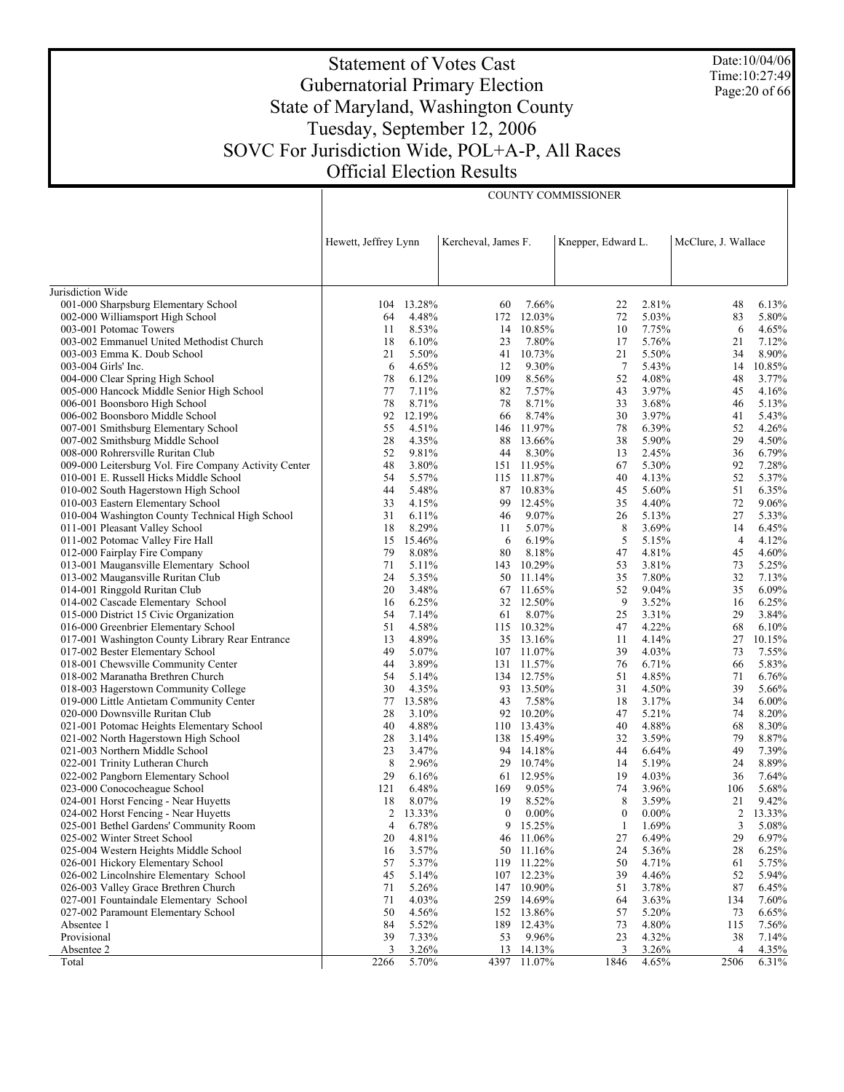# Statement of Votes Cast Gubernatorial Primary Election State of Maryland, Washington County Tuesday, September 12, 2006 SOVC For Jurisdiction Wide, POL+A-P, All Races Official Election Results

COUNTY COMMISSIONER

Date:10/04/06 Time:10:27:49 Page:20 of 66

|                                                                       | Hewett, Jeffrey Lynn |                |                  | Kercheval, James F.    |                   | Knepper, Edward L. |                | McClure, J. Wallace |
|-----------------------------------------------------------------------|----------------------|----------------|------------------|------------------------|-------------------|--------------------|----------------|---------------------|
|                                                                       |                      |                |                  |                        |                   |                    |                |                     |
| Jurisdiction Wide                                                     |                      |                |                  |                        |                   |                    |                |                     |
| 001-000 Sharpsburg Elementary School                                  | 104                  | 13.28%         | 60               | 7.66%                  | 22                | 2.81%              | 48             | 6.13%               |
| 002-000 Williamsport High School                                      | 64                   | 4.48%          | 172              | 12.03%                 | 72                | 5.03%              | 83             | 5.80%               |
| 003-001 Potomac Towers                                                | 11<br>18             | 8.53%          |                  | 14 10.85%<br>7.80%     | 10                | 7.75%<br>5.76%     | 6<br>21        | 4.65%               |
| 003-002 Emmanuel United Methodist Church                              | 21                   | 6.10%<br>5.50% | 23<br>41         | 10.73%                 | 17<br>21          | 5.50%              | 34             | 7.12%<br>8.90%      |
| 003-003 Emma K. Doub School<br>003-004 Girls' Inc.                    | 6                    | 4.65%          | 12               | 9.30%                  | $7\phantom{.0}$   | 5.43%              | 14             | 10.85%              |
| 004-000 Clear Spring High School                                      | 78                   | 6.12%          | 109              | 8.56%                  | 52                | 4.08%              | 48             | 3.77%               |
| 005-000 Hancock Middle Senior High School                             | 77                   | 7.11%          | 82               | 7.57%                  | 43                | 3.97%              | 45             | 4.16%               |
| 006-001 Boonsboro High School                                         | 78                   | 8.71%          | 78               | 8.71%                  | 33                | 3.68%              | 46             | 5.13%               |
| 006-002 Boonsboro Middle School                                       | 92                   | 12.19%         | 66               | 8.74%                  | 30                | 3.97%              | 41             | 5.43%               |
| 007-001 Smithsburg Elementary School                                  | 55                   | 4.51%          | 146              | 11.97%                 | 78                | 6.39%              | 52             | 4.26%               |
| 007-002 Smithsburg Middle School                                      | 28                   | 4.35%          | 88               | 13.66%                 | 38                | 5.90%              | 29             | 4.50%               |
| 008-000 Rohrersville Ruritan Club                                     | 52                   | 9.81%          | 44               | 8.30%                  | 13                | 2.45%              | 36             | 6.79%               |
| 009-000 Leitersburg Vol. Fire Company Activity Center                 | 48                   | 3.80%          |                  | 151 11.95%             | 67                | 5.30%              | 92             | 7.28%               |
| 010-001 E. Russell Hicks Middle School                                | 54                   | 5.57%          |                  | 115 11.87%             | 40                | 4.13%              | 52             | 5.37%               |
| 010-002 South Hagerstown High School                                  | 44                   | 5.48%          |                  | 87 10.83%              | 45                | 5.60%              | 51             | 6.35%               |
| 010-003 Eastern Elementary School                                     | 33                   | 4.15%          | 99               | 12.45%                 | 35                | 4.40%              | 72             | 9.06%               |
| 010-004 Washington County Technical High School                       | 31                   | 6.11%          | 46               | 9.07%                  | 26                | 5.13%              | 27             | 5.33%               |
| 011-001 Pleasant Valley School                                        | 18                   | 8.29%          | 11               | 5.07%                  | 8                 | 3.69%              | 14             | 6.45%               |
| 011-002 Potomac Valley Fire Hall                                      | 15                   | 15.46%         | 6                | 6.19%                  | 5                 | 5.15%              | $\overline{4}$ | 4.12%               |
| 012-000 Fairplay Fire Company                                         | 79                   | 8.08%          | 80               | 8.18%                  | 47                | 4.81%              | 45             | 4.60%               |
| 013-001 Maugansville Elementary School                                | 71                   | 5.11%          |                  | 143 10.29%             | 53                | 3.81%              | 73             | 5.25%               |
| 013-002 Maugansville Ruritan Club                                     | 24                   | 5.35%          |                  | 50 11.14%              | 35                | 7.80%              | 32             | 7.13%               |
| 014-001 Ringgold Ruritan Club                                         | 20                   | 3.48%          |                  | 67 11.65%              | 52                | 9.04%              | 35             | 6.09%               |
| 014-002 Cascade Elementary School                                     | 16                   | 6.25%          |                  | 32 12.50%              | 9                 | 3.52%              | 16             | 6.25%               |
| 015-000 District 15 Civic Organization                                | 54                   | 7.14%          | 61               | 8.07%                  | 25                | 3.31%              | 29             | 3.84%               |
| 016-000 Greenbrier Elementary School                                  | 51                   | 4.58%          |                  | 115 10.32%             | 47                | 4.22%              | 68             | 6.10%               |
| 017-001 Washington County Library Rear Entrance                       | 13                   | 4.89%          |                  | 35 13.16%              | 11                | 4.14%              | 27             | 10.15%              |
| 017-002 Bester Elementary School                                      | 49                   | 5.07%          |                  | 107 11.07%             | 39                | 4.03%              | 73             | 7.55%               |
| 018-001 Chewsville Community Center                                   | 44                   | 3.89%          |                  | 131 11.57%             | 76                | 6.71%              | 66             | 5.83%               |
| 018-002 Maranatha Brethren Church                                     | 54                   | 5.14%          |                  | 134 12.75%             | 51                | 4.85%              | 71             | 6.76%               |
| 018-003 Hagerstown Community College                                  | 30                   | 4.35%          |                  | 93 13.50%              | 31                | 4.50%              | 39             | 5.66%               |
| 019-000 Little Antietam Community Center                              | 77                   | 13.58%         | 43               | 7.58%                  | 18                | 3.17%              | 34             | $6.00\%$            |
| 020-000 Downsville Ruritan Club                                       | 28                   | 3.10%          |                  | 92 10.20%              | 47                | 5.21%              | 74             | 8.20%               |
| 021-001 Potomac Heights Elementary School                             | 40                   | 4.88%          |                  | 110 13.43%             | 40                | 4.88%              | 68             | 8.30%               |
| 021-002 North Hagerstown High School                                  | 28                   | 3.14%          |                  | 138 15.49%             | 32                | 3.59%              | 79             | 8.87%               |
| 021-003 Northern Middle School                                        | 23                   | 3.47%          |                  | 94 14.18%              | 44                | 6.64%              | 49             | 7.39%               |
| 022-001 Trinity Lutheran Church                                       | 8                    | 2.96%          |                  | 29 10.74%              | 14                | 5.19%              | 24             | 8.89%               |
| 022-002 Pangborn Elementary School                                    | 29                   | 6.16%          |                  | 61 12.95%              | 19                | 4.03%              | 36             | 7.64%               |
| 023-000 Conococheague School                                          | 121                  | 6.48%          | 169              | 9.05%                  | 74                | 3.96%              | 106            | 5.68%               |
| 024-001 Horst Fencing - Near Huyetts                                  | 18                   | 8.07%          | 19               | 8.52%                  | 8<br>$\mathbf{0}$ | 3.59%              | 21             | 9.42%               |
| 024-002 Horst Fencing - Near Huyetts                                  | 2                    | 13.33%         | $\boldsymbol{0}$ | $0.00\%$               |                   | $0.00\%$           | 2              | 13.33%              |
| 025-001 Bethel Gardens' Community Room                                | $\overline{4}$       | 6.78%          |                  | 9 15.25%               | 1<br>27           | 1.69%<br>6.49%     | 3<br>29        | 5.08%               |
| 025-002 Winter Street School<br>025-004 Western Heights Middle School | 20<br>16             | 4.81%<br>3.57% |                  | 46 11.06%<br>50 11.16% | 24                | 5.36%              | 28             | 6.97%<br>6.25%      |
| 026-001 Hickory Elementary School                                     | 57                   | 5.37%          |                  | 119 11.22%             | 50                | 4.71%              |                | 5.75%               |
| 026-002 Lincolnshire Elementary School                                | 45                   | 5.14%          |                  | 107 12.23%             | 39                | 4.46%              | 61<br>52       | 5.94%               |
| 026-003 Valley Grace Brethren Church                                  | 71                   | 5.26%          |                  | 147 10.90%             | 51                | 3.78%              | 87             | 6.45%               |
| 027-001 Fountaindale Elementary School                                | 71                   | 4.03%          |                  | 259 14.69%             | 64                | 3.63%              | 134            | 7.60%               |
| 027-002 Paramount Elementary School                                   | 50                   | 4.56%          |                  | 152 13.86%             | 57                | 5.20%              | 73             | 6.65%               |
| Absentee 1                                                            | 84                   | 5.52%          | 189              | 12.43%                 | 73                | 4.80%              | 115            | 7.56%               |
| Provisional                                                           | 39                   | 7.33%          | 53               | 9.96%                  | 23                | 4.32%              | 38             | 7.14%               |
| Absentee 2                                                            | 3                    | 3.26%          | 13               | 14.13%                 | 3                 | 3.26%              | 4              | 4.35%               |
| Total                                                                 | 2266                 | 5.70%          | 4397             | 11.07%                 | 1846              | 4.65%              | 2506           | 6.31%               |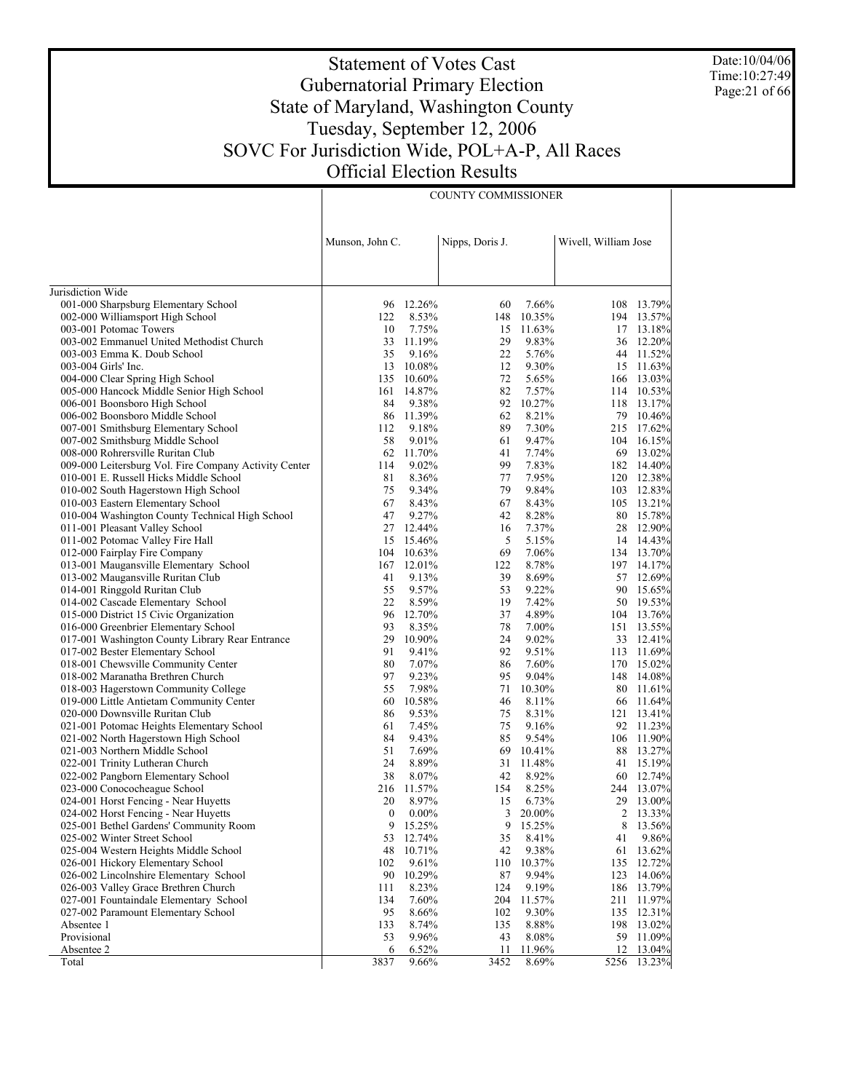Date:10/04/06 Time:10:27:49 Page:21 of 66

# Statement of Votes Cast Gubernatorial Primary Election State of Maryland, Washington County Tuesday, September 12, 2006 SOVC For Jurisdiction Wide, POL+A-P, All Races Official Election Results

COUNTY COMMISSIONER

|                                                                             | Munson, John C.       |                  | Nipps, Doris J. |                | Wivell, William Jose |                 |
|-----------------------------------------------------------------------------|-----------------------|------------------|-----------------|----------------|----------------------|-----------------|
| Jurisdiction Wide                                                           |                       |                  |                 |                |                      |                 |
| 001-000 Sharpsburg Elementary School                                        | 96                    | 12.26%           | 60              | 7.66%          |                      | 108 13.79%      |
| 002-000 Williamsport High School                                            | 122                   | 8.53%            | 148             | 10.35%         |                      | 194 13.57%      |
| 003-001 Potomac Towers                                                      | 10                    | 7.75%            | 15              | 11.63%         |                      | 17 13.18%       |
| 003-002 Emmanuel United Methodist Church                                    | 33                    | 11.19%           | 29              | 9.83%          |                      | 36 12.20%       |
| 003-003 Emma K. Doub School                                                 | 35                    | 9.16%            | 22              | 5.76%          |                      | 44 11.52%       |
| 003-004 Girls' Inc.                                                         | 13                    | 10.08%           | 12              | 9.30%          |                      | 15 11.63%       |
| 004-000 Clear Spring High School                                            | 135                   | 10.60%           | 72              | 5.65%          |                      | 166 13.03%      |
| 005-000 Hancock Middle Senior High School                                   | 161                   | 14.87%           | 82              | 7.57%          |                      | 114 10.53%      |
| 006-001 Boonsboro High School                                               | 84                    | 9.38%            | 92              | 10.27%         |                      | 118 13.17%      |
| 006-002 Boonsboro Middle School                                             | 86                    | 11.39%           | 62              | 8.21%          |                      | 79 10.46%       |
| 007-001 Smithsburg Elementary School                                        | 112                   | 9.18%            | 89              | 7.30%          |                      | 215 17.62%      |
| 007-002 Smithsburg Middle School                                            | 58                    | 9.01%            | 61              | 9.47%          | 104                  | 16.15%          |
| 008-000 Rohrersville Ruritan Club                                           | 62                    | 11.70%           | 41              | 7.74%          |                      | 69 13.02%       |
| 009-000 Leitersburg Vol. Fire Company Activity Center                       | 114                   | 9.02%            | 99              | 7.83%          |                      | 182 14.40%      |
| 010-001 E. Russell Hicks Middle School                                      | 81                    | 8.36%            | 77              | 7.95%          |                      | 120 12.38%      |
| 010-002 South Hagerstown High School                                        | 75                    | 9.34%            | 79              | 9.84%          |                      | 103 12.83%      |
| 010-003 Eastern Elementary School                                           | 67                    | 8.43%            | 67              | 8.43%          |                      | 105 13.21%      |
| 010-004 Washington County Technical High School                             | 47                    | 9.27%            | 42              | 8.28%          |                      | 80 15.78%       |
| 011-001 Pleasant Valley School                                              | 27                    | 12.44%           | 16              | 7.37%          |                      | 28 12.90%       |
| 011-002 Potomac Valley Fire Hall                                            | 15                    | 15.46%           | 5               | 5.15%          |                      | 14 14.43%       |
| 012-000 Fairplay Fire Company                                               | 104                   | 10.63%           | 69              | 7.06%          |                      | 134 13.70%      |
| 013-001 Maugansville Elementary School                                      | 167                   | 12.01%           | 122             | 8.78%          |                      | 197 14.17%      |
| 013-002 Maugansville Ruritan Club                                           | 41                    | 9.13%            | 39              | 8.69%          |                      | 57 12.69%       |
| 014-001 Ringgold Ruritan Club                                               | 55                    | 9.57%            | 53              | 9.22%          | 90                   | 15.65%          |
| 014-002 Cascade Elementary School                                           | 22                    | 8.59%            | 19              | 7.42%          |                      | 50 19.53%       |
| 015-000 District 15 Civic Organization                                      | 96                    | 12.70%           | 37              | 4.89%          |                      | 104 13.76%      |
| 016-000 Greenbrier Elementary School                                        | 93                    | 8.35%            | 78              | 7.00%          |                      | 151 13.55%      |
| 017-001 Washington County Library Rear Entrance                             | 29                    | 10.90%           | 24              | 9.02%          |                      | 33 12.41%       |
| 017-002 Bester Elementary School                                            | 91                    | 9.41%            | 92              | 9.51%          |                      | 113 11.69%      |
| 018-001 Chewsville Community Center                                         | 80                    | 7.07%            | 86              | 7.60%          |                      | 170 15.02%      |
| 018-002 Maranatha Brethren Church                                           | 97                    | 9.23%            | 95              | 9.04%          |                      | 148 14.08%      |
| 018-003 Hagerstown Community College                                        | 55                    | 7.98%            | 71              | 10.30%         | 80                   | 11.61%          |
| 019-000 Little Antietam Community Center                                    | 60                    | 10.58%           | 46              | 8.11%          | 66                   | 11.64%          |
| 020-000 Downsville Ruritan Club                                             | 86                    | 9.53%            | 75              | 8.31%          |                      | 121 13.41%      |
| 021-001 Potomac Heights Elementary School                                   | 61                    | 7.45%            | 75              | 9.16%          |                      | 92 11.23%       |
| 021-002 North Hagerstown High School                                        | 84                    | 9.43%            | 85              | 9.54%          |                      | 106 11.90%      |
| 021-003 Northern Middle School                                              | 51                    | 7.69%            | 69              | 10.41%         |                      | 88 13.27%       |
| 022-001 Trinity Lutheran Church                                             | 24                    | 8.89%            |                 | 31 11.48%      | 41                   | 15.19%          |
| 022-002 Pangborn Elementary School                                          | 38                    | 8.07%            | 42              | 8.92%          | 60                   | 12.74%          |
| 023-000 Conococheague School                                                | 216                   | 11.57%           | 154             | 8.25%          |                      | 244 13.07%      |
| 024-001 Horst Fencing - Near Huyetts                                        | 20                    | 8.97%            | 15              | 6.73%          |                      | 29 13.00%       |
| 024-002 Horst Fencing - Near Huyetts                                        | $\boldsymbol{0}$<br>9 | $0.00\%$         | 3               | 20.00%         | 2                    | 13.33%          |
| 025-001 Bethel Gardens' Community Room                                      |                       | 15.25%           | 9               | 15.25%         | 8                    | 13.56%          |
| 025-002 Winter Street School<br>025-004 Western Heights Middle School       | 53<br>48              | 12.74%<br>10.71% | 35<br>42        | 8.41%<br>9.38% | 41<br>61             | 9.86%<br>13.62% |
|                                                                             |                       |                  |                 | 10.37%         |                      | 12.72%          |
| 026-001 Hickory Elementary School<br>026-002 Lincolnshire Elementary School | 102<br>90             | 9.61%<br>10.29%  | 110<br>87       | 9.94%          | 135<br>123           | 14.06%          |
| 026-003 Valley Grace Brethren Church                                        | 111                   | 8.23%            | 124             | 9.19%          | 186                  | 13.79%          |
| 027-001 Fountaindale Elementary School                                      | 134                   | 7.60%            | 204             | 11.57%         | 211                  | 11.97%          |
| 027-002 Paramount Elementary School                                         | 95                    | 8.66%            | 102             | 9.30%          | 135                  | 12.31%          |
| Absentee 1                                                                  | 133                   | 8.74%            | 135             | 8.88%          | 198                  | 13.02%          |
| Provisional                                                                 | 53                    | 9.96%            | 43              | 8.08%          | 59                   | 11.09%          |
| Absentee 2                                                                  | 6                     | 6.52%            | 11              | 11.96%         | 12                   | 13.04%          |
| Total                                                                       | 3837                  | 9.66%            | 3452            | 8.69%          | 5256                 | 13.23%          |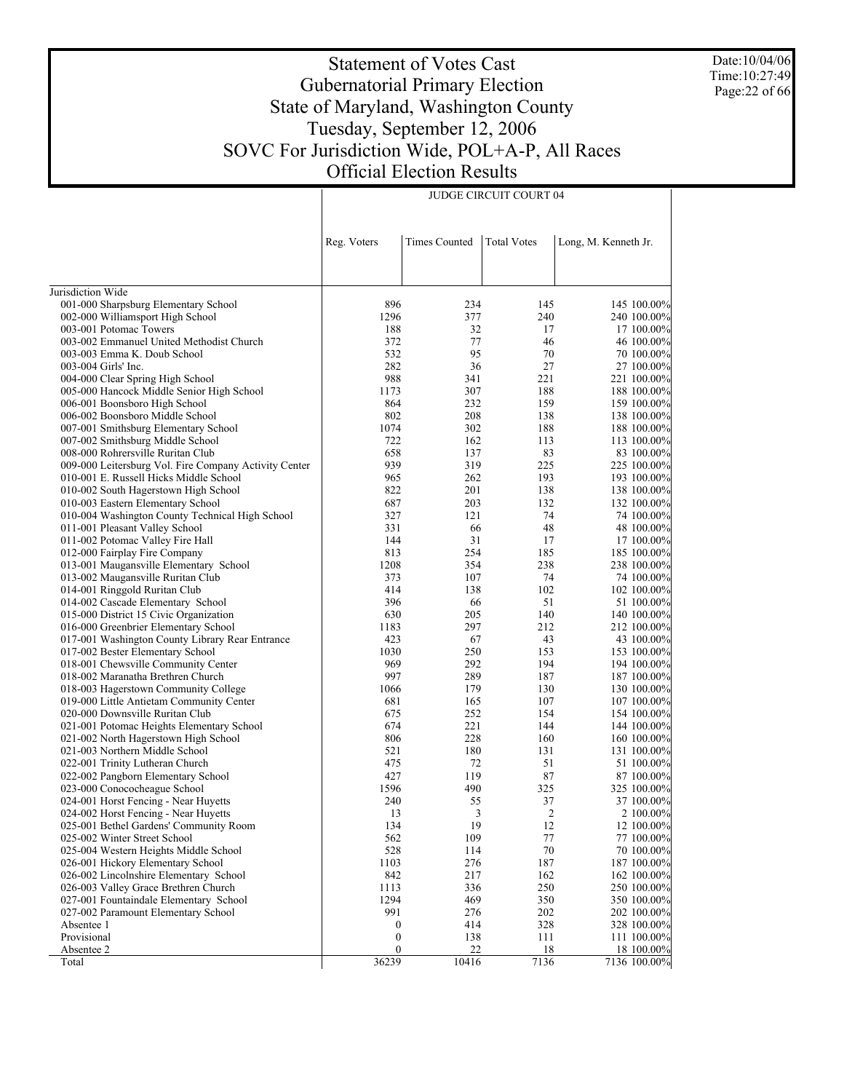Date:10/04/06 Time:10:27:49 Page:22 of 66

# Statement of Votes Cast Gubernatorial Primary Election State of Maryland, Washington County Tuesday, September 12, 2006 SOVC For Jurisdiction Wide, POL+A-P, All Races Official Election Results

JUDGE CIRCUIT COURT 04

|                                                                               | Reg. Voters      | <b>Times Counted</b> | <b>Total Votes</b> | Long, M. Kenneth Jr.       |
|-------------------------------------------------------------------------------|------------------|----------------------|--------------------|----------------------------|
|                                                                               |                  |                      |                    |                            |
| Jurisdiction Wide                                                             |                  |                      |                    |                            |
| 001-000 Sharpsburg Elementary School                                          | 896              | 234                  | 145                | 145 100.00%                |
| 002-000 Williamsport High School                                              | 1296             | 377                  | 240                | 240 100.00%                |
| 003-001 Potomac Towers                                                        | 188              | 32                   | 17                 | 17 100.00%                 |
| 003-002 Emmanuel United Methodist Church                                      | 372              | 77<br>95             | 46                 | 46 100.00%                 |
| 003-003 Emma K. Doub School                                                   | 532<br>282       | 36                   | 70<br>27           | 70 100.00%                 |
| 003-004 Girls' Inc.                                                           | 988              | 341                  | 221                | 27 100.00%<br>221 100.00%  |
| 004-000 Clear Spring High School<br>005-000 Hancock Middle Senior High School | 1173             | 307                  | 188                | 188 100.00%                |
| 006-001 Boonsboro High School                                                 | 864              | 232                  | 159                | 159 100.00%                |
| 006-002 Boonsboro Middle School                                               | 802              | 208                  | 138                | 138 100.00%                |
| 007-001 Smithsburg Elementary School                                          | 1074             | 302                  | 188                | 188 100.00%                |
| 007-002 Smithsburg Middle School                                              | 722              | 162                  | 113                | 113 100.00%                |
| 008-000 Rohrersville Ruritan Club                                             | 658              | 137                  | 83                 | 83 100.00%                 |
| 009-000 Leitersburg Vol. Fire Company Activity Center                         | 939              | 319                  | 225                | 225 100.00%                |
| 010-001 E. Russell Hicks Middle School                                        | 965              | 262                  | 193                | 193 100.00%                |
| 010-002 South Hagerstown High School                                          | 822              | 201                  | 138                | 138 100.00%                |
| 010-003 Eastern Elementary School                                             | 687              | 203                  | 132                | 132 100.00%                |
| 010-004 Washington County Technical High School                               | 327              | 121                  | 74                 | 74 100.00%                 |
| 011-001 Pleasant Valley School                                                | 331              | 66                   | 48                 | 48 100.00%                 |
| 011-002 Potomac Valley Fire Hall                                              | 144              | 31                   | 17                 | 17 100.00%                 |
| 012-000 Fairplay Fire Company                                                 | 813              | 254                  | 185                | 185 100.00%                |
| 013-001 Maugansville Elementary School                                        | 1208             | 354                  | 238                | 238 100.00%                |
| 013-002 Maugansville Ruritan Club                                             | 373              | 107                  | 74                 | 74 100.00%                 |
| 014-001 Ringgold Ruritan Club                                                 | 414              | 138                  | 102                | 102 100.00%                |
| 014-002 Cascade Elementary School                                             | 396              | 66                   | 51                 | 51 100.00%                 |
| 015-000 District 15 Civic Organization                                        | 630              | 205                  | 140                | 140 100.00%                |
| 016-000 Greenbrier Elementary School                                          | 1183             | 297                  | 212                | 212 100.00%                |
| 017-001 Washington County Library Rear Entrance                               | 423              | 67                   | 43                 | 43 100.00%                 |
| 017-002 Bester Elementary School                                              | 1030             | 250                  | 153                | 153 100.00%                |
| 018-001 Chewsville Community Center                                           | 969              | 292                  | 194                | 194 100.00%                |
| 018-002 Maranatha Brethren Church                                             | 997              | 289                  | 187                | 187 100.00%                |
| 018-003 Hagerstown Community College                                          | 1066             | 179                  | 130                | 130 100.00%                |
| 019-000 Little Antietam Community Center                                      | 681              | 165                  | 107                | 107 100.00%                |
| 020-000 Downsville Ruritan Club<br>021-001 Potomac Heights Elementary School  | 675<br>674       | 252<br>221           | 154<br>144         | 154 100.00%<br>144 100.00% |
| 021-002 North Hagerstown High School                                          | 806              | 228                  | 160                | 160 100.00%                |
| 021-003 Northern Middle School                                                | 521              | 180                  | 131                | 131 100.00%                |
| 022-001 Trinity Lutheran Church                                               | 475              | 72                   | 51                 | 51 100.00%                 |
| 022-002 Pangborn Elementary School                                            | 427              | 119                  | 87                 | 87 100.00%                 |
| 023-000 Conococheague School                                                  | 1596             | 490                  | 325                | 325 100.00%                |
| 024-001 Horst Fencing - Near Huyetts                                          | 240              | 55                   | 37                 | 37 100.00%                 |
| 024-002 Horst Fencing - Near Huyetts                                          | 13               | 3                    | $\overline{2}$     | 2 100.00%                  |
| 025-001 Bethel Gardens' Community Room                                        | 134              | 19                   | 12                 | 12 100.00%                 |
| 025-002 Winter Street School                                                  | 562              | 109                  | $77 \,$            | 77 100.00%                 |
| 025-004 Western Heights Middle School                                         | 528              | 114                  | $70\,$             | 70 100.00%                 |
| 026-001 Hickory Elementary School                                             | 1103             | 276                  | 187                | 187 100.00%                |
| 026-002 Lincolnshire Elementary School                                        | 842              | 217                  | 162                | 162 100.00%                |
| 026-003 Valley Grace Brethren Church                                          | 1113             | 336                  | 250                | 250 100.00%                |
| 027-001 Fountaindale Elementary School                                        | 1294             | 469                  | 350                | 350 100.00%                |
| 027-002 Paramount Elementary School                                           | 991              | 276                  | 202                | 202 100.00%                |
| Absentee 1                                                                    | $\boldsymbol{0}$ | 414                  | 328                | 328 100.00%                |
| Provisional                                                                   | $\boldsymbol{0}$ | 138                  | 111                | 111 100.00%                |
| Absentee 2                                                                    | $\boldsymbol{0}$ | 22                   | 18                 | 18 100.00%                 |
| Total                                                                         | 36239            | 10416                | 7136               | 7136 100.00%               |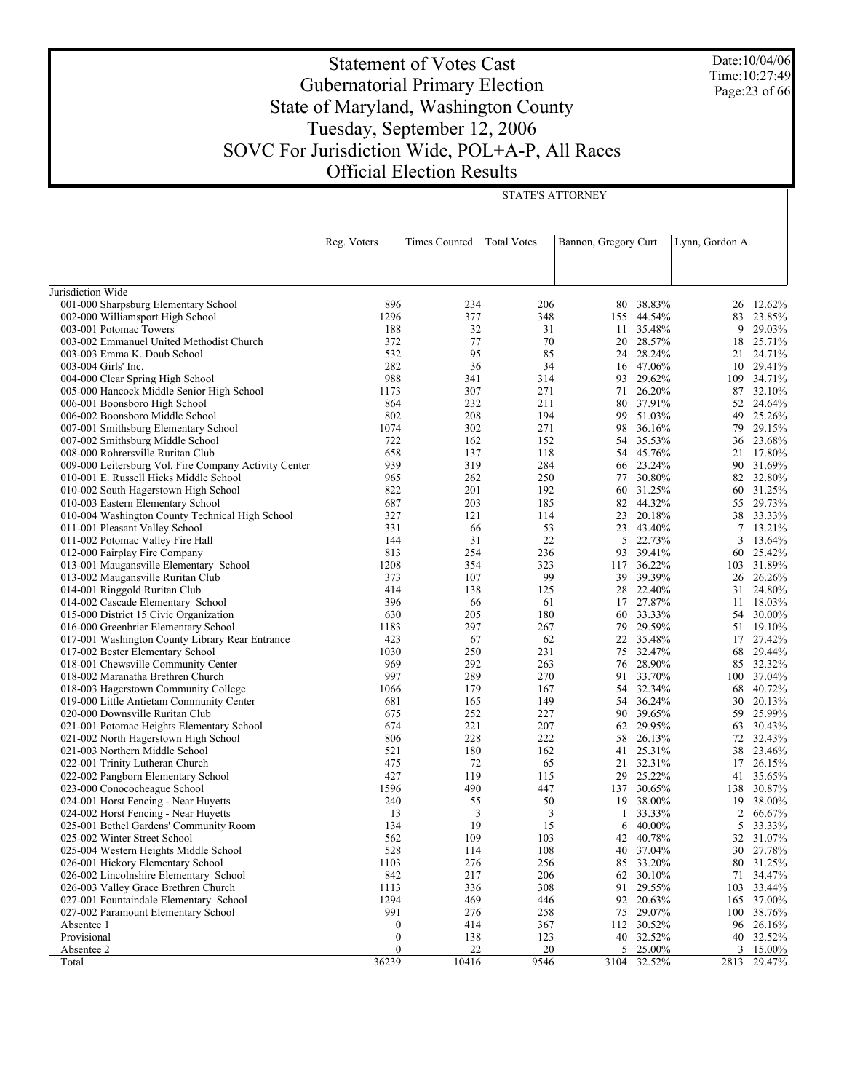Statement of Votes Cast Gubernatorial Primary Election State of Maryland, Washington County Tuesday, September 12, 2006 SOVC For Jurisdiction Wide, POL+A-P, All Races Official Election Results

STATE'S ATTORNEY

| Date:10/04/06    |
|------------------|
| Time: 10:27:49   |
| Page: $23$ of 66 |

|                                                       | Reg. Voters      | <b>Times Counted</b> | <b>Total Votes</b> | Bannon, Gregory Curt |             | Lynn, Gordon A. |           |
|-------------------------------------------------------|------------------|----------------------|--------------------|----------------------|-------------|-----------------|-----------|
|                                                       |                  |                      |                    |                      |             |                 |           |
| Jurisdiction Wide                                     |                  |                      |                    |                      |             |                 |           |
| 001-000 Sharpsburg Elementary School                  | 896              | 234                  | 206                | 80                   | 38.83%      | 26              | 12.62%    |
| 002-000 Williamsport High School                      | 1296             | 377                  | 348                |                      | 155 44.54%  | 83              | 23.85%    |
| 003-001 Potomac Towers                                | 188              | 32                   | 31                 |                      | 11 35.48%   | 9               | 29.03%    |
| 003-002 Emmanuel United Methodist Church              | 372              | 77                   | 70                 | 20                   | 28.57%      | 18              | 25.71%    |
| 003-003 Emma K. Doub School                           | 532              | 95                   | 85                 |                      | 24 28.24%   | 21              | 24.71%    |
| 003-004 Girls' Inc.                                   | 282              | 36                   | 34                 |                      | 16 47.06%   | 10              | 29.41%    |
| 004-000 Clear Spring High School                      | 988              | 341                  | 314                |                      | 93 29.62%   | 109             | 34.71%    |
| 005-000 Hancock Middle Senior High School             | 1173             | 307                  | 271                | 71                   | 26.20%      | 87              | 32.10%    |
| 006-001 Boonsboro High School                         | 864              | 232                  | 211                | 80                   | 37.91%      | 52              | 24.64%    |
| 006-002 Boonsboro Middle School                       | 802              | 208                  | 194                | 99                   | 51.03%      | 49              | 25.26%    |
| 007-001 Smithsburg Elementary School                  | 1074             | 302                  | 271                | 98                   | 36.16%      | 79              | 29.15%    |
| 007-002 Smithsburg Middle School                      | 722              | 162                  | 152                | 54                   | 35.53%      | 36              | 23.68%    |
| 008-000 Rohrersville Ruritan Club                     | 658              | 137                  | 118                |                      | 54 45.76%   | 21              | 17.80%    |
| 009-000 Leitersburg Vol. Fire Company Activity Center | 939              | 319                  | 284                |                      | 66 23.24%   | 90              | 31.69%    |
| 010-001 E. Russell Hicks Middle School                | 965              | 262                  | 250                | 77                   | 30.80%      | 82              | 32.80%    |
| 010-002 South Hagerstown High School                  | 822              | 201                  | 192                | 60                   | 31.25%      | 60              | 31.25%    |
| 010-003 Eastern Elementary School                     | 687              | 203                  | 185                | 82                   | 44.32%      | 55              | 29.73%    |
| 010-004 Washington County Technical High School       | 327              | 121                  | 114                | 23                   | 20.18%      |                 | 38 33.33% |
| 011-001 Pleasant Valley School                        | 331              | 66                   | 53                 | 23                   | 43.40%      | 7               | 13.21%    |
| 011-002 Potomac Valley Fire Hall                      | 144              | 31                   | 22                 | 5                    | 22.73%      | 3               | 13.64%    |
| 012-000 Fairplay Fire Company                         | 813              | 254                  | 236                | 93                   | 39.41%      | 60              | 25.42%    |
| 013-001 Maugansville Elementary School                | 1208             | 354                  | 323                | 117                  | 36.22%      | 103             | 31.89%    |
| 013-002 Maugansville Ruritan Club                     | 373              | 107                  | 99                 |                      | 39 39.39%   | 26              | 26.26%    |
| 014-001 Ringgold Ruritan Club                         | 414              | 138                  | 125                | 28                   | 22.40%      | 31              | 24.80%    |
| 014-002 Cascade Elementary School                     | 396              | 66                   | 61                 | 17                   | 27.87%      | 11              | 18.03%    |
| 015-000 District 15 Civic Organization                | 630              | 205                  | 180                | 60                   | 33.33%      | 54              | 30.00%    |
| 016-000 Greenbrier Elementary School                  | 1183             | 297                  | 267                | 79                   | 29.59%      |                 | 51 19.10% |
| 017-001 Washington County Library Rear Entrance       | 423              | 67                   | 62                 | 22                   | 35.48%      | 17              | 27.42%    |
| 017-002 Bester Elementary School                      | 1030             | 250                  | 231                | 75                   | 32.47%      | 68              | 29.44%    |
| 018-001 Chewsville Community Center                   | 969              | 292                  | 263                | 76                   | 28.90%      | 85              | 32.32%    |
| 018-002 Maranatha Brethren Church                     | 997              | 289                  | 270                | 91                   | 33.70%      | 100             | 37.04%    |
| 018-003 Hagerstown Community College                  | 1066             | 179                  | 167                | 54                   | 32.34%      | 68              | 40.72%    |
| 019-000 Little Antietam Community Center              | 681              | 165                  | 149                | 54                   | 36.24%      | 30              | 20.13%    |
| 020-000 Downsville Ruritan Club                       | 675              | 252                  | 227                | 90                   | 39.65%      | 59              | 25.99%    |
| 021-001 Potomac Heights Elementary School             | 674              | 221                  | 207                | 62                   | 29.95%      | 63              | 30.43%    |
| 021-002 North Hagerstown High School                  | 806              | 228                  | 222                | 58                   | 26.13%      | 72              | 32.43%    |
| 021-003 Northern Middle School                        | 521              | 180                  | 162                |                      | 41 25.31%   | 38              | 23.46%    |
| 022-001 Trinity Lutheran Church                       | 475              | 72                   | 65                 |                      | 21 32.31%   | 17              | 26.15%    |
| 022-002 Pangborn Elementary School                    | 427              | 119                  | 115                |                      | 29 25.22%   | 41              | 35.65%    |
| 023-000 Conococheague School                          | 1596             | 490                  | 447                | 137                  | 30.65%      | 138             | 30.87%    |
| 024-001 Horst Fencing - Near Huyetts                  | 240              | 55                   | 50                 |                      | 19 38.00%   |                 | 19 38.00% |
| 024-002 Horst Fencing - Near Huyetts                  | 13               | 3                    | 3                  | 1                    | 33.33%      | 2               | 66.67%    |
| 025-001 Bethel Gardens' Community Room                | 134              | 19                   | 15                 | 6                    | 40.00%      | 5               | 33.33%    |
| 025-002 Winter Street School                          | 562              | 109                  | 103                |                      | 42 40.78%   |                 | 32 31.07% |
| 025-004 Western Heights Middle School                 | 528              | 114                  | 108                |                      | 40 37.04%   | 30              | 27.78%    |
| 026-001 Hickory Elementary School                     | 1103             | 276                  | 256                |                      | 85 33.20%   | 80              | 31.25%    |
| 026-002 Lincolnshire Elementary School                | 842              | 217                  | 206                | 62                   | 30.10%      | 71              | 34.47%    |
| 026-003 Valley Grace Brethren Church                  | 1113             | 336                  | 308                | 91                   | 29.55%      | 103             | 33.44%    |
| 027-001 Fountaindale Elementary School                | 1294             | 469                  | 446                | 92                   | 20.63%      | 165             | 37.00%    |
| 027-002 Paramount Elementary School                   | 991              | 276                  | 258                | 75                   | 29.07%      | 100             | 38.76%    |
| Absentee 1                                            | $\boldsymbol{0}$ | 414                  | 367                | 112                  | 30.52%      | 96              | 26.16%    |
| Provisional                                           | $\boldsymbol{0}$ | 138                  | 123                |                      | 40 32.52%   |                 | 40 32.52% |
| Absentee 2                                            | $\boldsymbol{0}$ | 22                   | 20                 |                      | 5 25.00%    | 3               | 15.00%    |
| Total                                                 | 36239            | 10416                | 9546               |                      | 3104 32.52% | 2813            | 29.47%    |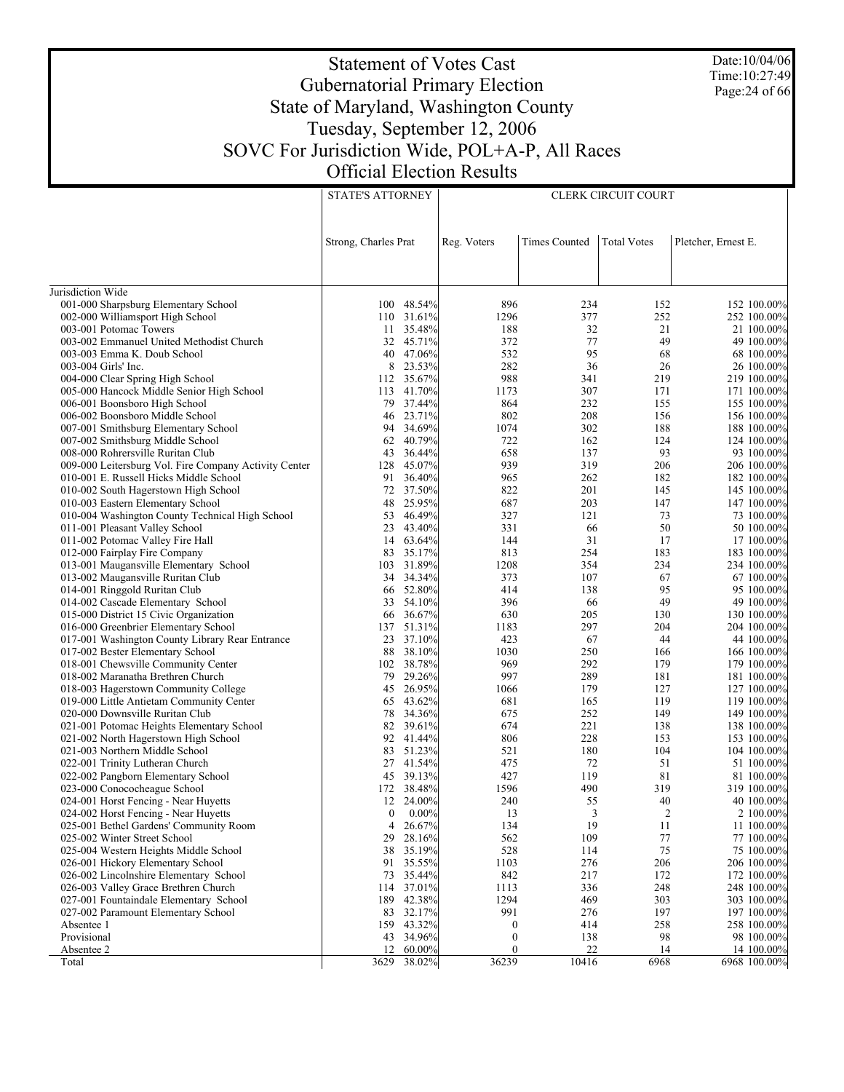Date:10/04/06 Time:10:27:49 Page:24 of 66

#### Statement of Votes Cast Gubernatorial Primary Election State of Maryland, Washington County Tuesday, September 12, 2006 SOVC For Jurisdiction Wide, POL+A-P, All Races Official Election Results STATE'S ATTORNEY

|                                                                              | <b>STATE'S ATTORNEY</b> |                  | <b>CLERK CIRCUIT COURT</b> |                      |                    |                     |                           |
|------------------------------------------------------------------------------|-------------------------|------------------|----------------------------|----------------------|--------------------|---------------------|---------------------------|
|                                                                              |                         |                  |                            |                      |                    |                     |                           |
|                                                                              |                         |                  |                            |                      |                    |                     |                           |
|                                                                              |                         |                  |                            |                      |                    |                     |                           |
|                                                                              | Strong, Charles Prat    |                  | Reg. Voters                | <b>Times Counted</b> | <b>Total Votes</b> | Pletcher, Ernest E. |                           |
|                                                                              |                         |                  |                            |                      |                    |                     |                           |
|                                                                              |                         |                  |                            |                      |                    |                     |                           |
| Jurisdiction Wide                                                            |                         |                  |                            |                      |                    |                     |                           |
| 001-000 Sharpsburg Elementary School                                         |                         | 100 48.54%       | 896                        | 234                  | 152                |                     | 152 100.00%               |
| 002-000 Williamsport High School                                             | 110                     | 31.61%           | 1296                       | 377                  | 252                |                     | 252 100.00%               |
| 003-001 Potomac Towers                                                       | 11                      | 35.48%           | 188                        | 32                   | 21                 |                     | 21 100.00%                |
| 003-002 Emmanuel United Methodist Church                                     | 32                      | 45.71%           | 372                        | 77                   | 49                 |                     | 49 100,00%                |
| 003-003 Emma K. Doub School                                                  | 40                      | 47.06%           | 532                        | 95                   | 68                 |                     | 68 100.00%                |
| 003-004 Girls' Inc.                                                          | 8                       | 23.53%           | 282                        | 36                   | 26                 |                     | 26 100.00%                |
| 004-000 Clear Spring High School                                             | 112                     | 35.67%           | 988                        | 341                  | 219                |                     | 219 100.00%               |
| 005-000 Hancock Middle Senior High School                                    | 113                     | 41.70%           | 1173                       | 307                  | 171                |                     | 171 100.00%               |
| 006-001 Boonsboro High School                                                | 79                      | 37.44%           | 864                        | 232                  | 155                |                     | 155 100.00%               |
| 006-002 Boonsboro Middle School                                              | 46                      | 23.71%           | 802                        | 208                  | 156                |                     | 156 100.00%               |
| 007-001 Smithsburg Elementary School                                         | 94                      | 34.69%           | 1074                       | 302                  | 188                |                     | 188 100.00%               |
| 007-002 Smithsburg Middle School                                             | 62                      | 40.79%           | 722                        | 162                  | 124                |                     | 124 100.00%               |
| 008-000 Rohrersville Ruritan Club                                            | 43                      | 36.44%           | 658                        | 137                  | 93                 |                     | 93 100.00%                |
| 009-000 Leitersburg Vol. Fire Company Activity Center                        | 128                     | 45.07%           | 939                        | 319                  | 206                |                     | 206 100.00%               |
| 010-001 E. Russell Hicks Middle School                                       | 91                      | 36.40%           | 965                        | 262                  | 182                |                     | 182 100.00%               |
| 010-002 South Hagerstown High School                                         | 72                      | 37.50%           | 822                        | 201                  | 145                |                     | 145 100.00%               |
| 010-003 Eastern Elementary School                                            | 48                      | 25.95%           | 687                        | 203                  | 147                |                     | 147 100.00%               |
| 010-004 Washington County Technical High School                              | 53                      | 46.49%           | 327                        | 121                  | 73                 |                     | 73 100.00%                |
| 011-001 Pleasant Valley School                                               | 23                      | 43.40%           | 331                        | 66                   | 50                 |                     | 50 100.00%                |
| 011-002 Potomac Valley Fire Hall                                             | 14                      | 63.64%           | 144                        | 31                   | 17                 |                     | 17 100.00%                |
| 012-000 Fairplay Fire Company                                                | 83<br>103               | 35.17%<br>31.89% | 813                        | 254<br>354           | 183<br>234         |                     | 183 100.00%               |
| 013-001 Maugansville Elementary School<br>013-002 Maugansville Ruritan Club  | 34                      | 34.34%           | 1208<br>373                | 107                  | 67                 |                     | 234 100.00%<br>67 100.00% |
| 014-001 Ringgold Ruritan Club                                                | 66                      | 52.80%           | 414                        | 138                  | 95                 |                     | 95 100.00%                |
| 014-002 Cascade Elementary School                                            | 33                      | 54.10%           | 396                        | 66                   | 49                 |                     | 49 100.00%                |
| 015-000 District 15 Civic Organization                                       | 66                      | 36.67%           | 630                        | 205                  | 130                |                     | 130 100.00%               |
| 016-000 Greenbrier Elementary School                                         | 137                     | 51.31%           | 1183                       | 297                  | 204                |                     | 204 100.00%               |
| 017-001 Washington County Library Rear Entrance                              | 23                      | 37.10%           | 423                        | 67                   | 44                 |                     | 44 100.00%                |
| 017-002 Bester Elementary School                                             | 88                      | 38.10%           | 1030                       | 250                  | 166                |                     | 166 100.00%               |
| 018-001 Chewsville Community Center                                          | 102                     | 38.78%           | 969                        | 292                  | 179                |                     | 179 100.00%               |
| 018-002 Maranatha Brethren Church                                            | 79                      | 29.26%           | 997                        | 289                  | 181                |                     | 181 100.00%               |
| 018-003 Hagerstown Community College                                         | 45                      | 26.95%           | 1066                       | 179                  | 127                |                     | 127 100.00%               |
| 019-000 Little Antietam Community Center                                     | 65                      | 43.62%           | 681                        | 165                  | 119                |                     | 119 100.00%               |
| 020-000 Downsville Ruritan Club                                              | 78                      | 34.36%           | 675                        | 252                  | 149                |                     | 149 100.00%               |
| 021-001 Potomac Heights Elementary School                                    | 82                      | 39.61%           | 674                        | 221                  | 138                |                     | 138 100.00%               |
| 021-002 North Hagerstown High School                                         | 92                      | 41.44%           | 806                        | 228                  | 153                |                     | 153 100.00%               |
| 021-003 Northern Middle School                                               | 83                      | 51.23%           | 521                        | 180                  | 104                |                     | 104 100.00%               |
| 022-001 Trinity Lutheran Church                                              | 27                      | 41.54%           | 475                        | 72                   | 51                 |                     | 51 100.00%                |
| 022-002 Pangborn Elementary School                                           | 45                      | 39.13%           | 427                        | 119                  | 81                 |                     | 81 100.00%                |
| 023-000 Conococheague School                                                 | 172<br>12               | 38.48%           | 1596                       | 490                  | 319<br>40          |                     | 319 100.00%               |
| 024-001 Horst Fencing - Near Huyetts<br>024-002 Horst Fencing - Near Huyetts | $\boldsymbol{0}$        | 24.00%<br>0.00%  | 240<br>13                  | 55<br>3              | $\boldsymbol{2}$   |                     | 40 100.00%<br>2 100.00%   |
| 025-001 Bethel Gardens' Community Room                                       | $\overline{4}$          | 26.67%           | 134                        | 19                   | 11                 |                     | 11 100.00%                |
| 025-002 Winter Street School                                                 | 29                      | 28.16%           | 562                        | 109                  | 77                 |                     | 77 100.00%                |
| 025-004 Western Heights Middle School                                        | 38                      | 35.19%           | 528                        | 114                  | 75                 |                     | 75 100.00%                |
| 026-001 Hickory Elementary School                                            | 91                      | 35.55%           | 1103                       | 276                  | 206                |                     | 206 100.00%               |
| 026-002 Lincolnshire Elementary School                                       | 73                      | 35.44%           | 842                        | 217                  | 172                |                     | 172 100.00%               |
| 026-003 Valley Grace Brethren Church                                         | 114                     | 37.01%           | 1113                       | 336                  | 248                |                     | 248 100.00%               |
| 027-001 Fountaindale Elementary School                                       | 189                     | 42.38%           | 1294                       | 469                  | 303                |                     | 303 100.00%               |
| 027-002 Paramount Elementary School                                          | 83                      | 32.17%           | 991                        | 276                  | 197                |                     | 197 100.00%               |
| Absentee 1                                                                   | 159                     | 43.32%           | $\boldsymbol{0}$           | 414                  | 258                |                     | 258 100.00%               |
| Provisional                                                                  | 43                      | 34.96%           | $\boldsymbol{0}$           | 138                  | 98                 |                     | 98 100.00%                |
| Absentee 2                                                                   | 12                      | 60.00%           | 0                          | 22                   | 14                 |                     | 14 100.00%                |
| Total                                                                        | 3629                    | 38.02%           | 36239                      | 10416                | 6968               |                     | 6968 100.00%              |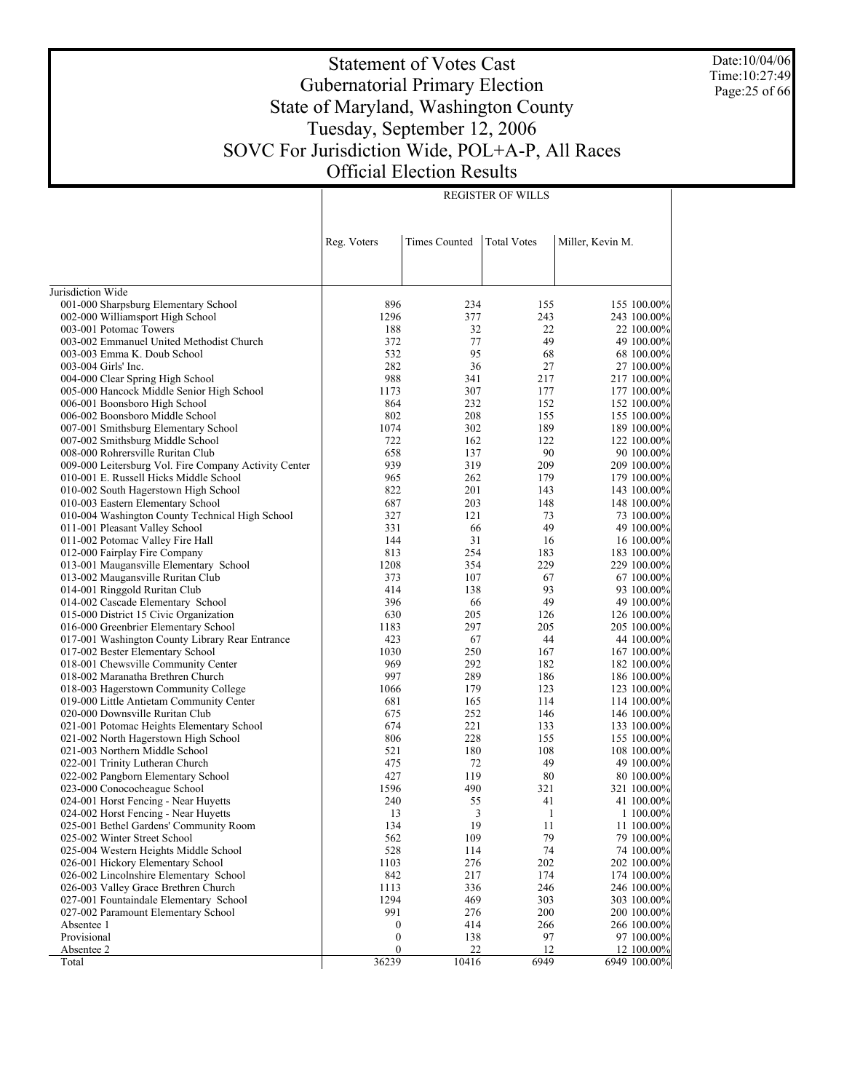Date:10/04/06 Time:10:27:49 Page:25 of 66

# Statement of Votes Cast Gubernatorial Primary Election State of Maryland, Washington County Tuesday, September 12, 2006 SOVC For Jurisdiction Wide, POL+A-P, All Races Official Election Results

REGISTER OF WILLS

|                                                                                         | Reg. Voters               | <b>Times Counted</b> | <b>Total Votes</b> | Miller, Kevin M.           |
|-----------------------------------------------------------------------------------------|---------------------------|----------------------|--------------------|----------------------------|
|                                                                                         |                           |                      |                    |                            |
| Jurisdiction Wide                                                                       |                           |                      |                    |                            |
| 001-000 Sharpsburg Elementary School                                                    | 896                       | 234                  | 155                | 155 100.00%                |
| 002-000 Williamsport High School                                                        | 1296                      | 377                  | 243                | 243 100.00%                |
| 003-001 Potomac Towers                                                                  | 188                       | 32                   | 22                 | 22 100.00%                 |
| 003-002 Emmanuel United Methodist Church                                                | 372                       | 77                   | 49                 | 49 100.00%                 |
| 003-003 Emma K. Doub School                                                             | 532                       | 95                   | 68                 | 68 100.00%                 |
| 003-004 Girls' Inc.                                                                     | 282                       | 36                   | 27                 | 27 100.00%                 |
| 004-000 Clear Spring High School                                                        | 988                       | 341                  | 217                | 217 100.00%                |
| 005-000 Hancock Middle Senior High School                                               | 1173                      | 307                  | 177                | 177 100.00%                |
| 006-001 Boonsboro High School                                                           | 864                       | 232                  | 152                | 152 100.00%                |
| 006-002 Boonsboro Middle School                                                         | 802                       | 208                  | 155                | 155 100.00%                |
| 007-001 Smithsburg Elementary School                                                    | 1074                      | 302                  | 189                | 189 100.00%                |
| 007-002 Smithsburg Middle School                                                        | 722                       | 162                  | 122                | 122 100.00%                |
| 008-000 Rohrersville Ruritan Club                                                       | 658                       | 137                  | 90                 | 90 100.00%                 |
| 009-000 Leitersburg Vol. Fire Company Activity Center                                   | 939                       | 319                  | 209                | 209 100.00%                |
| 010-001 E. Russell Hicks Middle School                                                  | 965                       | 262                  | 179                | 179 100.00%                |
| 010-002 South Hagerstown High School                                                    | 822                       | 201                  | 143                | 143 100.00%                |
| 010-003 Eastern Elementary School                                                       | 687                       | 203                  | 148                | 148 100.00%                |
| 010-004 Washington County Technical High School                                         | 327                       | 121                  | 73                 | 73 100.00%                 |
| 011-001 Pleasant Valley School                                                          | 331                       | 66                   | 49                 | 49 100.00%                 |
| 011-002 Potomac Valley Fire Hall                                                        | 144                       | 31                   | 16                 | 16 100.00%                 |
| 012-000 Fairplay Fire Company                                                           | 813                       | 254                  | 183                | 183 100.00%                |
| 013-001 Maugansville Elementary School                                                  | 1208                      | 354                  | 229                | 229 100.00%                |
| 013-002 Maugansville Ruritan Club                                                       | 373                       | 107                  | 67                 | 67 100.00%                 |
| 014-001 Ringgold Ruritan Club<br>014-002 Cascade Elementary School                      | 414<br>396                | 138                  | 93<br>49           | 93 100.00%                 |
|                                                                                         |                           | 66                   |                    | 49 100.00%                 |
| 015-000 District 15 Civic Organization                                                  | 630<br>1183               | 205<br>297           | 126<br>205         | 126 100.00%                |
| 016-000 Greenbrier Elementary School<br>017-001 Washington County Library Rear Entrance | 423                       | 67                   | 44                 | 205 100.00%<br>44 100.00%  |
| 017-002 Bester Elementary School                                                        | 1030                      | 250                  | 167                | 167 100.00%                |
| 018-001 Chewsville Community Center                                                     | 969                       | 292                  | 182                | 182 100.00%                |
| 018-002 Maranatha Brethren Church                                                       | 997                       | 289                  | 186                | 186 100.00%                |
| 018-003 Hagerstown Community College                                                    | 1066                      | 179                  | 123                | 123 100.00%                |
| 019-000 Little Antietam Community Center                                                | 681                       | 165                  | 114                | 114 100.00%                |
| 020-000 Downsville Ruritan Club                                                         | 675                       | 252                  | 146                | 146 100.00%                |
| 021-001 Potomac Heights Elementary School                                               | 674                       | 221                  | 133                | 133 100.00%                |
| 021-002 North Hagerstown High School                                                    | 806                       | 228                  | 155                | 155 100.00%                |
| 021-003 Northern Middle School                                                          | 521                       | 180                  | 108                | 108 100.00%                |
| 022-001 Trinity Lutheran Church                                                         | 475                       | 72                   | 49                 | 49 100.00%                 |
| 022-002 Pangborn Elementary School                                                      | 427                       | 119                  | 80                 | 80 100.00%                 |
| 023-000 Conococheague School                                                            | 1596                      | 490                  | 321                | 321 100.00%                |
| 024-001 Horst Fencing - Near Huyetts                                                    | 240                       | 55                   | 41                 | 41 100.00%                 |
| 024-002 Horst Fencing - Near Huyetts                                                    | 13                        | 3                    | 1                  | 1 100.00%                  |
| 025-001 Bethel Gardens' Community Room                                                  | 134                       | 19                   | 11                 | 11 100.00%                 |
| 025-002 Winter Street School                                                            | 562                       | 109                  | 79                 | 79 100.00%                 |
| 025-004 Western Heights Middle School                                                   | 528                       | 114                  | 74                 | 74 100.00%                 |
| 026-001 Hickory Elementary School                                                       | 1103                      | 276                  | 202                | 202 100.00%                |
| 026-002 Lincolnshire Elementary School                                                  | 842                       | 217                  | 174                | 174 100.00%                |
| 026-003 Valley Grace Brethren Church                                                    | 1113                      | 336                  | 246                | 246 100.00%                |
| 027-001 Fountaindale Elementary School                                                  | 1294                      | 469                  | 303                | 303 100.00%                |
| 027-002 Paramount Elementary School                                                     | 991                       | 276                  | 200                | 200 100.00%                |
| Absentee 1                                                                              | $\boldsymbol{0}$          | 414                  | 266                | 266 100.00%                |
| Provisional                                                                             | $\boldsymbol{0}$          | 138                  | 97                 | 97 100.00%                 |
| Absentee 2                                                                              | $\boldsymbol{0}$<br>36239 | 22<br>10416          | 12<br>6949         | 12 100.00%<br>6949 100.00% |
| Total                                                                                   |                           |                      |                    |                            |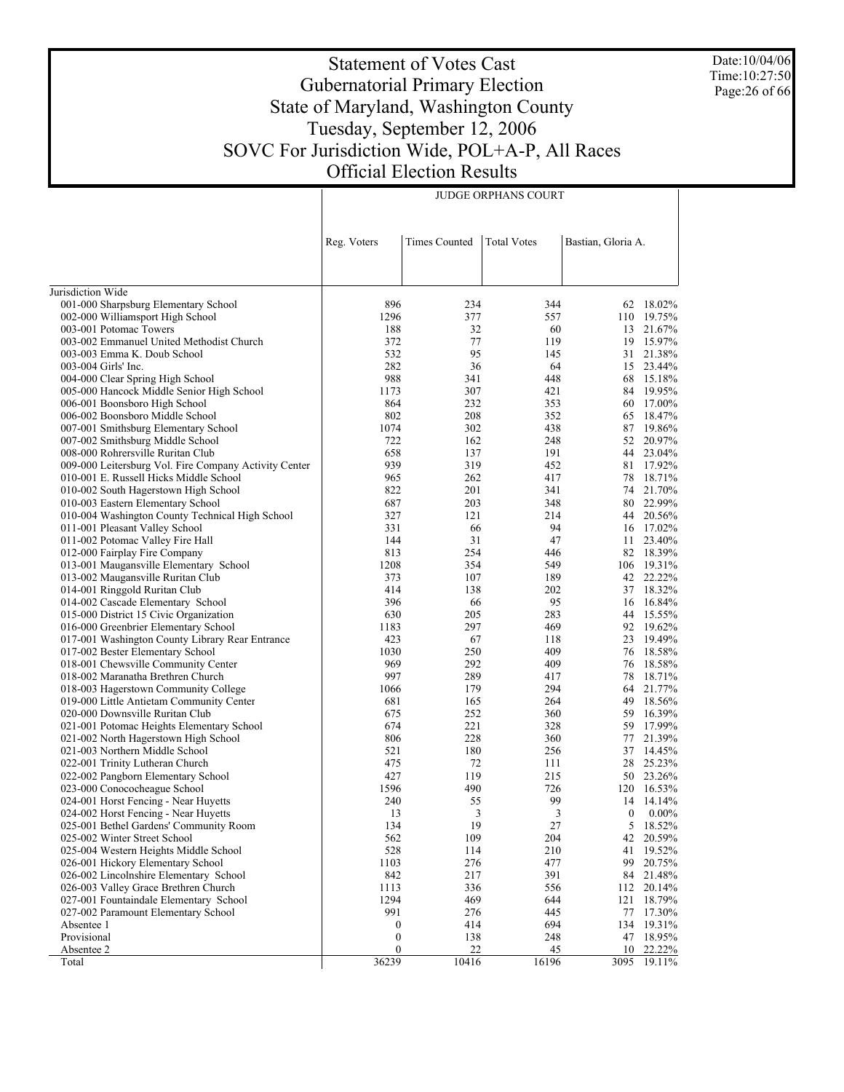Date:10/04/06 Time:10:27:50 Page:26 of 66

# Statement of Votes Cast Gubernatorial Primary Election State of Maryland, Washington County Tuesday, September 12, 2006 SOVC For Jurisdiction Wide, POL+A-P, All Races Official Election Results

JUDGE ORPHANS COURT

|                                                                         | Reg. Voters      | <b>Times Counted</b> | <b>Total Votes</b> | Bastian, Gloria A. |                     |
|-------------------------------------------------------------------------|------------------|----------------------|--------------------|--------------------|---------------------|
|                                                                         |                  |                      |                    |                    |                     |
|                                                                         |                  |                      |                    |                    |                     |
| Jurisdiction Wide                                                       |                  |                      |                    |                    |                     |
| 001-000 Sharpsburg Elementary School                                    | 896              | 234                  | 344                |                    | 62 18.02%           |
| 002-000 Williamsport High School                                        | 1296             | 377                  | 557                |                    | 110 19.75%          |
| 003-001 Potomac Towers                                                  | 188              | 32                   | 60                 |                    | 13 21.67%           |
| 003-002 Emmanuel United Methodist Church                                | 372              | 77                   | 119                |                    | 19 15.97%           |
| 003-003 Emma K. Doub School                                             | 532              | 95                   | 145                |                    | 31 21.38%           |
| 003-004 Girls' Inc.                                                     | 282              | 36                   | 64                 | 15                 | 23.44%              |
| 004-000 Clear Spring High School                                        | 988              | 341                  | 448                |                    | 68 15.18%           |
| 005-000 Hancock Middle Senior High School                               | 1173             | 307                  | 421                | 84                 | 19.95%              |
| 006-001 Boonsboro High School                                           | 864              | 232                  | 353                |                    | 60 17.00%           |
| 006-002 Boonsboro Middle School                                         | 802              | 208                  | 352                | 65                 | 18.47%              |
| 007-001 Smithsburg Elementary School                                    | 1074             | 302                  | 438                | 87                 | 19.86%              |
| 007-002 Smithsburg Middle School                                        | 722              | 162                  | 248                |                    | 52 20.97%           |
| 008-000 Rohrersville Ruritan Club                                       | 658              | 137                  | 191                |                    | 44 23.04%           |
| 009-000 Leitersburg Vol. Fire Company Activity Center                   | 939              | 319                  | 452                | 81                 | 17.92%              |
| 010-001 E. Russell Hicks Middle School                                  | 965              | 262                  | 417                | 78                 | 18.71%              |
| 010-002 South Hagerstown High School                                    | 822              | 201                  | 341                |                    | 74 21.70%           |
| 010-003 Eastern Elementary School                                       | 687              | 203                  | 348                |                    | 80 22.99%           |
| 010-004 Washington County Technical High School                         | 327              | 121                  | 214                |                    | 44 20.56%           |
| 011-001 Pleasant Valley School                                          | 331              | 66                   | 94                 |                    | 16 17.02%           |
| 011-002 Potomac Valley Fire Hall                                        | 144              | 31                   | 47                 | 11                 | 23.40%              |
| 012-000 Fairplay Fire Company                                           | 813              | 254                  | 446                |                    | 82 18.39%           |
| 013-001 Maugansville Elementary School                                  | 1208             | 354                  | 549                |                    | 106 19.31%          |
| 013-002 Maugansville Ruritan Club                                       | 373              | 107                  | 189                |                    | 42 22.22%           |
| 014-001 Ringgold Ruritan Club                                           | 414              | 138                  | 202                | 37                 | 18.32%              |
| 014-002 Cascade Elementary School                                       | 396              | 66                   | 95                 | 16                 | 16.84%              |
| 015-000 District 15 Civic Organization                                  | 630              | 205                  | 283                | 44                 | 15.55%              |
| 016-000 Greenbrier Elementary School                                    | 1183<br>423      | 297                  | 469                |                    | 92 19.62%<br>19.49% |
| 017-001 Washington County Library Rear Entrance                         | 1030             | 67<br>250            | 118<br>409         | 23<br>76           | 18.58%              |
| 017-002 Bester Elementary School<br>018-001 Chewsville Community Center | 969              | 292                  | 409                | 76                 | 18.58%              |
| 018-002 Maranatha Brethren Church                                       | 997              | 289                  | 417                | 78                 | 18.71%              |
| 018-003 Hagerstown Community College                                    | 1066             | 179                  | 294                |                    | 64 21.77%           |
| 019-000 Little Antietam Community Center                                | 681              | 165                  | 264                | 49                 | 18.56%              |
| 020-000 Downsville Ruritan Club                                         | 675              | 252                  | 360                | 59                 | 16.39%              |
| 021-001 Potomac Heights Elementary School                               | 674              | 221                  | 328                | 59                 | 17.99%              |
| 021-002 North Hagerstown High School                                    | 806              | 228                  | 360                | 77                 | 21.39%              |
| 021-003 Northern Middle School                                          | 521              | 180                  | 256                | 37                 | 14.45%              |
| 022-001 Trinity Lutheran Church                                         | 475              | 72                   | 111                | 28                 | 25.23%              |
| 022-002 Pangborn Elementary School                                      | 427              | 119                  | 215                |                    | 50 23.26%           |
| 023-000 Conococheague School                                            | 1596             | 490                  | 726                |                    | 120 16.53%          |
| 024-001 Horst Fencing - Near Huyetts                                    | 240              | 55                   | 99                 |                    | 14 14.14%           |
| 024-002 Horst Fencing - Near Huyetts                                    | 13               | 3                    | 3                  | $\boldsymbol{0}$   | $0.00\%$            |
| 025-001 Bethel Gardens' Community Room                                  | 134              | 19                   | 27                 |                    | 5 18.52%            |
| 025-002 Winter Street School                                            | 562              | 109                  | 204                | 42                 | 20.59%              |
| 025-004 Western Heights Middle School                                   | 528              | 114                  | 210                | 41                 | 19.52%              |
| 026-001 Hickory Elementary School                                       | 1103             | 276                  | 477                | 99                 | 20.75%              |
| 026-002 Lincolnshire Elementary School                                  | 842              | 217                  | 391                |                    | 84 21.48%           |
| 026-003 Valley Grace Brethren Church                                    | 1113             | 336                  | 556                | 112                | 20.14%              |
| 027-001 Fountaindale Elementary School                                  | 1294             | 469                  | 644                | 121                | 18.79%              |
| 027-002 Paramount Elementary School                                     | 991              | 276                  | 445                | 77                 | 17.30%              |
| Absentee 1                                                              | $\bf{0}$         | 414                  | 694                | 134                | 19.31%              |
| Provisional                                                             | $\boldsymbol{0}$ | 138                  | 248                | 47                 | 18.95%              |
| Absentee 2                                                              | $\boldsymbol{0}$ | 22                   | 45                 | 10                 | 22.22%              |
| Total                                                                   | 36239            | 10416                | 16196              | 3095               | $19.11\%$           |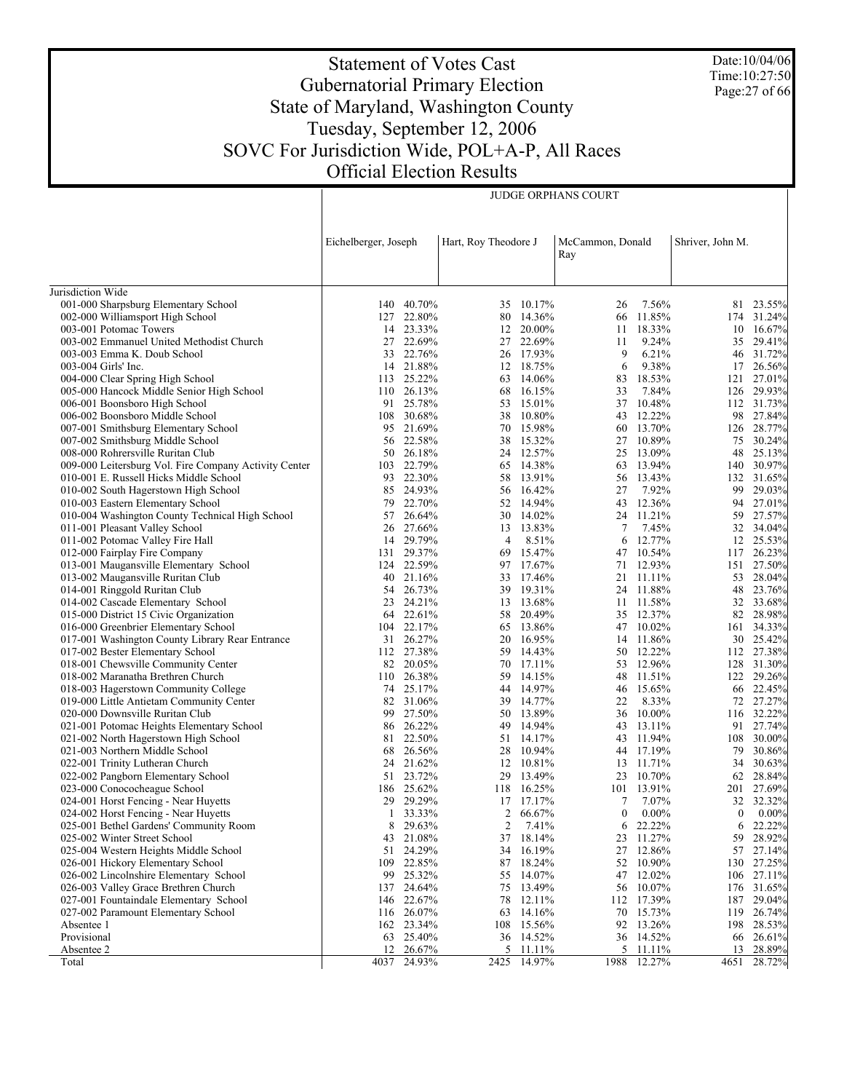Date:10/04/06 Time:10:27:50 Page:27 of 66

# Statement of Votes Cast Gubernatorial Primary Election State of Maryland, Washington County Tuesday, September 12, 2006 SOVC For Jurisdiction Wide, POL+A-P, All Races Official Election Results

JUDGE ORPHANS COURT

|                                                                    | Eichelberger, Joseph |                         | Hart, Roy Theodore J |                        | McCammon, Donald<br>Ray |                         | Shriver, John M. |                         |
|--------------------------------------------------------------------|----------------------|-------------------------|----------------------|------------------------|-------------------------|-------------------------|------------------|-------------------------|
|                                                                    |                      |                         |                      |                        |                         |                         |                  |                         |
| Jurisdiction Wide                                                  |                      |                         |                      |                        |                         |                         |                  |                         |
| 001-000 Sharpsburg Elementary School                               |                      | 140 40.70%              |                      | 35 10.17%              | 26                      | 7.56%                   |                  | 81 23.55%               |
| 002-000 Williamsport High School                                   |                      | 127 22.80%              |                      | 80 14.36%              | 66                      | 11.85%                  |                  | 174 31.24%              |
| 003-001 Potomac Towers<br>003-002 Emmanuel United Methodist Church |                      | 14 23.33%<br>27 22.69%  |                      | 12 20.00%<br>27 22.69% | 11<br>11                | 18.33%<br>9.24%         | 10               | 16.67%                  |
| 003-003 Emma K. Doub School                                        | 33                   | 22.76%                  |                      | 26 17.93%              | 9                       | 6.21%                   | 35               | 29.41%<br>46 31.72%     |
| 003-004 Girls' Inc.                                                |                      | 14 21.88%               |                      | 12 18.75%              | 6                       | 9.38%                   |                  | 17 26.56%               |
| 004-000 Clear Spring High School                                   |                      | 113 25.22%              |                      | 63 14.06%              | 83                      | 18.53%                  |                  | 121 27.01%              |
| 005-000 Hancock Middle Senior High School                          |                      | 110 26.13%              |                      | 68 16.15%              | 33                      | 7.84%                   |                  | 126 29.93%              |
| 006-001 Boonsboro High School                                      |                      | 91 25.78%               | 53                   | 15.01%                 | 37                      | 10.48%                  |                  | 112 31.73%              |
| 006-002 Boonsboro Middle School                                    |                      | 108 30.68%              |                      | 38 10.80%              |                         | 43 12.22%               |                  | 98 27.84%               |
| 007-001 Smithsburg Elementary School                               |                      | 95 21.69%               |                      | 70 15.98%              | 60                      | 13.70%                  |                  | 126 28.77%              |
| 007-002 Smithsburg Middle School                                   |                      | 56 22.58%               |                      | 38 15.32%              | 27                      | 10.89%                  |                  | 75 30.24%               |
| 008-000 Rohrersville Ruritan Club                                  |                      | 50 26.18%               |                      | 24 12.57%              | 25                      | 13.09%                  |                  | 48 25.13%               |
| 009-000 Leitersburg Vol. Fire Company Activity Center              |                      | 103 22.79%              |                      | 65 14.38%              | 63                      | 13.94%                  |                  | 140 30.97%              |
| 010-001 E. Russell Hicks Middle School                             |                      | 93 22.30%               |                      | 58 13.91%              | 56                      | 13.43%                  |                  | 132 31.65%              |
| 010-002 South Hagerstown High School                               |                      | 85 24.93%               |                      | 56 16.42%              | 27                      | 7.92%                   |                  | 99 29.03%               |
| 010-003 Eastern Elementary School                                  | 79                   | 22.70%                  |                      | 52 14.94%              | 43                      | 12.36%                  |                  | 94 27.01%               |
| 010-004 Washington County Technical High School                    | 57                   | 26.64%                  |                      | 30 14.02%              |                         | 24 11.21%               |                  | 59 27.57%               |
| 011-001 Pleasant Valley School                                     |                      | 26 27.66%               |                      | 13 13.83%              | $\tau$                  | 7.45%                   |                  | 32 34.04%               |
| 011-002 Potomac Valley Fire Hall                                   |                      | 14 29.79%               | $\overline{4}$       | 8.51%                  | 6                       | 12.77%                  |                  | 12 25.53%               |
| 012-000 Fairplay Fire Company                                      |                      | 131 29.37%              | 69                   | 15.47%                 | 47                      | 10.54%                  | 117              | 26.23%                  |
| 013-001 Maugansville Elementary School                             |                      | 124 22.59%<br>40 21.16% |                      | 97 17.67%<br>33 17.46% | 71                      | 12.93%<br>21 11.11%     |                  | 151 27.50%<br>53 28.04% |
| 013-002 Maugansville Ruritan Club<br>014-001 Ringgold Ruritan Club |                      | 54 26.73%               |                      | 39 19.31%              |                         | 24 11.88%               |                  | 48 23.76%               |
| 014-002 Cascade Elementary School                                  | 23                   | 24.21%                  | 13                   | 13.68%                 |                         | 11 11.58%               |                  | 32 33.68%               |
| 015-000 District 15 Civic Organization                             | 64                   | 22.61%                  |                      | 58 20.49%              |                         | 35 12.37%               |                  | 82 28.98%               |
| 016-000 Greenbrier Elementary School                               | 104                  | 22.17%                  |                      | 65 13.86%              |                         | 47 10.02%               |                  | 161 34.33%              |
| 017-001 Washington County Library Rear Entrance                    |                      | 31 26.27%               |                      | 20 16.95%              |                         | 14 11.86%               |                  | 30 25.42%               |
| 017-002 Bester Elementary School                                   |                      | 112 27.38%              | 59                   | 14.43%                 | 50                      | 12.22%                  |                  | 112 27.38%              |
| 018-001 Chewsville Community Center                                |                      | 82 20.05%               |                      | 70 17.11%              |                         | 53 12.96%               |                  | 128 31.30%              |
| 018-002 Maranatha Brethren Church                                  |                      | 110 26.38%              | 59                   | 14.15%                 | 48                      | 11.51%                  |                  | 122 29.26%              |
| 018-003 Hagerstown Community College                               |                      | 74 25.17%               |                      | 44 14.97%              |                         | 46 15.65%               |                  | 66 22.45%               |
| 019-000 Little Antietam Community Center                           | 82                   | 31.06%                  |                      | 39 14.77%              | 22                      | 8.33%                   |                  | 72 27.27%               |
| 020-000 Downsville Ruritan Club                                    | 99                   | 27.50%                  |                      | 50 13.89%              | 36                      | 10.00%                  |                  | 116 32.22%              |
| 021-001 Potomac Heights Elementary School                          |                      | 86 26.22%               |                      | 49 14.94%              | 43                      | 13.11%                  |                  | 91 27.74%               |
| 021-002 North Hagerstown High School                               | 81                   | 22.50%                  |                      | 51 14.17%              |                         | 43 11.94%               |                  | 108 30.00%              |
| 021-003 Northern Middle School                                     | 68                   | 26.56%                  | 28                   | 10.94%                 | 44                      | 17.19%                  | 79               | 30.86%                  |
| 022-001 Trinity Lutheran Church                                    | 24                   | 21.62%                  |                      | 12 10.81%<br>13.49%    |                         | 13 11.71%               |                  | 34 30.63%<br>62 28.84%  |
| 022-002 Pangborn Elementary School<br>023-000 Conococheague School |                      | 51 23.72%<br>186 25.62% | 29                   | 118 16.25%             |                         | 23 10.70%<br>101 13.91% |                  | 201 27.69%              |
| 024-001 Horst Fencing - Near Huyetts                               |                      | 29 29.29%               |                      | 17 17.17%              | 7                       | 7.07%                   |                  | 32 32.32%               |
| 024-002 Horst Fencing - Near Huyetts                               | $\mathbf{1}$         | 33.33%                  | 2                    | 66.67%                 | $\boldsymbol{0}$        | $0.00\%$                | $\boldsymbol{0}$ | $0.00\%$                |
| 025-001 Bethel Gardens' Community Room                             |                      | 8 29.63%                | 2                    | 7.41%                  |                         | 6 22.22%                |                  | 6 22.22%                |
| 025-002 Winter Street School                                       |                      | 43 21.08%               |                      | 37 18.14%              |                         | 23 11.27%               |                  | 59 28.92%               |
| 025-004 Western Heights Middle School                              |                      | 51 24.29%               | 34                   | 16.19%                 |                         | 27 12.86%               |                  | 57 27.14%               |
| 026-001 Hickory Elementary School                                  |                      | 109 22.85%              |                      | 87 18.24%              | 52                      | 10.90%                  |                  | 130 27.25%              |
| 026-002 Lincolnshire Elementary School                             |                      | 99 25.32%               | 55                   | 14.07%                 | 47                      | 12.02%                  |                  | 106 27.11%              |
| 026-003 Valley Grace Brethren Church                               | 137                  | 24.64%                  | 75                   | 13.49%                 | 56                      | 10.07%                  |                  | 176 31.65%              |
| 027-001 Fountaindale Elementary School                             |                      | 146 22.67%              | 78                   | 12.11%                 | 112                     | 17.39%                  | 187              | 29.04%                  |
| 027-002 Paramount Elementary School                                |                      | 116 26.07%              | 63                   | 14.16%                 | 70                      | 15.73%                  |                  | 119 26.74%              |
| Absentee 1                                                         | 162                  | 23.34%                  | 108                  | 15.56%                 | 92                      | 13.26%                  |                  | 198 28.53%              |
| Provisional                                                        | 63                   | 25.40%                  |                      | 36 14.52%              | 36                      | 14.52%                  |                  | 66 26.61%               |
| Absentee 2                                                         | 12                   | 26.67%                  | 5                    | 11.11%                 |                         | 5 11.11%                | 13               | 28.89%                  |
| Total                                                              | 4037                 | 24.93%                  |                      | 2425 14.97%            |                         | 1988 12.27%             | 4651             | 28.72%                  |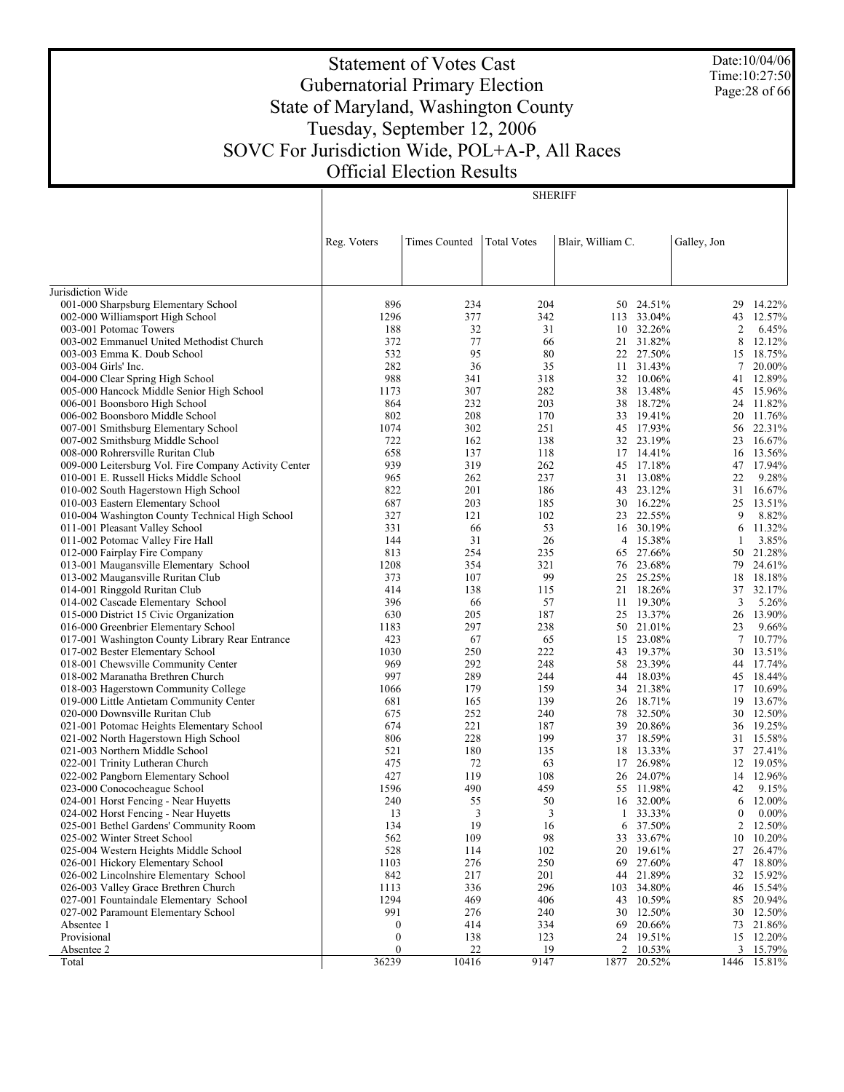Statement of Votes Cast Gubernatorial Primary Election State of Maryland, Washington County Tuesday, September 12, 2006 SOVC For Jurisdiction Wide, POL+A-P, All Races Official Election Results

SHERIFF

Jurisdiction Wide 001-000 Sharpsburg Elementary School 002-000 Williamsport High School 003-001 Potomac Towers 003-002 Emmanuel United Methodist Church 003-003 Emma K. Doub School 003-004 Girls' Inc. 004-000 Clear Spring High School 005-000 Hancock Middle Senior High School 006-001 Boonsboro High School 006-002 Boonsboro Middle School 007-001 Smithsburg Elementary School 007-002 Smithsburg Middle School 008-000 Rohrersville Ruritan Club 009-000 Leitersburg Vol. Fire Company Activity Center 010-001 E. Russell Hicks Middle School 010-002 South Hagerstown High School 010-003 Eastern Elementary School 010-004 Washington County Technical High School 011-001 Pleasant Valley School 011-002 Potomac Valley Fire Hall 012-000 Fairplay Fire Company 013-001 Maugansville Elementary School 013-002 Maugansville Ruritan Club 014-001 Ringgold Ruritan Club 014-002 Cascade Elementary School 015-000 District 15 Civic Organization 016-000 Greenbrier Elementary School 017-001 Washington County Library Rear Entrance 017-002 Bester Elementary School 018-001 Chewsville Community Center 018-002 Maranatha Brethren Church 018-003 Hagerstown Community College 019-000 Little Antietam Community Center 020-000 Downsville Ruritan Club 021-001 Potomac Heights Elementary School 021-002 North Hagerstown High School 021-003 Northern Middle School 022-001 Trinity Lutheran Church 022-002 Pangborn Elementary School 023-000 Conococheague School 024-001 Horst Fencing - Near Huyetts 024-002 Horst Fencing - Near Huyetts 025-001 Bethel Gardens' Community Room 025-002 Winter Street School 025-004 Western Heights Middle School 026-001 Hickory Elementary School 026-002 Lincolnshire Elementary School 026-003 Valley Grace Brethren Church 027-001 Fountaindale Elementary School 027-002 Paramount Elementary School Absentee 1 Provisional Absentee 2 Total Reg. Voters | Times Counted | Total Votes | Blair, William C. | Galley, Jon 896 234 204 50 24.51% 29 14.22% 1296 377 342 113 33.04% 43 12.57% 188 32 31 10 32.26% 2 6.45% 372 77 66 21 31.82% 8 12.12% 532 95 80 22 27.50% 15 18.75% 282 36 35 11 31.43% 7 20.00% 988 341 318 32 10.06% 41 12.89% 1173 307 282 38 13.48% 45 15.96% 864 232 203 38 18.72% 24 11.82% 802 208 170 33 19.41% 20 11.76% 1074 302 251 45 17.93% 56 22.31% 722 162 138 32 23.19% 23 16.67% 658 137 118 17 14.41% 16 13.56% 939 319 262 45 17.18% 47 17.94% 965 262 237 31 13.08% 22 9.28% 822 201 186 43 23.12% 31 16.67% 687 203 185 30 16.22% 25 13.51% 327 121 102 23 22.55% 9 8.82% 331 66 53 16 30.19% 6 11.32% 144 31 26 4 15.38% 1 3.85% 813 254 235 65 27.66% 50 21.28% 1208 354 321 76 23.68% 79 24.61% 373 107 99 25 25.25% 18 18.18% 414 138 115 21 18.26% 37 32.17% 396 66 57 11 19.30% 3 5.26% 630 205 187 25 13.37% 26 13.90% 1183 297 238 50 21.01% 23 9.66% 423 67 65 15 23.08% 7 10.77% 1030 250 222 43 19.37% 30 13.51% 969 292 248 58 23.39% 44 17.74% 997 289 244 44 18.03% 45 18.44% 1066 179 159 34 21.38% 17 10.69% 681 165 139 26 18.71% 19 13.67% 675 252 240 78 32.50% 30 12.50% 674 221 187 39 20.86% 36 19.25% 806 228 199 37 18.59% 31 15.58% 521 180 135 18 13.33% 37 27.41% 475 72 63 17 26.98% 12 19.05% 427 119 108 26 24.07% 14 12.96% 1596 490 459 55 11.98% 42 9.15% 240 55 50 16 32.00% 6 12.00% 13 3 3 1 33.33% 0 0.00% 134 19 16 6 37.50% 2 12.50% 562 109 98 33 33.67% 10 10.20% 528 114 102 20 19.61% 27 26.47% 1103 276 250 69 27.60% 47 18.80% 842 217 201 44 21.89% 32 15.92%<br>1113 336 296 103 34.80% 46 15.54% 1113 336 296 103 34.80% 46 15.54% 1294 469 406 43 10.59% 85 20.94% 991 276 240 30 12.50% 30 12.50% 0 414 334 69 20.66% 73 21.86%  $\begin{array}{ccccccccc} 0 & & & & 138 & & & 123 & & 24 & 19.51\% & & & & 15 & 12.20\% \\ 0 & & & & 22 & & & 19 & & 2 & 10.53\% & & & 3 & 15.79\% \end{array}$  $0 \hspace{1.5cm} 22 \hspace{1.5cm} 19 \hspace{1.5cm} 2 \hspace{1.5cm} 10.53\% \hspace{1.5cm} 3 \hspace{1.5cm} 15.79\%$ 36239 10416 9147 1877 20.52% 1446 15.81%

Date:10/04/06 Time:10:27:50 Page:28 of 66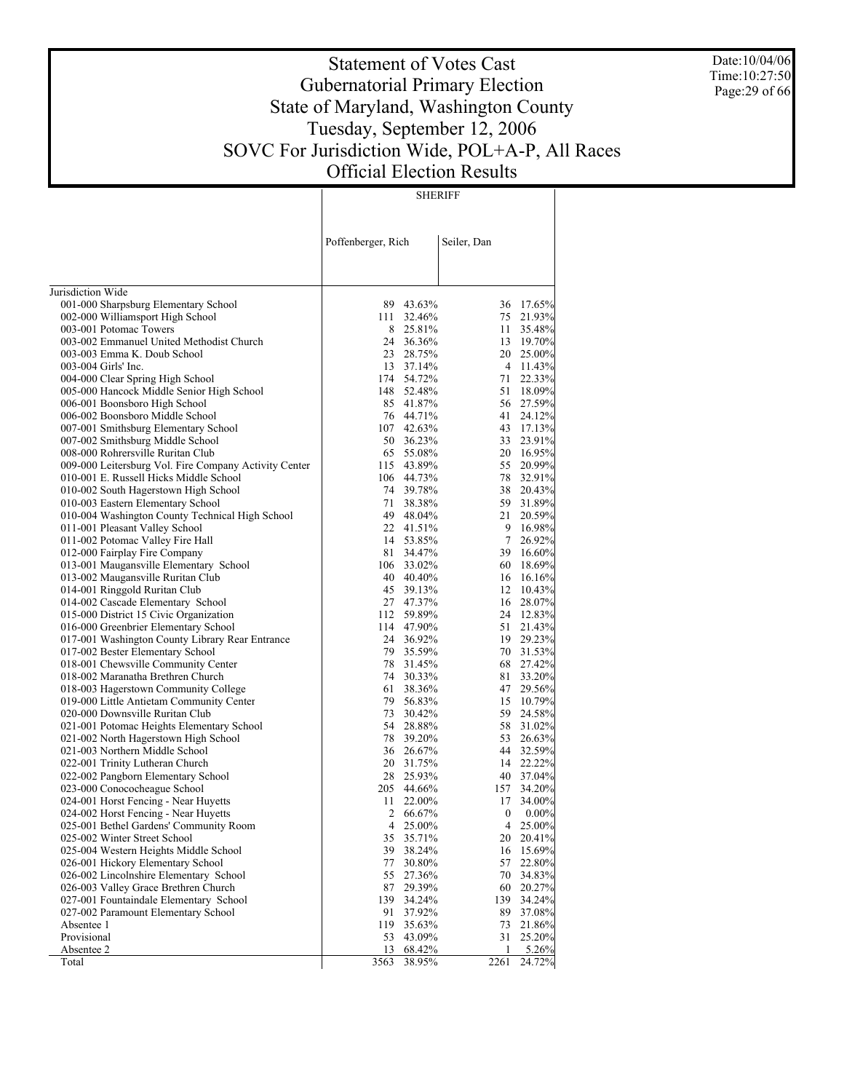Date:10/04/06 Time:10:27:50 Page:29 of 66

# Statement of Votes Cast Gubernatorial Primary Election State of Maryland, Washington County Tuesday, September 12, 2006 SOVC For Jurisdiction Wide, POL+A-P, All Races Official Election Results

SHERIFF

|                                                                           | Poffenberger, Rich           | Seiler, Dan |                              |
|---------------------------------------------------------------------------|------------------------------|-------------|------------------------------|
| Jurisdiction Wide                                                         |                              |             |                              |
| 001-000 Sharpsburg Elementary School                                      | 89 43.63%                    |             | 36 17.65%                    |
| 002-000 Williamsport High School                                          | 111 32.46%                   |             | 75 21.93%                    |
| 003-001 Potomac Towers                                                    | 8<br>25.81%                  |             | 35.48%<br>11                 |
| 003-002 Emmanuel United Methodist Church                                  | 24 36.36%                    |             | 13 19.70%                    |
| 003-003 Emma K. Doub School                                               | 28.75%<br>23                 |             | 20 25.00%                    |
| 003-004 Girls' Inc.                                                       | 13 37.14%                    |             | 4 11.43%                     |
| 004-000 Clear Spring High School                                          | 174 54.72%                   |             | 22.33%<br>71                 |
| 005-000 Hancock Middle Senior High School                                 | 148 52.48%                   |             | 51 18.09%                    |
| 006-001 Boonsboro High School                                             | 85 41.87%                    |             | 56 27.59%                    |
| 006-002 Boonsboro Middle School                                           | 76 44.71%                    |             | 41<br>24.12%                 |
| 007-001 Smithsburg Elementary School                                      | 107 42.63%                   |             | 43 17.13%                    |
| 007-002 Smithsburg Middle School                                          | 50 36.23%                    |             | 33<br>23.91%                 |
| 008-000 Rohrersville Ruritan Club                                         | 65 55.08%                    |             | 20 16.95%                    |
| 009-000 Leitersburg Vol. Fire Company Activity Center                     | 115 43.89%                   |             | 20.99%<br>55                 |
| 010-001 E. Russell Hicks Middle School                                    | 106 44.73%<br>74 39.78%      |             | 78<br>32.91%                 |
| 010-002 South Hagerstown High School<br>010-003 Eastern Elementary School | 71<br>38.38%                 |             | 38<br>20.43%<br>59 31.89%    |
| 010-004 Washington County Technical High School                           | 49 48.04%                    |             | 20.59%<br>21                 |
| 011-001 Pleasant Valley School                                            | 22 41.51%                    |             | 9 16.98%                     |
| 011-002 Potomac Valley Fire Hall                                          | 14 53.85%                    |             | $7\overline{ }$<br>26.92%    |
| 012-000 Fairplay Fire Company                                             | 81<br>34.47%                 |             | 39<br>16.60%                 |
| 013-001 Maugansville Elementary School                                    | 106 33.02%                   |             | 60 18.69%                    |
| 013-002 Maugansville Ruritan Club                                         | 40 40.40%                    |             | 16.16%<br>16                 |
| 014-001 Ringgold Ruritan Club                                             | 45 39.13%                    |             | 12<br>10.43%                 |
| 014-002 Cascade Elementary School                                         | 27 47.37%                    |             | 28.07%<br>16                 |
| 015-000 District 15 Civic Organization                                    | 112 59.89%                   |             | 24 12.83%                    |
| 016-000 Greenbrier Elementary School                                      | 114 47.90%                   |             | 51<br>21.43%                 |
| 017-001 Washington County Library Rear Entrance                           | 24 36.92%                    |             | 19 29.23%                    |
| 017-002 Bester Elementary School                                          | 79 35.59%                    |             | 70 31.53%                    |
| 018-001 Chewsville Community Center                                       | 78 31.45%                    |             | 68 27.42%                    |
| 018-002 Maranatha Brethren Church                                         | 74 30.33%                    |             | 81<br>33.20%                 |
| 018-003 Hagerstown Community College                                      | 61<br>38.36%                 |             | 47<br>29.56%                 |
| 019-000 Little Antietam Community Center                                  | 79 56.83%                    |             | 15<br>10.79%                 |
| 020-000 Downsville Ruritan Club                                           | 73<br>30.42%                 |             | 59<br>24.58%                 |
| 021-001 Potomac Heights Elementary School                                 | 54 28.88%                    |             | 58<br>31.02%                 |
| 021-002 North Hagerstown High School                                      | 78<br>39.20%                 |             | 53<br>26.63%                 |
| 021-003 Northern Middle School                                            | 36 26.67%                    |             | 44<br>32.59%                 |
| 022-001 Trinity Lutheran Church                                           | 20 31.75%                    |             | 14 22.22%                    |
| 022-002 Pangborn Elementary School                                        | 28 25.93%                    |             | 40 37.04%                    |
| 023-000 Conococheague School                                              | 205 44.66%                   |             | 157<br>34.20%                |
| 024-001 Horst Fencing - Near Huyetts                                      | 11<br>22.00%                 |             | 17<br>34.00%                 |
| 024-002 Horst Fencing - Near Huyetts                                      | 2<br>66.67%                  |             | $\bf{0}$<br>$0.00\%$         |
| 025-001 Bethel Gardens' Community Room                                    | 4<br>25.00%                  |             | 25.00%<br>4                  |
| 025-002 Winter Street School<br>025-004 Western Heights Middle School     | 35<br>35.71%                 |             | 20.41%<br>20                 |
| 026-001 Hickory Elementary School                                         | 39<br>38.24%<br>77<br>30.80% |             | 15.69%<br>16<br>57<br>22.80% |
| 026-002 Lincolnshire Elementary School                                    | 55<br>27.36%                 |             | 70<br>34.83%                 |
| 026-003 Valley Grace Brethren Church                                      | 87<br>29.39%                 |             | 60<br>20.27%                 |
| 027-001 Fountaindale Elementary School                                    | 139<br>34.24%                |             | 139<br>34.24%                |
| 027-002 Paramount Elementary School                                       | 91<br>37.92%                 |             | 89<br>37.08%                 |
| Absentee 1                                                                | 119<br>35.63%                |             | 73<br>21.86%                 |
| Provisional                                                               | 53<br>43.09%                 |             | 31<br>25.20%                 |
| Absentee 2                                                                | 13<br>68.42%                 |             | 5.26%<br>1                   |
| Total                                                                     | 3563<br>38.95%               | 2261        | 24.72%                       |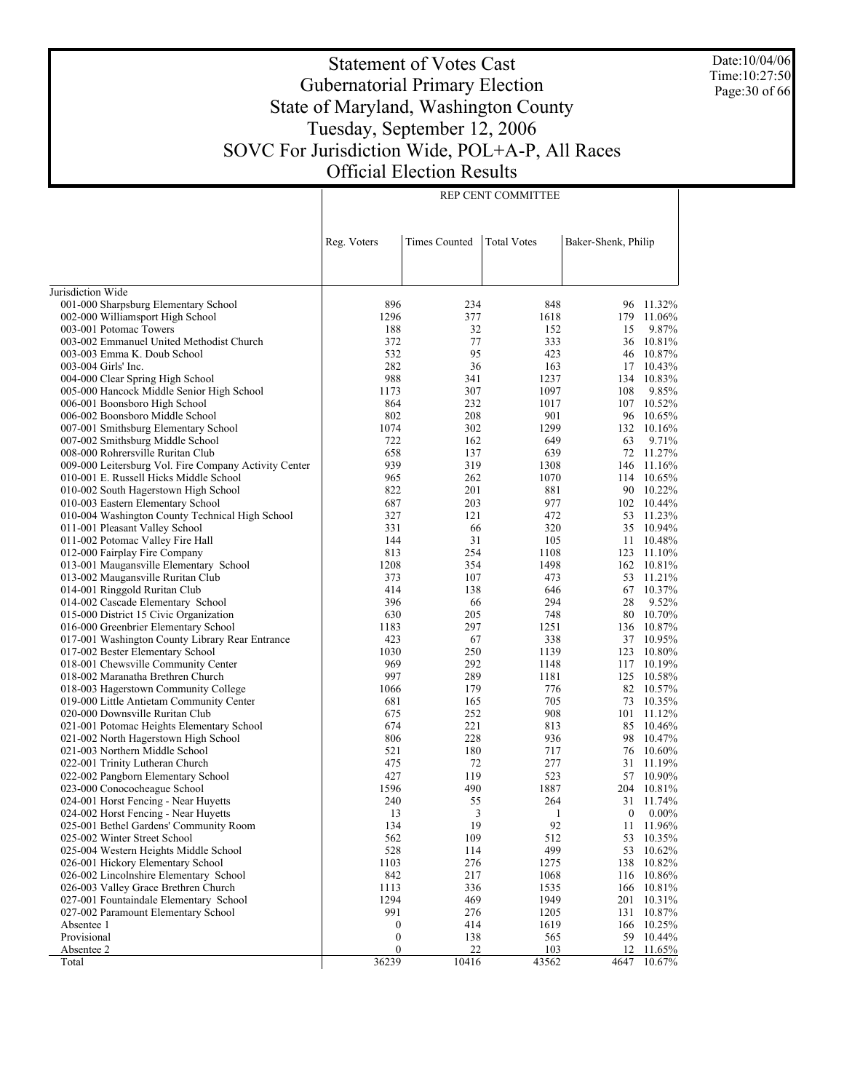Date:10/04/06 Time:10:27:50 Page:30 of 66

# Statement of Votes Cast Gubernatorial Primary Election State of Maryland, Washington County Tuesday, September 12, 2006 SOVC For Jurisdiction Wide, POL+A-P, All Races Official Election Results

REP CENT COMMITTEE

| Reg. Voters<br><b>Times Counted</b><br><b>Total Votes</b><br>Baker-Shenk, Philip<br>Jurisdiction Wide<br>001-000 Sharpsburg Elementary School<br>896<br>848<br>234<br>96<br>11.32%<br>1296<br>377<br>1618<br>179<br>11.06%<br>002-000 Williamsport High School<br>188<br>32<br>9.87%<br>003-001 Potomac Towers<br>152<br>15<br>77<br>333<br>10.81%<br>003-002 Emmanuel United Methodist Church<br>372<br>36<br>532<br>95<br>423<br>10.87%<br>003-003 Emma K. Doub School<br>46<br>282<br>36<br>163<br>003-004 Girls' Inc.<br>17<br>10.43%<br>988<br>341<br>10.83%<br>004-000 Clear Spring High School<br>1237<br>134<br>1173<br>307<br>1097<br>108<br>9.85%<br>005-000 Hancock Middle Senior High School<br>864<br>232<br>10.52%<br>006-001 Boonsboro High School<br>1017<br>107<br>802<br>208<br>901<br>006-002 Boonsboro Middle School<br>96<br>10.65%<br>1074<br>302<br>1299<br>007-001 Smithsburg Elementary School<br>132<br>10.16%<br>162<br>9.71%<br>007-002 Smithsburg Middle School<br>722<br>649<br>63<br>137<br>639<br>72<br>11.27%<br>008-000 Rohrersville Ruritan Club<br>658<br>939<br>319<br>009-000 Leitersburg Vol. Fire Company Activity Center<br>1308<br>146<br>11.16%<br>262<br>1070<br>10.65%<br>010-001 E. Russell Hicks Middle School<br>965<br>114<br>201<br>881<br>90<br>10.22%<br>010-002 South Hagerstown High School<br>822<br>203<br>977<br>10.44%<br>010-003 Eastern Elementary School<br>687<br>102<br>472<br>11.23%<br>010-004 Washington County Technical High School<br>327<br>121<br>53<br>331<br>320<br>10.94%<br>011-001 Pleasant Valley School<br>66<br>35<br>31<br>105<br>10.48%<br>011-002 Potomac Valley Fire Hall<br>144<br>11<br>813<br>254<br>11.10%<br>012-000 Fairplay Fire Company<br>1108<br>123<br>1208<br>354<br>1498<br>10.81%<br>013-001 Maugansville Elementary School<br>162<br>373<br>107<br>473<br>11.21%<br>013-002 Maugansville Ruritan Club<br>53<br>10.37%<br>014-001 Ringgold Ruritan Club<br>414<br>138<br>646<br>67<br>396<br>294<br>9.52%<br>014-002 Cascade Elementary School<br>66<br>28<br>630<br>205<br>10.70%<br>015-000 District 15 Civic Organization<br>748<br>80<br>297<br>10.87%<br>016-000 Greenbrier Elementary School<br>1183<br>1251<br>136<br>423<br>67<br>10.95%<br>017-001 Washington County Library Rear Entrance<br>338<br>37<br>1030<br>250<br>10.80%<br>017-002 Bester Elementary School<br>1139<br>123<br>292<br>10.19%<br>018-001 Chewsville Community Center<br>969<br>1148<br>117<br>997<br>289<br>10.58%<br>018-002 Maranatha Brethren Church<br>1181<br>125<br>179<br>10.57%<br>018-003 Hagerstown Community College<br>1066<br>776<br>82<br>165<br>705<br>10.35%<br>019-000 Little Antietam Community Center<br>681<br>73<br>252<br>908<br>11.12%<br>020-000 Downsville Ruritan Club<br>675<br>101<br>221<br>813<br>10.46%<br>021-001 Potomac Heights Elementary School<br>674<br>85<br>228<br>10.47%<br>021-002 North Hagerstown High School<br>806<br>936<br>98<br>180<br>10.60%<br>021-003 Northern Middle School<br>521<br>717<br>76<br>72<br>11.19%<br>022-001 Trinity Lutheran Church<br>475<br>277<br>31<br>427<br>119<br>523<br>57<br>10.90%<br>022-002 Pangborn Elementary School<br>490<br>1887<br>10.81%<br>023-000 Conococheague School<br>1596<br>204<br>024-001 Horst Fencing - Near Huyetts<br>240<br>55<br>264<br>31<br>11.74%<br>3<br>$0.00\%$<br>024-002 Horst Fencing - Near Huyetts<br>13<br>1<br>$\mathbf{0}$<br>134<br>19<br>92<br>025-001 Bethel Gardens' Community Room<br>11 11.96%<br>512<br>025-002 Winter Street School<br>562<br>109<br>10.35%<br>53<br>499<br>528<br>114<br>53<br>025-004 Western Heights Middle School<br>10.62%<br>276<br>026-001 Hickory Elementary School<br>1103<br>1275<br>138<br>10.82%<br>842<br>217<br>1068<br>026-002 Lincolnshire Elementary School<br>116<br>10.86%<br>026-003 Valley Grace Brethren Church<br>10.81%<br>1113<br>336<br>1535<br>166<br>1294<br>469<br>1949<br>027-001 Fountaindale Elementary School<br>201<br>10.31%<br>991<br>10.87%<br>027-002 Paramount Elementary School<br>276<br>1205<br>131<br>414<br>Absentee 1<br>1619<br>166<br>10.25%<br>0<br>Provisional<br>$\boldsymbol{0}$<br>138<br>59<br>565<br>10.44%<br>$\overline{0}$<br>22<br>103<br>12<br>Absentee 2<br>11.65% |       |       |       |       |      |        |
|-------------------------------------------------------------------------------------------------------------------------------------------------------------------------------------------------------------------------------------------------------------------------------------------------------------------------------------------------------------------------------------------------------------------------------------------------------------------------------------------------------------------------------------------------------------------------------------------------------------------------------------------------------------------------------------------------------------------------------------------------------------------------------------------------------------------------------------------------------------------------------------------------------------------------------------------------------------------------------------------------------------------------------------------------------------------------------------------------------------------------------------------------------------------------------------------------------------------------------------------------------------------------------------------------------------------------------------------------------------------------------------------------------------------------------------------------------------------------------------------------------------------------------------------------------------------------------------------------------------------------------------------------------------------------------------------------------------------------------------------------------------------------------------------------------------------------------------------------------------------------------------------------------------------------------------------------------------------------------------------------------------------------------------------------------------------------------------------------------------------------------------------------------------------------------------------------------------------------------------------------------------------------------------------------------------------------------------------------------------------------------------------------------------------------------------------------------------------------------------------------------------------------------------------------------------------------------------------------------------------------------------------------------------------------------------------------------------------------------------------------------------------------------------------------------------------------------------------------------------------------------------------------------------------------------------------------------------------------------------------------------------------------------------------------------------------------------------------------------------------------------------------------------------------------------------------------------------------------------------------------------------------------------------------------------------------------------------------------------------------------------------------------------------------------------------------------------------------------------------------------------------------------------------------------------------------------------------------------------------------------------------------------------------------------------------------------------------------------------------------------------------------------------------------------------------------------------------------------------------------------------------------------------------------------------------------------------------------------------------------------------------------------------------------------------------------------------------------------------------------------------------------------------------------------------------------------------------------------------------------------------------|-------|-------|-------|-------|------|--------|
|                                                                                                                                                                                                                                                                                                                                                                                                                                                                                                                                                                                                                                                                                                                                                                                                                                                                                                                                                                                                                                                                                                                                                                                                                                                                                                                                                                                                                                                                                                                                                                                                                                                                                                                                                                                                                                                                                                                                                                                                                                                                                                                                                                                                                                                                                                                                                                                                                                                                                                                                                                                                                                                                                                                                                                                                                                                                                                                                                                                                                                                                                                                                                                                                                                                                                                                                                                                                                                                                                                                                                                                                                                                                                                                                                                                                                                                                                                                                                                                                                                                                                                                                                                                                                                                             |       |       |       |       |      |        |
|                                                                                                                                                                                                                                                                                                                                                                                                                                                                                                                                                                                                                                                                                                                                                                                                                                                                                                                                                                                                                                                                                                                                                                                                                                                                                                                                                                                                                                                                                                                                                                                                                                                                                                                                                                                                                                                                                                                                                                                                                                                                                                                                                                                                                                                                                                                                                                                                                                                                                                                                                                                                                                                                                                                                                                                                                                                                                                                                                                                                                                                                                                                                                                                                                                                                                                                                                                                                                                                                                                                                                                                                                                                                                                                                                                                                                                                                                                                                                                                                                                                                                                                                                                                                                                                             |       |       |       |       |      |        |
|                                                                                                                                                                                                                                                                                                                                                                                                                                                                                                                                                                                                                                                                                                                                                                                                                                                                                                                                                                                                                                                                                                                                                                                                                                                                                                                                                                                                                                                                                                                                                                                                                                                                                                                                                                                                                                                                                                                                                                                                                                                                                                                                                                                                                                                                                                                                                                                                                                                                                                                                                                                                                                                                                                                                                                                                                                                                                                                                                                                                                                                                                                                                                                                                                                                                                                                                                                                                                                                                                                                                                                                                                                                                                                                                                                                                                                                                                                                                                                                                                                                                                                                                                                                                                                                             |       |       |       |       |      |        |
|                                                                                                                                                                                                                                                                                                                                                                                                                                                                                                                                                                                                                                                                                                                                                                                                                                                                                                                                                                                                                                                                                                                                                                                                                                                                                                                                                                                                                                                                                                                                                                                                                                                                                                                                                                                                                                                                                                                                                                                                                                                                                                                                                                                                                                                                                                                                                                                                                                                                                                                                                                                                                                                                                                                                                                                                                                                                                                                                                                                                                                                                                                                                                                                                                                                                                                                                                                                                                                                                                                                                                                                                                                                                                                                                                                                                                                                                                                                                                                                                                                                                                                                                                                                                                                                             |       |       |       |       |      |        |
|                                                                                                                                                                                                                                                                                                                                                                                                                                                                                                                                                                                                                                                                                                                                                                                                                                                                                                                                                                                                                                                                                                                                                                                                                                                                                                                                                                                                                                                                                                                                                                                                                                                                                                                                                                                                                                                                                                                                                                                                                                                                                                                                                                                                                                                                                                                                                                                                                                                                                                                                                                                                                                                                                                                                                                                                                                                                                                                                                                                                                                                                                                                                                                                                                                                                                                                                                                                                                                                                                                                                                                                                                                                                                                                                                                                                                                                                                                                                                                                                                                                                                                                                                                                                                                                             |       |       |       |       |      |        |
|                                                                                                                                                                                                                                                                                                                                                                                                                                                                                                                                                                                                                                                                                                                                                                                                                                                                                                                                                                                                                                                                                                                                                                                                                                                                                                                                                                                                                                                                                                                                                                                                                                                                                                                                                                                                                                                                                                                                                                                                                                                                                                                                                                                                                                                                                                                                                                                                                                                                                                                                                                                                                                                                                                                                                                                                                                                                                                                                                                                                                                                                                                                                                                                                                                                                                                                                                                                                                                                                                                                                                                                                                                                                                                                                                                                                                                                                                                                                                                                                                                                                                                                                                                                                                                                             |       |       |       |       |      |        |
|                                                                                                                                                                                                                                                                                                                                                                                                                                                                                                                                                                                                                                                                                                                                                                                                                                                                                                                                                                                                                                                                                                                                                                                                                                                                                                                                                                                                                                                                                                                                                                                                                                                                                                                                                                                                                                                                                                                                                                                                                                                                                                                                                                                                                                                                                                                                                                                                                                                                                                                                                                                                                                                                                                                                                                                                                                                                                                                                                                                                                                                                                                                                                                                                                                                                                                                                                                                                                                                                                                                                                                                                                                                                                                                                                                                                                                                                                                                                                                                                                                                                                                                                                                                                                                                             |       |       |       |       |      |        |
|                                                                                                                                                                                                                                                                                                                                                                                                                                                                                                                                                                                                                                                                                                                                                                                                                                                                                                                                                                                                                                                                                                                                                                                                                                                                                                                                                                                                                                                                                                                                                                                                                                                                                                                                                                                                                                                                                                                                                                                                                                                                                                                                                                                                                                                                                                                                                                                                                                                                                                                                                                                                                                                                                                                                                                                                                                                                                                                                                                                                                                                                                                                                                                                                                                                                                                                                                                                                                                                                                                                                                                                                                                                                                                                                                                                                                                                                                                                                                                                                                                                                                                                                                                                                                                                             |       |       |       |       |      |        |
|                                                                                                                                                                                                                                                                                                                                                                                                                                                                                                                                                                                                                                                                                                                                                                                                                                                                                                                                                                                                                                                                                                                                                                                                                                                                                                                                                                                                                                                                                                                                                                                                                                                                                                                                                                                                                                                                                                                                                                                                                                                                                                                                                                                                                                                                                                                                                                                                                                                                                                                                                                                                                                                                                                                                                                                                                                                                                                                                                                                                                                                                                                                                                                                                                                                                                                                                                                                                                                                                                                                                                                                                                                                                                                                                                                                                                                                                                                                                                                                                                                                                                                                                                                                                                                                             |       |       |       |       |      |        |
|                                                                                                                                                                                                                                                                                                                                                                                                                                                                                                                                                                                                                                                                                                                                                                                                                                                                                                                                                                                                                                                                                                                                                                                                                                                                                                                                                                                                                                                                                                                                                                                                                                                                                                                                                                                                                                                                                                                                                                                                                                                                                                                                                                                                                                                                                                                                                                                                                                                                                                                                                                                                                                                                                                                                                                                                                                                                                                                                                                                                                                                                                                                                                                                                                                                                                                                                                                                                                                                                                                                                                                                                                                                                                                                                                                                                                                                                                                                                                                                                                                                                                                                                                                                                                                                             |       |       |       |       |      |        |
|                                                                                                                                                                                                                                                                                                                                                                                                                                                                                                                                                                                                                                                                                                                                                                                                                                                                                                                                                                                                                                                                                                                                                                                                                                                                                                                                                                                                                                                                                                                                                                                                                                                                                                                                                                                                                                                                                                                                                                                                                                                                                                                                                                                                                                                                                                                                                                                                                                                                                                                                                                                                                                                                                                                                                                                                                                                                                                                                                                                                                                                                                                                                                                                                                                                                                                                                                                                                                                                                                                                                                                                                                                                                                                                                                                                                                                                                                                                                                                                                                                                                                                                                                                                                                                                             |       |       |       |       |      |        |
|                                                                                                                                                                                                                                                                                                                                                                                                                                                                                                                                                                                                                                                                                                                                                                                                                                                                                                                                                                                                                                                                                                                                                                                                                                                                                                                                                                                                                                                                                                                                                                                                                                                                                                                                                                                                                                                                                                                                                                                                                                                                                                                                                                                                                                                                                                                                                                                                                                                                                                                                                                                                                                                                                                                                                                                                                                                                                                                                                                                                                                                                                                                                                                                                                                                                                                                                                                                                                                                                                                                                                                                                                                                                                                                                                                                                                                                                                                                                                                                                                                                                                                                                                                                                                                                             |       |       |       |       |      |        |
|                                                                                                                                                                                                                                                                                                                                                                                                                                                                                                                                                                                                                                                                                                                                                                                                                                                                                                                                                                                                                                                                                                                                                                                                                                                                                                                                                                                                                                                                                                                                                                                                                                                                                                                                                                                                                                                                                                                                                                                                                                                                                                                                                                                                                                                                                                                                                                                                                                                                                                                                                                                                                                                                                                                                                                                                                                                                                                                                                                                                                                                                                                                                                                                                                                                                                                                                                                                                                                                                                                                                                                                                                                                                                                                                                                                                                                                                                                                                                                                                                                                                                                                                                                                                                                                             |       |       |       |       |      |        |
|                                                                                                                                                                                                                                                                                                                                                                                                                                                                                                                                                                                                                                                                                                                                                                                                                                                                                                                                                                                                                                                                                                                                                                                                                                                                                                                                                                                                                                                                                                                                                                                                                                                                                                                                                                                                                                                                                                                                                                                                                                                                                                                                                                                                                                                                                                                                                                                                                                                                                                                                                                                                                                                                                                                                                                                                                                                                                                                                                                                                                                                                                                                                                                                                                                                                                                                                                                                                                                                                                                                                                                                                                                                                                                                                                                                                                                                                                                                                                                                                                                                                                                                                                                                                                                                             |       |       |       |       |      |        |
|                                                                                                                                                                                                                                                                                                                                                                                                                                                                                                                                                                                                                                                                                                                                                                                                                                                                                                                                                                                                                                                                                                                                                                                                                                                                                                                                                                                                                                                                                                                                                                                                                                                                                                                                                                                                                                                                                                                                                                                                                                                                                                                                                                                                                                                                                                                                                                                                                                                                                                                                                                                                                                                                                                                                                                                                                                                                                                                                                                                                                                                                                                                                                                                                                                                                                                                                                                                                                                                                                                                                                                                                                                                                                                                                                                                                                                                                                                                                                                                                                                                                                                                                                                                                                                                             |       |       |       |       |      |        |
|                                                                                                                                                                                                                                                                                                                                                                                                                                                                                                                                                                                                                                                                                                                                                                                                                                                                                                                                                                                                                                                                                                                                                                                                                                                                                                                                                                                                                                                                                                                                                                                                                                                                                                                                                                                                                                                                                                                                                                                                                                                                                                                                                                                                                                                                                                                                                                                                                                                                                                                                                                                                                                                                                                                                                                                                                                                                                                                                                                                                                                                                                                                                                                                                                                                                                                                                                                                                                                                                                                                                                                                                                                                                                                                                                                                                                                                                                                                                                                                                                                                                                                                                                                                                                                                             |       |       |       |       |      |        |
|                                                                                                                                                                                                                                                                                                                                                                                                                                                                                                                                                                                                                                                                                                                                                                                                                                                                                                                                                                                                                                                                                                                                                                                                                                                                                                                                                                                                                                                                                                                                                                                                                                                                                                                                                                                                                                                                                                                                                                                                                                                                                                                                                                                                                                                                                                                                                                                                                                                                                                                                                                                                                                                                                                                                                                                                                                                                                                                                                                                                                                                                                                                                                                                                                                                                                                                                                                                                                                                                                                                                                                                                                                                                                                                                                                                                                                                                                                                                                                                                                                                                                                                                                                                                                                                             |       |       |       |       |      |        |
|                                                                                                                                                                                                                                                                                                                                                                                                                                                                                                                                                                                                                                                                                                                                                                                                                                                                                                                                                                                                                                                                                                                                                                                                                                                                                                                                                                                                                                                                                                                                                                                                                                                                                                                                                                                                                                                                                                                                                                                                                                                                                                                                                                                                                                                                                                                                                                                                                                                                                                                                                                                                                                                                                                                                                                                                                                                                                                                                                                                                                                                                                                                                                                                                                                                                                                                                                                                                                                                                                                                                                                                                                                                                                                                                                                                                                                                                                                                                                                                                                                                                                                                                                                                                                                                             |       |       |       |       |      |        |
|                                                                                                                                                                                                                                                                                                                                                                                                                                                                                                                                                                                                                                                                                                                                                                                                                                                                                                                                                                                                                                                                                                                                                                                                                                                                                                                                                                                                                                                                                                                                                                                                                                                                                                                                                                                                                                                                                                                                                                                                                                                                                                                                                                                                                                                                                                                                                                                                                                                                                                                                                                                                                                                                                                                                                                                                                                                                                                                                                                                                                                                                                                                                                                                                                                                                                                                                                                                                                                                                                                                                                                                                                                                                                                                                                                                                                                                                                                                                                                                                                                                                                                                                                                                                                                                             |       |       |       |       |      |        |
|                                                                                                                                                                                                                                                                                                                                                                                                                                                                                                                                                                                                                                                                                                                                                                                                                                                                                                                                                                                                                                                                                                                                                                                                                                                                                                                                                                                                                                                                                                                                                                                                                                                                                                                                                                                                                                                                                                                                                                                                                                                                                                                                                                                                                                                                                                                                                                                                                                                                                                                                                                                                                                                                                                                                                                                                                                                                                                                                                                                                                                                                                                                                                                                                                                                                                                                                                                                                                                                                                                                                                                                                                                                                                                                                                                                                                                                                                                                                                                                                                                                                                                                                                                                                                                                             |       |       |       |       |      |        |
|                                                                                                                                                                                                                                                                                                                                                                                                                                                                                                                                                                                                                                                                                                                                                                                                                                                                                                                                                                                                                                                                                                                                                                                                                                                                                                                                                                                                                                                                                                                                                                                                                                                                                                                                                                                                                                                                                                                                                                                                                                                                                                                                                                                                                                                                                                                                                                                                                                                                                                                                                                                                                                                                                                                                                                                                                                                                                                                                                                                                                                                                                                                                                                                                                                                                                                                                                                                                                                                                                                                                                                                                                                                                                                                                                                                                                                                                                                                                                                                                                                                                                                                                                                                                                                                             |       |       |       |       |      |        |
|                                                                                                                                                                                                                                                                                                                                                                                                                                                                                                                                                                                                                                                                                                                                                                                                                                                                                                                                                                                                                                                                                                                                                                                                                                                                                                                                                                                                                                                                                                                                                                                                                                                                                                                                                                                                                                                                                                                                                                                                                                                                                                                                                                                                                                                                                                                                                                                                                                                                                                                                                                                                                                                                                                                                                                                                                                                                                                                                                                                                                                                                                                                                                                                                                                                                                                                                                                                                                                                                                                                                                                                                                                                                                                                                                                                                                                                                                                                                                                                                                                                                                                                                                                                                                                                             |       |       |       |       |      |        |
|                                                                                                                                                                                                                                                                                                                                                                                                                                                                                                                                                                                                                                                                                                                                                                                                                                                                                                                                                                                                                                                                                                                                                                                                                                                                                                                                                                                                                                                                                                                                                                                                                                                                                                                                                                                                                                                                                                                                                                                                                                                                                                                                                                                                                                                                                                                                                                                                                                                                                                                                                                                                                                                                                                                                                                                                                                                                                                                                                                                                                                                                                                                                                                                                                                                                                                                                                                                                                                                                                                                                                                                                                                                                                                                                                                                                                                                                                                                                                                                                                                                                                                                                                                                                                                                             |       |       |       |       |      |        |
|                                                                                                                                                                                                                                                                                                                                                                                                                                                                                                                                                                                                                                                                                                                                                                                                                                                                                                                                                                                                                                                                                                                                                                                                                                                                                                                                                                                                                                                                                                                                                                                                                                                                                                                                                                                                                                                                                                                                                                                                                                                                                                                                                                                                                                                                                                                                                                                                                                                                                                                                                                                                                                                                                                                                                                                                                                                                                                                                                                                                                                                                                                                                                                                                                                                                                                                                                                                                                                                                                                                                                                                                                                                                                                                                                                                                                                                                                                                                                                                                                                                                                                                                                                                                                                                             |       |       |       |       |      |        |
|                                                                                                                                                                                                                                                                                                                                                                                                                                                                                                                                                                                                                                                                                                                                                                                                                                                                                                                                                                                                                                                                                                                                                                                                                                                                                                                                                                                                                                                                                                                                                                                                                                                                                                                                                                                                                                                                                                                                                                                                                                                                                                                                                                                                                                                                                                                                                                                                                                                                                                                                                                                                                                                                                                                                                                                                                                                                                                                                                                                                                                                                                                                                                                                                                                                                                                                                                                                                                                                                                                                                                                                                                                                                                                                                                                                                                                                                                                                                                                                                                                                                                                                                                                                                                                                             |       |       |       |       |      |        |
|                                                                                                                                                                                                                                                                                                                                                                                                                                                                                                                                                                                                                                                                                                                                                                                                                                                                                                                                                                                                                                                                                                                                                                                                                                                                                                                                                                                                                                                                                                                                                                                                                                                                                                                                                                                                                                                                                                                                                                                                                                                                                                                                                                                                                                                                                                                                                                                                                                                                                                                                                                                                                                                                                                                                                                                                                                                                                                                                                                                                                                                                                                                                                                                                                                                                                                                                                                                                                                                                                                                                                                                                                                                                                                                                                                                                                                                                                                                                                                                                                                                                                                                                                                                                                                                             |       |       |       |       |      |        |
|                                                                                                                                                                                                                                                                                                                                                                                                                                                                                                                                                                                                                                                                                                                                                                                                                                                                                                                                                                                                                                                                                                                                                                                                                                                                                                                                                                                                                                                                                                                                                                                                                                                                                                                                                                                                                                                                                                                                                                                                                                                                                                                                                                                                                                                                                                                                                                                                                                                                                                                                                                                                                                                                                                                                                                                                                                                                                                                                                                                                                                                                                                                                                                                                                                                                                                                                                                                                                                                                                                                                                                                                                                                                                                                                                                                                                                                                                                                                                                                                                                                                                                                                                                                                                                                             |       |       |       |       |      |        |
|                                                                                                                                                                                                                                                                                                                                                                                                                                                                                                                                                                                                                                                                                                                                                                                                                                                                                                                                                                                                                                                                                                                                                                                                                                                                                                                                                                                                                                                                                                                                                                                                                                                                                                                                                                                                                                                                                                                                                                                                                                                                                                                                                                                                                                                                                                                                                                                                                                                                                                                                                                                                                                                                                                                                                                                                                                                                                                                                                                                                                                                                                                                                                                                                                                                                                                                                                                                                                                                                                                                                                                                                                                                                                                                                                                                                                                                                                                                                                                                                                                                                                                                                                                                                                                                             |       |       |       |       |      |        |
|                                                                                                                                                                                                                                                                                                                                                                                                                                                                                                                                                                                                                                                                                                                                                                                                                                                                                                                                                                                                                                                                                                                                                                                                                                                                                                                                                                                                                                                                                                                                                                                                                                                                                                                                                                                                                                                                                                                                                                                                                                                                                                                                                                                                                                                                                                                                                                                                                                                                                                                                                                                                                                                                                                                                                                                                                                                                                                                                                                                                                                                                                                                                                                                                                                                                                                                                                                                                                                                                                                                                                                                                                                                                                                                                                                                                                                                                                                                                                                                                                                                                                                                                                                                                                                                             |       |       |       |       |      |        |
|                                                                                                                                                                                                                                                                                                                                                                                                                                                                                                                                                                                                                                                                                                                                                                                                                                                                                                                                                                                                                                                                                                                                                                                                                                                                                                                                                                                                                                                                                                                                                                                                                                                                                                                                                                                                                                                                                                                                                                                                                                                                                                                                                                                                                                                                                                                                                                                                                                                                                                                                                                                                                                                                                                                                                                                                                                                                                                                                                                                                                                                                                                                                                                                                                                                                                                                                                                                                                                                                                                                                                                                                                                                                                                                                                                                                                                                                                                                                                                                                                                                                                                                                                                                                                                                             |       |       |       |       |      |        |
|                                                                                                                                                                                                                                                                                                                                                                                                                                                                                                                                                                                                                                                                                                                                                                                                                                                                                                                                                                                                                                                                                                                                                                                                                                                                                                                                                                                                                                                                                                                                                                                                                                                                                                                                                                                                                                                                                                                                                                                                                                                                                                                                                                                                                                                                                                                                                                                                                                                                                                                                                                                                                                                                                                                                                                                                                                                                                                                                                                                                                                                                                                                                                                                                                                                                                                                                                                                                                                                                                                                                                                                                                                                                                                                                                                                                                                                                                                                                                                                                                                                                                                                                                                                                                                                             |       |       |       |       |      |        |
|                                                                                                                                                                                                                                                                                                                                                                                                                                                                                                                                                                                                                                                                                                                                                                                                                                                                                                                                                                                                                                                                                                                                                                                                                                                                                                                                                                                                                                                                                                                                                                                                                                                                                                                                                                                                                                                                                                                                                                                                                                                                                                                                                                                                                                                                                                                                                                                                                                                                                                                                                                                                                                                                                                                                                                                                                                                                                                                                                                                                                                                                                                                                                                                                                                                                                                                                                                                                                                                                                                                                                                                                                                                                                                                                                                                                                                                                                                                                                                                                                                                                                                                                                                                                                                                             |       |       |       |       |      |        |
|                                                                                                                                                                                                                                                                                                                                                                                                                                                                                                                                                                                                                                                                                                                                                                                                                                                                                                                                                                                                                                                                                                                                                                                                                                                                                                                                                                                                                                                                                                                                                                                                                                                                                                                                                                                                                                                                                                                                                                                                                                                                                                                                                                                                                                                                                                                                                                                                                                                                                                                                                                                                                                                                                                                                                                                                                                                                                                                                                                                                                                                                                                                                                                                                                                                                                                                                                                                                                                                                                                                                                                                                                                                                                                                                                                                                                                                                                                                                                                                                                                                                                                                                                                                                                                                             |       |       |       |       |      |        |
|                                                                                                                                                                                                                                                                                                                                                                                                                                                                                                                                                                                                                                                                                                                                                                                                                                                                                                                                                                                                                                                                                                                                                                                                                                                                                                                                                                                                                                                                                                                                                                                                                                                                                                                                                                                                                                                                                                                                                                                                                                                                                                                                                                                                                                                                                                                                                                                                                                                                                                                                                                                                                                                                                                                                                                                                                                                                                                                                                                                                                                                                                                                                                                                                                                                                                                                                                                                                                                                                                                                                                                                                                                                                                                                                                                                                                                                                                                                                                                                                                                                                                                                                                                                                                                                             |       |       |       |       |      |        |
|                                                                                                                                                                                                                                                                                                                                                                                                                                                                                                                                                                                                                                                                                                                                                                                                                                                                                                                                                                                                                                                                                                                                                                                                                                                                                                                                                                                                                                                                                                                                                                                                                                                                                                                                                                                                                                                                                                                                                                                                                                                                                                                                                                                                                                                                                                                                                                                                                                                                                                                                                                                                                                                                                                                                                                                                                                                                                                                                                                                                                                                                                                                                                                                                                                                                                                                                                                                                                                                                                                                                                                                                                                                                                                                                                                                                                                                                                                                                                                                                                                                                                                                                                                                                                                                             |       |       |       |       |      |        |
|                                                                                                                                                                                                                                                                                                                                                                                                                                                                                                                                                                                                                                                                                                                                                                                                                                                                                                                                                                                                                                                                                                                                                                                                                                                                                                                                                                                                                                                                                                                                                                                                                                                                                                                                                                                                                                                                                                                                                                                                                                                                                                                                                                                                                                                                                                                                                                                                                                                                                                                                                                                                                                                                                                                                                                                                                                                                                                                                                                                                                                                                                                                                                                                                                                                                                                                                                                                                                                                                                                                                                                                                                                                                                                                                                                                                                                                                                                                                                                                                                                                                                                                                                                                                                                                             |       |       |       |       |      |        |
|                                                                                                                                                                                                                                                                                                                                                                                                                                                                                                                                                                                                                                                                                                                                                                                                                                                                                                                                                                                                                                                                                                                                                                                                                                                                                                                                                                                                                                                                                                                                                                                                                                                                                                                                                                                                                                                                                                                                                                                                                                                                                                                                                                                                                                                                                                                                                                                                                                                                                                                                                                                                                                                                                                                                                                                                                                                                                                                                                                                                                                                                                                                                                                                                                                                                                                                                                                                                                                                                                                                                                                                                                                                                                                                                                                                                                                                                                                                                                                                                                                                                                                                                                                                                                                                             |       |       |       |       |      |        |
|                                                                                                                                                                                                                                                                                                                                                                                                                                                                                                                                                                                                                                                                                                                                                                                                                                                                                                                                                                                                                                                                                                                                                                                                                                                                                                                                                                                                                                                                                                                                                                                                                                                                                                                                                                                                                                                                                                                                                                                                                                                                                                                                                                                                                                                                                                                                                                                                                                                                                                                                                                                                                                                                                                                                                                                                                                                                                                                                                                                                                                                                                                                                                                                                                                                                                                                                                                                                                                                                                                                                                                                                                                                                                                                                                                                                                                                                                                                                                                                                                                                                                                                                                                                                                                                             |       |       |       |       |      |        |
|                                                                                                                                                                                                                                                                                                                                                                                                                                                                                                                                                                                                                                                                                                                                                                                                                                                                                                                                                                                                                                                                                                                                                                                                                                                                                                                                                                                                                                                                                                                                                                                                                                                                                                                                                                                                                                                                                                                                                                                                                                                                                                                                                                                                                                                                                                                                                                                                                                                                                                                                                                                                                                                                                                                                                                                                                                                                                                                                                                                                                                                                                                                                                                                                                                                                                                                                                                                                                                                                                                                                                                                                                                                                                                                                                                                                                                                                                                                                                                                                                                                                                                                                                                                                                                                             |       |       |       |       |      |        |
|                                                                                                                                                                                                                                                                                                                                                                                                                                                                                                                                                                                                                                                                                                                                                                                                                                                                                                                                                                                                                                                                                                                                                                                                                                                                                                                                                                                                                                                                                                                                                                                                                                                                                                                                                                                                                                                                                                                                                                                                                                                                                                                                                                                                                                                                                                                                                                                                                                                                                                                                                                                                                                                                                                                                                                                                                                                                                                                                                                                                                                                                                                                                                                                                                                                                                                                                                                                                                                                                                                                                                                                                                                                                                                                                                                                                                                                                                                                                                                                                                                                                                                                                                                                                                                                             |       |       |       |       |      |        |
|                                                                                                                                                                                                                                                                                                                                                                                                                                                                                                                                                                                                                                                                                                                                                                                                                                                                                                                                                                                                                                                                                                                                                                                                                                                                                                                                                                                                                                                                                                                                                                                                                                                                                                                                                                                                                                                                                                                                                                                                                                                                                                                                                                                                                                                                                                                                                                                                                                                                                                                                                                                                                                                                                                                                                                                                                                                                                                                                                                                                                                                                                                                                                                                                                                                                                                                                                                                                                                                                                                                                                                                                                                                                                                                                                                                                                                                                                                                                                                                                                                                                                                                                                                                                                                                             |       |       |       |       |      |        |
|                                                                                                                                                                                                                                                                                                                                                                                                                                                                                                                                                                                                                                                                                                                                                                                                                                                                                                                                                                                                                                                                                                                                                                                                                                                                                                                                                                                                                                                                                                                                                                                                                                                                                                                                                                                                                                                                                                                                                                                                                                                                                                                                                                                                                                                                                                                                                                                                                                                                                                                                                                                                                                                                                                                                                                                                                                                                                                                                                                                                                                                                                                                                                                                                                                                                                                                                                                                                                                                                                                                                                                                                                                                                                                                                                                                                                                                                                                                                                                                                                                                                                                                                                                                                                                                             |       |       |       |       |      |        |
|                                                                                                                                                                                                                                                                                                                                                                                                                                                                                                                                                                                                                                                                                                                                                                                                                                                                                                                                                                                                                                                                                                                                                                                                                                                                                                                                                                                                                                                                                                                                                                                                                                                                                                                                                                                                                                                                                                                                                                                                                                                                                                                                                                                                                                                                                                                                                                                                                                                                                                                                                                                                                                                                                                                                                                                                                                                                                                                                                                                                                                                                                                                                                                                                                                                                                                                                                                                                                                                                                                                                                                                                                                                                                                                                                                                                                                                                                                                                                                                                                                                                                                                                                                                                                                                             |       |       |       |       |      |        |
|                                                                                                                                                                                                                                                                                                                                                                                                                                                                                                                                                                                                                                                                                                                                                                                                                                                                                                                                                                                                                                                                                                                                                                                                                                                                                                                                                                                                                                                                                                                                                                                                                                                                                                                                                                                                                                                                                                                                                                                                                                                                                                                                                                                                                                                                                                                                                                                                                                                                                                                                                                                                                                                                                                                                                                                                                                                                                                                                                                                                                                                                                                                                                                                                                                                                                                                                                                                                                                                                                                                                                                                                                                                                                                                                                                                                                                                                                                                                                                                                                                                                                                                                                                                                                                                             |       |       |       |       |      |        |
|                                                                                                                                                                                                                                                                                                                                                                                                                                                                                                                                                                                                                                                                                                                                                                                                                                                                                                                                                                                                                                                                                                                                                                                                                                                                                                                                                                                                                                                                                                                                                                                                                                                                                                                                                                                                                                                                                                                                                                                                                                                                                                                                                                                                                                                                                                                                                                                                                                                                                                                                                                                                                                                                                                                                                                                                                                                                                                                                                                                                                                                                                                                                                                                                                                                                                                                                                                                                                                                                                                                                                                                                                                                                                                                                                                                                                                                                                                                                                                                                                                                                                                                                                                                                                                                             |       |       |       |       |      |        |
|                                                                                                                                                                                                                                                                                                                                                                                                                                                                                                                                                                                                                                                                                                                                                                                                                                                                                                                                                                                                                                                                                                                                                                                                                                                                                                                                                                                                                                                                                                                                                                                                                                                                                                                                                                                                                                                                                                                                                                                                                                                                                                                                                                                                                                                                                                                                                                                                                                                                                                                                                                                                                                                                                                                                                                                                                                                                                                                                                                                                                                                                                                                                                                                                                                                                                                                                                                                                                                                                                                                                                                                                                                                                                                                                                                                                                                                                                                                                                                                                                                                                                                                                                                                                                                                             |       |       |       |       |      |        |
|                                                                                                                                                                                                                                                                                                                                                                                                                                                                                                                                                                                                                                                                                                                                                                                                                                                                                                                                                                                                                                                                                                                                                                                                                                                                                                                                                                                                                                                                                                                                                                                                                                                                                                                                                                                                                                                                                                                                                                                                                                                                                                                                                                                                                                                                                                                                                                                                                                                                                                                                                                                                                                                                                                                                                                                                                                                                                                                                                                                                                                                                                                                                                                                                                                                                                                                                                                                                                                                                                                                                                                                                                                                                                                                                                                                                                                                                                                                                                                                                                                                                                                                                                                                                                                                             |       |       |       |       |      |        |
|                                                                                                                                                                                                                                                                                                                                                                                                                                                                                                                                                                                                                                                                                                                                                                                                                                                                                                                                                                                                                                                                                                                                                                                                                                                                                                                                                                                                                                                                                                                                                                                                                                                                                                                                                                                                                                                                                                                                                                                                                                                                                                                                                                                                                                                                                                                                                                                                                                                                                                                                                                                                                                                                                                                                                                                                                                                                                                                                                                                                                                                                                                                                                                                                                                                                                                                                                                                                                                                                                                                                                                                                                                                                                                                                                                                                                                                                                                                                                                                                                                                                                                                                                                                                                                                             |       |       |       |       |      |        |
|                                                                                                                                                                                                                                                                                                                                                                                                                                                                                                                                                                                                                                                                                                                                                                                                                                                                                                                                                                                                                                                                                                                                                                                                                                                                                                                                                                                                                                                                                                                                                                                                                                                                                                                                                                                                                                                                                                                                                                                                                                                                                                                                                                                                                                                                                                                                                                                                                                                                                                                                                                                                                                                                                                                                                                                                                                                                                                                                                                                                                                                                                                                                                                                                                                                                                                                                                                                                                                                                                                                                                                                                                                                                                                                                                                                                                                                                                                                                                                                                                                                                                                                                                                                                                                                             |       |       |       |       |      |        |
|                                                                                                                                                                                                                                                                                                                                                                                                                                                                                                                                                                                                                                                                                                                                                                                                                                                                                                                                                                                                                                                                                                                                                                                                                                                                                                                                                                                                                                                                                                                                                                                                                                                                                                                                                                                                                                                                                                                                                                                                                                                                                                                                                                                                                                                                                                                                                                                                                                                                                                                                                                                                                                                                                                                                                                                                                                                                                                                                                                                                                                                                                                                                                                                                                                                                                                                                                                                                                                                                                                                                                                                                                                                                                                                                                                                                                                                                                                                                                                                                                                                                                                                                                                                                                                                             |       |       |       |       |      |        |
|                                                                                                                                                                                                                                                                                                                                                                                                                                                                                                                                                                                                                                                                                                                                                                                                                                                                                                                                                                                                                                                                                                                                                                                                                                                                                                                                                                                                                                                                                                                                                                                                                                                                                                                                                                                                                                                                                                                                                                                                                                                                                                                                                                                                                                                                                                                                                                                                                                                                                                                                                                                                                                                                                                                                                                                                                                                                                                                                                                                                                                                                                                                                                                                                                                                                                                                                                                                                                                                                                                                                                                                                                                                                                                                                                                                                                                                                                                                                                                                                                                                                                                                                                                                                                                                             |       |       |       |       |      |        |
|                                                                                                                                                                                                                                                                                                                                                                                                                                                                                                                                                                                                                                                                                                                                                                                                                                                                                                                                                                                                                                                                                                                                                                                                                                                                                                                                                                                                                                                                                                                                                                                                                                                                                                                                                                                                                                                                                                                                                                                                                                                                                                                                                                                                                                                                                                                                                                                                                                                                                                                                                                                                                                                                                                                                                                                                                                                                                                                                                                                                                                                                                                                                                                                                                                                                                                                                                                                                                                                                                                                                                                                                                                                                                                                                                                                                                                                                                                                                                                                                                                                                                                                                                                                                                                                             |       |       |       |       |      |        |
|                                                                                                                                                                                                                                                                                                                                                                                                                                                                                                                                                                                                                                                                                                                                                                                                                                                                                                                                                                                                                                                                                                                                                                                                                                                                                                                                                                                                                                                                                                                                                                                                                                                                                                                                                                                                                                                                                                                                                                                                                                                                                                                                                                                                                                                                                                                                                                                                                                                                                                                                                                                                                                                                                                                                                                                                                                                                                                                                                                                                                                                                                                                                                                                                                                                                                                                                                                                                                                                                                                                                                                                                                                                                                                                                                                                                                                                                                                                                                                                                                                                                                                                                                                                                                                                             |       |       |       |       |      |        |
|                                                                                                                                                                                                                                                                                                                                                                                                                                                                                                                                                                                                                                                                                                                                                                                                                                                                                                                                                                                                                                                                                                                                                                                                                                                                                                                                                                                                                                                                                                                                                                                                                                                                                                                                                                                                                                                                                                                                                                                                                                                                                                                                                                                                                                                                                                                                                                                                                                                                                                                                                                                                                                                                                                                                                                                                                                                                                                                                                                                                                                                                                                                                                                                                                                                                                                                                                                                                                                                                                                                                                                                                                                                                                                                                                                                                                                                                                                                                                                                                                                                                                                                                                                                                                                                             |       |       |       |       |      |        |
|                                                                                                                                                                                                                                                                                                                                                                                                                                                                                                                                                                                                                                                                                                                                                                                                                                                                                                                                                                                                                                                                                                                                                                                                                                                                                                                                                                                                                                                                                                                                                                                                                                                                                                                                                                                                                                                                                                                                                                                                                                                                                                                                                                                                                                                                                                                                                                                                                                                                                                                                                                                                                                                                                                                                                                                                                                                                                                                                                                                                                                                                                                                                                                                                                                                                                                                                                                                                                                                                                                                                                                                                                                                                                                                                                                                                                                                                                                                                                                                                                                                                                                                                                                                                                                                             |       |       |       |       |      |        |
|                                                                                                                                                                                                                                                                                                                                                                                                                                                                                                                                                                                                                                                                                                                                                                                                                                                                                                                                                                                                                                                                                                                                                                                                                                                                                                                                                                                                                                                                                                                                                                                                                                                                                                                                                                                                                                                                                                                                                                                                                                                                                                                                                                                                                                                                                                                                                                                                                                                                                                                                                                                                                                                                                                                                                                                                                                                                                                                                                                                                                                                                                                                                                                                                                                                                                                                                                                                                                                                                                                                                                                                                                                                                                                                                                                                                                                                                                                                                                                                                                                                                                                                                                                                                                                                             | Total | 36239 | 10416 | 43562 | 4647 | 10.67% |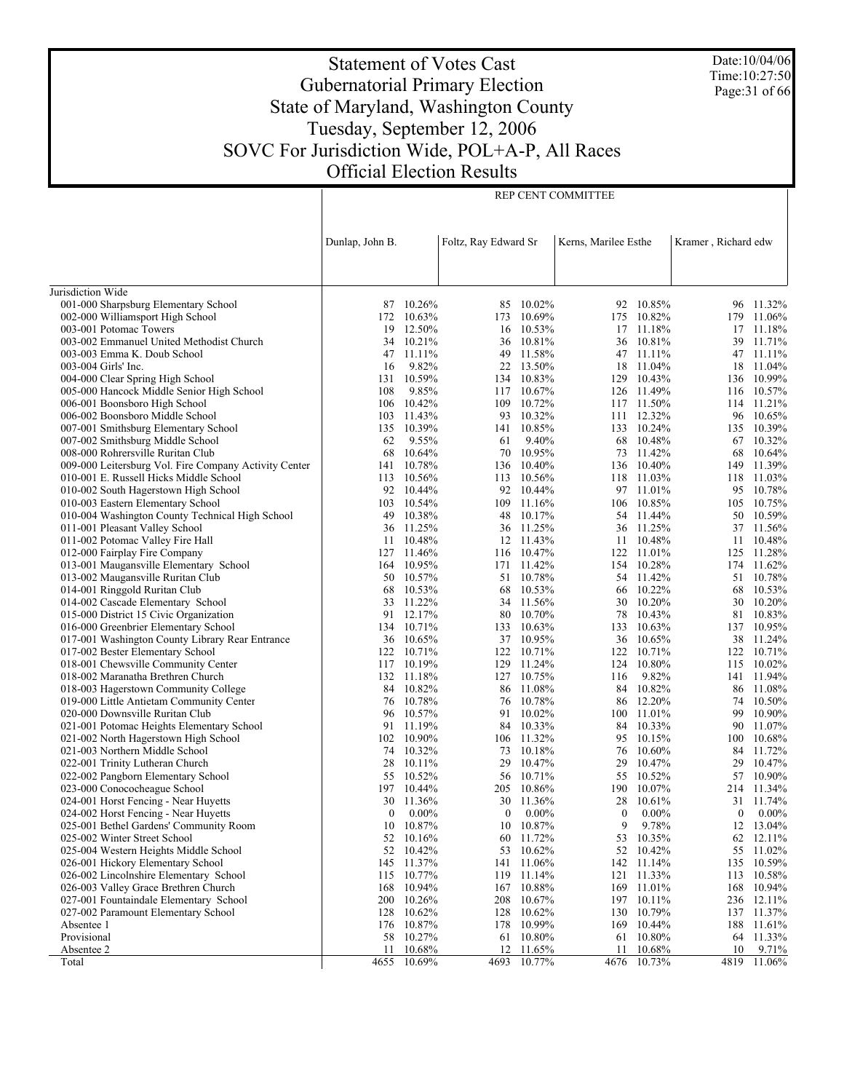Date:10/04/06 Time:10:27:50 Page:31 of 66

# Statement of Votes Cast Gubernatorial Primary Election State of Maryland, Washington County Tuesday, September 12, 2006 SOVC For Jurisdiction Wide, POL+A-P, All Races Official Election Results

REP CENT COMMITTEE

|                                                                          | Dunlap, John B. |                      | Foltz, Ray Edward Sr |                      | Kerns, Marilee Esthe |                          | Kramer, Richard edw |                      |
|--------------------------------------------------------------------------|-----------------|----------------------|----------------------|----------------------|----------------------|--------------------------|---------------------|----------------------|
|                                                                          |                 |                      |                      |                      |                      |                          |                     |                      |
|                                                                          |                 |                      |                      |                      |                      |                          |                     |                      |
| Jurisdiction Wide                                                        |                 |                      |                      |                      |                      |                          |                     |                      |
| 001-000 Sharpsburg Elementary School                                     |                 | 87 10.26%            |                      | 85 10.02%            |                      | 92 10.85%                | 96                  | 11.32%               |
| 002-000 Williamsport High School                                         |                 | 172 10.63%           |                      | 173 10.69%           | 175                  | 10.82%                   | 179                 | 11.06%               |
| 003-001 Potomac Towers                                                   | 19              | 12.50%               | 16                   | 10.53%               | 17                   | 11.18%                   | 17                  | 11.18%               |
| 003-002 Emmanuel United Methodist Church                                 |                 | 34 10.21%            | 36                   | 10.81%               |                      | 36 10.81%                | 39                  | 11.71%               |
| 003-003 Emma K. Doub School                                              | 47              | 11.11%               | 49                   | 11.58%               |                      | 47 11.11%                |                     | 47 11.11%            |
| 003-004 Girls' Inc.                                                      | 16              | 9.82%                |                      | 22 13.50%            |                      | 18 11.04%                | 18                  | 11.04%               |
| 004-000 Clear Spring High School                                         | 131             | 10.59%               |                      | 134 10.83%           |                      | 129 10.43%               | 136                 | 10.99%               |
| 005-000 Hancock Middle Senior High School                                | 108             | 9.85%                |                      | 117 10.67%           |                      | 126 11.49%               |                     | 116 10.57%           |
| 006-001 Boonsboro High School                                            | 106             | 10.42%               | 109                  | 10.72%               |                      | 117 11.50%               | 114                 | 11.21%               |
| 006-002 Boonsboro Middle School                                          | 103             | 11.43%<br>135 10.39% | 93                   | 10.32%<br>141 10.85% |                      | 111 12.32%<br>133 10.24% | 96                  | 10.65%<br>10.39%     |
| 007-001 Smithsburg Elementary School<br>007-002 Smithsburg Middle School | 62              | 9.55%                | 61                   | 9.40%                |                      | 68 10.48%                | 135                 | 67 10.32%            |
| 008-000 Rohrersville Ruritan Club                                        | 68              | 10.64%               | 70                   | 10.95%               | 73                   | 11.42%                   | 68                  | 10.64%               |
| 009-000 Leitersburg Vol. Fire Company Activity Center                    | 141             | 10.78%               |                      | 136 10.40%           |                      | 136 10.40%               | 149                 | 11.39%               |
| 010-001 E. Russell Hicks Middle School                                   | 113             | 10.56%               | 113                  | 10.56%               |                      | 118 11.03%               | 118                 | 11.03%               |
| 010-002 South Hagerstown High School                                     |                 | 92 10.44%            |                      | 92 10.44%            |                      | 97 11.01%                | 95                  | 10.78%               |
| 010-003 Eastern Elementary School                                        | 103             | 10.54%               | 109                  | 11.16%               |                      | 106 10.85%               | 105                 | 10.75%               |
| 010-004 Washington County Technical High School                          | 49              | 10.38%               | 48                   | 10.17%               |                      | 54 11.44%                | 50                  | 10.59%               |
| 011-001 Pleasant Valley School                                           | 36              | 11.25%               |                      | 36 11.25%            | 36                   | 11.25%                   | 37                  | 11.56%               |
| 011-002 Potomac Valley Fire Hall                                         | 11              | 10.48%               |                      | 12 11.43%            | 11                   | 10.48%                   | 11                  | 10.48%               |
| 012-000 Fairplay Fire Company                                            | 127             | 11.46%               |                      | 116 10.47%           | 122                  | 11.01%                   | 125                 | 11.28%               |
| 013-001 Maugansville Elementary School                                   |                 | 164 10.95%           |                      | 171 11.42%           |                      | 154 10.28%               |                     | 174 11.62%           |
| 013-002 Maugansville Ruritan Club                                        | 50              | 10.57%               | 51                   | 10.78%               | 54                   | 11.42%                   | 51                  | 10.78%               |
| 014-001 Ringgold Ruritan Club<br>014-002 Cascade Elementary School       | 68<br>33        | 10.53%<br>11.22%     | 68<br>34             | 10.53%<br>11.56%     | 30                   | 66 10.22%<br>$10.20\%$   | 68<br>30            | 10.53%<br>10.20%     |
| 015-000 District 15 Civic Organization                                   | 91              | 12.17%               | 80                   | 10.70%               | 78                   | 10.43%                   | 81                  | 10.83%               |
| 016-000 Greenbrier Elementary School                                     |                 | 134 10.71%           |                      | 133 10.63%           | 133                  | 10.63%                   | 137                 | 10.95%               |
| 017-001 Washington County Library Rear Entrance                          |                 | 36 10.65%            |                      | 37 10.95%            | 36                   | 10.65%                   |                     | 38 11.24%            |
| 017-002 Bester Elementary School                                         |                 | 122 10.71%           |                      | 122 10.71%           | 122                  | 10.71%                   | 122                 | 10.71%               |
| 018-001 Chewsville Community Center                                      |                 | 117 10.19%           |                      | 129 11.24%           | 124                  | 10.80%                   | 115                 | 10.02%               |
| 018-002 Maranatha Brethren Church                                        |                 | 132 11.18%           |                      | 127 10.75%           | 116                  | 9.82%                    | 141                 | 11.94%               |
| 018-003 Hagerstown Community College                                     |                 | 84 10.82%            |                      | 86 11.08%            | 84                   | 10.82%                   |                     | 86 11.08%            |
| 019-000 Little Antietam Community Center                                 | 76              | 10.78%               |                      | 76 10.78%            | 86                   | 12.20%                   | 74                  | 10.50%               |
| 020-000 Downsville Ruritan Club                                          | 96              | 10.57%               | 91                   | $10.02\%$            |                      | 100 11.01%               | 99                  | 10.90%               |
| 021-001 Potomac Heights Elementary School                                | 91              | 11.19%               | 84                   | 10.33%               | 84                   | 10.33%                   | 90                  | 11.07%               |
| 021-002 North Hagerstown High School                                     | 74              | 102 10.90%<br>10.32% |                      | 106 11.32%<br>10.18% | 95                   | 10.15%<br>$10.60\%$      | 100                 | 10.68%<br>11.72%     |
| 021-003 Northern Middle School<br>022-001 Trinity Lutheran Church        | 28              | 10.11%               | 73<br>29             | 10.47%               | 76<br>29             | 10.47%                   | 84<br>29            | 10.47%               |
| 022-002 Pangborn Elementary School                                       | 55              | 10.52%               |                      | 56 10.71%            |                      | 55 10.52%                | 57                  | 10.90%               |
| 023-000 Conococheague School                                             |                 | 197 10.44%           |                      | 205 10.86%           |                      | 190 10.07%               |                     | 214 11.34%           |
| 024-001 Horst Fencing - Near Huyetts                                     | 30              | 11.36%               | 30                   | 11.36%               | 28                   | 10.61%                   | 31                  | 11.74%               |
| 024-002 Horst Fencing - Near Huyetts                                     | $\overline{0}$  | $0.00\%$             | $\bf{0}$             | $0.00\%$             | $\mathbf{0}$         | $0.00\%$                 | $\bf{0}$            | $0.00\%$             |
| 025-001 Bethel Gardens' Community Room                                   |                 | 10 10.87%            |                      | 10 10.87%            |                      | 9 9.78%                  |                     | 12 13.04%            |
| 025-002 Winter Street School                                             |                 | 52 10.16%            |                      | 60 11.72%            |                      | 53 10.35%                |                     | 62 12.11%            |
| 025-004 Western Heights Middle School                                    |                 | 52 10.42%            |                      | 53 10.62%            |                      | 52 10.42%                | 55                  | 11.02%               |
| 026-001 Hickory Elementary School                                        |                 | 145 11.37%           |                      | 141 11.06%           |                      | 142 11.14%               | 135                 | 10.59%               |
| 026-002 Lincolnshire Elementary School                                   |                 | 115 10.77%           | 119                  | 11.14%               |                      | 121 11.33%               | 113                 | 10.58%               |
| 026-003 Valley Grace Brethren Church                                     |                 | 168 10.94%           |                      | 167 10.88%           |                      | 169 11.01%               | 168                 | 10.94%               |
| 027-001 Fountaindale Elementary School                                   | 200             | 10.26%               | 208                  | 10.67%               |                      | 197 10.11%               | 236                 | 12.11%               |
| 027-002 Paramount Elementary School<br>Absentee 1                        | 176             | 128 10.62%<br>10.87% | 178                  | 128 10.62%<br>10.99% | 169                  | 130 10.79%<br>10.44%     | 188                 | 137 11.37%<br>11.61% |
| Provisional                                                              |                 | 58 10.27%            |                      | 61 10.80%            | 61                   | 10.80%                   |                     | 64 11.33%            |
| Absentee 2                                                               | 11              | 10.68%               | 12                   | 11.65%               | 11                   | 10.68%                   | 10                  | 9.71%                |
| Total                                                                    | 4655            | 10.69%               |                      | 4693 10.77%          | 4676                 | 10.73%                   | 4819                | 11.06%               |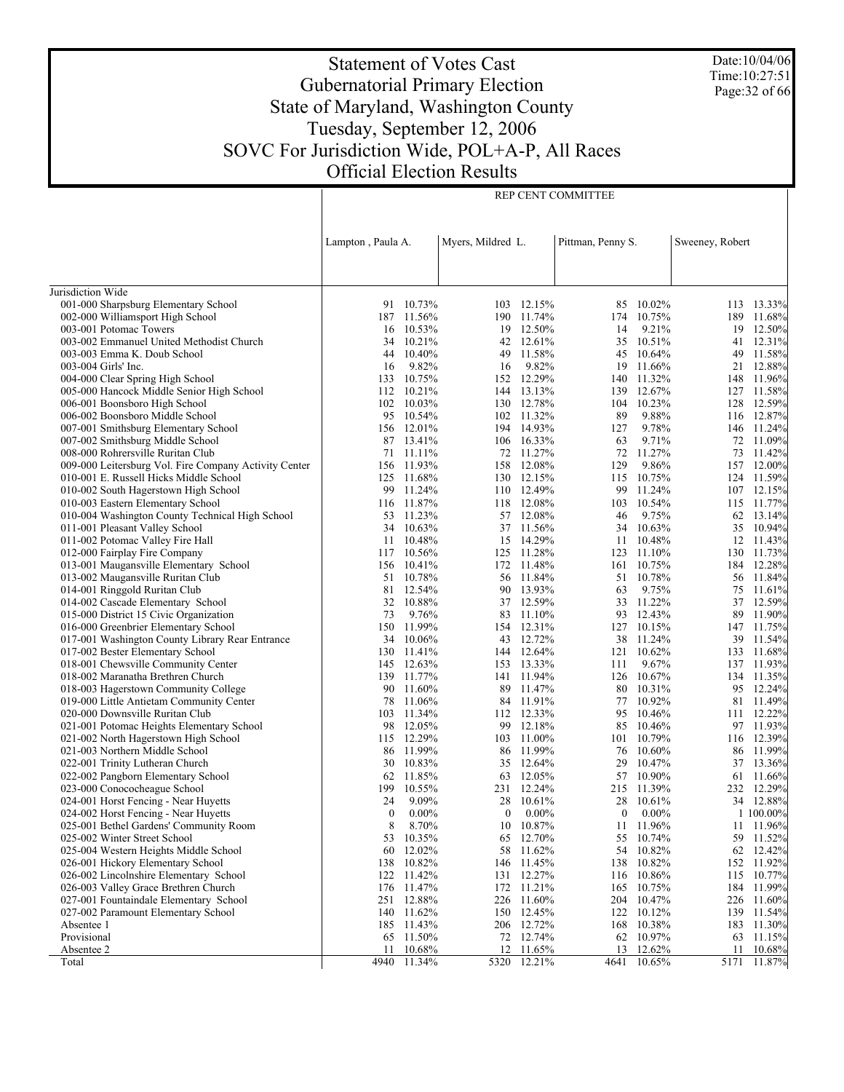Date:10/04/06 Time:10:27:51 Page:32 of 66

# Statement of Votes Cast Gubernatorial Primary Election State of Maryland, Washington County Tuesday, September 12, 2006 SOVC For Jurisdiction Wide, POL+A-P, All Races Official Election Results

REP CENT COMMITTEE

|                                                                          | Lampton, Paula A.       |          | Myers, Mildred L. |                          | Pittman, Penny S. |                  | Sweeney, Robert |                         |
|--------------------------------------------------------------------------|-------------------------|----------|-------------------|--------------------------|-------------------|------------------|-----------------|-------------------------|
|                                                                          |                         |          |                   |                          |                   |                  |                 |                         |
|                                                                          |                         |          |                   |                          |                   |                  |                 |                         |
| Jurisdiction Wide                                                        |                         |          |                   |                          |                   |                  |                 |                         |
| 001-000 Sharpsburg Elementary School                                     | 91 10.73%               |          |                   | 103 12.15%               | 85                | 10.02%           |                 | 113 13.33%              |
| 002-000 Williamsport High School                                         | 187 11.56%              |          |                   | 190 11.74%               | 174               | 10.75%           |                 | 189 11.68%              |
| 003-001 Potomac Towers                                                   | 16 10.53%               |          |                   | 19 12.50%                | 14                | 9.21%            |                 | 19 12.50%               |
| 003-002 Emmanuel United Methodist Church                                 | 34 10.21%               |          |                   | 42 12.61%                | 35                | 10.51%           |                 | 41 12.31%               |
| 003-003 Emma K. Doub School                                              | 44 10.40%               |          | 49                | 11.58%                   | 45                | 10.64%           |                 | 49 11.58%               |
| 003-004 Girls' Inc.                                                      | 16                      | 9.82%    | 16                | 9.82%                    | 19                | 11.66%           |                 | 21 12.88%               |
| 004-000 Clear Spring High School                                         | 133 10.75%              |          |                   | 152 12.29%               |                   | 140 11.32%       |                 | 148 11.96%              |
| 005-000 Hancock Middle Senior High School                                | 112 10.21%              |          |                   | 144 13.13%               | 139               | 12.67%           |                 | 127 11.58%              |
| 006-001 Boonsboro High School                                            | 102 10.03%              |          |                   | 130 12.78%               |                   | 104 10.23%       |                 | 128 12.59%              |
| 006-002 Boonsboro Middle School                                          | 95 10.54%<br>156 12.01% |          |                   | 102 11.32%<br>194 14.93% | 89                | 9.88%<br>9.78%   |                 | 116 12.87%              |
| 007-001 Smithsburg Elementary School<br>007-002 Smithsburg Middle School | 87                      | 13.41%   |                   | 106 16.33%               | 127<br>63         | 9.71%            |                 | 146 11.24%<br>72 11.09% |
| 008-000 Rohrersville Ruritan Club                                        | 71 11.11%               |          |                   | 72 11.27%                | 72                | 11.27%           |                 | 73 11.42%               |
| 009-000 Leitersburg Vol. Fire Company Activity Center                    | 156 11.93%              |          |                   | 158 12.08%               | 129               | 9.86%            |                 | 157 12.00%              |
| 010-001 E. Russell Hicks Middle School                                   | 125 11.68%              |          |                   | 130 12.15%               |                   | 115 10.75%       |                 | 124 11.59%              |
| 010-002 South Hagerstown High School                                     | 99                      | 11.24%   |                   | 110 12.49%               | 99                | 11.24%           |                 | 107 12.15%              |
| 010-003 Eastern Elementary School                                        | 116 11.87%              |          |                   | 118 12.08%               | 103               | 10.54%           |                 | 115 11.77%              |
| 010-004 Washington County Technical High School                          | 53 11.23%               |          |                   | 57 12.08%                | 46                | 9.75%            |                 | 62 13.14%               |
| 011-001 Pleasant Valley School                                           | 34 10.63%               |          |                   | 37 11.56%                | 34                | 10.63%           |                 | 35 10.94%               |
| 011-002 Potomac Valley Fire Hall                                         | 11 10.48%               |          |                   | 15 14.29%                | 11                | 10.48%           |                 | 12 11.43%               |
| 012-000 Fairplay Fire Company                                            | 117 10.56%              |          |                   | 125 11.28%               |                   | 123 11.10%       |                 | 130 11.73%              |
| 013-001 Maugansville Elementary School                                   | 156 10.41%              |          |                   | 172 11.48%               | 161               | 10.75%           |                 | 184 12.28%              |
| 013-002 Maugansville Ruritan Club                                        | 51 10.78%               |          |                   | 56 11.84%                |                   | 51 10.78%        |                 | 56 11.84%               |
| 014-001 Ringgold Ruritan Club                                            | 81                      | 12.54%   |                   | 90 13.93%                | 63                | 9.75%            |                 | 75 11.61%               |
| 014-002 Cascade Elementary School                                        | 32 10.88%               |          |                   | 37 12.59%                | 33                | 11.22%           |                 | 37 12.59%               |
| 015-000 District 15 Civic Organization                                   | 73                      | 9.76%    |                   | 83 11.10%                | 93                | 12.43%           |                 | 89 11.90%               |
| 016-000 Greenbrier Elementary School                                     | 150 11.99%              |          |                   | 154 12.31%               |                   | 127 10.15%       |                 | 147 11.75%              |
| 017-001 Washington County Library Rear Entrance                          | 34 10.06%               |          |                   | 43 12.72%                | 38                | 11.24%           |                 | 39 11.54%               |
| 017-002 Bester Elementary School                                         | 130 11.41%              |          |                   | 144 12.64%               |                   | 121 10.62%       |                 | 133 11.68%              |
| 018-001 Chewsville Community Center                                      | 145 12.63%              |          |                   | 153 13.33%               | 111               | 9.67%            |                 | 137 11.93%              |
| 018-002 Maranatha Brethren Church                                        | 139 11.77%              |          |                   | 141 11.94%               |                   | 126 10.67%       |                 | 134 11.35%              |
| 018-003 Hagerstown Community College                                     | 90                      | 11.60%   | 89                | 11.47%                   | 80                | 10.31%           |                 | 95 12.24%               |
| 019-000 Little Antietam Community Center                                 | 78 11.06%               |          |                   | 84 11.91%                |                   | 77 10.92%        |                 | 81 11.49%               |
| 020-000 Downsville Ruritan Club                                          | 103                     | 11.34%   |                   | 112 12.33%               | 95                | 10.46%           |                 | 111 12.22%              |
| 021-001 Potomac Heights Elementary School                                | 98 12.05%               |          | 99                | 12.18%                   | 85                | 10.46%           |                 | 97 11.93%               |
| 021-002 North Hagerstown High School                                     | 115 12.29%              |          |                   | 103 11.00%               | 101               | 10.79%<br>10.60% |                 | 116 12.39%              |
| 021-003 Northern Middle School                                           | 86 11.99%               |          |                   | 86 11.99%<br>35 12.64%   | 76<br>29          | 10.47%           |                 | 86 11.99%               |
| 022-001 Trinity Lutheran Church<br>022-002 Pangborn Elementary School    | 30 10.83%<br>62 11.85%  |          |                   | 63 12.05%                |                   | 57 10.90%        |                 | 37 13.36%<br>61 11.66%  |
| 023-000 Conococheague School                                             | 199                     | 10.55%   |                   | 231 12.24%               |                   | 215 11.39%       |                 | 232 12.29%              |
| 024-001 Horst Fencing - Near Huyetts                                     | 24                      | 9.09%    | 28                | $10.61\%$                | 28                | 10.61%           |                 | 34 12.88%               |
| 024-002 Horst Fencing - Near Huyetts                                     | $\boldsymbol{0}$        | $0.00\%$ | $\bf{0}$          | $0.00\%$                 | $\mathbf{0}$      | $0.00\%$         |                 | 1 100.00%               |
| 025-001 Bethel Gardens' Community Room                                   | 8                       | 8.70%    |                   | 10 10.87%                | 11                | 11.96%           |                 | 11 11.96%               |
| 025-002 Winter Street School                                             | 53 10.35%               |          |                   | 65 12.70%                | 55                | 10.74%           |                 | 59 11.52%               |
| 025-004 Western Heights Middle School                                    | 60 12.02%               |          | 58                | 11.62%                   | 54                | 10.82%           |                 | 62 12.42%               |
| 026-001 Hickory Elementary School                                        | 138                     | 10.82%   | 146               | 11.45%                   | 138               | 10.82%           | 152             | 11.92%                  |
| 026-002 Lincolnshire Elementary School                                   | 122 11.42%              |          |                   | 131 12.27%               |                   | 116 10.86%       |                 | 115 10.77%              |
| 026-003 Valley Grace Brethren Church                                     | 176                     | 11.47%   |                   | 172 11.21%               | 165               | 10.75%           |                 | 184 11.99%              |
| 027-001 Fountaindale Elementary School                                   | 251 12.88%              |          |                   | 226 11.60%               |                   | 204 10.47%       |                 | 226 11.60%              |
| 027-002 Paramount Elementary School                                      | 140                     | 11.62%   | 150               | 12.45%                   | 122               | 10.12%           |                 | 139 11.54%              |
| Absentee 1                                                               | 185 11.43%              |          |                   | 206 12.72%               | 168               | 10.38%           |                 | 183 11.30%              |
| Provisional                                                              | 65 11.50%               |          | 72                | 12.74%                   | 62                | 10.97%           |                 | 63 11.15%               |
| Absentee 2                                                               | 11                      | 10.68%   |                   | 12 11.65%                |                   | 13 12.62%        |                 | 11 10.68%               |
| Total                                                                    | 4940 11.34%             |          |                   | 5320 12.21%              |                   | 4641 10.65%      | 5171            | 11.87%                  |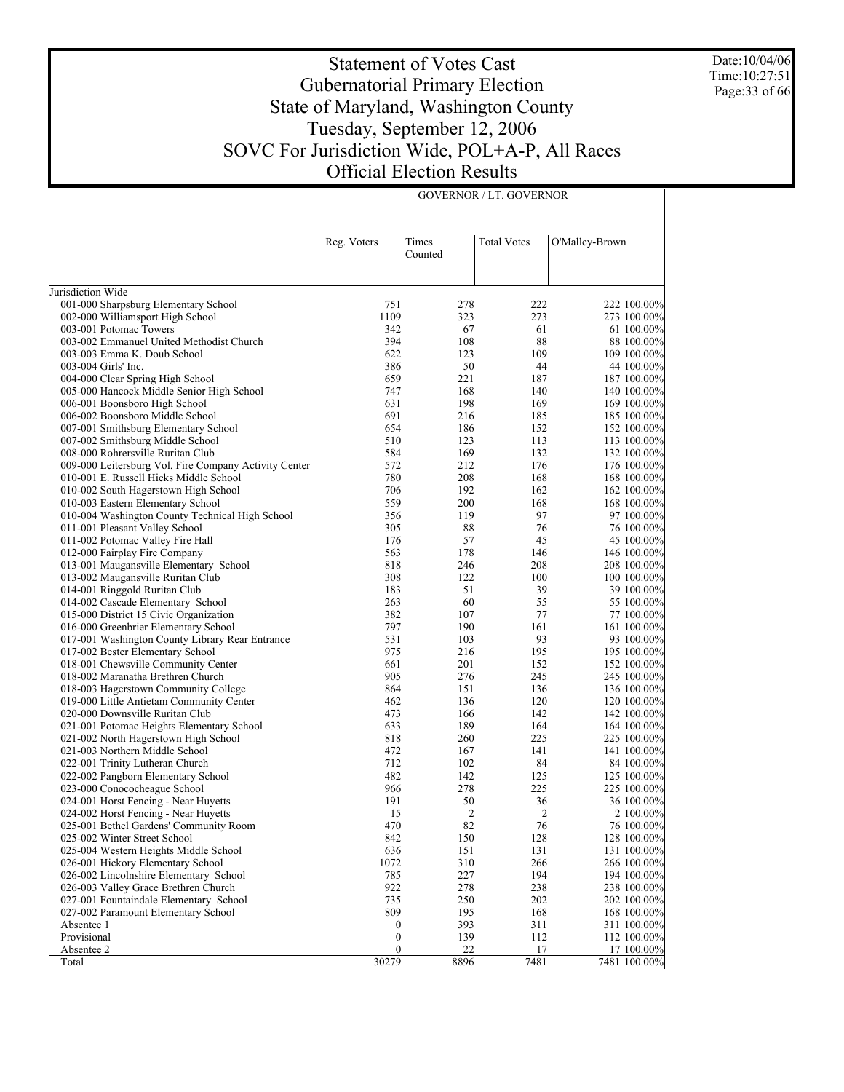Date:10/04/06 Time:10:27:51 Page:33 of 66

 $\overline{\phantom{a}}$ 

# Statement of Votes Cast Gubernatorial Primary Election State of Maryland, Washington County Tuesday, September 12, 2006 SOVC For Jurisdiction Wide, POL+A-P, All Races Official Election Results

GOVERNOR / LT. GOVERNOR

|                                                                         | Reg. Voters      | Times<br>Counted | <b>Total Votes</b> | O'Malley-Brown |                            |
|-------------------------------------------------------------------------|------------------|------------------|--------------------|----------------|----------------------------|
| Jurisdiction Wide                                                       |                  |                  |                    |                |                            |
| 001-000 Sharpsburg Elementary School                                    | 751              | 278              | 222                |                | 222 100.00%                |
| 002-000 Williamsport High School                                        | 1109             | 323              | 273                |                | 273 100.00%                |
| 003-001 Potomac Towers                                                  | 342              | 67               | 61                 |                | 61 100.00%                 |
| 003-002 Emmanuel United Methodist Church                                | 394              | 108              | 88                 |                | 88 100.00%                 |
| 003-003 Emma K. Doub School                                             | 622              | 123              | 109                |                | 109 100.00%                |
| 003-004 Girls' Inc.                                                     | 386              | 50               | 44                 |                | 44 100.00%                 |
| 004-000 Clear Spring High School                                        | 659              | 221              | 187                |                | 187 100.00%                |
| 005-000 Hancock Middle Senior High School                               | 747              | 168              | 140                |                | 140 100.00%                |
| 006-001 Boonsboro High School                                           | 631              | 198              | 169                |                | 169 100.00%                |
| 006-002 Boonsboro Middle School                                         | 691              | 216              | 185                |                | 185 100.00%                |
| 007-001 Smithsburg Elementary School                                    | 654              | 186              | 152                |                | 152 100.00%                |
| 007-002 Smithsburg Middle School                                        | 510              | 123              | 113                |                | 113 100.00%                |
| 008-000 Rohrersville Ruritan Club                                       | 584              | 169              | 132                |                | 132 100.00%                |
| 009-000 Leitersburg Vol. Fire Company Activity Center                   | 572              | 212              | 176                |                | 176 100.00%                |
| 010-001 E. Russell Hicks Middle School                                  | 780              | 208              | 168                |                | 168 100.00%                |
| 010-002 South Hagerstown High School                                    | 706              | 192              | 162                |                | 162 100.00%                |
| 010-003 Eastern Elementary School                                       | 559              | 200              | 168                |                | 168 100.00%                |
| 010-004 Washington County Technical High School                         | 356              | 119              | 97                 |                | 97 100.00%                 |
| 011-001 Pleasant Valley School                                          | 305              | 88               | 76                 |                | 76 100.00%                 |
| 011-002 Potomac Valley Fire Hall                                        | 176              | 57               | 45                 |                | 45 100.00%                 |
| 012-000 Fairplay Fire Company                                           | 563              | 178              | 146                |                | 146 100.00%                |
| 013-001 Maugansville Elementary School                                  | 818              | 246              | 208                |                | 208 100.00%                |
| 013-002 Maugansville Ruritan Club                                       | 308              | 122              | 100                |                | 100 100.00%                |
| 014-001 Ringgold Ruritan Club                                           | 183              | 51               | 39                 |                | 39 100.00%                 |
| 014-002 Cascade Elementary School                                       | 263              | 60               | 55                 |                | 55 100.00%                 |
| 015-000 District 15 Civic Organization                                  | 382              | 107              | 77                 |                | 77 100.00%                 |
| 016-000 Greenbrier Elementary School                                    | 797              | 190              | 161                |                | 161 100.00%                |
| 017-001 Washington County Library Rear Entrance                         | 531<br>975       | 103<br>216       | 93<br>195          |                | 93 100.00%                 |
| 017-002 Bester Elementary School<br>018-001 Chewsville Community Center | 661              | 201              | 152                |                | 195 100.00%<br>152 100.00% |
| 018-002 Maranatha Brethren Church                                       | 905              | 276              | 245                |                | 245 100.00%                |
| 018-003 Hagerstown Community College                                    | 864              | 151              | 136                |                | 136 100.00%                |
| 019-000 Little Antietam Community Center                                | 462              | 136              | 120                |                | 120 100.00%                |
| 020-000 Downsville Ruritan Club                                         | 473              | 166              | 142                |                | 142 100.00%                |
| 021-001 Potomac Heights Elementary School                               | 633              | 189              | 164                |                | 164 100.00%                |
| 021-002 North Hagerstown High School                                    | 818              | 260              | 225                |                | 225 100.00%                |
| 021-003 Northern Middle School                                          | 472              | 167              | 141                |                | 141 100.00%                |
| 022-001 Trinity Lutheran Church                                         | 712              | 102              | 84                 |                | 84 100.00%                 |
| 022-002 Pangborn Elementary School                                      | 482              | 142              | 125                |                | 125 100.00%                |
| 023-000 Conococheague School                                            | 966              | 278              | 225                |                | 225 100.00%                |
| 024-001 Horst Fencing - Near Huyetts                                    | 191              | 50               | 36                 |                | 36 100.00%                 |
| 024-002 Horst Fencing - Near Huyetts                                    | 15               | $\overline{2}$   | 2                  |                | 2 100.00%                  |
| 025-001 Bethel Gardens' Community Room                                  | 470              | 82               | 76                 |                | 76 100.00%                 |
| 025-002 Winter Street School                                            | 842              | 150              | 128                |                | 128 100.00%                |
| 025-004 Western Heights Middle School                                   | 636              | 151              | 131                |                | 131 100.00%                |
| 026-001 Hickory Elementary School                                       | 1072             | 310              | 266                |                | 266 100.00%                |
| 026-002 Lincolnshire Elementary School                                  | 785              | 227              | 194                |                | 194 100.00%                |
| 026-003 Valley Grace Brethren Church                                    | 922              | 278              | 238                |                | 238 100.00%                |
| 027-001 Fountaindale Elementary School                                  | 735              | 250              | 202                |                | 202 100.00%                |
| 027-002 Paramount Elementary School                                     | 809              | 195              | 168                |                | 168 100.00%                |
| Absentee 1                                                              | $\boldsymbol{0}$ | 393              | 311                |                | 311 100.00%                |
| Provisional                                                             | $\boldsymbol{0}$ | 139              | 112                |                | 112 100.00%                |
| Absentee 2                                                              | $\boldsymbol{0}$ | 22               | 17                 |                | 17 100.00%                 |
| Total                                                                   | 30279            | 8896             | 7481               |                | 7481 100.00%               |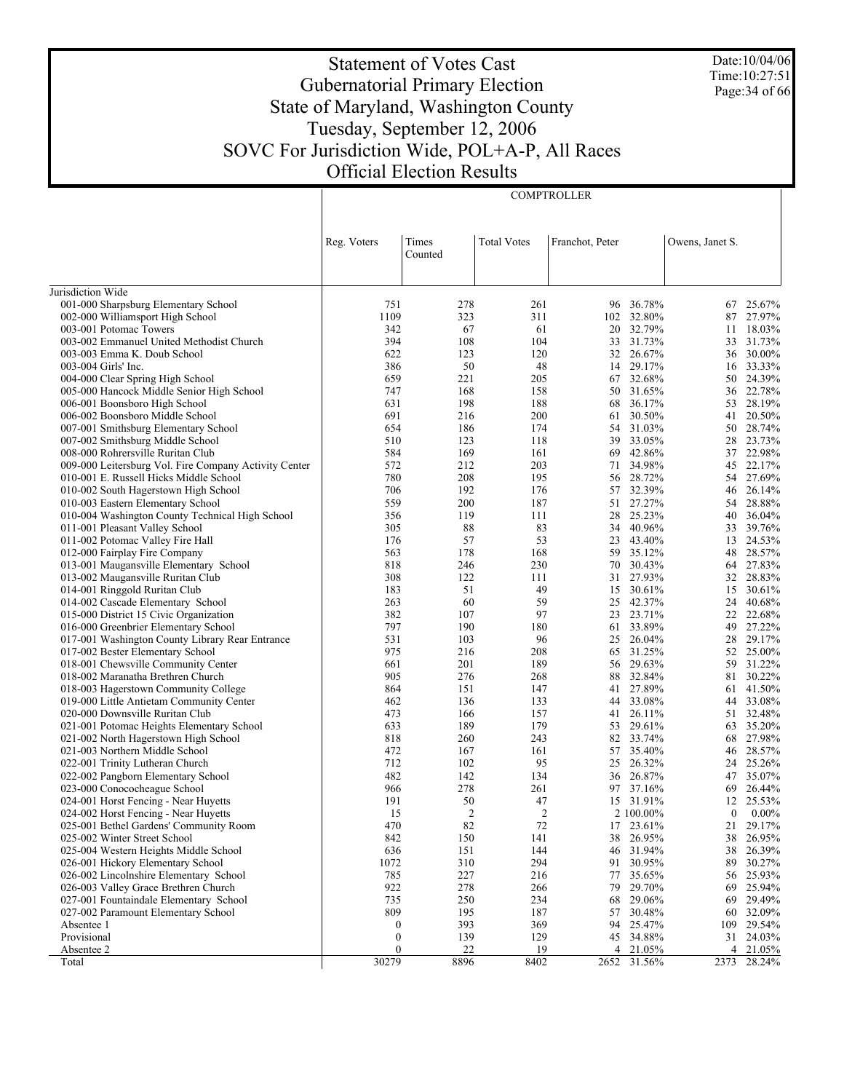Date:10/04/06 Time:10:27:51 Page:34 of 66

# Statement of Votes Cast Gubernatorial Primary Election State of Maryland, Washington County Tuesday, September 12, 2006 SOVC For Jurisdiction Wide, POL+A-P, All Races Official Election Results

**COMPTROLLER** 

|                                                                            | Reg. Voters      | Times<br>Counted | <b>Total Votes</b> | Franchot, Peter |                     | Owens, Janet S.  |                        |
|----------------------------------------------------------------------------|------------------|------------------|--------------------|-----------------|---------------------|------------------|------------------------|
|                                                                            |                  |                  |                    |                 |                     |                  |                        |
| Jurisdiction Wide                                                          |                  |                  |                    |                 |                     |                  |                        |
| 001-000 Sharpsburg Elementary School                                       | 751              | 278              | 261                |                 | 96 36.78%           |                  | 67 25.67%              |
| 002-000 Williamsport High School                                           | 1109             | 323              | 311                |                 | 102 32.80%          | 87               | 27.97%                 |
| 003-001 Potomac Towers                                                     | 342              | 67               | 61                 |                 | 20 32.79%           |                  | 11 18.03%              |
| 003-002 Emmanuel United Methodist Church                                   | 394              | 108              | 104                |                 | 33 31.73%           |                  | 33 31.73%              |
| 003-003 Emma K. Doub School                                                | 622              | 123              | 120                |                 | 32 26.67%           |                  | 36 30.00%              |
| 003-004 Girls' Inc.                                                        | 386<br>659       | 50<br>221        | 48<br>205          | 14              | 29.17%<br>67 32.68% |                  | 16 33.33%<br>50 24.39% |
| 004-000 Clear Spring High School                                           | 747              | 168              | 158                |                 | 50 31.65%           |                  | 36 22.78%              |
| 005-000 Hancock Middle Senior High School<br>006-001 Boonsboro High School | 631              | 198              | 188                | 68              | 36.17%              | 53               | 28.19%                 |
| 006-002 Boonsboro Middle School                                            | 691              | 216              | 200                | 61              | 30.50%              | 41               | 20.50%                 |
| 007-001 Smithsburg Elementary School                                       | 654              | 186              | 174                |                 | 54 31.03%           |                  | 50 28.74%              |
| 007-002 Smithsburg Middle School                                           | 510              | 123              | 118                | 39              | 33.05%              | 28               | 23.73%                 |
| 008-000 Rohrersville Ruritan Club                                          | 584              | 169              | 161                |                 | 69 42.86%           | 37               | 22.98%                 |
| 009-000 Leitersburg Vol. Fire Company Activity Center                      | 572              | 212              | 203                | 71              | 34.98%              | 45               | 22.17%                 |
| 010-001 E. Russell Hicks Middle School                                     | 780              | 208              | 195                |                 | 56 28.72%           |                  | 54 27.69%              |
| 010-002 South Hagerstown High School                                       | 706              | 192              | 176                | 57              | 32.39%              | 46               | 26.14%                 |
| 010-003 Eastern Elementary School                                          | 559              | 200              | 187                | 51              | 27.27%              | 54               | 28.88%                 |
| 010-004 Washington County Technical High School                            | 356              | 119              | 111                | 28              | 25.23%              |                  | 40 36.04%              |
| 011-001 Pleasant Valley School                                             | 305              | 88               | 83                 | 34              | 40.96%              |                  | 33 39.76%              |
| 011-002 Potomac Valley Fire Hall                                           | 176              | 57               | 53                 | 23              | 43.40%              |                  | 13 24.53%              |
| 012-000 Fairplay Fire Company                                              | 563              | 178              | 168                |                 | 59 35.12%           |                  | 48 28.57%              |
| 013-001 Maugansville Elementary School                                     | 818              | 246              | 230                |                 | 70 30.43%           |                  | 64 27.83%              |
| 013-002 Maugansville Ruritan Club                                          | 308              | 122              | 111                |                 | 31 27.93%           |                  | 32 28.83%              |
| 014-001 Ringgold Ruritan Club                                              | 183              | 51               | 49                 |                 | 15 30.61%           | 15               | 30.61%                 |
| 014-002 Cascade Elementary School                                          | 263              | 60               | 59                 |                 | 25 42.37%           | 24               | 40.68%                 |
| 015-000 District 15 Civic Organization                                     | 382              | 107              | 97                 | 23              | 23.71%              | 22               | 22.68%                 |
| 016-000 Greenbrier Elementary School                                       | 797              | 190              | 180                |                 | 61 33.89%           | 49               | 27.22%                 |
| 017-001 Washington County Library Rear Entrance                            | 531              | 103              | 96                 | 25              | 26.04%              | 28               | 29.17%                 |
| 017-002 Bester Elementary School                                           | 975              | 216              | 208                |                 | 65 31.25%           |                  | 52 25.00%              |
| 018-001 Chewsville Community Center                                        | 661              | 201              | 189                |                 | 56 29.63%           |                  | 59 31.22%              |
| 018-002 Maranatha Brethren Church                                          | 905              | 276              | 268                |                 | 88 32.84%           |                  | 81 30.22%              |
| 018-003 Hagerstown Community College                                       | 864              | 151              | 147                | 41              | 27.89%              |                  | 61 41.50%              |
| 019-000 Little Antietam Community Center                                   | 462              | 136              | 133                | 44              | 33.08%              |                  | 44 33.08%              |
| 020-000 Downsville Ruritan Club                                            | 473              | 166              | 157                | 41              | 26.11%              |                  | 51 32.48%              |
| 021-001 Potomac Heights Elementary School                                  | 633              | 189              | 179                |                 | 53 29.61%           |                  | 63 35.20%              |
| 021-002 North Hagerstown High School                                       | 818              | 260              | 243                |                 | 82 33.74%           | 68               | 27.98%                 |
| 021-003 Northern Middle School                                             | 472              | 167              | 161                |                 | 57 35.40%           |                  | 46 28.57%              |
| 022-001 Trinity Lutheran Church                                            | 712              | 102              | 95                 | 25              | 26.32%              |                  | 24 25.26%              |
| 022-002 Pangborn Elementary School                                         | 482              | 142              | 134                |                 | 36 26.87%           | 47               | 35.07%                 |
| 023-000 Conococheague School                                               | 966              | 278              | 261                |                 | 97 37.16%           | 69               | 26.44%                 |
| 024-001 Horst Fencing - Near Huyetts                                       | 191              | 50               | 47                 |                 | 15 31.91%           |                  | 12 25.53%              |
| 024-002 Horst Fencing - Near Huyetts                                       | 15               | $\overline{c}$   | $\overline{2}$     |                 | 2 100.00%           | $\boldsymbol{0}$ | $0.00\%$               |
| 025-001 Bethel Gardens' Community Room                                     | 470              | 82               | 72                 |                 | 17 23.61%           | 21               | 29.17%                 |
| 025-002 Winter Street School                                               | 842              | 150              | 141                | 38              | 26.95%              | 38               | 26.95%                 |
| 025-004 Western Heights Middle School                                      | 636              | 151              | 144                | 46              | 31.94%              | 38               | 26.39%                 |
| 026-001 Hickory Elementary School                                          | 1072             | 310              | 294                | 91              | 30.95%              | 89               | 30.27%                 |
| 026-002 Lincolnshire Elementary School                                     | 785              | 227              | 216                | 77              | 35.65%              | 56               | 25.93%                 |
| 026-003 Valley Grace Brethren Church                                       | 922              | 278              | 266                | 79              | 29.70%              | 69               | 25.94%                 |
| 027-001 Fountaindale Elementary School                                     | 735              | 250              | 234                | 68              | 29.06%              | 69               | 29.49%                 |
| 027-002 Paramount Elementary School                                        | 809              | 195              | 187                | 57              | 30.48%              | 60               | 32.09%                 |
| Absentee 1                                                                 | $\boldsymbol{0}$ | 393              | 369                | 94              | 25.47%              | 109              | 29.54%                 |
| Provisional                                                                | $\boldsymbol{0}$ | 139              | 129                |                 | 45 34.88%           |                  | 31 24.03%              |
| Absentee 2                                                                 | $\boldsymbol{0}$ | 22               | 19                 |                 | 4 21.05%            |                  | 4 21.05%               |
| Total                                                                      | 30279            | 8896             | 8402               |                 | 2652 31.56%         |                  | 2373 28.24%            |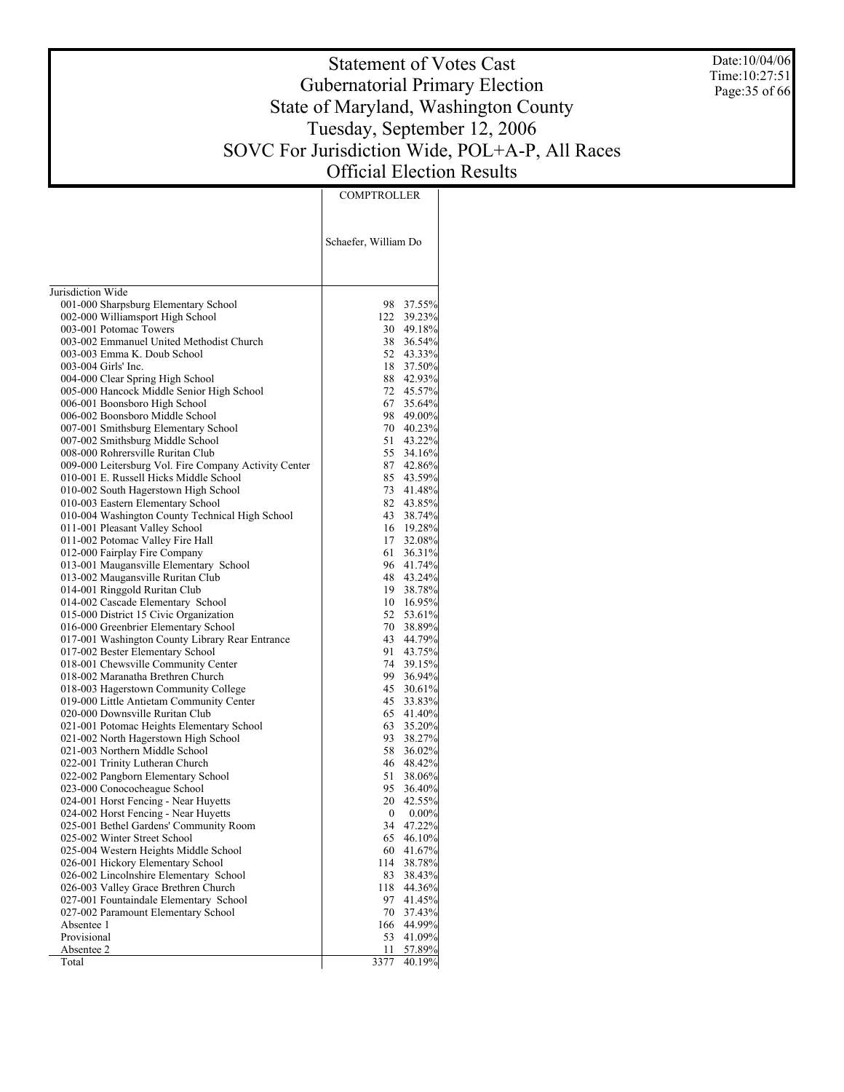Date:10/04/06 Time:10:27:51 Page:35 of 66

# Statement of Votes Cast Gubernatorial Primary Election State of Maryland, Washington County Tuesday, September 12, 2006 SOVC For Jurisdiction Wide, POL+A-P, All Races Official Election Results

**COMPTROLLER** 

|                                                                               | Schaefer, William Do |                        |
|-------------------------------------------------------------------------------|----------------------|------------------------|
| Jurisdiction Wide                                                             |                      |                        |
| 001-000 Sharpsburg Elementary School                                          |                      | 98 37.55%              |
| 002-000 Williamsport High School                                              |                      | 122 39.23%             |
| 003-001 Potomac Towers                                                        |                      | 30 49.18%              |
| 003-002 Emmanuel United Methodist Church                                      |                      | 38 36.54%              |
| 003-003 Emma K. Doub School                                                   |                      | 52 43.33%              |
| 003-004 Girls' Inc.                                                           |                      | 18 37.50%              |
| 004-000 Clear Spring High School                                              |                      | 88 42.93%              |
| 005-000 Hancock Middle Senior High School                                     |                      | 72 45.57%              |
| 006-001 Boonsboro High School                                                 | 67                   | 35.64%                 |
| 006-002 Boonsboro Middle School                                               |                      | 98 49.00%<br>70 40.23% |
| 007-001 Smithsburg Elementary School<br>007-002 Smithsburg Middle School      | 51                   | 43.22%                 |
| 008-000 Rohrersville Ruritan Club                                             | 55                   | 34.16%                 |
| 009-000 Leitersburg Vol. Fire Company Activity Center                         |                      | 87 42.86%              |
| 010-001 E. Russell Hicks Middle School                                        |                      | 85 43.59%              |
| 010-002 South Hagerstown High School                                          |                      | 73 41.48%              |
| 010-003 Eastern Elementary School                                             |                      | 82 43.85%              |
| 010-004 Washington County Technical High School                               |                      | 43 38.74%              |
| 011-001 Pleasant Valley School                                                |                      | 16 19.28%              |
| 011-002 Potomac Valley Fire Hall                                              |                      | 17 32.08%              |
| 012-000 Fairplay Fire Company                                                 | 61                   | 36.31%                 |
| 013-001 Maugansville Elementary School                                        |                      | 96 41.74%              |
| 013-002 Maugansville Ruritan Club                                             |                      | 48 43.24%              |
| 014-001 Ringgold Ruritan Club                                                 |                      | 19 38.78%              |
| 014-002 Cascade Elementary School                                             |                      | 10 16.95%              |
| 015-000 District 15 Civic Organization                                        |                      | 52 53.61%              |
| 016-000 Greenbrier Elementary School                                          |                      | 70 38.89%              |
| 017-001 Washington County Library Rear Entrance                               |                      | 43 44.79%              |
| 017-002 Bester Elementary School                                              | 91.                  | 43.75%                 |
| 018-001 Chewsville Community Center                                           | 74<br>99             | 39.15%                 |
| 018-002 Maranatha Brethren Church<br>018-003 Hagerstown Community College     |                      | 36.94%<br>45 30.61%    |
| 019-000 Little Antietam Community Center                                      | 45                   | 33.83%                 |
| 020-000 Downsville Ruritan Club                                               |                      | 65 41.40%              |
| 021-001 Potomac Heights Elementary School                                     | 63                   | 35.20%                 |
| 021-002 North Hagerstown High School                                          | 93                   | 38.27%                 |
| 021-003 Northern Middle School                                                | 58                   | 36.02%                 |
| 022-001 Trinity Lutheran Church                                               |                      | 46 48.42%              |
| 022-002 Pangborn Elementary School                                            | 51                   | 38.06%                 |
| 023-000 Conococheague School                                                  | 95.                  | 36.40%                 |
| 024-001 Horst Fencing - Near Huyetts                                          | 20                   | 42.55%                 |
| 024-002 Horst Fencing - Near Huyetts                                          | 0                    | $0.00\%$               |
| 025-001 Bethel Gardens' Community Room                                        | 34                   | 47.22%                 |
| 025-002 Winter Street School                                                  | 65                   | 46.10%                 |
| 025-004 Western Heights Middle School                                         | 60                   | 41.67%                 |
| 026-001 Hickory Elementary School                                             | 114                  | 38.78%                 |
| 026-002 Lincolnshire Elementary School                                        | 83                   | 38.43%                 |
| 026-003 Valley Grace Brethren Church                                          | 118                  | 44.36%                 |
| 027-001 Fountaindale Elementary School<br>027-002 Paramount Elementary School | 97<br>70             | 41.45%<br>37.43%       |
| Absentee 1                                                                    | 166                  | 44.99%                 |
| Provisional                                                                   | 53                   | 41.09%                 |
| Absentee 2                                                                    | 11                   | 57.89%                 |
| Total                                                                         | 3377                 | 40.19%                 |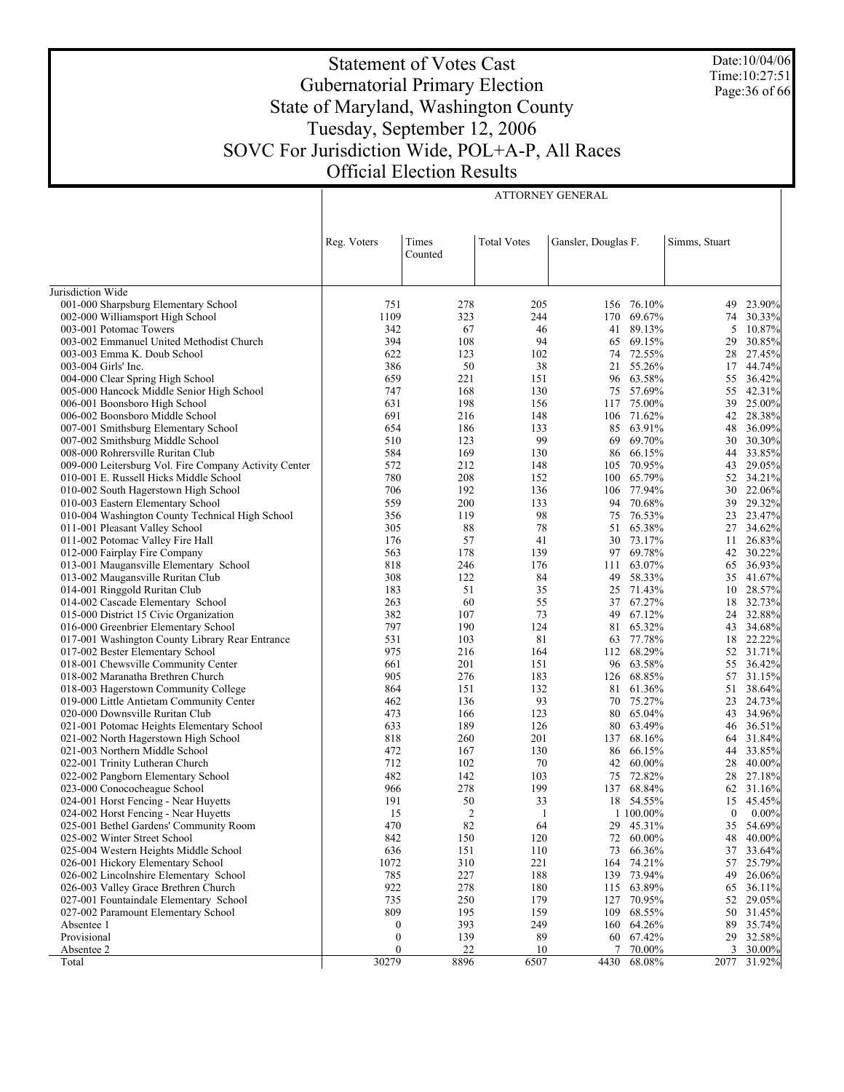Date:10/04/06 Time:10:27:51 Page:36 of 66

# Statement of Votes Cast Gubernatorial Primary Election State of Maryland, Washington County Tuesday, September 12, 2006 SOVC For Jurisdiction Wide, POL+A-P, All Races Official Election Results

ATTORNEY GENERAL

|                                                                                | Reg. Voters      | Times<br>Counted | <b>Total Votes</b> | Gansler, Douglas F. |                  | Simms, Stuart    |                     |
|--------------------------------------------------------------------------------|------------------|------------------|--------------------|---------------------|------------------|------------------|---------------------|
| Jurisdiction Wide                                                              |                  |                  |                    |                     |                  |                  |                     |
| 001-000 Sharpsburg Elementary School                                           | 751              | 278              | 205                |                     | 156 76.10%       | 49               | 23.90%              |
| 002-000 Williamsport High School                                               | 1109             | 323              | 244                |                     | 170 69.67%       | 74               | $30.33\%$           |
| 003-001 Potomac Towers                                                         | 342              | 67               | 46                 |                     | 41 89.13%        | 5                | 10.87%              |
| 003-002 Emmanuel United Methodist Church                                       | 394              | 108              | 94                 | 65                  | 69.15%           | 29               | 30.85%              |
| 003-003 Emma K. Doub School                                                    | 622              | 123              | 102                | 74                  | 72.55%           | 28               | 27.45%              |
| 003-004 Girls' Inc.                                                            | 386              | 50               | 38                 |                     | 21 55.26%        | 17               | 44.74%              |
| 004-000 Clear Spring High School                                               | 659              | 221              | 151                |                     | 96 63.58%        | 55               | 36.42%              |
| 005-000 Hancock Middle Senior High School                                      | 747              | 168              | 130                |                     | 75 57.69%        | 55               | 42.31%              |
| 006-001 Boonsboro High School                                                  | 631              | 198              | 156                |                     | 117 75.00%       |                  | 39 25.00%           |
| 006-002 Boonsboro Middle School                                                | 691              | 216              | 148                |                     | 106 71.62%       |                  | 42 28.38%           |
| 007-001 Smithsburg Elementary School                                           | 654              | 186              | 133                |                     | 85 63.91%        | 48               | 36.09%              |
| 007-002 Smithsburg Middle School                                               | 510              | 123              | 99                 | 69                  | 69.70%           | 30               | 30.30%              |
| 008-000 Rohrersville Ruritan Club                                              | 584              | 169              | 130                |                     | 86 66.15%        |                  | 44 33.85%           |
| 009-000 Leitersburg Vol. Fire Company Activity Center                          | 572              | 212              | 148                | 105                 | 70.95%           |                  | 43 29.05%           |
| 010-001 E. Russell Hicks Middle School                                         | 780              | 208              | 152                |                     | 100 65.79%       |                  | 52 34.21%           |
| 010-002 South Hagerstown High School                                           | 706              | 192              | 136                |                     | 106 77.94%       | 30               | 22.06%              |
| 010-003 Eastern Elementary School                                              | 559              | 200              | 133                | 94                  | 70.68%           |                  | 39 29.32%           |
| 010-004 Washington County Technical High School                                | 356              | 119              | 98                 | 75                  | 76.53%           |                  | 23 23.47%           |
| 011-001 Pleasant Valley School                                                 | 305              | 88               | 78                 |                     | 51 65.38%        | 27               | 34.62%              |
| 011-002 Potomac Valley Fire Hall                                               | 176              | 57               | 41                 |                     | 30 73.17%        | 11               | 26.83%              |
| 012-000 Fairplay Fire Company                                                  | 563              | 178              | 139                |                     | 97 69.78%        |                  | 42 30.22%           |
| 013-001 Maugansville Elementary School                                         | 818              | 246              | 176                | 111                 | 63.07%           | 65               | 36.93%              |
| 013-002 Maugansville Ruritan Club                                              | 308              | 122              | 84                 | 49                  | 58.33%           |                  | 35 41.67%           |
| 014-001 Ringgold Ruritan Club                                                  | 183              | 51               | 35                 | 25                  | 71.43%           |                  | 10 28.57%           |
| 014-002 Cascade Elementary School                                              | 263              | 60               | 55                 |                     | 37 67.27%        |                  | 18 32.73%           |
| 015-000 District 15 Civic Organization                                         | 382              | 107              | 73                 | 49                  | 67.12%           | 24               | 32.88%              |
| 016-000 Greenbrier Elementary School                                           | 797              | 190              | 124                | 81                  | 65.32%           |                  | 43 34.68%           |
| 017-001 Washington County Library Rear Entrance                                | 531              | 103              | 81                 | 63                  | 77.78%           | 18               | 22.22%              |
| 017-002 Bester Elementary School                                               | 975              | 216              | 164                |                     | 112 68.29%       |                  | 52 31.71%           |
| 018-001 Chewsville Community Center                                            | 661              | 201              | 151                |                     | 96 63.58%        | 55               | 36.42%              |
| 018-002 Maranatha Brethren Church                                              | 905              | 276              | 183                |                     | 126 68.85%       | 57               | 31.15%              |
| 018-003 Hagerstown Community College                                           | 864              | 151              | 132                | 81                  | 61.36%           | 51               | 38.64%              |
| 019-000 Little Antietam Community Center                                       | 462              | 136              | 93                 |                     | 70 75.27%        |                  | 23 24.73%           |
| 020-000 Downsville Ruritan Club                                                | 473              | 166              | 123                |                     | 80 65.04%        |                  | 43 34.96%           |
| 021-001 Potomac Heights Elementary School                                      | 633              | 189              | 126                |                     | 80 63.49%        | 46               | 36.51%              |
| 021-002 North Hagerstown High School                                           | 818              | 260              | 201                |                     | 137 68.16%       | 64               | 31.84%              |
| 021-003 Northern Middle School                                                 | 472              | 167              | 130                |                     | 86 66.15%        | 44               | 33.85%              |
| 022-001 Trinity Lutheran Church                                                | 712              | 102              | 70                 |                     | 42 60.00%        | 28               | 40.00%              |
| 022-002 Pangborn Elementary School                                             | 482              | 142              | 103                |                     | 75 72.82%        | 28               | 27.18%              |
| 023-000 Conococheague School                                                   | 966              | 278              | 199                |                     | 137 68.84%       | 62               | 31.16%              |
| 024-001 Horst Fencing - Near Huyetts                                           | 191              | 50               | 33                 |                     | 18 54.55%        | 15               | 45.45%              |
| 024-002 Horst Fencing - Near Huyetts                                           | 15               | 2                | -1<br>64           |                     | 1 100.00%        | $\boldsymbol{0}$ | 0.00%               |
| 025-001 Bethel Gardens' Community Room                                         | 470              | 82               |                    |                     | 29 45.31%        | 35               | 54.69%              |
| 025-002 Winter Street School                                                   | 842              | 150              | 120                |                     | 72 60.00%        | 48               | 40.00%              |
| 025-004 Western Heights Middle School                                          | 636<br>1072      | 151<br>310       | 110<br>221         | 73                  | 66.36%<br>74.21% | 37<br>57         | 33.64%<br>25.79%    |
| 026-001 Hickory Elementary School                                              |                  |                  | 188                | 164                 | 139 73.94%       | 49               | 26.06%              |
| 026-002 Lincolnshire Elementary School<br>026-003 Valley Grace Brethren Church | 785<br>922       | 227<br>278       | 180                |                     | 115 63.89%       |                  |                     |
| 027-001 Fountaindale Elementary School                                         | 735              |                  | 179                |                     |                  |                  | 65 36.11%<br>29.05% |
|                                                                                | 809              | 250<br>195       | 159                | 127                 | 70.95%<br>68.55% | 52<br>50         |                     |
| 027-002 Paramount Elementary School<br>Absentee 1                              | $\boldsymbol{0}$ | 393              | 249                | 109                 | 160 64.26%       |                  | 31.45%<br>89 35.74% |
| Provisional                                                                    | $\boldsymbol{0}$ | 139              | 89                 |                     | 60 67.42%        |                  | 29 32.58%           |
| Absentee 2                                                                     | $\mathbf{0}$     | 22               | 10                 | 7                   | 70.00%           |                  | 3 30.00%            |
| Total                                                                          | 30279            | 8896             | 6507               | 4430                | 68.08%           | 2077             | 31.92%              |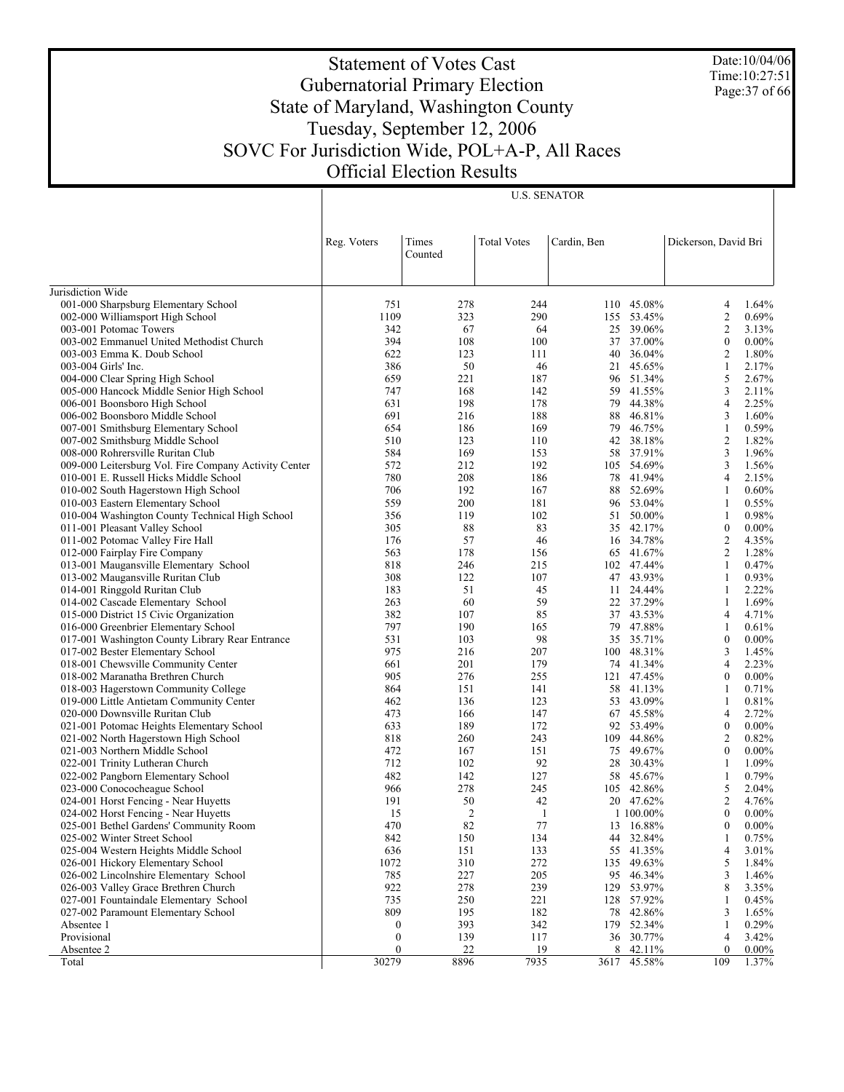Date:10/04/06 Time:10:27:51 Page:37 of 66

# Statement of Votes Cast Gubernatorial Primary Election State of Maryland, Washington County Tuesday, September 12, 2006 SOVC For Jurisdiction Wide, POL+A-P, All Races Official Election Results

|                                                           | Reg. Voters           | Times<br>Counted | <b>Total Votes</b> | Cardin, Ben |                         | Dickerson, David Bri               |                   |
|-----------------------------------------------------------|-----------------------|------------------|--------------------|-------------|-------------------------|------------------------------------|-------------------|
|                                                           |                       |                  |                    |             |                         |                                    |                   |
| Jurisdiction Wide<br>001-000 Sharpsburg Elementary School | 751                   | 278              | 244                |             | 110 45.08%              | 4                                  | 1.64%             |
| 002-000 Williamsport High School                          | 1109                  | 323              | 290                |             | 155 53.45%              | $\sqrt{2}$                         | 0.69%             |
| 003-001 Potomac Towers                                    | 342                   | 67               | 64                 |             | 25 39.06%               | $\mathfrak{2}$                     | 3.13%             |
| 003-002 Emmanuel United Methodist Church                  | 394                   | 108              | 100                |             | 37 37.00%               | $\boldsymbol{0}$                   | $0.00\%$          |
| 003-003 Emma K. Doub School                               | 622                   | 123              | 111                |             | 40 36.04%               | $\overline{2}$                     | 1.80%             |
| 003-004 Girls' Inc.                                       | 386                   | 50               | 46                 |             | 21 45.65%               | $\mathbf{1}$                       | 2.17%             |
| 004-000 Clear Spring High School                          | 659                   | 221              | 187                |             | 96 51.34%               | 5                                  | 2.67%             |
| 005-000 Hancock Middle Senior High School                 | 747                   | 168              | 142                | 59          | 41.55%                  | $\mathfrak{Z}$                     | 2.11%             |
| 006-001 Boonsboro High School                             | 631                   | 198              | 178                | 79          | 44.38%                  | $\overline{4}$                     | 2.25%             |
| 006-002 Boonsboro Middle School                           | 691                   | 216              | 188                | 88          | 46.81%                  | $\mathfrak{Z}$                     | 1.60%             |
| 007-001 Smithsburg Elementary School                      | 654                   | 186              | 169                | 79          | 46.75%                  | $\mathbf{1}$                       | 0.59%             |
| 007-002 Smithsburg Middle School                          | 510                   | 123              | 110                | 42          | 38.18%                  | $\overline{2}$                     | 1.82%             |
| 008-000 Rohrersville Ruritan Club                         | 584                   | 169              | 153                |             | 58 37.91%               | $\mathfrak{Z}$                     | 1.96%             |
| 009-000 Leitersburg Vol. Fire Company Activity Center     | 572                   | 212              | 192                |             | 105 54.69%              | $\mathfrak{Z}$                     | 1.56%             |
| 010-001 E. Russell Hicks Middle School                    | 780                   | 208              | 186                |             | 78 41.94%               | $\overline{4}$                     | 2.15%             |
| 010-002 South Hagerstown High School                      | 706                   | 192              | 167                | 88          | 52.69%                  | $\mathbf{1}$                       | 0.60%             |
| 010-003 Eastern Elementary School                         | 559                   | 200              | 181                |             | 96 53.04%               | $\mathbf{1}$                       | 0.55%             |
| 010-004 Washington County Technical High School           | 356                   | 119              | 102                |             | 51 50.00%               | $\mathbf{1}$                       | 0.98%             |
| 011-001 Pleasant Valley School                            | 305                   | 88               | 83                 |             | 35 42.17%               | $\mathbf{0}$                       | $0.00\%$          |
| 011-002 Potomac Valley Fire Hall                          | 176                   | 57               | 46                 | 16          | 34.78%                  | $\sqrt{2}$                         | 4.35%             |
| 012-000 Fairplay Fire Company                             | 563                   | 178              | 156                |             | 65 41.67%               | $\overline{2}$                     | 1.28%             |
| 013-001 Maugansville Elementary School                    | 818                   | 246              | 215                |             | 102 47.44%              | $\mathbf{1}$                       | 0.47%             |
| 013-002 Maugansville Ruritan Club                         | 308                   | 122              | 107                |             | 47 43.93%               | $\mathbf{1}$                       | 0.93%             |
| 014-001 Ringgold Ruritan Club                             | 183                   | 51               | 45                 |             | 11 24.44%               | $\mathbf{1}$                       | 2.22%             |
| 014-002 Cascade Elementary School                         | 263                   | 60               | 59                 |             | 22 37.29%               | $\mathbf{1}$                       | 1.69%             |
| 015-000 District 15 Civic Organization                    | 382                   | 107              | 85                 | 37          | 43.53%                  | $\overline{4}$                     | 4.71%             |
| 016-000 Greenbrier Elementary School                      | 797                   | 190              | 165                |             | 79 47.88%               | $\mathbf{1}$                       | 0.61%             |
| 017-001 Washington County Library Rear Entrance           | 531                   | 103              | 98                 |             | 35 35.71%               | $\boldsymbol{0}$                   | $0.00\%$          |
| 017-002 Bester Elementary School                          | 975                   | 216              | 207                |             | 100 48.31%              | 3                                  | 1.45%             |
| 018-001 Chewsville Community Center                       | 661                   | 201              | 179                |             | 74 41.34%               | $\overline{4}$                     | 2.23%             |
| 018-002 Maranatha Brethren Church                         | 905                   | 276              | 255                |             | 121 47.45%              | $\mathbf{0}$                       | $0.00\%$          |
| 018-003 Hagerstown Community College                      | 864                   | 151              | 141                |             | 58 41.13%               | $\mathbf{1}$                       | 0.71%             |
| 019-000 Little Antietam Community Center                  | 462                   | 136              | 123                |             | 53 43.09%               | $\mathbf{1}$                       | 0.81%             |
| 020-000 Downsville Ruritan Club                           | 473                   | 166              | 147                |             | 67 45.58%               | $\overline{4}$                     | 2.72%             |
| 021-001 Potomac Heights Elementary School                 | 633                   | 189              | 172                |             | 92 53.49%               | $\mathbf{0}$                       | $0.00\%$          |
| 021-002 North Hagerstown High School                      | 818                   | 260              | 243                | 109         | 44.86%                  | $\overline{2}$                     | 0.82%             |
| 021-003 Northern Middle School                            | 472                   | 167              | 151                | 75          | 49.67%                  | $\mathbf{0}$                       | $0.00\%$          |
| 022-001 Trinity Lutheran Church                           | 712                   | 102              | 92                 | 28          | 30.43%                  | $\mathbf{1}$                       | 1.09%             |
| 022-002 Pangborn Elementary School                        | 482                   | 142              | 127                |             | 58 45.67%               | $\mathbf{1}$                       | 0.79%             |
| 023-000 Conococheague School                              | 966                   | 278              | 245                |             | 105 42.86%              | 5                                  | 2.04%             |
| 024-001 Horst Fencing - Near Huyetts                      | 191                   | 50               | 42                 |             | 20 47.62%               | $\mathfrak{2}$                     | 4.76%             |
| 024-002 Horst Fencing - Near Huyetts                      | 15                    | 2                | $\mathbf{1}$       |             | 1 100.00%               | $\boldsymbol{0}$                   | $0.00\%$          |
| 025-001 Bethel Gardens' Community Room                    | 470                   | 82               | 77                 |             | 13 16.88%               | $\theta$                           | $0.00\%$          |
| 025-002 Winter Street School                              | 842                   | 150              | 134                |             | 44 32.84%               | $\mathbf{1}$                       | 0.75%             |
| 025-004 Western Heights Middle School                     | 636                   | 151              | 133                | 55          | 41.35%                  | 4                                  | 3.01%             |
| 026-001 Hickory Elementary School                         | 1072                  | 310              | 272                | 135         | 49.63%                  | 5                                  | 1.84%             |
| 026-002 Lincolnshire Elementary School                    | 785                   | 227              | 205                |             | 95 46.34%               | 3                                  | 1.46%             |
| 026-003 Valley Grace Brethren Church                      | 922                   | 278              | 239                | 129         | 53.97%                  | $\,$ 8 $\,$                        | 3.35%             |
| 027-001 Fountaindale Elementary School                    | 735                   | 250              | 221                |             | 128 57.92%              | 1                                  | 0.45%             |
| 027-002 Paramount Elementary School                       | 809                   | 195              | 182                | 78          | 42.86%                  | 3                                  | 1.65%             |
| Absentee 1                                                | $\boldsymbol{0}$      | 393              | 342                | 179         | 52.34%                  | $\mathbf{1}$                       | 0.29%             |
| Provisional                                               | $\boldsymbol{0}$<br>0 | 139              | 117<br>19          |             | 36 30.77%               | $\overline{4}$<br>$\boldsymbol{0}$ | 3.42%             |
| Absentee 2<br>Total                                       | 30279                 | 22<br>8896       | 7935               |             | 8 42.11%<br>3617 45.58% | 109                                | $0.00\%$<br>1.37% |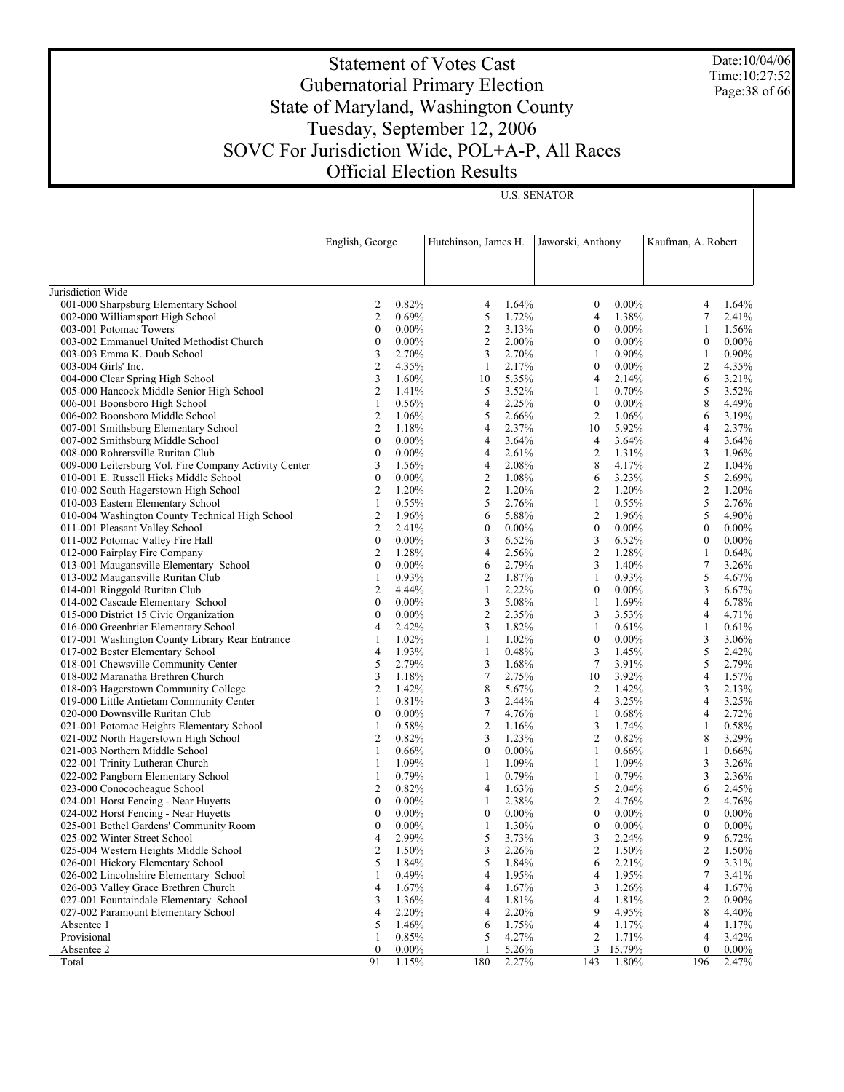Date:10/04/06 Time:10:27:52 Page:38 of 66

# Statement of Votes Cast Gubernatorial Primary Election State of Maryland, Washington County Tuesday, September 12, 2006 SOVC For Jurisdiction Wide, POL+A-P, All Races Official Election Results

|                                                                             | English, George                           |                | Hutchinson, James H. |                | Jaworski, Anthony |                | Kaufman, A. Robert |                |
|-----------------------------------------------------------------------------|-------------------------------------------|----------------|----------------------|----------------|-------------------|----------------|--------------------|----------------|
|                                                                             |                                           |                |                      |                |                   |                |                    |                |
| Jurisdiction Wide                                                           |                                           |                |                      |                |                   |                |                    |                |
| 001-000 Sharpsburg Elementary School                                        | 2                                         | 0.82%          | 4                    | 1.64%          | $\bf{0}$          | $0.00\%$       | 4                  | 1.64%          |
| 002-000 Williamsport High School                                            | $\overline{c}$                            | 0.69%          | 5                    | 1.72%          | $\overline{4}$    | 1.38%          | 7                  | 2.41%          |
| 003-001 Potomac Towers                                                      | $\boldsymbol{0}$                          | $0.00\%$       | $\overline{c}$       | 3.13%          | $\boldsymbol{0}$  | $0.00\%$       | 1                  | 1.56%          |
| 003-002 Emmanuel United Methodist Church                                    | $\boldsymbol{0}$                          | $0.00\%$       | $\overline{c}$       | 2.00%          | $\mathbf{0}$      | $0.00\%$       | $\boldsymbol{0}$   | $0.00\%$       |
| 003-003 Emma K. Doub School                                                 | 3                                         | 2.70%          | 3                    | 2.70%          | 1                 | $0.90\%$       | $\mathbf{1}$       | $0.90\%$       |
| 003-004 Girls' Inc.                                                         | $\overline{\mathbf{c}}$                   | 4.35%          | $\mathbf{1}$         | 2.17%          | $\mathbf{0}$      | $0.00\%$       | $\overline{c}$     | 4.35%          |
| 004-000 Clear Spring High School                                            | 3                                         | 1.60%          | 10                   | 5.35%          | $\overline{4}$    | 2.14%          | 6                  | 3.21%          |
| 005-000 Hancock Middle Senior High School                                   | 2                                         | 1.41%          | 5                    | 3.52%          | 1                 | 0.70%          | 5                  | 3.52%          |
| 006-001 Boonsboro High School                                               | $\mathbf{1}$                              | 0.56%          | 4                    | 2.25%          | $\boldsymbol{0}$  | $0.00\%$       | 8                  | 4.49%          |
| 006-002 Boonsboro Middle School                                             | $\overline{\mathbf{c}}$<br>$\overline{c}$ | 1.06%<br>1.18% | 5<br>4               | 2.66%<br>2.37% | 2<br>10           | 1.06%          | 6<br>4             | 3.19%          |
| 007-001 Smithsburg Elementary School<br>007-002 Smithsburg Middle School    | $\boldsymbol{0}$                          | $0.00\%$       | 4                    | 3.64%          | 4                 | 5.92%<br>3.64% | $\overline{4}$     | 2.37%<br>3.64% |
| 008-000 Rohrersville Ruritan Club                                           | $\boldsymbol{0}$                          | $0.00\%$       | 4                    | 2.61%          | 2                 | 1.31%          | 3                  | 1.96%          |
| 009-000 Leitersburg Vol. Fire Company Activity Center                       | 3                                         | 1.56%          | 4                    | 2.08%          | 8                 | 4.17%          | 2                  | 1.04%          |
| 010-001 E. Russell Hicks Middle School                                      | $\boldsymbol{0}$                          | $0.00\%$       | $\overline{c}$       | 1.08%          | 6                 | 3.23%          | 5                  | 2.69%          |
| 010-002 South Hagerstown High School                                        | 2                                         | 1.20%          | $\overline{c}$       | 1.20%          | 2                 | 1.20%          | 2                  | 1.20%          |
| 010-003 Eastern Elementary School                                           | $\mathbf{1}$                              | 0.55%          | 5                    | 2.76%          | $\mathbf{1}$      | 0.55%          | 5                  | 2.76%          |
| 010-004 Washington County Technical High School                             | $\overline{\mathbf{c}}$                   | 1.96%          | 6                    | 5.88%          | $\overline{2}$    | 1.96%          | 5                  | 4.90%          |
| 011-001 Pleasant Valley School                                              | $\overline{c}$                            | 2.41%          | $\bf{0}$             | $0.00\%$       | $\boldsymbol{0}$  | $0.00\%$       | $\boldsymbol{0}$   | $0.00\%$       |
| 011-002 Potomac Valley Fire Hall                                            | $\boldsymbol{0}$                          | $0.00\%$       | 3                    | 6.52%          | 3                 | 6.52%          | $\boldsymbol{0}$   | $0.00\%$       |
| 012-000 Fairplay Fire Company                                               | 2                                         | 1.28%          | 4                    | 2.56%          | $\overline{c}$    | 1.28%          | $\mathbf{1}$       | 0.64%          |
| 013-001 Maugansville Elementary School                                      | $\boldsymbol{0}$                          | $0.00\%$       | 6                    | 2.79%          | 3                 | 1.40%          | 7                  | 3.26%          |
| 013-002 Maugansville Ruritan Club                                           | 1                                         | 0.93%          | 2                    | 1.87%          | 1                 | 0.93%          | 5                  | 4.67%          |
| 014-001 Ringgold Ruritan Club                                               | 2                                         | 4.44%          | $\mathbf{1}$         | 2.22%          | $\mathbf{0}$      | $0.00\%$       | 3                  | 6.67%          |
| 014-002 Cascade Elementary School                                           | $\boldsymbol{0}$                          | $0.00\%$       | 3                    | 5.08%          | 1                 | 1.69%          | $\overline{4}$     | 6.78%          |
| 015-000 District 15 Civic Organization                                      | $\boldsymbol{0}$                          | $0.00\%$       | $\overline{c}$       | 2.35%          | 3                 | 3.53%          | 4                  | 4.71%          |
| 016-000 Greenbrier Elementary School                                        | 4                                         | 2.42%          | 3                    | 1.82%          | 1                 | 0.61%          | $\mathbf{1}$       | 0.61%          |
| 017-001 Washington County Library Rear Entrance                             | 1                                         | 1.02%          | 1                    | 1.02%          | $\boldsymbol{0}$  | $0.00\%$       | 3                  | 3.06%          |
| 017-002 Bester Elementary School                                            | 4                                         | 1.93%          | $\mathbf{1}$         | 0.48%          | 3                 | 1.45%          | 5                  | 2.42%          |
| 018-001 Chewsville Community Center                                         | 5                                         | 2.79%          | 3                    | 1.68%          | 7                 | 3.91%          | 5                  | 2.79%          |
| 018-002 Maranatha Brethren Church                                           | 3                                         | 1.18%          | 7                    | 2.75%          | 10                | 3.92%          | $\overline{4}$     | 1.57%          |
| 018-003 Hagerstown Community College                                        | 2                                         | 1.42%          | 8                    | 5.67%          | 2                 | 1.42%          | 3                  | 2.13%          |
| 019-000 Little Antietam Community Center                                    | $\mathbf{1}$                              | 0.81%          | 3                    | 2.44%          | $\overline{4}$    | 3.25%          | 4                  | 3.25%          |
| 020-000 Downsville Ruritan Club                                             | $\boldsymbol{0}$                          | $0.00\%$       | 7                    | 4.76%          | 1                 | 0.68%          | 4                  | 2.72%          |
| 021-001 Potomac Heights Elementary School                                   | 1                                         | 0.58%          | $\overline{c}$       | 1.16%          | 3                 | 1.74%          | $\mathbf{1}$       | 0.58%          |
| 021-002 North Hagerstown High School                                        | 2                                         | 0.82%          | 3                    | 1.23%          | 2                 | 0.82%          | 8                  | 3.29%          |
| 021-003 Northern Middle School                                              | $\mathbf{1}$                              | 0.66%          | $\boldsymbol{0}$     | $0.00\%$       | $\mathbf{1}$      | 0.66%          | $\mathbf{1}$       | 0.66%          |
| 022-001 Trinity Lutheran Church                                             | 1                                         | 1.09%          | 1                    | 1.09%          | 1                 | 1.09%          | 3                  | 3.26%          |
| 022-002 Pangborn Elementary School                                          | 1                                         | 0.79%          | $\mathbf{1}$         | 0.79%          | 1                 | 0.79%          | 3                  | 2.36%          |
| 023-000 Conococheague School                                                | 2                                         | 0.82%          | 4                    | 1.63%          | 5                 | 2.04%          | 6                  | 2.45%          |
| 024-001 Horst Fencing - Near Huyetts                                        | $\boldsymbol{0}$                          | $0.00\%$       | $\mathbf{1}$         | 2.38%          | $\overline{c}$    | 4.76%          | 2                  | 4.76%          |
| 024-002 Horst Fencing - Near Huyetts                                        | $\mathbf{0}$                              | $0.00\%$       | 0                    | $0.00\%$       | $\boldsymbol{0}$  | $0.00\%$       | $\boldsymbol{0}$   | $0.00\%$       |
| 025-001 Bethel Gardens' Community Room                                      | $\boldsymbol{0}$                          | $0.00\%$       | 1                    | 1.30%          | $\mathbf{0}$      | $0.00\%$       | $\mathbf{0}$       | $0.00\%$       |
| 025-002 Winter Street School                                                | 4                                         | 2.99%          | 5                    | 3.73%          | 3                 | 2.24%          | 9                  | 6.72%          |
| 025-004 Western Heights Middle School                                       | 2<br>5                                    | 1.50%          | 3<br>5               | 2.26%          | 2<br>6            | 1.50%          | 2                  | 1.50%          |
| 026-001 Hickory Elementary School<br>026-002 Lincolnshire Elementary School | 1                                         | 1.84%<br>0.49% | 4                    | 1.84%<br>1.95% | 4                 | 2.21%<br>1.95% | 9<br>7             | 3.31%<br>3.41% |
| 026-003 Valley Grace Brethren Church                                        | 4                                         | 1.67%          | 4                    | 1.67%          | 3                 | 1.26%          | 4                  | 1.67%          |
| 027-001 Fountaindale Elementary School                                      | 3                                         | 1.36%          | 4                    | 1.81%          | 4                 | 1.81%          | $\overline{c}$     | 0.90%          |
| 027-002 Paramount Elementary School                                         | 4                                         | 2.20%          | 4                    | 2.20%          | 9                 | 4.95%          | 8                  | 4.40%          |
| Absentee 1                                                                  | 5                                         | 1.46%          | 6                    | 1.75%          | 4                 | 1.17%          | 4                  | 1.17%          |
| Provisional                                                                 | 1                                         | 0.85%          | 5                    | 4.27%          | 2                 | 1.71%          | 4                  | 3.42%          |
| Absentee 2                                                                  | $\bf{0}$                                  | $0.00\%$       |                      | 5.26%          | 3                 | 15.79%         | $\mathbf{0}$       | $0.00\%$       |
| Total                                                                       | 91                                        | 1.15%          | 180                  | 2.27%          | 143               | 1.80%          | 196                | 2.47%          |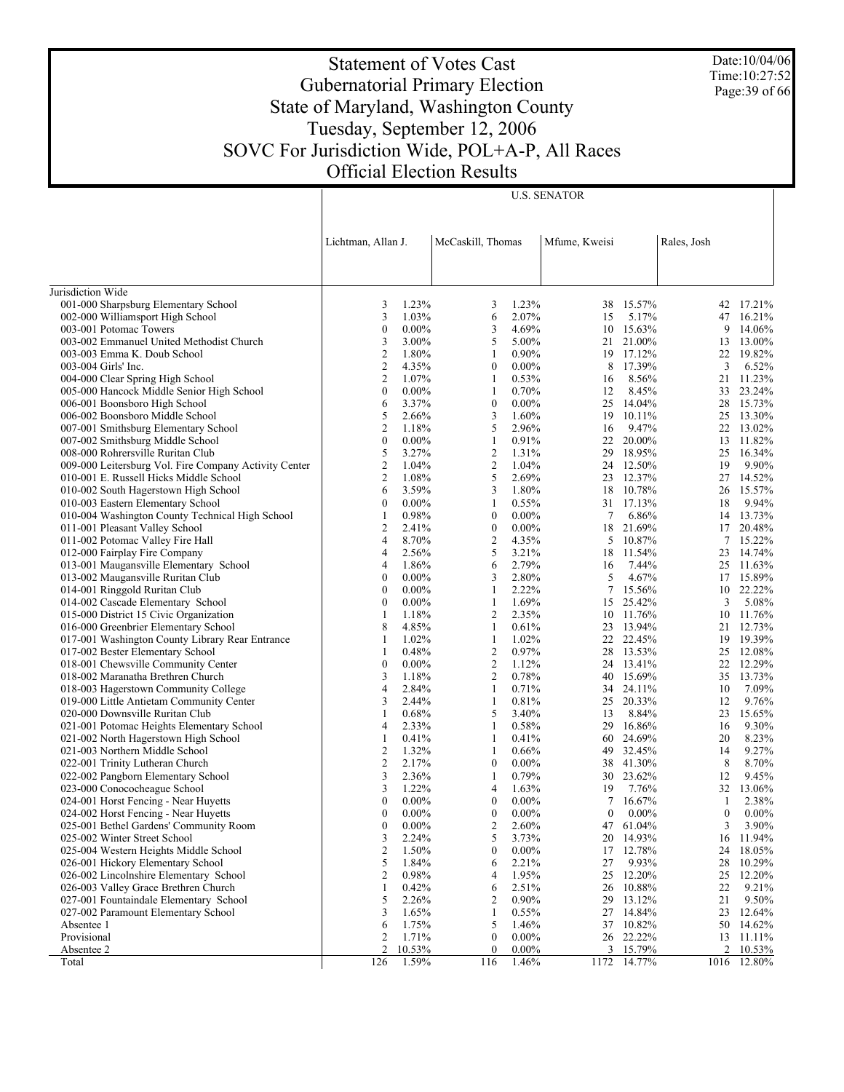Date:10/04/06 Time:10:27:52 Page:39 of 66

# Statement of Votes Cast Gubernatorial Primary Election State of Maryland, Washington County Tuesday, September 12, 2006 SOVC For Jurisdiction Wide, POL+A-P, All Races Official Election Results

|                                                                                |                     | Lichtman, Allan J.   |                  | McCaskill, Thomas<br>Mfume, Kweisi |                  |                        | Rales, Josh      |                   |
|--------------------------------------------------------------------------------|---------------------|----------------------|------------------|------------------------------------|------------------|------------------------|------------------|-------------------|
| Jurisdiction Wide                                                              |                     |                      |                  |                                    |                  |                        |                  |                   |
| 001-000 Sharpsburg Elementary School                                           | 3                   | 1.23%                | 3                | 1.23%                              | 38               | 15.57%                 |                  | 42 17.21%         |
| 002-000 Williamsport High School                                               | 3                   | 1.03%                | 6                | 2.07%                              | 15               | 5.17%                  |                  | 47 16.21%         |
| 003-001 Potomac Towers                                                         | $\boldsymbol{0}$    | $0.00\%$             | 3                | 4.69%                              |                  | 10 15.63%              | 9                | 14.06%            |
| 003-002 Emmanuel United Methodist Church                                       | 3                   | 3.00%                | 5                | 5.00%                              | 21               | 21.00%                 | 13               | 13.00%            |
| 003-003 Emma K. Doub School                                                    | 2                   | 1.80%                | 1                | 0.90%                              |                  | 19 17.12%              | 22               | 19.82%            |
| 003-004 Girls' Inc.                                                            | $\mathfrak{2}$      | 4.35%                | $\boldsymbol{0}$ | $0.00\%$                           | 8                | 17.39%                 | 3                | 6.52%             |
| 004-000 Clear Spring High School                                               | 2                   | 1.07%                | 1                | 0.53%                              | 16               | 8.56%                  | 21               | 11.23%            |
| 005-000 Hancock Middle Senior High School                                      | $\boldsymbol{0}$    | $0.00\%$             | $\mathbf{1}$     | 0.70%                              | 12               | 8.45%                  | 33               | 23.24%            |
| 006-001 Boonsboro High School                                                  | 6                   | 3.37%                | $\boldsymbol{0}$ | $0.00\%$                           | 25               | 14.04%                 |                  | 28 15.73%         |
| 006-002 Boonsboro Middle School                                                | 5                   | 2.66%                | 3                | 1.60%                              | 19               | 10.11%                 |                  | 25 13.30%         |
| 007-001 Smithsburg Elementary School                                           | 2                   | 1.18%                | 5                | 2.96%                              | 16               | 9.47%                  |                  | 22 13.02%         |
| 007-002 Smithsburg Middle School                                               | $\boldsymbol{0}$    | $0.00\%$             | 1                | 0.91%                              | 22               | 20.00%                 | 13               | 11.82%            |
| 008-000 Rohrersville Ruritan Club                                              | 5                   | 3.27%                | $\overline{c}$   | 1.31%                              |                  | 29 18.95%              |                  | 25 16.34%         |
| 009-000 Leitersburg Vol. Fire Company Activity Center                          | $\overline{2}$      | 1.04%                | $\overline{c}$   | 1.04%                              |                  | 24 12.50%              | 19               | 9.90%             |
| 010-001 E. Russell Hicks Middle School                                         | $\overline{2}$      | 1.08%                | 5                | 2.69%                              |                  | 23 12.37%              |                  | 27 14.52%         |
| 010-002 South Hagerstown High School                                           | 6                   | 3.59%                | 3                | 1.80%                              | 18               | 10.78%                 | 26               | 15.57%            |
| 010-003 Eastern Elementary School                                              | $\boldsymbol{0}$    | $0.00\%$             | 1                | 0.55%                              |                  | 31 17.13%              | 18               | 9.94%             |
| 010-004 Washington County Technical High School                                | 1                   | 0.98%                | $\boldsymbol{0}$ | $0.00\%$                           | 7                | 6.86%                  |                  | 14 13.73%         |
| 011-001 Pleasant Valley School                                                 | 2                   | 2.41%                | $\boldsymbol{0}$ | $0.00\%$                           | 18               | 21.69%                 |                  | 17 20.48%         |
| 011-002 Potomac Valley Fire Hall                                               | 4                   | 8.70%                | $\overline{c}$   | 4.35%                              | 5                | 10.87%                 | $7\overline{ }$  | 15.22%            |
| 012-000 Fairplay Fire Company                                                  | 4                   | 2.56%                | 5                | 3.21%                              | 18               | 11.54%                 | 23               | 14.74%            |
| 013-001 Maugansville Elementary School                                         | 4                   | 1.86%                | 6                | 2.79%                              | 16               | 7.44%                  |                  | 25 11.63%         |
| 013-002 Maugansville Ruritan Club                                              | $\boldsymbol{0}$    | $0.00\%$             | 3                | 2.80%                              | 5                | 4.67%                  |                  | 17 15.89%         |
| 014-001 Ringgold Ruritan Club                                                  | $\boldsymbol{0}$    | $0.00\%$             | 1                | 2.22%                              | 7                | 15.56%                 | 10               | 22.22%            |
| 014-002 Cascade Elementary School                                              | $\boldsymbol{0}$    | $0.00\%$             | 1                | 1.69%                              | 15               | 25.42%                 | 3                | 5.08%             |
| 015-000 District 15 Civic Organization                                         | 1                   | 1.18%                | $\overline{c}$   | 2.35%                              |                  | 10 11.76%              | 10               | 11.76%            |
| 016-000 Greenbrier Elementary School                                           | 8                   | 4.85%                | 1                | 0.61%                              |                  | 23 13.94%              |                  | 21 12.73%         |
| 017-001 Washington County Library Rear Entrance                                | 1                   | 1.02%                | $\mathbf{1}$     | 1.02%                              | 22               | 22.45%                 | 19               | 19.39%            |
| 017-002 Bester Elementary School                                               | 1                   | 0.48%                | $\overline{c}$   | 0.97%                              |                  | 28 13.53%              |                  | 25 12.08%         |
| 018-001 Chewsville Community Center                                            | $\boldsymbol{0}$    | $0.00\%$             | $\overline{c}$   | 1.12%                              |                  | 24 13.41%              | 22               | 12.29%            |
| 018-002 Maranatha Brethren Church                                              | 3                   | 1.18%                | $\overline{c}$   | 0.78%                              |                  | 40 15.69%              |                  | 35 13.73%         |
| 018-003 Hagerstown Community College                                           | 4                   | 2.84%                | $\mathbf{1}$     | 0.71%                              | 34               | 24.11%                 | 10               | 7.09%             |
| 019-000 Little Antietam Community Center                                       | 3                   | 2.44%                | 1                | 0.81%                              | 25               | 20.33%                 | 12               | 9.76%             |
| 020-000 Downsville Ruritan Club                                                | 1                   | 0.68%                | 5                | 3.40%                              | 13               | 8.84%                  | 23               | 15.65%            |
| 021-001 Potomac Heights Elementary School                                      | 4                   | 2.33%                | 1                | 0.58%                              | 29               | 16.86%                 | 16               | 9.30%             |
| 021-002 North Hagerstown High School                                           | 1                   | 0.41%                | 1                | 0.41%                              | 60               | 24.69%                 | 20               | 8.23%             |
| 021-003 Northern Middle School                                                 | 2<br>$\overline{c}$ | 1.32%<br>2.17%       | 1                | 0.66%                              |                  | 49 32.45%              | 14               | 9.27%             |
| 022-001 Trinity Lutheran Church                                                | 3                   |                      | $\boldsymbol{0}$ | $0.00\%$<br>0.79%                  |                  | 38 41.30%<br>30 23.62% | 8                | 8.70%<br>9.45%    |
| 022-002 Pangborn Elementary School<br>023-000 Conococheague School             | 3                   | 2.36%<br>1.22%       | 1<br>4           | 1.63%                              |                  | 7.76%                  | 12<br>32         | 13.06%            |
|                                                                                | $\boldsymbol{0}$    |                      | $\boldsymbol{0}$ |                                    | 19<br>7          | 16.67%                 | 1                |                   |
| 024-001 Horst Fencing - Near Huyetts                                           | $\mathbf{0}$        | $0.00\%$<br>$0.00\%$ | $\boldsymbol{0}$ | $0.00\%$<br>$0.00\%$               | $\boldsymbol{0}$ | $0.00\%$               | $\boldsymbol{0}$ | 2.38%<br>$0.00\%$ |
| 024-002 Horst Fencing - Near Huyetts<br>025-001 Bethel Gardens' Community Room | $\theta$            | $0.00\%$             | 2                | 2.60%                              | 47               | 61.04%                 | 3                | 3.90%             |
| 025-002 Winter Street School                                                   | 3                   | 2.24%                | 5                | 3.73%                              |                  | 20 14.93%              | 16               | 11.94%            |
| 025-004 Western Heights Middle School                                          | 2                   | 1.50%                | $\boldsymbol{0}$ |                                    |                  |                        | 24               | 18.05%            |
| 026-001 Hickory Elementary School                                              | 5                   | 1.84%                | 6                | $0.00\%$<br>2.21%                  | 17<br>27         | 12.78%<br>9.93%        | 28               | 10.29%            |
| 026-002 Lincolnshire Elementary School                                         | 2                   | 0.98%                | 4                | 1.95%                              | 25               | 12.20%                 | 25               | 12.20%            |
| 026-003 Valley Grace Brethren Church                                           | 1                   | 0.42%                | 6                | 2.51%                              | 26               | 10.88%                 | 22               | 9.21%             |
| 027-001 Fountaindale Elementary School                                         | 5                   | 2.26%                | 2                | $0.90\%$                           | 29               | 13.12%                 | 21               | 9.50%             |
| 027-002 Paramount Elementary School                                            | 3                   | 1.65%                | $\mathbf{1}$     | 0.55%                              | 27               | 14.84%                 | 23               | 12.64%            |
| Absentee 1                                                                     | 6                   | 1.75%                | 5                | 1.46%                              | 37               | 10.82%                 | 50               | 14.62%            |
| Provisional                                                                    | 2                   | 1.71%                | $\boldsymbol{0}$ | $0.00\%$                           | 26               | 22.22%                 | 13               | 11.11%            |
| Absentee 2                                                                     | $\overline{2}$      | 10.53%               | $\mathbf{0}$     | $0.00\%$                           | 3                | 15.79%                 | 2                | $10.53\%$         |
| Total                                                                          | 126                 | 1.59%                | 116              | 1.46%                              | 1172             | 14.77%                 |                  | 1016 12.80%       |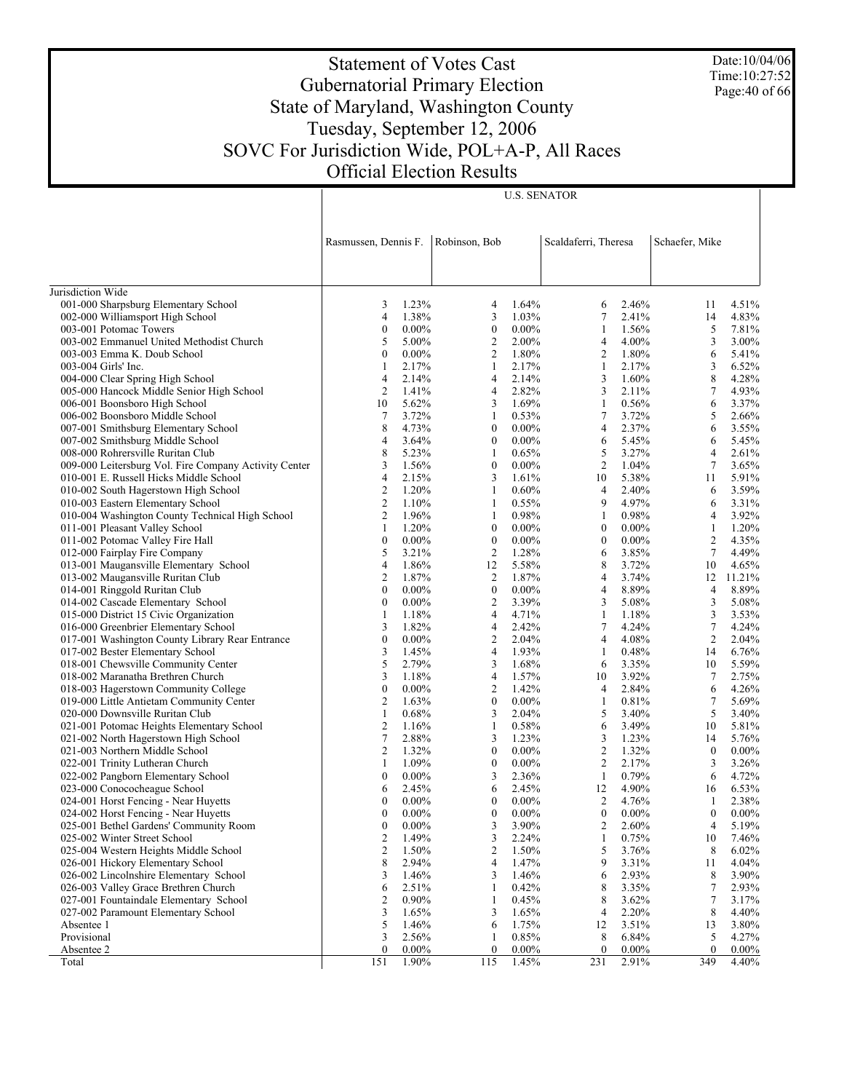Date:10/04/06 Time:10:27:52 Page:40 of 66

# Statement of Votes Cast Gubernatorial Primary Election State of Maryland, Washington County Tuesday, September 12, 2006 SOVC For Jurisdiction Wide, POL+A-P, All Races Official Election Results

|                                                       | Rasmussen, Dennis F. |                   | Robinson, Bob         | Scaldaferri, Theresa |                  |                   | Schaefer, Mike    |                   |
|-------------------------------------------------------|----------------------|-------------------|-----------------------|----------------------|------------------|-------------------|-------------------|-------------------|
| Jurisdiction Wide                                     |                      |                   |                       |                      |                  |                   |                   |                   |
| 001-000 Sharpsburg Elementary School                  | 3                    | 1.23%             | 4                     | 1.64%                | 6                | 2.46%             | 11                | 4.51%             |
| 002-000 Williamsport High School                      | 4                    | 1.38%             | 3                     | 1.03%                | $\tau$           | 2.41%             | 14                | 4.83%             |
| 003-001 Potomac Towers                                | $\boldsymbol{0}$     | $0.00\%$          | $\boldsymbol{0}$      | $0.00\%$             | $\mathbf{1}$     | 1.56%             | 5                 | 7.81%             |
| 003-002 Emmanuel United Methodist Church              | 5                    | 5.00%             | $\overline{2}$        | 2.00%                | $\overline{4}$   | 4.00%             | 3                 | 3.00%             |
| 003-003 Emma K. Doub School                           | $\boldsymbol{0}$     | $0.00\%$          | $\overline{2}$        | 1.80%                | $\overline{c}$   | 1.80%             | 6                 | 5.41%             |
| 003-004 Girls' Inc.                                   | 1                    | 2.17%             | 1                     | 2.17%                | 1                | 2.17%             | 3                 | 6.52%             |
| 004-000 Clear Spring High School                      | 4                    | 2.14%             | 4                     | 2.14%                | 3                | 1.60%             | 8                 | 4.28%             |
| 005-000 Hancock Middle Senior High School             | 2                    | 1.41%             | 4                     | 2.82%                | 3                | 2.11%             | $\tau$            | 4.93%             |
| 006-001 Boonsboro High School                         | 10                   | 5.62%             | 3                     | 1.69%                | $\mathbf{1}$     | 0.56%             | 6                 | 3.37%             |
| 006-002 Boonsboro Middle School                       | 7                    | 3.72%             | 1                     | 0.53%                | $\tau$           | 3.72%             | 5                 | 2.66%             |
| 007-001 Smithsburg Elementary School                  | 8                    | 4.73%             | $\boldsymbol{0}$      | $0.00\%$             | $\overline{4}$   | 2.37%             | 6                 | 3.55%             |
| 007-002 Smithsburg Middle School                      | 4                    | 3.64%             | $\boldsymbol{0}$      | $0.00\%$             | 6                | 5.45%             | 6                 | 5.45%             |
| 008-000 Rohrersville Ruritan Club                     | 8                    | 5.23%             | 1                     | 0.65%                | 5                | 3.27%             | 4                 | 2.61%             |
| 009-000 Leitersburg Vol. Fire Company Activity Center | 3                    | 1.56%             | $\boldsymbol{0}$      | $0.00\%$             | $\overline{c}$   | 1.04%             | $\tau$            | 3.65%             |
| 010-001 E. Russell Hicks Middle School                | 4                    | 2.15%             | 3                     | 1.61%                | 10               | 5.38%             | 11                | 5.91%             |
| 010-002 South Hagerstown High School                  | 2                    | 1.20%             | 1                     | 0.60%                | $\overline{4}$   | 2.40%             | 6                 | 3.59%             |
| 010-003 Eastern Elementary School                     | $\mathbf{2}$         | 1.10%             | 1                     | 0.55%                | 9                | 4.97%             | 6                 | 3.31%             |
| 010-004 Washington County Technical High School       | $\mathbf{2}$         | 1.96%             | 1                     | 0.98%                | 1                | 0.98%             | 4                 | 3.92%             |
| 011-001 Pleasant Valley School                        | $\mathbf{1}$         | 1.20%             | $\boldsymbol{0}$      | $0.00\%$             | $\boldsymbol{0}$ | $0.00\%$          | $\mathbf{1}$      | 1.20%             |
| 011-002 Potomac Valley Fire Hall                      | $\boldsymbol{0}$     | $0.00\%$          | $\boldsymbol{0}$      | $0.00\%$             | $\boldsymbol{0}$ | $0.00\%$          | $\boldsymbol{2}$  | 4.35%             |
| 012-000 Fairplay Fire Company                         | 5                    | 3.21%             | $\overline{2}$        | 1.28%                | 6                | 3.85%             | $\tau$            | 4.49%             |
| 013-001 Maugansville Elementary School                | 4                    | 1.86%             | 12                    | 5.58%                | 8                | 3.72%             | 10                | 4.65%             |
| 013-002 Maugansville Ruritan Club                     | $\mathbf{2}$         | 1.87%             | $\overline{2}$        | 1.87%                | $\overline{4}$   | 3.74%             | 12                | 11.21%            |
| 014-001 Ringgold Ruritan Club                         | $\boldsymbol{0}$     | $0.00\%$          | $\boldsymbol{0}$      | $0.00\%$             | $\overline{4}$   | 8.89%             | 4                 | 8.89%             |
| 014-002 Cascade Elementary School                     | $\boldsymbol{0}$     | $0.00\%$          | $\overline{2}$        | 3.39%                | 3                | 5.08%             | 3                 | 5.08%             |
| 015-000 District 15 Civic Organization                | 1                    | 1.18%             | 4                     | 4.71%                | 1                | 1.18%             | 3                 | 3.53%             |
| 016-000 Greenbrier Elementary School                  | 3                    | 1.82%             | 4                     | 2.42%                | $\tau$           | 4.24%             | $\tau$            | 4.24%             |
| 017-001 Washington County Library Rear Entrance       | $\boldsymbol{0}$     | $0.00\%$          | 2                     | 2.04%                | $\overline{4}$   | 4.08%             | $\overline{2}$    | 2.04%             |
| 017-002 Bester Elementary School                      | 3                    | 1.45%             | 4                     | 1.93%                | $\mathbf{1}$     | 0.48%             | 14                | 6.76%             |
| 018-001 Chewsville Community Center                   | 5                    | 2.79%             | 3                     | 1.68%                | 6                | 3.35%             | 10                | 5.59%             |
| 018-002 Maranatha Brethren Church                     | 3                    | 1.18%             | 4                     | 1.57%                | 10               | 3.92%             | 7                 | 2.75%             |
| 018-003 Hagerstown Community College                  | $\boldsymbol{0}$     | $0.00\%$          | $\overline{c}$        | 1.42%                | $\overline{4}$   | 2.84%             | 6                 | 4.26%             |
| 019-000 Little Antietam Community Center              | 2                    | 1.63%             | $\boldsymbol{0}$      | $0.00\%$             | $\mathbf{1}$     | 0.81%             | $\tau$            | 5.69%             |
| 020-000 Downsville Ruritan Club                       | $\mathbf{1}$         | 0.68%             | 3                     | 2.04%                | 5                | 3.40%             | 5                 | 3.40%             |
| 021-001 Potomac Heights Elementary School             | $\mathbf{2}$         | 1.16%             | 1                     | 0.58%                | 6                | 3.49%             | 10                | 5.81%             |
| 021-002 North Hagerstown High School                  | 7                    | 2.88%             | 3                     | 1.23%                | 3                | 1.23%             | 14                | 5.76%             |
| 021-003 Northern Middle School                        | 2                    | 1.32%             | $\boldsymbol{0}$      | $0.00\%$             | $\overline{c}$   | 1.32%             | $\boldsymbol{0}$  | $0.00\%$          |
| 022-001 Trinity Lutheran Church                       | $\mathbf{1}$         | 1.09%             | $\boldsymbol{0}$      | $0.00\%$             | $\overline{c}$   | 2.17%             | 3                 | 3.26%             |
| 022-002 Pangborn Elementary School                    | $\boldsymbol{0}$     | $0.00\%$          | 3                     | 2.36%                | $\mathbf{1}$     | 0.79%             | 6                 | 4.72%             |
| 023-000 Conococheague School                          | 6                    | 2.45%             | 6                     | 2.45%                | 12               | 4.90%             | 16                | 6.53%             |
| 024-001 Horst Fencing - Near Huyetts                  | $\boldsymbol{0}$     | $0.00\%$          | $\boldsymbol{0}$      | $0.00\%$             | $\overline{2}$   | 4.76%             | 1                 | 2.38%             |
| 024-002 Horst Fencing - Near Huyetts                  | $\boldsymbol{0}$     | $0.00\%$          | $\boldsymbol{0}$      | $0.00\%$             | $\boldsymbol{0}$ | $0.00\%$          | $\boldsymbol{0}$  | $0.00\%$          |
| 025-001 Bethel Gardens' Community Room                | $\boldsymbol{0}$     | $0.00\%$          | 3                     | 3.90%                | 2                | 2.60%             | 4                 | 5.19%             |
| 025-002 Winter Street School                          | 2                    | 1.49%             | 3                     | 2.24%                | 1                | 0.75%             | 10                | 7.46%             |
| 025-004 Western Heights Middle School                 | $\mathbf{2}$         | 1.50%             | 2                     | 1.50%                | 5                | 3.76%             | 8                 | 6.02%             |
| 026-001 Hickory Elementary School                     | 8                    | 2.94%             | 4                     | 1.47%                | 9                | 3.31%             | 11                | 4.04%             |
| 026-002 Lincolnshire Elementary School                | 3                    | 1.46%             | 3                     | 1.46%                | 6                | 2.93%             | 8                 | 3.90%             |
| 026-003 Valley Grace Brethren Church                  | 6                    | 2.51%             | 1                     | 0.42%                | 8                | 3.35%             | 7                 | 2.93%             |
| 027-001 Fountaindale Elementary School                | 2                    | $0.90\%$          | 1                     | 0.45%                | 8                | 3.62%             | 7                 | 3.17%             |
| 027-002 Paramount Elementary School                   | 3                    | 1.65%             | 3                     | 1.65%                | $\overline{4}$   | 2.20%             | 8                 | 4.40%             |
| Absentee 1                                            | 5                    | 1.46%             | 6                     | 1.75%                | 12               | 3.51%             | 13                | 3.80%             |
| Provisional<br>Absentee 2                             | 3<br>$\mathbf{0}$    | 2.56%<br>$0.00\%$ | 1<br>$\boldsymbol{0}$ | 0.85%<br>$0.00\%$    | 8<br>$\bf{0}$    | 6.84%<br>$0.00\%$ | 5<br>$\mathbf{0}$ | 4.27%<br>$0.00\%$ |
| Total                                                 | 151                  | 1.90%             | 115                   | 1.45%                | 231              | 2.91%             | 349               | $4.40\%$          |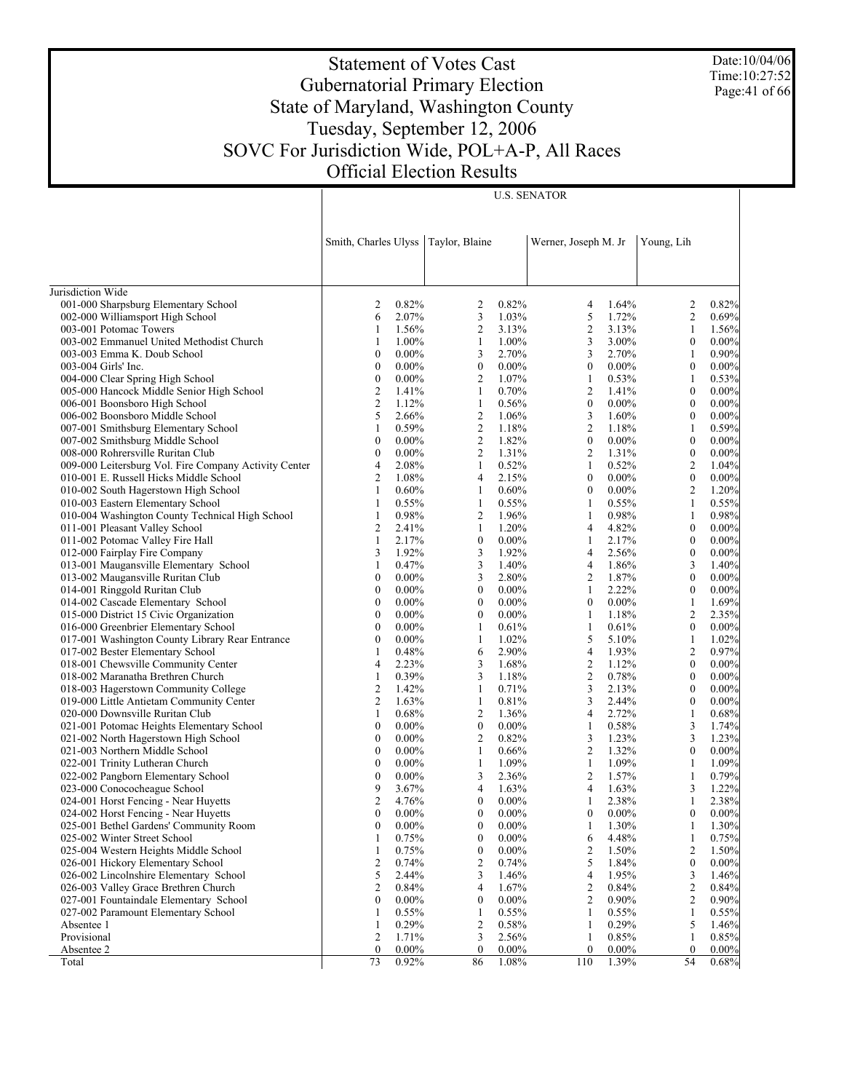Date:10/04/06 Time:10:27:52 Page:41 of 66

# Statement of Votes Cast Gubernatorial Primary Election State of Maryland, Washington County Tuesday, September 12, 2006 SOVC For Jurisdiction Wide, POL+A-P, All Races Official Election Results

|                                                                       | Smith, Charles Ulyss                 |                      | Taylor, Blaine          |                | Werner, Joseph M. Jr |                | Young, Lih            |                |
|-----------------------------------------------------------------------|--------------------------------------|----------------------|-------------------------|----------------|----------------------|----------------|-----------------------|----------------|
| Jurisdiction Wide                                                     |                                      |                      |                         |                |                      |                |                       |                |
| 001-000 Sharpsburg Elementary School                                  | 2                                    | 0.82%                | 2                       | 0.82%          | 4                    | 1.64%          | 2                     | 0.82%          |
| 002-000 Williamsport High School                                      | 6                                    | 2.07%                | 3                       | 1.03%          | 5                    | 1.72%          | $\overline{2}$        | 0.69%          |
| 003-001 Potomac Towers                                                | 1                                    | 1.56%                | $\overline{c}$          | 3.13%          | $\overline{2}$       | 3.13%          | 1                     | 1.56%          |
| 003-002 Emmanuel United Methodist Church                              | 1                                    | 1.00%                | $\mathbf{1}$            | 1.00%          | 3                    | 3.00%          | $\boldsymbol{0}$      | 0.00%          |
| 003-003 Emma K. Doub School                                           | $\boldsymbol{0}$                     | $0.00\%$             | 3                       | 2.70%          | 3                    | 2.70%          | $\mathbf{1}$          | 0.90%          |
| 003-004 Girls' Inc.                                                   | $\boldsymbol{0}$                     | $0.00\%$             | $\boldsymbol{0}$        | $0.00\%$       | $\boldsymbol{0}$     | $0.00\%$       | $\boldsymbol{0}$      | 0.00%          |
| 004-000 Clear Spring High School                                      | $\boldsymbol{0}$                     | $0.00\%$             | $\overline{c}$          | 1.07%          | $\mathbf{1}$         | 0.53%          | $\mathbf{1}$          | 0.53%          |
| 005-000 Hancock Middle Senior High School                             | $\overline{c}$                       | 1.41%                | $\mathbf{1}$            | 0.70%          | $\overline{2}$       | 1.41%          | $\boldsymbol{0}$      | 0.00%          |
| 006-001 Boonsboro High School                                         | $\overline{c}$                       | 1.12%                | 1                       | 0.56%          | $\boldsymbol{0}$     | $0.00\%$       | $\boldsymbol{0}$      | 0.00%          |
| 006-002 Boonsboro Middle School                                       | 5                                    | 2.66%                | $\boldsymbol{2}$        | 1.06%          | 3                    | 1.60%          | $\boldsymbol{0}$      | 0.00%          |
| 007-001 Smithsburg Elementary School                                  | 1                                    | 0.59%                | $\boldsymbol{2}$        | 1.18%          | $\overline{2}$       | 1.18%          | 1                     | 0.59%          |
| 007-002 Smithsburg Middle School                                      | $\boldsymbol{0}$                     | $0.00\%$             | $\overline{2}$          | 1.82%          | $\boldsymbol{0}$     | $0.00\%$       | $\boldsymbol{0}$      | 0.00%          |
| 008-000 Rohrersville Ruritan Club                                     | $\boldsymbol{0}$                     | $0.00\%$             | $\boldsymbol{2}$        | 1.31%          | $\overline{2}$       | 1.31%          | $\boldsymbol{0}$      | 0.00%          |
| 009-000 Leitersburg Vol. Fire Company Activity Center                 | 4                                    | 2.08%                | $\mathbf{1}$            | 0.52%          | $\mathbf{1}$         | 0.52%          | $\overline{2}$        | 1.04%          |
| 010-001 E. Russell Hicks Middle School                                | $\overline{2}$                       | 1.08%                | 4                       | 2.15%          | $\boldsymbol{0}$     | $0.00\%$       | $\boldsymbol{0}$      | 0.00%          |
| 010-002 South Hagerstown High School                                  | 1                                    | 0.60%                | $\mathbf{1}$            | 0.60%          | $\boldsymbol{0}$     | $0.00\%$       | $\overline{2}$        | 1.20%          |
| 010-003 Eastern Elementary School                                     | $\mathbf{1}$                         | 0.55%                | $\mathbf{1}$            | 0.55%          | 1                    | 0.55%          | $\mathbf{1}$          | 0.55%          |
| 010-004 Washington County Technical High School                       | $\mathbf{1}$                         | 0.98%                | $\overline{2}$          | 1.96%          | $\mathbf{1}$         | 0.98%          | $\mathbf{1}$          | 0.98%          |
| 011-001 Pleasant Valley School                                        | $\overline{2}$                       | 2.41%                | 1                       | 1.20%          | 4                    | 4.82%          | $\boldsymbol{0}$      | 0.00%          |
| 011-002 Potomac Valley Fire Hall                                      | $\mathbf{1}$                         | 2.17%                | $\boldsymbol{0}$        | $0.00\%$       | $\mathbf{1}$         | 2.17%          | $\boldsymbol{0}$      | 0.00%          |
| 012-000 Fairplay Fire Company                                         | 3                                    | 1.92%                | 3                       | 1.92%          | 4                    | 2.56%          | $\boldsymbol{0}$      | 0.00%          |
| 013-001 Maugansville Elementary School                                | 1                                    | 0.47%                | 3                       | 1.40%          | 4                    | 1.86%          | 3                     | 1.40%          |
| 013-002 Maugansville Ruritan Club                                     | $\boldsymbol{0}$                     | $0.00\%$             | 3                       | 2.80%          | 2                    | 1.87%          | $\boldsymbol{0}$      | 0.00%          |
| 014-001 Ringgold Ruritan Club                                         | $\boldsymbol{0}$                     | $0.00\%$             | $\boldsymbol{0}$        | $0.00\%$       | $\mathbf{1}$         | 2.22%          | $\boldsymbol{0}$      | 0.00%          |
| 014-002 Cascade Elementary School                                     | $\boldsymbol{0}$                     | $0.00\%$             | $\boldsymbol{0}$        | $0.00\%$       | $\boldsymbol{0}$     | $0.00\%$       | $\mathbf{1}$          | 1.69%          |
| 015-000 District 15 Civic Organization                                | $\boldsymbol{0}$                     | $0.00\%$             | $\boldsymbol{0}$        | $0.00\%$       | 1                    | 1.18%          | $\overline{2}$        | 2.35%          |
| 016-000 Greenbrier Elementary School                                  | $\boldsymbol{0}$                     | $0.00\%$             | 1                       | 0.61%          | $\mathbf{1}$         | 0.61%          | $\boldsymbol{0}$      | 0.00%          |
| 017-001 Washington County Library Rear Entrance                       | $\boldsymbol{0}$                     | $0.00\%$             | $\mathbf{1}$            | 1.02%          | 5                    | 5.10%          | $\mathbf{1}$          | 1.02%          |
| 017-002 Bester Elementary School                                      | 1                                    | 0.48%                | 6                       | 2.90%          | $\overline{4}$       | 1.93%          | $\overline{2}$        | 0.97%          |
| 018-001 Chewsville Community Center                                   | 4                                    | 2.23%                | 3                       | 1.68%          | $\overline{2}$       | 1.12%          | $\boldsymbol{0}$      | 0.00%          |
| 018-002 Maranatha Brethren Church                                     | 1                                    | 0.39%                | 3                       | 1.18%          | $\overline{2}$       | 0.78%          | $\boldsymbol{0}$      | 0.00%          |
| 018-003 Hagerstown Community College                                  | 2                                    | 1.42%                | 1                       | 0.71%          | 3                    | 2.13%          | $\boldsymbol{0}$      | 0.00%          |
| 019-000 Little Antietam Community Center                              | $\mathfrak{2}$                       | 1.63%                | 1                       | 0.81%          | 3                    | 2.44%          | $\boldsymbol{0}$      | 0.00%          |
| 020-000 Downsville Ruritan Club                                       | 1                                    | 0.68%                | $\boldsymbol{2}$        | 1.36%          | 4                    | 2.72%          | $\mathbf{1}$          | 0.68%          |
| 021-001 Potomac Heights Elementary School                             | $\boldsymbol{0}$                     | $0.00\%$             | $\boldsymbol{0}$        | $0.00\%$       | 1                    | 0.58%          | 3                     | 1.74%          |
| 021-002 North Hagerstown High School                                  | $\boldsymbol{0}$                     | $0.00\%$<br>$0.00\%$ | $\overline{2}$          | 0.82%          | 3<br>$\overline{2}$  | 1.23%<br>1.32% | 3<br>$\boldsymbol{0}$ | 1.23%          |
| 021-003 Northern Middle School                                        | $\boldsymbol{0}$<br>$\boldsymbol{0}$ | $0.00\%$             | 1<br>$\mathbf{1}$       | 0.66%<br>1.09% | $\mathbf{1}$         | 1.09%          | $\mathbf{1}$          | 0.00%<br>1.09% |
| 022-001 Trinity Lutheran Church<br>022-002 Pangborn Elementary School | $\boldsymbol{0}$                     | $0.00\%$             | 3                       | 2.36%          | 2                    | 1.57%          | $\mathbf{1}$          | 0.79%          |
| 023-000 Conococheague School                                          | 9                                    | 3.67%                | 4                       | 1.63%          | $\overline{4}$       | 1.63%          | 3                     | 1.22%          |
| 024-001 Horst Fencing - Near Huyetts                                  | $\boldsymbol{2}$                     | 4.76%                | $\boldsymbol{0}$        | $0.00\%$       | 1                    | 2.38%          | $\mathbf{1}$          | 2.38%          |
| 024-002 Horst Fencing - Near Huyetts                                  | $\mathbf{0}$                         | $0.00\%$             | $\boldsymbol{0}$        | $0.00\%$       | $\boldsymbol{0}$     | $0.00\%$       | $\mathbf{0}$          | 0.00%          |
| 025-001 Bethel Gardens' Community Room                                | $\theta$                             | $0.00\%$             | $\theta$                | $0.00\%$       | 1                    | 1.30%          | $\mathbf{1}$          | 1.30%          |
| 025-002 Winter Street School                                          | $\mathbf{1}$                         | 0.75%                | $\boldsymbol{0}$        | $0.00\%$       | 6                    | 4.48%          | $\mathbf{1}$          | 0.75%          |
| 025-004 Western Heights Middle School                                 | 1                                    | 0.75%                | $\boldsymbol{0}$        | $0.00\%$       | $\overline{c}$       | 1.50%          | $\overline{c}$        | 1.50%          |
| 026-001 Hickory Elementary School                                     | $\overline{c}$                       | 0.74%                | $\sqrt{2}$              | 0.74%          | 5                    | 1.84%          | $\boldsymbol{0}$      | 0.00%          |
| 026-002 Lincolnshire Elementary School                                | 5                                    | 2.44%                | 3                       | 1.46%          | 4                    | 1.95%          | 3                     | 1.46%          |
| 026-003 Valley Grace Brethren Church                                  | $\mathfrak{2}$                       | 0.84%                | $\overline{4}$          | 1.67%          | $\boldsymbol{2}$     | 0.84%          | $\overline{2}$        | 0.84%          |
| 027-001 Fountaindale Elementary School                                | $\boldsymbol{0}$                     | $0.00\%$             | $\boldsymbol{0}$        | $0.00\%$       | $\overline{2}$       | $0.90\%$       | $\overline{c}$        | 0.90%          |
| 027-002 Paramount Elementary School                                   | 1                                    | 0.55%                | 1                       | 0.55%          | $\mathbf{1}$         | 0.55%          | $\mathbf{1}$          | 0.55%          |
| Absentee 1                                                            | 1                                    | 0.29%                | $\overline{\mathbf{c}}$ | 0.58%          | 1                    | 0.29%          | 5                     | 1.46%          |
| Provisional                                                           | $\overline{c}$                       | 1.71%                | 3                       | 2.56%          | $\mathbf{1}$         | 0.85%          | $\mathbf{1}$          | 0.85%          |
| Absentee 2                                                            | $\mathbf{0}$                         | $0.00\%$             | $\boldsymbol{0}$        | $0.00\%$       | $\boldsymbol{0}$     | $0.00\%$       | $\bf{0}$              | 0.00%          |
| Total                                                                 | 73                                   | 0.92%                | 86                      | 1.08%          | 110                  | 1.39%          | 54                    | 0.68%          |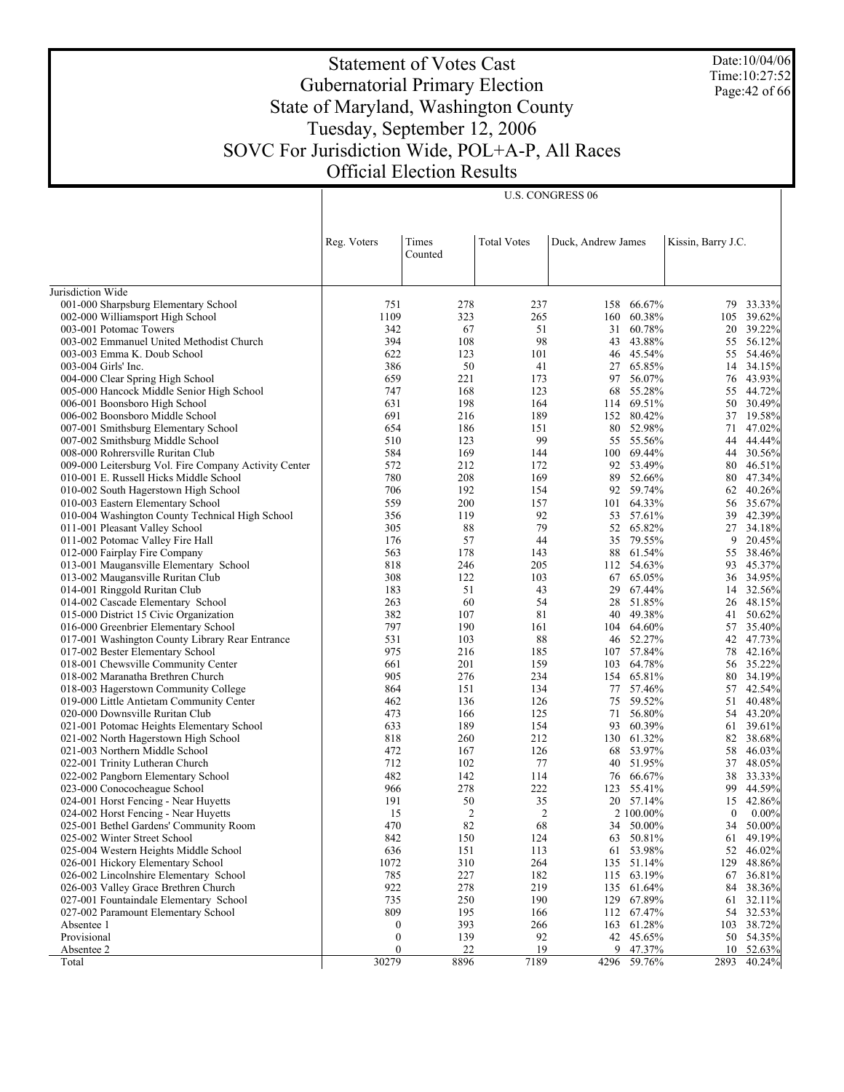Date:10/04/06 Time:10:27:52 Page:42 of 66

# Statement of Votes Cast Gubernatorial Primary Election State of Maryland, Washington County Tuesday, September 12, 2006 SOVC For Jurisdiction Wide, POL+A-P, All Races Official Election Results

U.S. CONGRESS 06

|                                                                      | Reg. Voters      | Times<br>Counted | <b>Total Votes</b> | Duck, Andrew James |                         | Kissin, Barry J.C. |                  |
|----------------------------------------------------------------------|------------------|------------------|--------------------|--------------------|-------------------------|--------------------|------------------|
| Jurisdiction Wide                                                    |                  |                  |                    |                    |                         |                    |                  |
| 001-000 Sharpsburg Elementary School                                 | 751              | 278              | 237                |                    | 158 66.67%              |                    | 79 33.33%        |
|                                                                      | 1109             | 323              | 265                |                    | 160 60.38%              |                    | 105 39.62%       |
| 002-000 Williamsport High School<br>003-001 Potomac Towers           | 342              | 67               | 51                 | 31                 | 60.78%                  |                    | 39.22%           |
| 003-002 Emmanuel United Methodist Church                             | 394              | 108              | 98                 | 43                 | 43.88%                  | 20<br>55           | 56.12%           |
| 003-003 Emma K. Doub School                                          | 622              | 123              | 101                |                    | 46 45.54%               |                    | 55 54.46%        |
| 003-004 Girls' Inc.                                                  | 386              | 50               | 41                 |                    | 27 65.85%               | 14                 | 34.15%           |
| 004-000 Clear Spring High School                                     | 659              | 221              | 173                |                    | 97 56.07%               |                    | 76 43.93%        |
| 005-000 Hancock Middle Senior High School                            | 747              | 168              | 123                | 68                 | 55.28%                  |                    | 55 44.72%        |
| 006-001 Boonsboro High School                                        | 631              | 198              | 164                |                    | 114 69.51%              | 50                 | 30.49%           |
| 006-002 Boonsboro Middle School                                      | 691              | 216              | 189                |                    | 152 80.42%              | 37                 | 19.58%           |
| 007-001 Smithsburg Elementary School                                 | 654              | 186              | 151                |                    | 80 52.98%               | 71                 | 47.02%           |
| 007-002 Smithsburg Middle School                                     | 510              | 123              | 99                 |                    | 55 55.56%               | 44                 | 44.44%           |
| 008-000 Rohrersville Ruritan Club                                    | 584              | 169              | 144                |                    | 100 69.44%              | 44                 | 30.56%           |
| 009-000 Leitersburg Vol. Fire Company Activity Center                | 572              | 212              | 172                | 92                 | 53.49%                  | 80                 | 46.51%           |
| 010-001 E. Russell Hicks Middle School                               | 780              | 208              | 169                |                    | 89 52.66%               | 80                 | 47.34%           |
| 010-002 South Hagerstown High School                                 | 706              | 192              | 154                |                    | 92 59.74%               | 62                 | 40.26%           |
| 010-003 Eastern Elementary School                                    | 559              | 200              | 157                |                    | 101 64.33%              | 56                 | 35.67%           |
| 010-004 Washington County Technical High School                      | 356              | 119              | 92                 |                    | 53 57.61%               | 39                 | 42.39%           |
| 011-001 Pleasant Valley School                                       | 305              | 88               | 79                 |                    | 52 65.82%               | 27                 | 34.18%           |
| 011-002 Potomac Valley Fire Hall                                     | 176              | 57               | 44                 |                    | 35 79.55%               | 9                  | 20.45%           |
| 012-000 Fairplay Fire Company                                        | 563              | 178              | 143                |                    | 88 61.54%               |                    | 55 38.46%        |
| 013-001 Maugansville Elementary School                               | 818              | 246              | 205                |                    | 112 54.63%              | 93                 | 45.37%           |
| 013-002 Maugansville Ruritan Club                                    | 308              | 122              | 103                |                    | 67 65.05%               | 36                 | 34.95%           |
| 014-001 Ringgold Ruritan Club                                        | 183              | 51               | 43                 |                    | 29 67.44%               | 14                 | 32.56%           |
| 014-002 Cascade Elementary School                                    | 263              | 60               | 54                 | 28                 | 51.85%                  |                    | 26 48.15%        |
| 015-000 District 15 Civic Organization                               | 382              | 107              | 81                 |                    | 40 49.38%               | 41                 | 50.62%           |
| 016-000 Greenbrier Elementary School                                 | 797              | 190              | 161                |                    | 104 64.60%              |                    | 57 35.40%        |
| 017-001 Washington County Library Rear Entrance                      | 531              | 103              | 88                 |                    | 46 52.27%               |                    | 42 47.73%        |
| 017-002 Bester Elementary School                                     | 975              | 216              | 185                |                    | 107 57.84%              | 78                 | 42.16%           |
| 018-001 Chewsville Community Center                                  | 661              | 201              | 159                |                    | 103 64.78%              |                    | 56 35.22%        |
| 018-002 Maranatha Brethren Church                                    | 905              | 276              | 234                |                    | 154 65.81%              | 80                 | 34.19%           |
| 018-003 Hagerstown Community College                                 | 864              | 151              | 134                | 77                 | 57.46%                  | 57                 | 42.54%           |
| 019-000 Little Antietam Community Center                             | 462              | 136              | 126                |                    | 75 59.52%               | 51                 | 40.48%           |
| 020-000 Downsville Ruritan Club                                      | 473              | 166              | 125                | 71                 | 56.80%                  |                    | 54 43.20%        |
| 021-001 Potomac Heights Elementary School                            | 633              | 189              | 154                |                    | 93 60.39%               | 61                 | 39.61%           |
| 021-002 North Hagerstown High School                                 | 818              | 260              | 212                |                    | 130 61.32%              | 82                 | 38.68%           |
| 021-003 Northern Middle School                                       | 472              | 167              | 126                |                    | 68 53.97%               | 58                 | 46.03%           |
| 022-001 Trinity Lutheran Church                                      | 712              | 102              | 77<br>114          | 40                 | 51.95%                  | 37                 | 48.05%           |
| 022-002 Pangborn Elementary School                                   | 482              | 142              |                    |                    | 76 66.67%<br>123 55.41% | 38                 | 33.33%<br>44.59% |
| 023-000 Conococheague School<br>024-001 Horst Fencing - Near Huyetts | 966<br>191       | 278<br>50        | 222<br>35          |                    | 20 57.14%               | 99<br>15           | 42.86%           |
| 024-002 Horst Fencing - Near Huyetts                                 | 15               | 2                | $\overline{2}$     |                    | 2 100.00%               | $\boldsymbol{0}$   | 0.00%            |
| 025-001 Bethel Gardens' Community Room                               | 470              | 82               | 68                 |                    |                         |                    | 50.00%           |
| 025-002 Winter Street School                                         | 842              | 150              | 124                | 63                 | 34 50.00%<br>50.81%     | 34<br>61           | 49.19%           |
| 025-004 Western Heights Middle School                                | 636              | 151              | 113                | 61                 | 53.98%                  |                    | 52 46.02%        |
| 026-001 Hickory Elementary School                                    | 1072             | 310              | 264                |                    | 135 51.14%              | 129                | 48.86%           |
| 026-002 Lincolnshire Elementary School                               | 785              | 227              | 182                |                    | 115 63.19%              | 67                 | 36.81%           |
| 026-003 Valley Grace Brethren Church                                 | 922              | 278              | 219                |                    | 135 61.64%              | 84                 | 38.36%           |
| 027-001 Fountaindale Elementary School                               | 735              | 250              | 190                |                    | 129 67.89%              | 61                 | 32.11%           |
| 027-002 Paramount Elementary School                                  | 809              | 195              | 166                | 112                | 67.47%                  | 54                 | 32.53%           |
| Absentee 1                                                           | $\boldsymbol{0}$ | 393              | 266                |                    | 163 61.28%              |                    | 103 38.72%       |
| Provisional                                                          | $\boldsymbol{0}$ | 139              | 92                 |                    | 42 45.65%               |                    | 50 54.35%        |
| Absentee 2                                                           | $\boldsymbol{0}$ | 22               | 19                 |                    | 9 47.37%                |                    | 10 52.63%        |
| Total                                                                | 30279            | 8896             | 7189               |                    | 4296 59.76%             | 2893               | 40.24%           |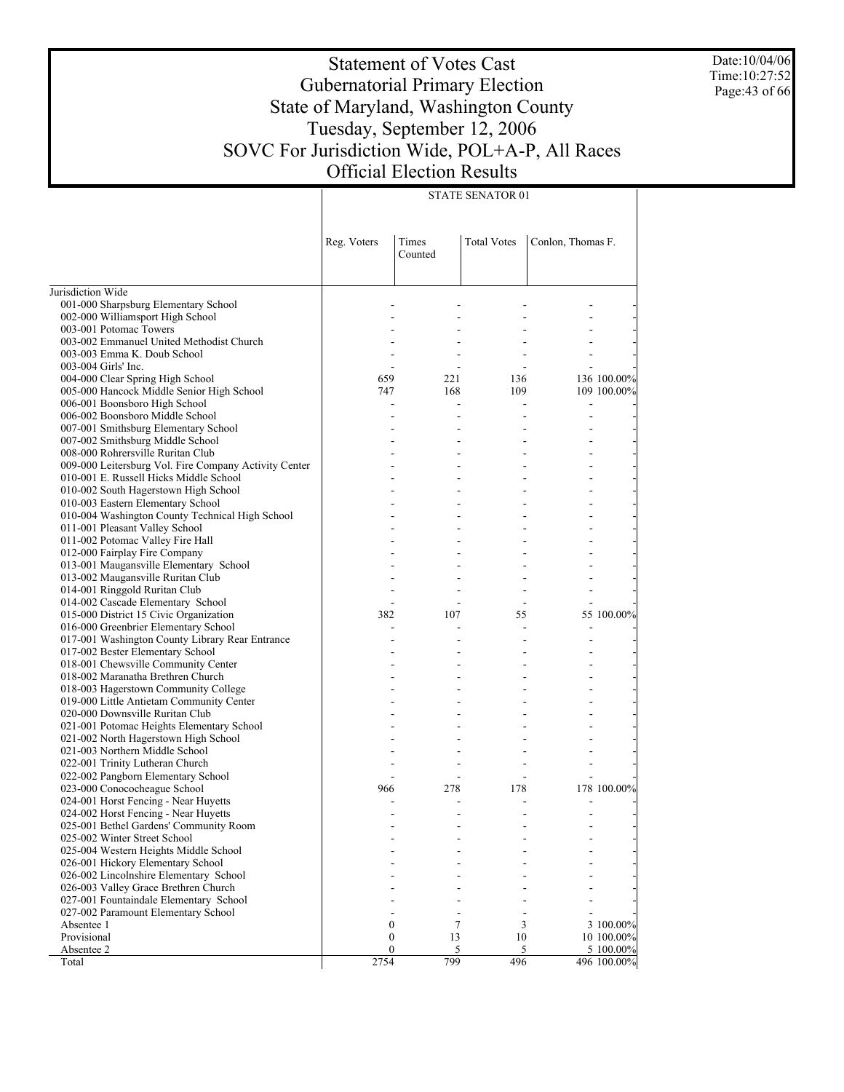Date:10/04/06 Time:10:27:52 Page:43 of 66

# Statement of Votes Cast Gubernatorial Primary Election State of Maryland, Washington County Tuesday, September 12, 2006 SOVC For Jurisdiction Wide, POL+A-P, All Races Official Election Results

| <b>STATE SENATOR 01</b> |  |
|-------------------------|--|

|                                                                             | Reg. Voters      | Times<br>Counted | <b>Total Votes</b> | Conlon, Thomas F. |             |
|-----------------------------------------------------------------------------|------------------|------------------|--------------------|-------------------|-------------|
| Jurisdiction Wide                                                           |                  |                  |                    |                   |             |
| 001-000 Sharpsburg Elementary School                                        |                  |                  |                    |                   |             |
| 002-000 Williamsport High School                                            |                  |                  |                    |                   |             |
| 003-001 Potomac Towers                                                      |                  |                  |                    |                   |             |
| 003-002 Emmanuel United Methodist Church                                    |                  |                  |                    |                   |             |
| 003-003 Emma K. Doub School                                                 |                  |                  |                    |                   |             |
| 003-004 Girls' Inc.                                                         |                  |                  |                    |                   |             |
| 004-000 Clear Spring High School                                            | 659              | 221              | 136                |                   | 136 100.00% |
| 005-000 Hancock Middle Senior High School                                   | 747              | 168              | 109                |                   | 109 100,00% |
| 006-001 Boonsboro High School                                               |                  |                  |                    |                   |             |
| 006-002 Boonsboro Middle School                                             |                  |                  |                    |                   |             |
| 007-001 Smithsburg Elementary School                                        |                  |                  |                    |                   |             |
| 007-002 Smithsburg Middle School                                            |                  |                  |                    |                   |             |
| 008-000 Rohrersville Ruritan Club                                           |                  |                  |                    |                   |             |
| 009-000 Leitersburg Vol. Fire Company Activity Center                       |                  |                  |                    |                   |             |
| 010-001 E. Russell Hicks Middle School                                      |                  |                  |                    |                   |             |
| 010-002 South Hagerstown High School                                        |                  |                  |                    |                   |             |
| 010-003 Eastern Elementary School                                           |                  |                  |                    |                   |             |
| 010-004 Washington County Technical High School                             |                  |                  |                    |                   |             |
| 011-001 Pleasant Valley School                                              |                  |                  |                    |                   |             |
| 011-002 Potomac Valley Fire Hall                                            |                  |                  |                    |                   |             |
| 012-000 Fairplay Fire Company                                               |                  |                  |                    |                   |             |
| 013-001 Maugansville Elementary School                                      |                  |                  |                    |                   |             |
| 013-002 Maugansville Ruritan Club                                           |                  |                  |                    |                   |             |
| 014-001 Ringgold Ruritan Club                                               |                  |                  |                    |                   |             |
| 014-002 Cascade Elementary School                                           |                  |                  |                    |                   |             |
| 015-000 District 15 Civic Organization                                      | 382              | 107              | 55                 |                   | 55 100.00%  |
| 016-000 Greenbrier Elementary School                                        |                  |                  |                    |                   |             |
| 017-001 Washington County Library Rear Entrance                             |                  |                  |                    |                   |             |
| 017-002 Bester Elementary School                                            |                  |                  |                    |                   |             |
| 018-001 Chewsville Community Center                                         |                  |                  |                    |                   |             |
| 018-002 Maranatha Brethren Church                                           |                  |                  |                    |                   |             |
| 018-003 Hagerstown Community College                                        |                  |                  |                    |                   |             |
| 019-000 Little Antietam Community Center<br>020-000 Downsville Ruritan Club |                  |                  |                    |                   |             |
| 021-001 Potomac Heights Elementary School                                   |                  |                  |                    |                   |             |
| 021-002 North Hagerstown High School                                        |                  |                  |                    |                   |             |
| 021-003 Northern Middle School                                              |                  |                  |                    |                   |             |
| 022-001 Trinity Lutheran Church                                             |                  |                  |                    |                   |             |
| 022-002 Pangborn Elementary School                                          |                  |                  |                    |                   |             |
| 023-000 Conococheague School                                                | 966              | 278              | 178                |                   | 178 100,00% |
| 024-001 Horst Fencing - Near Huyetts                                        |                  |                  |                    |                   |             |
| 024-002 Horst Fencing - Near Huyetts                                        |                  |                  |                    |                   |             |
| 025-001 Bethel Gardens' Community Room                                      |                  |                  |                    |                   |             |
| 025-002 Winter Street School                                                |                  |                  |                    |                   |             |
| 025-004 Western Heights Middle School                                       |                  |                  |                    |                   |             |
| 026-001 Hickory Elementary School                                           |                  |                  |                    |                   |             |
| 026-002 Lincolnshire Elementary School                                      |                  |                  |                    |                   |             |
| 026-003 Valley Grace Brethren Church                                        |                  |                  |                    |                   |             |
| 027-001 Fountaindale Elementary School                                      |                  |                  |                    |                   |             |
| 027-002 Paramount Elementary School                                         |                  |                  |                    |                   |             |
| Absentee 1                                                                  | $\boldsymbol{0}$ | 7                | 3                  |                   | 3 100.00%   |
| Provisional                                                                 | $\boldsymbol{0}$ | 13               | 10                 |                   | 10 100.00%  |
| Absentee 2                                                                  | $\mathbf{0}$     | 5                | 5                  |                   | 5 100.00%   |
| Total                                                                       | 2754             | 799              | 496                |                   | 496 100.00% |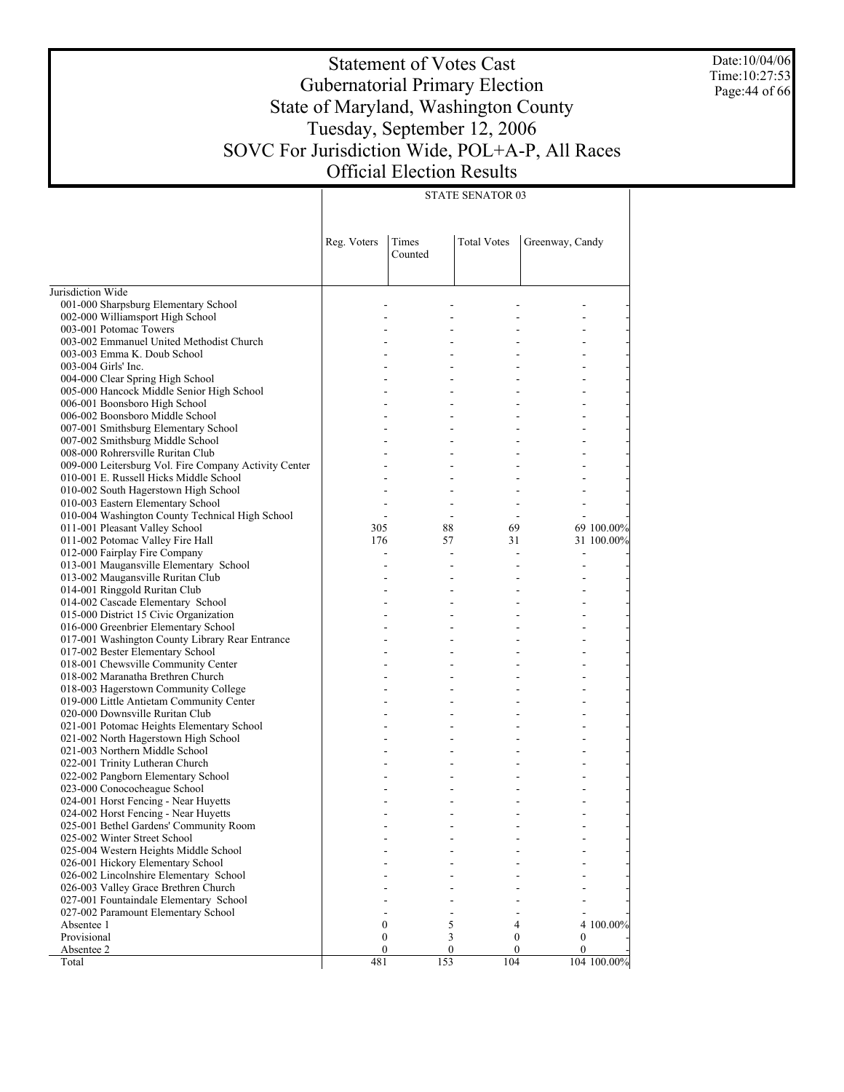Date:10/04/06 Time:10:27:53 Page:44 of 66

# Statement of Votes Cast Gubernatorial Primary Election State of Maryland, Washington County Tuesday, September 12, 2006 SOVC For Jurisdiction Wide, POL+A-P, All Races Official Election Results

| <b>STATE SENATOR 03</b> |  |
|-------------------------|--|

|                                                                        | Reg. Voters      | Times<br>Counted | <b>Total Votes</b> | Greenway, Candy |             |
|------------------------------------------------------------------------|------------------|------------------|--------------------|-----------------|-------------|
| Jurisdiction Wide                                                      |                  |                  |                    |                 |             |
| 001-000 Sharpsburg Elementary School                                   |                  |                  |                    |                 |             |
| 002-000 Williamsport High School                                       |                  |                  |                    |                 |             |
| 003-001 Potomac Towers                                                 |                  |                  |                    |                 |             |
| 003-002 Emmanuel United Methodist Church                               |                  |                  |                    |                 |             |
| 003-003 Emma K. Doub School                                            |                  |                  |                    |                 |             |
| 003-004 Girls' Inc.                                                    |                  |                  |                    |                 |             |
| 004-000 Clear Spring High School                                       |                  |                  |                    |                 |             |
| 005-000 Hancock Middle Senior High School                              |                  |                  |                    |                 |             |
| 006-001 Boonsboro High School                                          |                  |                  |                    |                 |             |
| 006-002 Boonsboro Middle School                                        |                  |                  |                    |                 |             |
| 007-001 Smithsburg Elementary School                                   |                  |                  |                    |                 |             |
| 007-002 Smithsburg Middle School                                       |                  |                  |                    |                 |             |
| 008-000 Rohrersville Ruritan Club                                      |                  |                  |                    |                 |             |
| 009-000 Leitersburg Vol. Fire Company Activity Center                  |                  |                  |                    |                 |             |
| 010-001 E. Russell Hicks Middle School                                 |                  |                  |                    |                 |             |
| 010-002 South Hagerstown High School                                   |                  |                  |                    |                 |             |
| 010-003 Eastern Elementary School                                      |                  |                  |                    |                 |             |
| 010-004 Washington County Technical High School                        |                  |                  |                    |                 |             |
| 011-001 Pleasant Valley School                                         | 305              | 88               | 69                 |                 | 69 100.00%  |
| 011-002 Potomac Valley Fire Hall                                       | 176              | 57               | 31                 |                 | 31 100.00%  |
| 012-000 Fairplay Fire Company                                          |                  |                  |                    |                 |             |
| 013-001 Maugansville Elementary School                                 |                  |                  |                    |                 |             |
| 013-002 Maugansville Ruritan Club                                      |                  |                  |                    |                 |             |
| 014-001 Ringgold Ruritan Club                                          |                  |                  |                    |                 |             |
| 014-002 Cascade Elementary School                                      |                  |                  |                    |                 |             |
| 015-000 District 15 Civic Organization                                 |                  |                  |                    |                 |             |
| 016-000 Greenbrier Elementary School                                   |                  |                  |                    |                 |             |
| 017-001 Washington County Library Rear Entrance                        |                  |                  |                    |                 |             |
| 017-002 Bester Elementary School                                       |                  |                  |                    |                 |             |
| 018-001 Chewsville Community Center                                    |                  |                  |                    |                 |             |
| 018-002 Maranatha Brethren Church                                      |                  |                  |                    |                 |             |
| 018-003 Hagerstown Community College                                   |                  |                  |                    |                 |             |
| 019-000 Little Antietam Community Center                               |                  |                  |                    |                 |             |
| 020-000 Downsville Ruritan Club                                        |                  |                  |                    |                 |             |
| 021-001 Potomac Heights Elementary School                              |                  |                  |                    |                 |             |
| 021-002 North Hagerstown High School<br>021-003 Northern Middle School |                  |                  |                    |                 |             |
| 022-001 Trinity Lutheran Church                                        |                  |                  |                    |                 |             |
| 022-002 Pangborn Elementary School                                     |                  |                  |                    |                 |             |
| 023-000 Conococheague School                                           |                  |                  |                    |                 |             |
| 024-001 Horst Fencing - Near Huyetts                                   |                  |                  |                    |                 |             |
| 024-002 Horst Fencing - Near Huyetts                                   |                  |                  |                    |                 |             |
| 025-001 Bethel Gardens' Community Room                                 |                  |                  |                    |                 |             |
| 025-002 Winter Street School                                           |                  |                  |                    |                 |             |
| 025-004 Western Heights Middle School                                  |                  |                  |                    |                 |             |
| 026-001 Hickory Elementary School                                      |                  |                  |                    |                 |             |
| 026-002 Lincolnshire Elementary School                                 |                  |                  |                    |                 |             |
| 026-003 Valley Grace Brethren Church                                   |                  |                  |                    |                 |             |
| 027-001 Fountaindale Elementary School                                 |                  |                  |                    |                 |             |
| 027-002 Paramount Elementary School                                    |                  |                  |                    |                 |             |
| Absentee 1                                                             | $\boldsymbol{0}$ | 5                | 4                  |                 | 4 100.00%   |
| Provisional                                                            | $\boldsymbol{0}$ | 3                | 0                  | 0               |             |
| Absentee 2                                                             | $\mathbf{0}$     | $\mathbf{0}$     | 0                  | 0               |             |
| Total                                                                  | 481              | 153              | 104                |                 | 104 100.00% |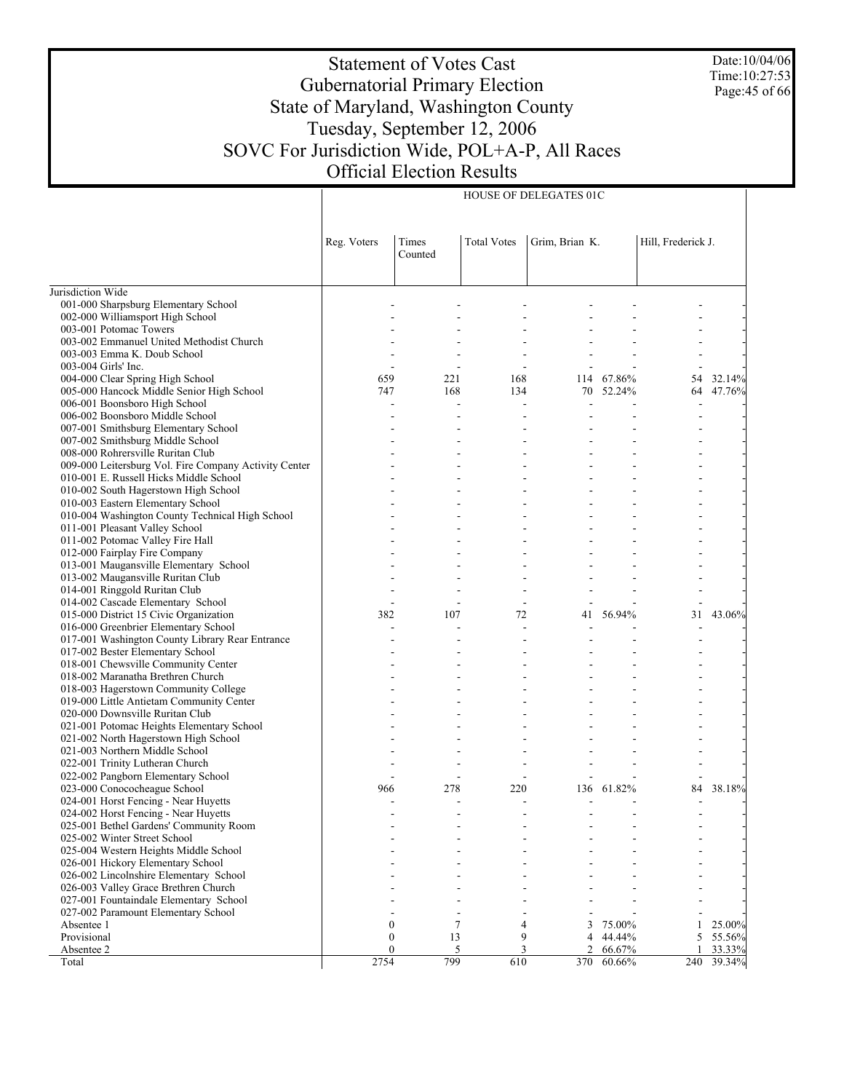Date:10/04/06 Time:10:27:53 Page:45 of 66

# Statement of Votes Cast Gubernatorial Primary Election State of Maryland, Washington County Tuesday, September 12, 2006 SOVC For Jurisdiction Wide, POL+A-P, All Races Official Election Results

HOUSE OF DELEGATES 01C

|                                                                                     | Reg. Voters      | Times<br>Counted | <b>Total Votes</b> | Grim, Brian K. |        | Hill, Frederick J. |        |
|-------------------------------------------------------------------------------------|------------------|------------------|--------------------|----------------|--------|--------------------|--------|
| Jurisdiction Wide                                                                   |                  |                  |                    |                |        |                    |        |
| 001-000 Sharpsburg Elementary School                                                |                  |                  |                    |                |        |                    |        |
| 002-000 Williamsport High School                                                    |                  |                  |                    |                |        |                    |        |
| 003-001 Potomac Towers                                                              |                  |                  |                    |                |        |                    |        |
| 003-002 Emmanuel United Methodist Church                                            |                  |                  |                    |                |        |                    |        |
| 003-003 Emma K. Doub School                                                         |                  |                  |                    |                |        |                    |        |
| 003-004 Girls' Inc.                                                                 |                  |                  |                    |                |        |                    |        |
| 004-000 Clear Spring High School                                                    | 659              | 221              | 168                | 114            | 67.86% | 54                 | 32.14% |
| 005-000 Hancock Middle Senior High School                                           | 747              | 168              | 134                | 70             | 52.24% | 64                 | 47.76% |
| 006-001 Boonsboro High School                                                       |                  | ÷,               |                    | J.             |        |                    |        |
| 006-002 Boonsboro Middle School                                                     |                  |                  |                    |                |        |                    |        |
| 007-001 Smithsburg Elementary School                                                |                  |                  |                    |                |        |                    |        |
| 007-002 Smithsburg Middle School                                                    |                  |                  |                    |                |        |                    |        |
| 008-000 Rohrersville Ruritan Club                                                   |                  |                  |                    |                |        |                    |        |
| 009-000 Leitersburg Vol. Fire Company Activity Center                               |                  |                  |                    |                |        |                    |        |
| 010-001 E. Russell Hicks Middle School                                              |                  |                  |                    |                |        |                    |        |
| 010-002 South Hagerstown High School                                                |                  |                  |                    |                |        |                    |        |
| 010-003 Eastern Elementary School                                                   |                  |                  |                    |                |        |                    |        |
| 010-004 Washington County Technical High School                                     |                  |                  |                    |                |        |                    |        |
| 011-001 Pleasant Valley School                                                      |                  |                  |                    |                |        |                    |        |
| 011-002 Potomac Valley Fire Hall                                                    |                  |                  |                    |                |        |                    |        |
| 012-000 Fairplay Fire Company                                                       |                  |                  |                    |                |        |                    |        |
| 013-001 Maugansville Elementary School                                              |                  |                  |                    |                |        |                    |        |
| 013-002 Maugansville Ruritan Club                                                   |                  |                  |                    |                |        |                    |        |
| 014-001 Ringgold Ruritan Club<br>014-002 Cascade Elementary School                  |                  |                  |                    |                |        |                    |        |
| 015-000 District 15 Civic Organization                                              | 382              | 107              | 72                 |                | 56.94% | 31                 | 43.06% |
| 016-000 Greenbrier Elementary School                                                |                  |                  |                    | 41             |        |                    |        |
|                                                                                     |                  |                  |                    |                |        |                    |        |
| 017-001 Washington County Library Rear Entrance<br>017-002 Bester Elementary School |                  |                  |                    |                |        |                    |        |
| 018-001 Chewsville Community Center                                                 |                  |                  |                    |                |        |                    |        |
| 018-002 Maranatha Brethren Church                                                   |                  |                  |                    |                |        |                    |        |
| 018-003 Hagerstown Community College                                                |                  |                  |                    |                |        |                    |        |
| 019-000 Little Antietam Community Center                                            |                  |                  |                    |                |        |                    |        |
| 020-000 Downsville Ruritan Club                                                     |                  |                  |                    |                |        |                    |        |
| 021-001 Potomac Heights Elementary School                                           |                  |                  |                    |                |        |                    |        |
| 021-002 North Hagerstown High School                                                |                  |                  |                    |                |        |                    |        |
| 021-003 Northern Middle School                                                      |                  |                  |                    |                |        |                    |        |
| 022-001 Trinity Lutheran Church                                                     |                  |                  |                    |                |        |                    |        |
| 022-002 Pangborn Elementary School                                                  |                  |                  |                    |                |        |                    |        |
| 023-000 Conococheague School                                                        | 966              | 278              | 220                | 136            | 61.82% | 84                 | 38.18% |
| 024-001 Horst Fencing - Near Huyetts                                                |                  |                  |                    |                |        |                    |        |
| 024-002 Horst Fencing - Near Huyetts                                                |                  |                  |                    |                |        |                    |        |
| 025-001 Bethel Gardens' Community Room                                              |                  |                  |                    |                |        |                    |        |
| 025-002 Winter Street School                                                        |                  |                  |                    |                |        |                    |        |
| 025-004 Western Heights Middle School                                               |                  |                  |                    |                |        |                    |        |
| 026-001 Hickory Elementary School                                                   |                  |                  |                    |                |        |                    |        |
| 026-002 Lincolnshire Elementary School                                              |                  |                  |                    |                |        |                    |        |
| 026-003 Valley Grace Brethren Church                                                |                  |                  |                    |                |        |                    |        |
| 027-001 Fountaindale Elementary School                                              |                  |                  |                    |                |        |                    |        |
| 027-002 Paramount Elementary School                                                 |                  |                  |                    |                |        |                    |        |
| Absentee 1                                                                          | $\boldsymbol{0}$ | 7                | 4                  | 3              | 75.00% |                    | 25.00% |
| Provisional                                                                         | $\boldsymbol{0}$ | 13               | 9                  | 4              | 44.44% | 5                  | 55.56% |
| Absentee 2                                                                          | $\mathbf{0}$     | 5                | 3                  | $\overline{c}$ | 66.67% |                    | 33.33% |
| Total                                                                               | 2754             | 799              | 610                | 370            | 60.66% | 240                | 39.34% |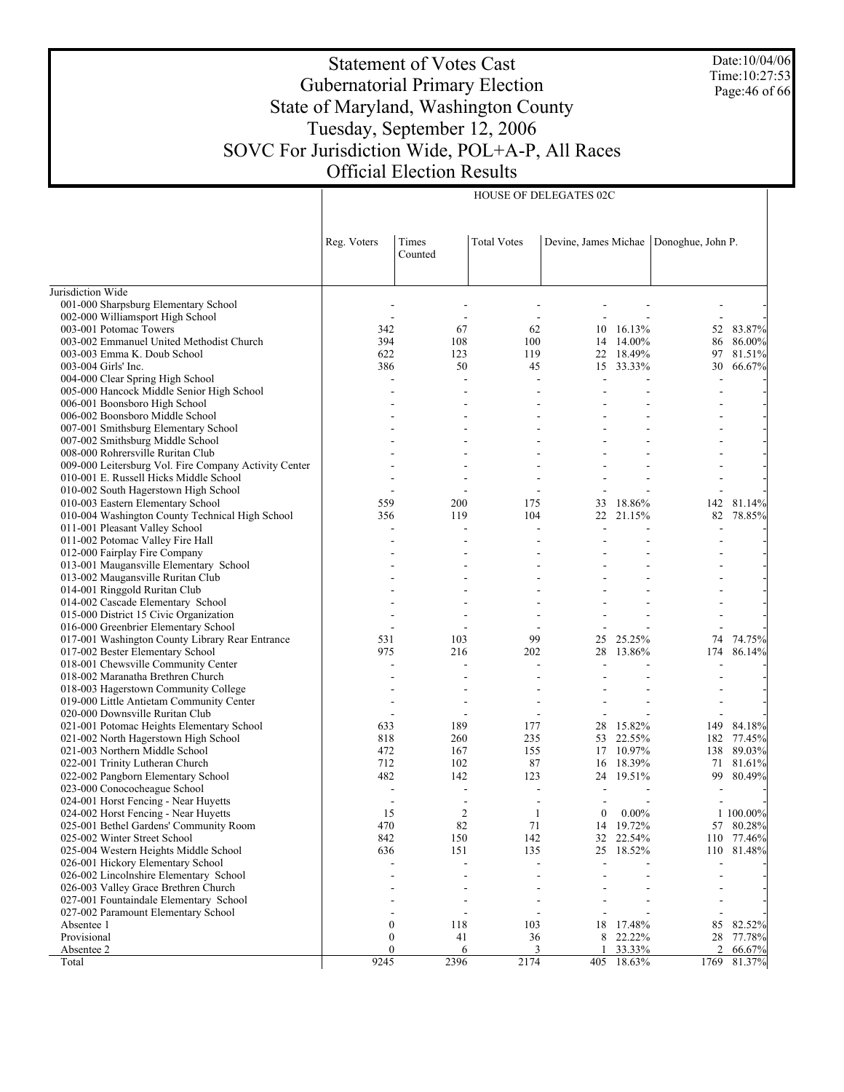Date:10/04/06 Time:10:27:53 Page:46 of 66

# Statement of Votes Cast Gubernatorial Primary Election State of Maryland, Washington County Tuesday, September 12, 2006 SOVC For Jurisdiction Wide, POL+A-P, All Races Official Election Results

HOUSE OF DELEGATES 02C

|                                                                       | Reg. Voters      | Times<br>Counted         | <b>Total Votes</b> | Devine, James Michae |                  | Donoghue, John P. |                  |  |
|-----------------------------------------------------------------------|------------------|--------------------------|--------------------|----------------------|------------------|-------------------|------------------|--|
| Jurisdiction Wide                                                     |                  |                          |                    |                      |                  |                   |                  |  |
| 001-000 Sharpsburg Elementary School                                  |                  |                          |                    |                      |                  |                   |                  |  |
| 002-000 Williamsport High School                                      |                  | $\overline{\phantom{a}}$ |                    |                      |                  |                   |                  |  |
| 003-001 Potomac Towers                                                | 342              | 67                       | 62                 | 10                   | 16.13%           | 52                | 83.87%           |  |
| 003-002 Emmanuel United Methodist Church                              | 394              | 108                      | 100                | 14                   | 14.00%           | 86                | 86.00%           |  |
| 003-003 Emma K. Doub School                                           | 622              | 123                      | 119                | 22                   | 18.49%           | 97                | 81.51%           |  |
| 003-004 Girls' Inc.                                                   | 386              | 50                       | 45                 |                      | 15 33.33%        | 30                | 66.67%           |  |
| 004-000 Clear Spring High School                                      |                  |                          |                    |                      |                  |                   |                  |  |
| 005-000 Hancock Middle Senior High School                             |                  |                          |                    |                      |                  |                   |                  |  |
| 006-001 Boonsboro High School                                         |                  |                          |                    |                      |                  |                   |                  |  |
| 006-002 Boonsboro Middle School                                       |                  |                          |                    |                      |                  |                   |                  |  |
| 007-001 Smithsburg Elementary School                                  |                  |                          |                    |                      |                  |                   |                  |  |
| 007-002 Smithsburg Middle School                                      |                  |                          |                    |                      |                  |                   |                  |  |
| 008-000 Rohrersville Ruritan Club                                     |                  |                          |                    |                      |                  |                   |                  |  |
| 009-000 Leitersburg Vol. Fire Company Activity Center                 |                  |                          |                    |                      |                  |                   |                  |  |
| 010-001 E. Russell Hicks Middle School                                |                  |                          |                    |                      |                  |                   |                  |  |
| 010-002 South Hagerstown High School                                  |                  |                          |                    |                      |                  |                   |                  |  |
| 010-003 Eastern Elementary School                                     | 559              | 200                      | 175                | 33                   | 18.86%           | 142               | 81.14%           |  |
| 010-004 Washington County Technical High School                       | 356              | 119                      | 104                |                      | 22 21.15%        | 82                | 78.85%           |  |
| 011-001 Pleasant Valley School                                        |                  |                          |                    |                      |                  |                   |                  |  |
| 011-002 Potomac Valley Fire Hall                                      |                  |                          |                    |                      |                  |                   |                  |  |
| 012-000 Fairplay Fire Company                                         |                  |                          |                    |                      |                  |                   |                  |  |
| 013-001 Maugansville Elementary School                                |                  |                          |                    |                      |                  |                   |                  |  |
| 013-002 Maugansville Ruritan Club                                     |                  |                          |                    |                      |                  |                   |                  |  |
| 014-001 Ringgold Ruritan Club                                         |                  |                          |                    |                      |                  |                   |                  |  |
| 014-002 Cascade Elementary School                                     |                  |                          |                    |                      |                  |                   |                  |  |
| 015-000 District 15 Civic Organization                                |                  |                          |                    |                      |                  |                   |                  |  |
| 016-000 Greenbrier Elementary School                                  |                  |                          |                    |                      |                  |                   |                  |  |
| 017-001 Washington County Library Rear Entrance                       | 531              | 103                      | 99                 | 25                   | 25.25%           | 74                | 74.75%           |  |
| 017-002 Bester Elementary School                                      | 975              | 216                      | 202                | 28                   | 13.86%           | 174               | 86.14%           |  |
| 018-001 Chewsville Community Center                                   |                  | L,                       |                    |                      |                  |                   |                  |  |
| 018-002 Maranatha Brethren Church                                     |                  |                          |                    |                      |                  |                   |                  |  |
| 018-003 Hagerstown Community College                                  |                  |                          |                    |                      |                  |                   |                  |  |
| 019-000 Little Antietam Community Center                              |                  | L,                       |                    |                      |                  |                   |                  |  |
| 020-000 Downsville Ruritan Club                                       |                  |                          |                    |                      |                  |                   |                  |  |
| 021-001 Potomac Heights Elementary School                             | 633              | 189                      | 177                | 28                   | 15.82%           | 149               | 84.18%           |  |
| 021-002 North Hagerstown High School                                  | 818              | 260                      | 235                | 53                   | 22.55%           | 182               | 77.45%<br>89.03% |  |
| 021-003 Northern Middle School                                        | 472<br>712       | 167<br>102               | 155<br>87          | 17                   | 10.97%<br>18.39% | 138               | 81.61%           |  |
| 022-001 Trinity Lutheran Church<br>022-002 Pangborn Elementary School | 482              | 142                      | 123                | 16<br>24             | 19.51%           | 71<br>99          | 80.49%           |  |
|                                                                       |                  | $\overline{\phantom{a}}$ |                    |                      |                  |                   |                  |  |
| 023-000 Conococheague School<br>024-001 Horst Fencing - Near Huyetts  |                  | $\overline{\phantom{a}}$ |                    |                      |                  |                   |                  |  |
| 024-002 Horst Fencing - Near Huyetts                                  | 15               | $\overline{2}$           | 1                  | $\boldsymbol{0}$     | $0.00\%$         |                   | 1 100.00%        |  |
| 025-001 Bethel Gardens' Community Room                                | 470              | 82                       | 71                 |                      | 14 19.72%        |                   | 57 80.28%        |  |
| 025-002 Winter Street School                                          | 842              | 150                      | 142                | 32                   | 22.54%           |                   | 110 77.46%       |  |
| 025-004 Western Heights Middle School                                 | 636              | 151                      | 135                | 25                   | 18.52%           |                   | 110 81.48%       |  |
| 026-001 Hickory Elementary School                                     |                  | L,                       |                    |                      |                  |                   |                  |  |
| 026-002 Lincolnshire Elementary School                                |                  |                          |                    |                      |                  |                   |                  |  |
| 026-003 Valley Grace Brethren Church                                  |                  |                          |                    |                      |                  |                   |                  |  |
| 027-001 Fountaindale Elementary School                                |                  |                          |                    |                      |                  |                   |                  |  |
| 027-002 Paramount Elementary School                                   |                  | $\overline{\phantom{a}}$ |                    |                      |                  |                   |                  |  |
| Absentee 1                                                            | $\boldsymbol{0}$ | 118                      | 103                | 18                   | 17.48%           | 85                | 82.52%           |  |
| Provisional                                                           | 0                | 41                       | 36                 | 8                    | 22.22%           | 28                | 77.78%           |  |
| Absentee 2                                                            | 0                | 6                        | 3                  |                      | 33.33%           | 2                 | 66.67%           |  |
| Total                                                                 | 9245             | 2396                     | 2174               | 405                  | 18.63%           | 1769              | 81.37%           |  |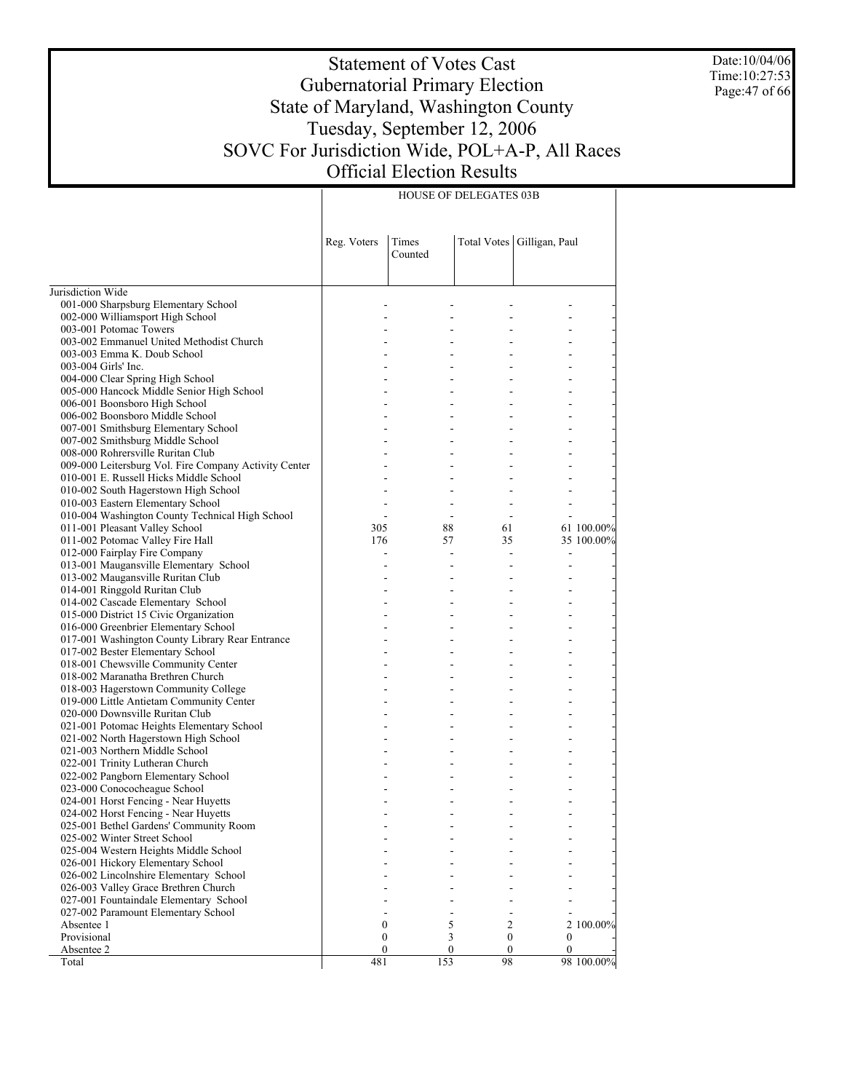Date:10/04/06 Time:10:27:53 Page:47 of 66

# Statement of Votes Cast Gubernatorial Primary Election State of Maryland, Washington County Tuesday, September 12, 2006 SOVC For Jurisdiction Wide, POL+A-P, All Races Official Election Results

HOUSE OF DELEGATES 03B

|                                                                                  | Reg. Voters    | Times<br>Counted |                  | Total Votes   Gilligan, Paul |            |
|----------------------------------------------------------------------------------|----------------|------------------|------------------|------------------------------|------------|
| Jurisdiction Wide                                                                |                |                  |                  |                              |            |
| 001-000 Sharpsburg Elementary School                                             |                |                  |                  |                              |            |
| 002-000 Williamsport High School                                                 |                |                  |                  |                              |            |
| 003-001 Potomac Towers                                                           |                |                  |                  |                              |            |
| 003-002 Emmanuel United Methodist Church                                         |                |                  |                  |                              |            |
| 003-003 Emma K. Doub School                                                      |                |                  |                  |                              |            |
| 003-004 Girls' Inc.                                                              |                |                  |                  |                              |            |
| 004-000 Clear Spring High School                                                 |                |                  | ÷                | $\overline{a}$               |            |
| 005-000 Hancock Middle Senior High School                                        |                |                  |                  |                              |            |
| 006-001 Boonsboro High School                                                    |                |                  | ÷                | $\overline{a}$               |            |
| 006-002 Boonsboro Middle School                                                  |                |                  |                  |                              |            |
| 007-001 Smithsburg Elementary School                                             |                |                  | ÷                | $\overline{a}$               |            |
| 007-002 Smithsburg Middle School                                                 |                |                  |                  |                              |            |
| 008-000 Rohrersville Ruritan Club                                                |                |                  | ÷                |                              |            |
| 009-000 Leitersburg Vol. Fire Company Activity Center                            |                |                  |                  |                              |            |
| 010-001 E. Russell Hicks Middle School                                           |                |                  |                  |                              |            |
| 010-002 South Hagerstown High School                                             |                |                  |                  |                              |            |
| 010-003 Eastern Elementary School                                                | $\sim$         | $\sim$           | ÷                | $\overline{a}$               |            |
| 010-004 Washington County Technical High School                                  |                | $\sim$           |                  | $\overline{a}$               |            |
| 011-001 Pleasant Valley School                                                   | 305            | 88               | 61               |                              | 61 100.00% |
| 011-002 Potomac Valley Fire Hall                                                 | 176            | 57               | 35               |                              | 35 100.00% |
| 012-000 Fairplay Fire Company                                                    | $\overline{a}$ | $\overline{a}$   | $\overline{a}$   | $\frac{1}{2}$                |            |
| 013-001 Maugansville Elementary School                                           |                |                  |                  | $\overline{a}$               |            |
| 013-002 Maugansville Ruritan Club                                                |                |                  | $\sim$           | ÷.                           |            |
| 014-001 Ringgold Ruritan Club                                                    |                |                  |                  |                              |            |
| 014-002 Cascade Elementary School                                                |                | ÷                | ÷                | $\overline{a}$               |            |
| 015-000 District 15 Civic Organization                                           |                |                  |                  |                              |            |
| 016-000 Greenbrier Elementary School                                             |                |                  | ÷                | $\overline{a}$               |            |
| 017-001 Washington County Library Rear Entrance                                  |                |                  |                  |                              |            |
| 017-002 Bester Elementary School                                                 |                |                  | ÷                | $\overline{a}$               |            |
| 018-001 Chewsville Community Center                                              |                |                  |                  |                              |            |
| 018-002 Maranatha Brethren Church                                                |                |                  | ÷                | $\overline{a}$               |            |
| 018-003 Hagerstown Community College<br>019-000 Little Antietam Community Center |                |                  | ÷                | $\overline{a}$               |            |
| 020-000 Downsville Ruritan Club                                                  |                |                  |                  |                              |            |
| 021-001 Potomac Heights Elementary School                                        |                | ÷                | ÷                | ÷.                           |            |
| 021-002 North Hagerstown High School                                             |                |                  | ÷                |                              |            |
| 021-003 Northern Middle School                                                   |                | ٠                | ÷                | $\overline{a}$               |            |
| 022-001 Trinity Lutheran Church                                                  |                |                  |                  |                              |            |
| 022-002 Pangborn Elementary School                                               |                |                  |                  |                              |            |
| 023-000 Conococheague School                                                     |                |                  |                  |                              |            |
| 024-001 Horst Fencing - Near Huyetts                                             |                |                  |                  |                              |            |
| 024-002 Horst Fencing - Near Huyetts                                             |                |                  |                  |                              |            |
| 025-001 Bethel Gardens' Community Room                                           |                |                  |                  |                              |            |
| 025-002 Winter Street School                                                     |                |                  |                  |                              |            |
| 025-004 Western Heights Middle School                                            |                |                  |                  |                              |            |
| 026-001 Hickory Elementary School                                                |                |                  |                  |                              |            |
| 026-002 Lincolnshire Elementary School                                           |                |                  |                  |                              |            |
| 026-003 Valley Grace Brethren Church                                             |                |                  |                  |                              |            |
| 027-001 Fountaindale Elementary School                                           |                |                  |                  |                              |            |
| 027-002 Paramount Elementary School                                              |                |                  |                  |                              |            |
| Absentee 1                                                                       | 0              | 5                | $\overline{c}$   |                              | 2 100.00%  |
| Provisional                                                                      | 0              | 3                | $\boldsymbol{0}$ | 0                            |            |
| Absentee 2                                                                       | 0              | $\boldsymbol{0}$ | $\bf{0}$         | $\mathbf{0}$                 |            |
| Total                                                                            | 481            | 153              | 98               |                              | 98 100.00% |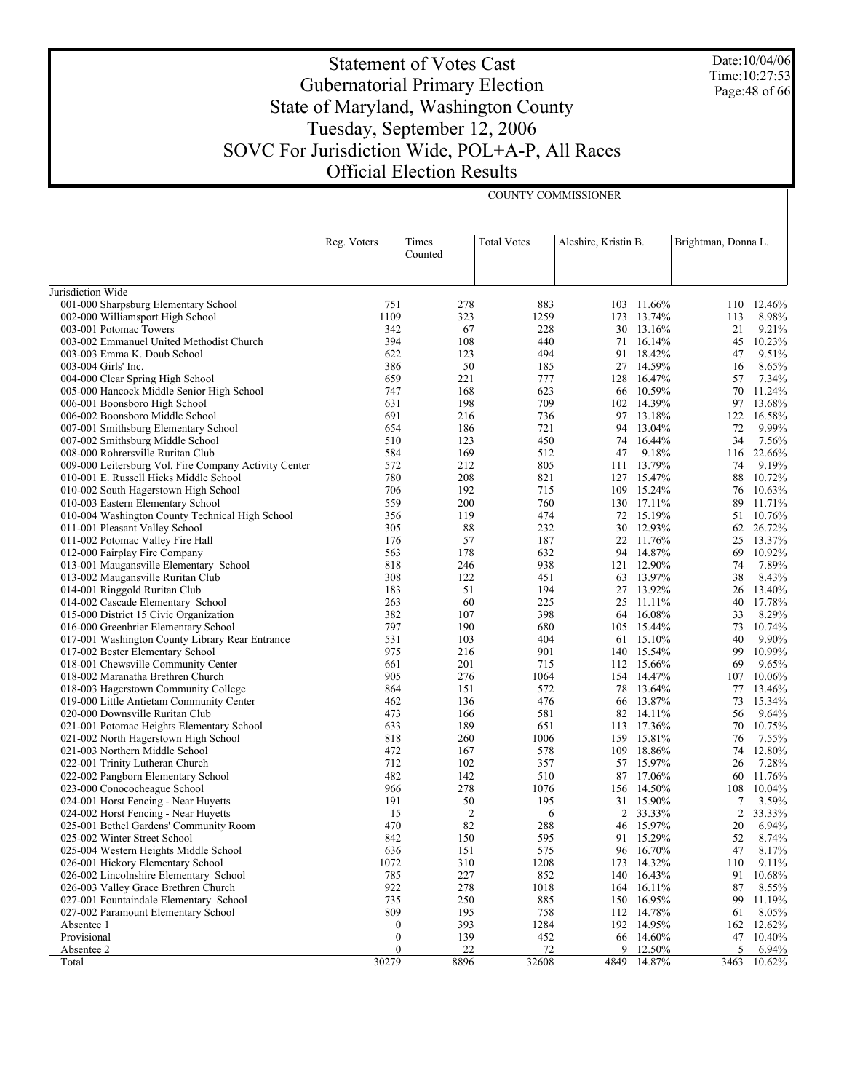Date:10/04/06 Time:10:27:53 Page:48 of 66

# Statement of Votes Cast Gubernatorial Primary Election State of Maryland, Washington County Tuesday, September 12, 2006 SOVC For Jurisdiction Wide, POL+A-P, All Races Official Election Results

COUNTY COMMISSIONER

|                                                                                  | Reg. Voters      | Times          | <b>Total Votes</b> | Aleshire, Kristin B. |                      | Brightman, Donna L. |                 |
|----------------------------------------------------------------------------------|------------------|----------------|--------------------|----------------------|----------------------|---------------------|-----------------|
|                                                                                  |                  | Counted        |                    |                      |                      |                     |                 |
|                                                                                  |                  |                |                    |                      |                      |                     |                 |
| Jurisdiction Wide                                                                |                  |                |                    |                      |                      |                     |                 |
| 001-000 Sharpsburg Elementary School                                             | 751              | 278            | 883                |                      | 103 11.66%           |                     | 110 12.46%      |
| 002-000 Williamsport High School                                                 | 1109<br>342      | 323<br>67      | 1259<br>228        | 173                  | 13.74%<br>30 13.16%  | 113<br>21           | 8.98%<br>9.21%  |
| 003-001 Potomac Towers<br>003-002 Emmanuel United Methodist Church               | 394              | 108            | 440                | 71                   | 16.14%               | 45                  | 10.23%          |
| 003-003 Emma K. Doub School                                                      | 622              | 123            | 494                | 91                   | 18.42%               | 47                  | 9.51%           |
| 003-004 Girls' Inc.                                                              | 386              | 50             | 185                | 27                   | 14.59%               | 16                  | 8.65%           |
| 004-000 Clear Spring High School                                                 | 659              | 221            | 777                |                      | 128 16.47%           | 57                  | 7.34%           |
| 005-000 Hancock Middle Senior High School                                        | 747              | 168            | 623                | 66                   | 10.59%               | 70                  | 11.24%          |
| 006-001 Boonsboro High School                                                    | 631              | 198            | 709                |                      | 102 14.39%           | 97                  | 13.68%          |
| 006-002 Boonsboro Middle School                                                  | 691              | 216            | 736                | 97                   | 13.18%               | 122                 | 16.58%          |
| 007-001 Smithsburg Elementary School                                             | 654              | 186            | 721                | 94                   | 13.04%               | 72                  | 9.99%           |
| 007-002 Smithsburg Middle School                                                 | 510              | 123            | 450                | 74                   | 16.44%               | 34                  | 7.56%           |
| 008-000 Rohrersville Ruritan Club                                                | 584              | 169            | 512                | 47                   | 9.18%                |                     | 116 22.66%      |
| 009-000 Leitersburg Vol. Fire Company Activity Center                            | 572              | 212            | 805                | 111                  | 13.79%               | 74                  | 9.19%           |
| 010-001 E. Russell Hicks Middle School                                           | 780              | 208            | 821                |                      | 127 15.47%           | 88                  | 10.72%          |
| 010-002 South Hagerstown High School                                             | 706              | 192            | 715                | 109                  | 15.24%               | 76                  | 10.63%          |
| 010-003 Eastern Elementary School                                                | 559              | 200            | 760                |                      | 130 17.11%           | 89                  | 11.71%          |
| 010-004 Washington County Technical High School                                  | 356              | 119            | 474                | 72                   | 15.19%               | 51                  | 10.76%          |
| 011-001 Pleasant Valley School                                                   | 305              | 88             | 232                | 30                   | 12.93%               |                     | 62 26.72%       |
| 011-002 Potomac Valley Fire Hall                                                 | 176              | 57             | 187                | 22                   | 11.76%               | 25                  | 13.37%          |
| 012-000 Fairplay Fire Company                                                    | 563              | 178            | 632                | 94                   | 14.87%               | 69                  | 10.92%          |
| 013-001 Maugansville Elementary School                                           | 818              | 246            | 938                |                      | 121 12.90%           | 74                  | 7.89%           |
| 013-002 Maugansville Ruritan Club                                                | 308              | 122            | 451                |                      | 63 13.97%            | 38                  | 8.43%           |
| 014-001 Ringgold Ruritan Club                                                    | 183              | 51             | 194                | 27                   | 13.92%               | 26                  | 13.40%          |
| 014-002 Cascade Elementary School                                                | 263              | 60             | 225                |                      | 25 11.11%            | 40                  | 17.78%          |
| 015-000 District 15 Civic Organization                                           | 382              | 107            | 398                | 64                   | 16.08%               | 33                  | 8.29%           |
| 016-000 Greenbrier Elementary School                                             | 797              | 190            | 680                |                      | 105 15.44%           | 73                  | 10.74%          |
| 017-001 Washington County Library Rear Entrance                                  | 531              | 103            | 404                | 61                   | 15.10%               | 40                  | 9.90%           |
| 017-002 Bester Elementary School                                                 | 975              | 216            | 901                |                      | 140 15.54%           | 99                  | 10.99%          |
| 018-001 Chewsville Community Center                                              | 661<br>905       | 201<br>276     | 715<br>1064        |                      | 112 15.66%           | 69                  | 9.65%<br>10.06% |
| 018-002 Maranatha Brethren Church                                                | 864              | 151            | 572                | 78                   | 154 14.47%<br>13.64% | 107<br>77           | 13.46%          |
| 018-003 Hagerstown Community College<br>019-000 Little Antietam Community Center | 462              | 136            | 476                | 66                   | 13.87%               | 73                  | 15.34%          |
| 020-000 Downsville Ruritan Club                                                  | 473              | 166            | 581                | 82                   | 14.11%               | 56                  | 9.64%           |
| 021-001 Potomac Heights Elementary School                                        | 633              | 189            | 651                |                      | 113 17.36%           | 70                  | 10.75%          |
| 021-002 North Hagerstown High School                                             | 818              | 260            | 1006               | 159                  | 15.81%               | 76                  | 7.55%           |
| 021-003 Northern Middle School                                                   | 472              | 167            | 578                |                      | 109 18.86%           | 74                  | 12.80%          |
| 022-001 Trinity Lutheran Church                                                  | 712              | 102            | 357                | 57                   | 15.97%               | 26                  | 7.28%           |
| 022-002 Pangborn Elementary School                                               | 482              | 142            | 510                |                      | 87 17.06%            | 60                  | 11.76%          |
| 023-000 Conococheague School                                                     | 966              | 278            | 1076               |                      | 156 14.50%           | 108                 | 10.04%          |
| 024-001 Horst Fencing - Near Huyetts                                             | 191              | 50             | 195                |                      | 31 15.90%            | 7                   | 3.59%           |
| 024-002 Horst Fencing - Near Huyetts                                             | 15               | $\overline{2}$ | 6                  | 2                    | 33.33%               | 2                   | 33.33%          |
| 025-001 Bethel Gardens' Community Room                                           | 470              | 82             | 288                |                      | 46 15.97%            | 20                  | 6.94%           |
| 025-002 Winter Street School                                                     | 842              | 150            | 595                |                      | 91 15.29%            | 52                  | 8.74%           |
| 025-004 Western Heights Middle School                                            | 636              | 151            | 575                | 96                   | 16.70%               | 47                  | 8.17%           |
| 026-001 Hickory Elementary School                                                | 1072             | 310            | 1208               | 173                  | 14.32%               | 110                 | 9.11%           |
| 026-002 Lincolnshire Elementary School                                           | 785              | 227            | 852                |                      | 140 16.43%           | 91                  | 10.68%          |
| 026-003 Valley Grace Brethren Church                                             | 922              | 278            | 1018               | 164                  | 16.11%               | 87                  | 8.55%           |
| 027-001 Fountaindale Elementary School                                           | 735              | 250            | 885                |                      | 150 16.95%           | 99                  | 11.19%          |
| 027-002 Paramount Elementary School                                              | 809              | 195            | 758                |                      | 112 14.78%           | 61                  | 8.05%           |
| Absentee 1                                                                       | $\boldsymbol{0}$ | 393            | 1284               |                      | 192 14.95%           |                     | 162 12.62%      |
| Provisional                                                                      | $\boldsymbol{0}$ | 139            | 452                | 66                   | 14.60%               | 47                  | 10.40%          |
| Absentee 2                                                                       | 0                | 22             | 72                 |                      | 9 12.50%             | 5                   | 6.94%           |
| Total                                                                            | 30279            | 8896           | 32608              |                      | 4849 14.87%          | 3463                | 10.62%          |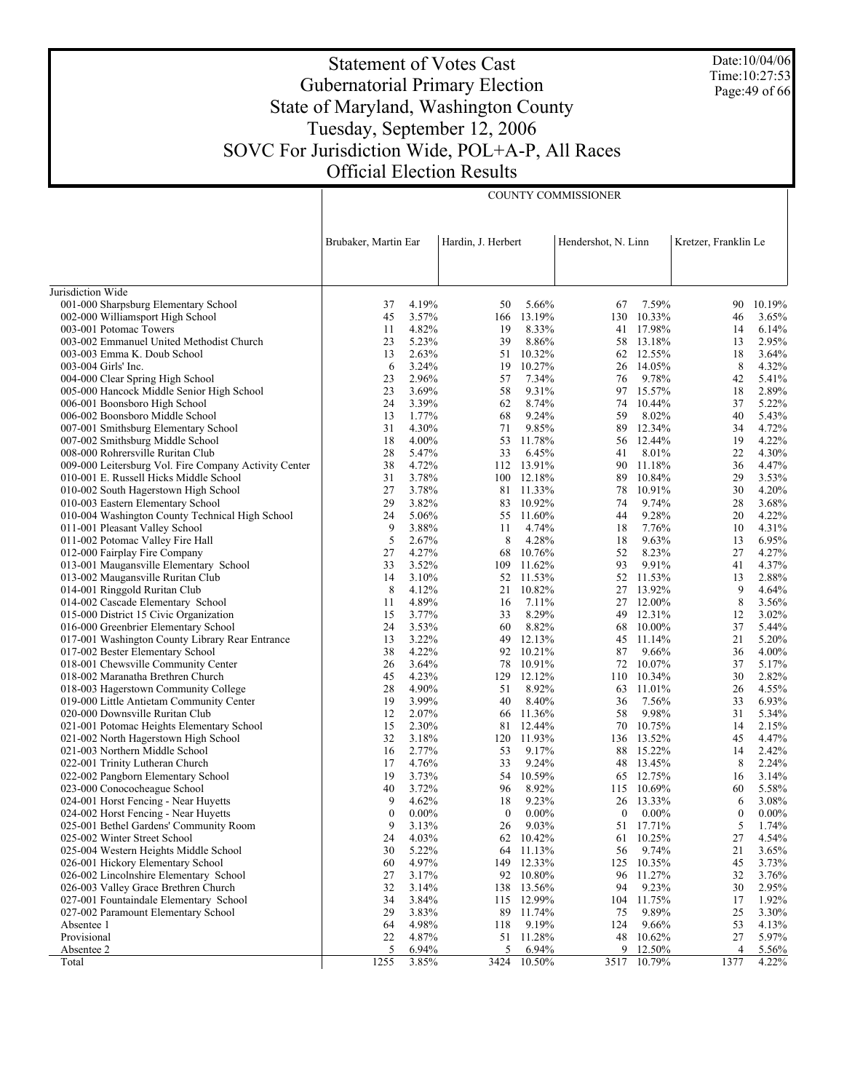Statement of Votes Cast Gubernatorial Primary Election State of Maryland, Washington County Tuesday, September 12, 2006 SOVC For Jurisdiction Wide, POL+A-P, All Races Official Election Results

COUNTY COMMISSIONER

|                                                                             | Brubaker, Martin Ear |                | Hardin, J. Herbert |                  | Hendershot, N. Linn |                        | Kretzer, Franklin Le |                |
|-----------------------------------------------------------------------------|----------------------|----------------|--------------------|------------------|---------------------|------------------------|----------------------|----------------|
|                                                                             |                      |                |                    |                  |                     |                        |                      |                |
| Jurisdiction Wide                                                           |                      |                |                    |                  |                     |                        |                      |                |
| 001-000 Sharpsburg Elementary School                                        | 37                   | 4.19%          | 50                 | 5.66%            | 67                  | 7.59%                  | 90                   | 10.19%         |
| 002-000 Williamsport High School                                            | 45                   | 3.57%          | 166                | 13.19%           |                     | 130 10.33%             | 46                   | 3.65%          |
| 003-001 Potomac Towers                                                      | 11                   | 4.82%          | 19                 | 8.33%            |                     | 41 17.98%              | 14                   | 6.14%          |
| 003-002 Emmanuel United Methodist Church                                    | 23                   | 5.23%          | 39                 | 8.86%            |                     | 58 13.18%              | 13                   | 2.95%          |
| 003-003 Emma K. Doub School<br>003-004 Girls' Inc.                          | 13<br>6              | 2.63%<br>3.24% | 51<br>19           | 10.32%<br>10.27% |                     | 62 12.55%<br>26 14.05% | 18<br>8              | 3.64%<br>4.32% |
| 004-000 Clear Spring High School                                            | 23                   | 2.96%          | 57                 | 7.34%            | 76                  | 9.78%                  | 42                   | 5.41%          |
| 005-000 Hancock Middle Senior High School                                   | 23                   | 3.69%          | 58                 | 9.31%            | 97                  | 15.57%                 | 18                   | 2.89%          |
| 006-001 Boonsboro High School                                               | 24                   | 3.39%          | 62                 | 8.74%            | 74                  | 10.44%                 | 37                   | 5.22%          |
| 006-002 Boonsboro Middle School                                             | 13                   | 1.77%          | 68                 | 9.24%            | 59                  | 8.02%                  | 40                   | 5.43%          |
| 007-001 Smithsburg Elementary School                                        | 31                   | 4.30%          | 71                 | 9.85%            | 89                  | 12.34%                 | 34                   | 4.72%          |
| 007-002 Smithsburg Middle School                                            | 18                   | 4.00%          | 53                 | 11.78%           |                     | 56 12.44%              | 19                   | 4.22%          |
| 008-000 Rohrersville Ruritan Club                                           | 28                   | 5.47%          | 33                 | 6.45%            | 41                  | 8.01%                  | 22                   | 4.30%          |
| 009-000 Leitersburg Vol. Fire Company Activity Center                       | 38                   | 4.72%          |                    | 112 13.91%       | 90                  | 11.18%                 | 36                   | 4.47%          |
| 010-001 E. Russell Hicks Middle School                                      | 31                   | 3.78%          |                    | 100 12.18%       | 89                  | 10.84%                 | 29                   | 3.53%          |
| 010-002 South Hagerstown High School                                        | 27                   | 3.78%          |                    | 81 11.33%        | 78                  | 10.91%                 | 30                   | 4.20%          |
| 010-003 Eastern Elementary School                                           | 29                   | 3.82%          |                    | 83 10.92%        | 74                  | 9.74%                  | 28                   | 3.68%          |
| 010-004 Washington County Technical High School                             | 24                   | 5.06%          |                    | 55 11.60%        | 44                  | 9.28%                  | 20                   | 4.22%          |
| 011-001 Pleasant Valley School                                              | 9                    | 3.88%          | 11                 | 4.74%            | 18                  | 7.76%                  | 10                   | 4.31%          |
| 011-002 Potomac Valley Fire Hall                                            | 5                    | 2.67%          | 8                  | 4.28%            | 18                  | 9.63%                  | 13                   | 6.95%          |
| 012-000 Fairplay Fire Company                                               | 27                   | 4.27%          | 68                 | 10.76%           | 52                  | 8.23%                  | 27                   | 4.27%          |
| 013-001 Maugansville Elementary School                                      | 33                   | 3.52%          | 109                | 11.62%           | 93                  | 9.91%                  | 41                   | 4.37%          |
| 013-002 Maugansville Ruritan Club                                           | 14                   | 3.10%          |                    | 52 11.53%        |                     | 52 11.53%              | 13                   | 2.88%          |
| 014-001 Ringgold Ruritan Club                                               | 8                    | 4.12%          | 21                 | 10.82%           |                     | 27 13.92%              | 9                    | 4.64%          |
| 014-002 Cascade Elementary School                                           | 11                   | 4.89%          | 16                 | 7.11%            |                     | 27 12.00%              | 8                    | 3.56%          |
| 015-000 District 15 Civic Organization                                      | 15                   | 3.77%          | 33                 | 8.29%            |                     | 49 12.31%              | 12                   | 3.02%          |
| 016-000 Greenbrier Elementary School                                        | 24                   | 3.53%          | 60                 | 8.82%            |                     | 68 10.00%              | 37                   | 5.44%          |
| 017-001 Washington County Library Rear Entrance                             | 13                   | 3.22%          | 49                 | 12.13%           |                     | 45 11.14%              | 21                   | 5.20%          |
| 017-002 Bester Elementary School                                            | 38                   | 4.22%          |                    | 92 10.21%        | 87                  | 9.66%                  | 36                   | 4.00%          |
| 018-001 Chewsville Community Center                                         | 26                   | 3.64%          | 78                 | 10.91%           |                     | 72 10.07%              | 37                   | 5.17%          |
| 018-002 Maranatha Brethren Church                                           | 45                   | 4.23%          |                    | 129 12.12%       |                     | 110 10.34%             | 30                   | 2.82%          |
| 018-003 Hagerstown Community College                                        | 28<br>19             | 4.90%<br>3.99% | 51<br>40           | 8.92%<br>8.40%   | 36                  | 63 11.01%<br>7.56%     | 26<br>33             | 4.55%<br>6.93% |
| 019-000 Little Antietam Community Center<br>020-000 Downsville Ruritan Club | 12                   | 2.07%          | 66                 | 11.36%           | 58                  | 9.98%                  | 31                   | 5.34%          |
| 021-001 Potomac Heights Elementary School                                   | 15                   | 2.30%          | 81                 | 12.44%           | 70                  | 10.75%                 | 14                   | 2.15%          |
| 021-002 North Hagerstown High School                                        | 32                   | 3.18%          | 120                | 11.93%           |                     | 136 13.52%             | 45                   | 4.47%          |
| 021-003 Northern Middle School                                              | 16                   | 2.77%          | 53                 | 9.17%            |                     | 88 15.22%              | 14                   | 2.42%          |
| 022-001 Trinity Lutheran Church                                             | 17                   | 4.76%          | 33                 | 9.24%            |                     | 48 13.45%              | 8                    | 2.24%          |
| 022-002 Pangborn Elementary School                                          | 19                   | 3.73%          | 54                 | 10.59%           |                     | 65 12.75%              | 16                   | 3.14%          |
| 023-000 Conococheague School                                                | 40                   | 3.72%          | 96                 | 8.92%            |                     | 115 10.69%             | 60                   | 5.58%          |
| 024-001 Horst Fencing - Near Huyetts                                        | 9                    | 4.62%          | 18                 | 9.23%            |                     | 26 13.33%              | 6                    | 3.08%          |
| 024-002 Horst Fencing - Near Huyetts                                        | $\mathbf{0}$         | $0.00\%$       | $\mathbf{0}$       | $0.00\%$         | $\overline{0}$      | $0.00\%$               | $\mathbf{0}$         | $0.00\%$       |
| 025-001 Bethel Gardens' Community Room                                      | 9                    | 3.13%          | 26                 | 9.03%            |                     | 51 17.71%              | 5                    | 1.74%          |
| 025-002 Winter Street School                                                | 24                   | 4.03%          | 62                 | 10.42%           | 61                  | 10.25%                 | 27                   | 4.54%          |
| 025-004 Western Heights Middle School                                       | 30                   | 5.22%          | 64                 | 11.13%           | 56                  | 9.74%                  | 21                   | 3.65%          |
| 026-001 Hickory Elementary School                                           | 60                   | 4.97%          | 149                | 12.33%           | 125                 | 10.35%                 | 45                   | 3.73%          |
| 026-002 Lincolnshire Elementary School                                      | 27                   | 3.17%          |                    | 92 10.80%        | 96                  | 11.27%                 | 32                   | 3.76%          |
| 026-003 Valley Grace Brethren Church                                        | 32                   | 3.14%          | 138                | 13.56%           | 94                  | 9.23%                  | 30                   | 2.95%          |
| 027-001 Fountaindale Elementary School                                      | 34                   | 3.84%          |                    | 115 12.99%       |                     | 104 11.75%             | 17                   | 1.92%          |
| 027-002 Paramount Elementary School                                         | 29                   | 3.83%          | 89                 | 11.74%           | 75                  | 9.89%                  | 25                   | 3.30%          |
| Absentee 1                                                                  | 64                   | 4.98%          | 118                | 9.19%            | 124                 | 9.66%                  | 53                   | 4.13%          |
| Provisional                                                                 | 22                   | 4.87%          | 51                 | 11.28%           | 48                  | 10.62%                 | 27                   | 5.97%          |
| Absentee 2                                                                  | 5                    | 6.94%          | 5                  | 6.94%            |                     | 9 12.50%               | 4                    | 5.56%          |
| Total                                                                       | 1255                 | 3.85%          | 3424               | 10.50%           |                     | 3517 10.79%            | 1377                 | 4.22%          |

Date:10/04/06 Time:10:27:53 Page:49 of 66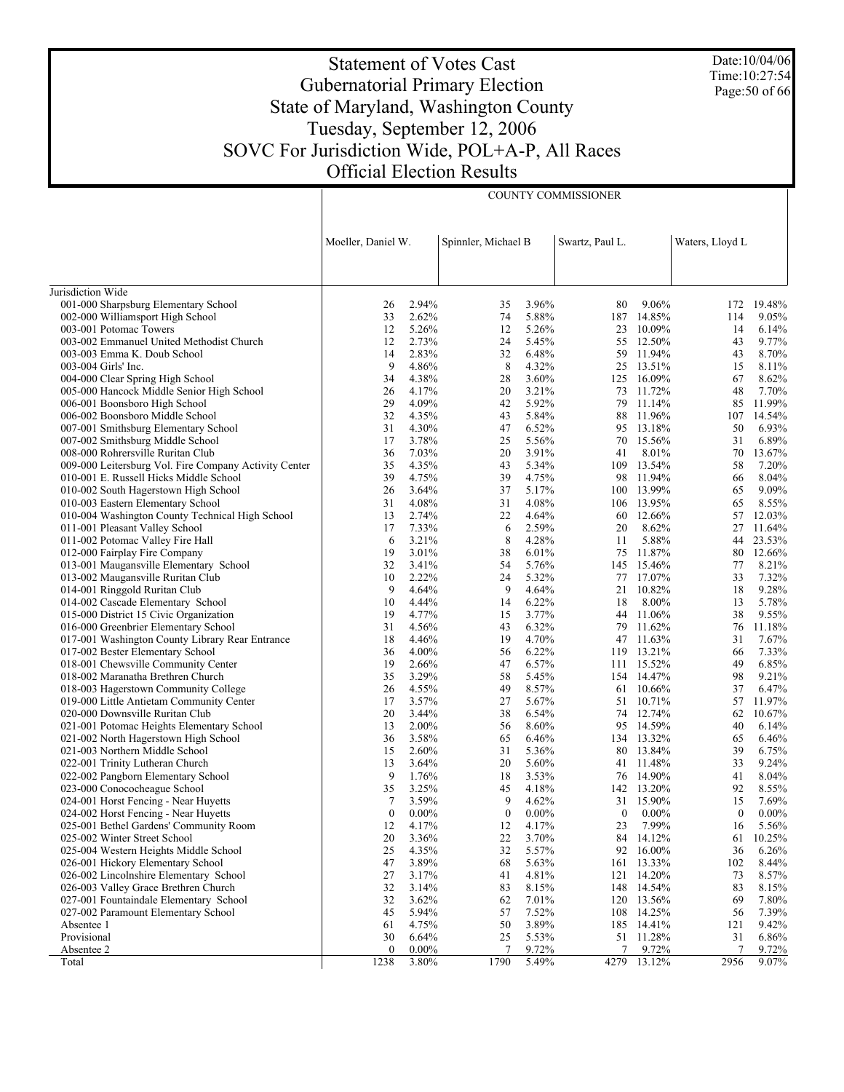# Statement of Votes Cast Gubernatorial Primary Election State of Maryland, Washington County Tuesday, September 12, 2006 SOVC For Jurisdiction Wide, POL+A-P, All Races Official Election Results

COUNTY COMMISSIONER

Date:10/04/06 Time:10:27:54 Page:50 of 66

|                                                                    | Moeller, Daniel W. |                | Spinnler, Michael B |                     | Swartz, Paul L.  |                     | Waters, Lloyd L |                |
|--------------------------------------------------------------------|--------------------|----------------|---------------------|---------------------|------------------|---------------------|-----------------|----------------|
|                                                                    |                    |                |                     |                     |                  |                     |                 |                |
|                                                                    |                    |                |                     |                     |                  |                     |                 |                |
| Jurisdiction Wide                                                  |                    |                |                     |                     |                  |                     |                 |                |
| 001-000 Sharpsburg Elementary School                               | 26                 | 2.94%          | 35                  | 3.96%               | 80               | 9.06%               | 172             | 19.48%         |
| 002-000 Williamsport High School                                   | 33                 | 2.62%          | 74                  | 5.88%               | 187              | 14.85%              | 114             | 9.05%          |
| 003-001 Potomac Towers                                             | 12                 | 5.26%          | 12                  | 5.26%               | 23               | 10.09%              | 14              | 6.14%          |
| 003-002 Emmanuel United Methodist Church                           | 12                 | 2.73%          | 24                  | 5.45%               |                  | 55 12.50%           | 43              | 9.77%          |
| 003-003 Emma K. Doub School                                        | 14                 | 2.83%          | 32                  | 6.48%               | 59               | 11.94%              | 43              | 8.70%          |
| 003-004 Girls' Inc.                                                | 9                  | 4.86%          | 8                   | 4.32%               |                  | 25 13.51%           | 15              | 8.11%          |
| 004-000 Clear Spring High School                                   | 34                 | 4.38%          | 28                  | 3.60%               | 125              | 16.09%              | 67              | 8.62%          |
| 005-000 Hancock Middle Senior High School                          | 26                 | 4.17%          | 20                  | 3.21%               |                  | 73 11.72%           | 48              | 7.70%          |
| 006-001 Boonsboro High School                                      | 29                 | 4.09%          | 42                  | 5.92%               | 79               | 11.14%              | 85              | 11.99%         |
| 006-002 Boonsboro Middle School                                    | 32                 | 4.35%          | 43                  | 5.84%               |                  | 88 11.96%           | 107             | 14.54%         |
| 007-001 Smithsburg Elementary School                               | 31                 | 4.30%          | 47                  | 6.52%               |                  | 95 13.18%           | 50              | 6.93%          |
| 007-002 Smithsburg Middle School                                   | 17                 | 3.78%          | 25                  | 5.56%               | 70               | 15.56%              | 31              | 6.89%          |
| 008-000 Rohrersville Ruritan Club                                  | 36                 | 7.03%          | 20                  | 3.91%               | 41               | 8.01%               | 70              | 13.67%         |
| 009-000 Leitersburg Vol. Fire Company Activity Center              | 35                 | 4.35%          | 43                  | 5.34%               |                  | 109 13.54%          | 58              | 7.20%          |
| 010-001 E. Russell Hicks Middle School                             | 39                 | 4.75%          | 39                  | 4.75%               |                  | 98 11.94%           | 66              | 8.04%          |
| 010-002 South Hagerstown High School                               | 26                 | 3.64%          | 37                  | 5.17%               |                  | 100 13.99%          | 65              | 9.09%          |
| 010-003 Eastern Elementary School                                  | 31                 | 4.08%          | 31                  | 4.08%               | 106              | 13.95%              | 65              | 8.55%          |
| 010-004 Washington County Technical High School                    | 13                 | 2.74%          | 22                  | 4.64%               |                  | 60 12.66%           | 57              | 12.03%         |
| 011-001 Pleasant Valley School                                     | 17                 | 7.33%          | 6                   | 2.59%               | 20               | 8.62%               | 27              | 11.64%         |
| 011-002 Potomac Valley Fire Hall                                   | 6                  | 3.21%          | 8                   | 4.28%               | 11               | 5.88%               | 44              | 23.53%         |
| 012-000 Fairplay Fire Company                                      | 19                 | 3.01%          | 38                  | 6.01%               | 75               | 11.87%              | 80              | 12.66%         |
| 013-001 Maugansville Elementary School                             | 32<br>10           | 3.41%          | 54                  | 5.76%               |                  | 145 15.46%          | 77              | 8.21%          |
| 013-002 Maugansville Ruritan Club                                  | 9                  | 2.22%<br>4.64% | 24<br>9             | 5.32%<br>4.64%      | 77               | 17.07%<br>21 10.82% | 33<br>18        | 7.32%<br>9.28% |
| 014-001 Ringgold Ruritan Club<br>014-002 Cascade Elementary School | 10                 | 4.44%          | 14                  | 6.22%               | 18               | 8.00%               | 13              | 5.78%          |
| 015-000 District 15 Civic Organization                             | 19                 | 4.77%          | 15                  | 3.77%               |                  | 44 11.06%           | 38              | 9.55%          |
| 016-000 Greenbrier Elementary School                               | 31                 | 4.56%          | 43                  | 6.32%               | 79               | 11.62%              | 76              | 11.18%         |
| 017-001 Washington County Library Rear Entrance                    | 18                 | 4.46%          | 19                  | 4.70%               |                  | 47 11.63%           | 31              | 7.67%          |
| 017-002 Bester Elementary School                                   | 36                 | 4.00%          | 56                  | 6.22%               | 119              | 13.21%              | 66              | 7.33%          |
| 018-001 Chewsville Community Center                                | 19                 | 2.66%          | 47                  | 6.57%               |                  | 111 15.52%          | 49              | 6.85%          |
| 018-002 Maranatha Brethren Church                                  | 35                 | 3.29%          | 58                  | 5.45%               |                  | 154 14.47%          | 98              | 9.21%          |
| 018-003 Hagerstown Community College                               | 26                 | 4.55%          | 49                  | 8.57%               |                  | 61 10.66%           | 37              | 6.47%          |
| 019-000 Little Antietam Community Center                           | 17                 | 3.57%          | 27                  | 5.67%               |                  | 51 10.71%           | 57              | 11.97%         |
| 020-000 Downsville Ruritan Club                                    | 20                 | 3.44%          | 38                  | 6.54%               |                  | 74 12.74%           | 62              | 10.67%         |
| 021-001 Potomac Heights Elementary School                          | 13                 | 2.00%          | 56                  | 8.60%               | 95               | 14.59%              | 40              | 6.14%          |
| 021-002 North Hagerstown High School                               | 36                 | 3.58%          | 65                  | 6.46%               |                  | 134 13.32%          | 65              | 6.46%          |
| 021-003 Northern Middle School                                     | 15                 | 2.60%          | 31                  | 5.36%               | 80               | 13.84%              | 39              | 6.75%          |
| 022-001 Trinity Lutheran Church                                    | 13                 | 3.64%          | 20                  | 5.60%               |                  | 41 11.48%           | 33              | 9.24%          |
| 022-002 Pangborn Elementary School                                 | 9                  | 1.76%          | 18                  | 3.53%               |                  | 76 14.90%           | 41              | 8.04%          |
| 023-000 Conococheague School                                       | 35                 | 3.25%          | 45                  | 4.18%               |                  | 142 13.20%          | 92              | 8.55%          |
| 024-001 Horst Fencing - Near Huyetts                               | 7                  | 3.59%          | 9                   | 4.62%               |                  | 31 15.90%           | 15              | 7.69%          |
| 024-002 Horst Fencing - Near Huyetts                               | $\mathbf{0}$       | $0.00\%$       | $\mathbf{0}$        | $0.00\%$            | $\boldsymbol{0}$ | $0.00\%$            | $\theta$        | $0.00\%$       |
| 025-001 Bethel Gardens' Community Room                             | 12                 | 4.17%          | 12                  | 4.17%               | $23\,$           | 7.99%               | 16              | $5.56\%$       |
| 025-002 Winter Street School                                       | 20                 | 3.36%          | 22                  | 3.70%               |                  | 84 14.12%           |                 | 61 10.25%      |
| 025-004 Western Heights Middle School                              | 25                 | 4.35%          | 32                  | 5.57%               | 92               | 16.00%              | 36              | 6.26%          |
| 026-001 Hickory Elementary School                                  | 47                 | 3.89%          | 68                  | 5.63%               |                  | 161 13.33%          | 102             | 8.44%          |
| 026-002 Lincolnshire Elementary School                             | 27                 | 3.17%          | 41                  | 4.81%               | 121              | 14.20%              | 73              | 8.57%          |
| 026-003 Valley Grace Brethren Church                               | 32                 | 3.14%          | 83                  | 8.15%               |                  | 148 14.54%          | 83              | 8.15%          |
| 027-001 Fountaindale Elementary School                             | 32                 | 3.62%          | 62                  | 7.01%               |                  | 120 13.56%          | 69              | 7.80%          |
| 027-002 Paramount Elementary School                                | 45                 | 5.94%          | 57                  | 7.52%               |                  | 108 14.25%          | 56              | 7.39%          |
| Absentee 1                                                         | 61                 | 4.75%          | 50                  | 3.89%               |                  | 185 14.41%          | 121             | 9.42%          |
| Provisional                                                        | 30                 | 6.64%          | 25                  | 5.53%               |                  | 51 11.28%           | 31              | 6.86%          |
| Absentee 2                                                         | $\mathbf{0}$       | $0.00\%$       | 7                   | 9.72%               | 7                | 9.72%               | 7               | 9.72%          |
| Total                                                              | 1238               | $3.80\%$       | 1790                | $\overline{5.49\%}$ | 4279             | 13.12%              | 2956            | 9.07%          |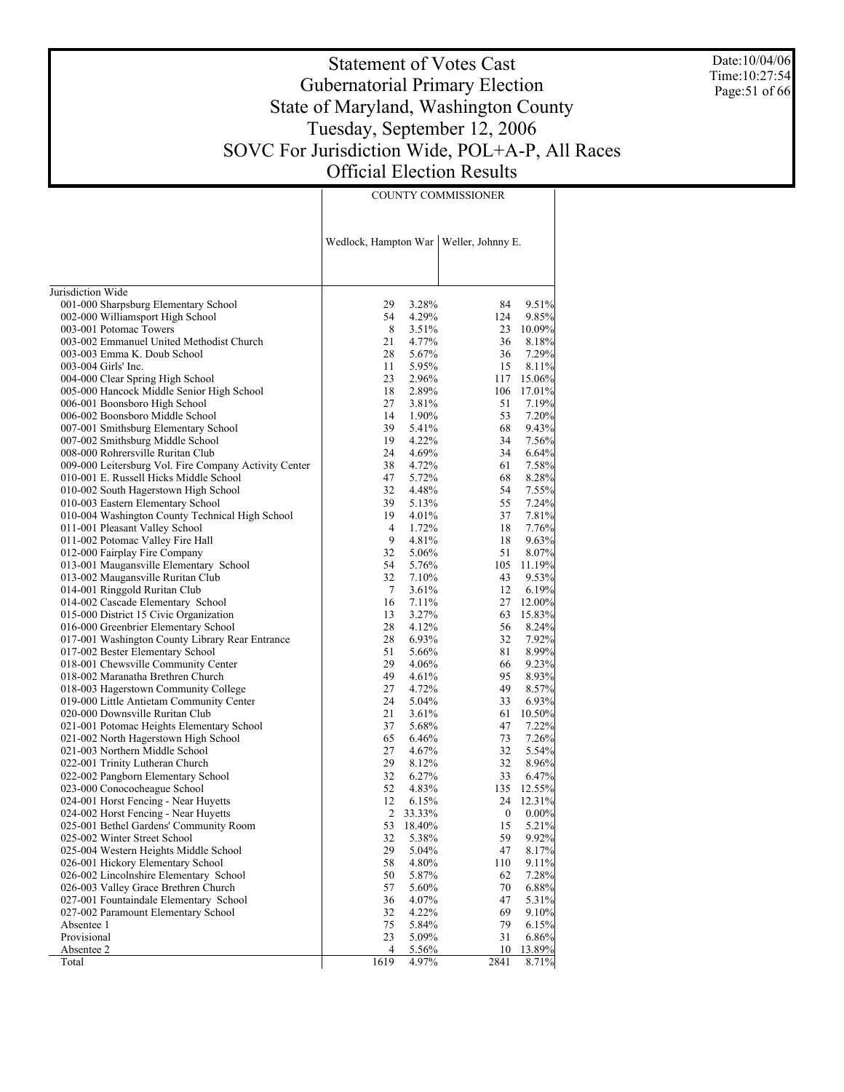Date:10/04/06 Time:10:27:54 Page:51 of 66

# Statement of Votes Cast Gubernatorial Primary Election State of Maryland, Washington County Tuesday, September 12, 2006 SOVC For Jurisdiction Wide, POL+A-P, All Races Official Election Results

|                                                       |                |        | Wedlock, Hampton War   Weller, Johnny E. |          |
|-------------------------------------------------------|----------------|--------|------------------------------------------|----------|
| Jurisdiction Wide                                     |                |        |                                          |          |
| 001-000 Sharpsburg Elementary School                  | 29             | 3.28%  | 84                                       | 9.51%    |
| 002-000 Williamsport High School                      | 54             | 4.29%  | 124                                      | 9.85%    |
| 003-001 Potomac Towers                                | 8              | 3.51%  | 23                                       | 10.09%   |
| 003-002 Emmanuel United Methodist Church              | 21             | 4.77%  | 36                                       | 8.18%    |
| 003-003 Emma K. Doub School                           | 28             | 5.67%  | 36                                       | 7.29%    |
| 003-004 Girls' Inc.                                   | 11             | 5.95%  | 15                                       | 8.11%    |
| 004-000 Clear Spring High School                      | 23             | 2.96%  | 117                                      | 15.06%   |
| 005-000 Hancock Middle Senior High School             | 18             | 2.89%  | 106                                      | 17.01%   |
| 006-001 Boonsboro High School                         | 27             | 3.81%  | 51                                       | 7.19%    |
| 006-002 Boonsboro Middle School                       | 14             | 1.90%  | 53                                       | 7.20%    |
| 007-001 Smithsburg Elementary School                  | 39             | 5.41%  | 68                                       | 9.43%    |
| 007-002 Smithsburg Middle School                      | 19             | 4.22%  | 34                                       | 7.56%    |
| 008-000 Rohrersville Ruritan Club                     | 24             | 4.69%  | 34                                       | 6.64%    |
| 009-000 Leitersburg Vol. Fire Company Activity Center | 38             | 4.72%  | 61                                       | 7.58%    |
| 010-001 E. Russell Hicks Middle School                | 47             | 5.72%  | 68                                       | 8.28%    |
| 010-002 South Hagerstown High School                  | 32             | 4.48%  | 54                                       | 7.55%    |
| 010-003 Eastern Elementary School                     | 39             | 5.13%  | 55                                       | 7.24%    |
| 010-004 Washington County Technical High School       | 19             | 4.01%  | 37                                       | 7.81%    |
| 011-001 Pleasant Valley School                        | $\overline{4}$ | 1.72%  | 18                                       | 7.76%    |
| 011-002 Potomac Valley Fire Hall                      | 9              | 4.81%  | 18                                       | 9.63%    |
| 012-000 Fairplay Fire Company                         | 32             | 5.06%  | 51                                       | 8.07%    |
| 013-001 Maugansville Elementary School                | 54             | 5.76%  | 105                                      | 11.19%   |
| 013-002 Maugansville Ruritan Club                     | 32             | 7.10%  | 43                                       | 9.53%    |
| 014-001 Ringgold Ruritan Club                         | $\tau$         | 3.61%  | 12                                       | 6.19%    |
| 014-002 Cascade Elementary School                     | 16             | 7.11%  | 27                                       | 12.00%   |
| 015-000 District 15 Civic Organization                | 13             | 3.27%  | 63                                       | 15.83%   |
| 016-000 Greenbrier Elementary School                  | 28             | 4.12%  | 56                                       | 8.24%    |
| 017-001 Washington County Library Rear Entrance       | 28             | 6.93%  | 32                                       | 7.92%    |
| 017-002 Bester Elementary School                      | 51             | 5.66%  | 81                                       | 8.99%    |
| 018-001 Chewsville Community Center                   | 29             | 4.06%  | 66                                       | 9.23%    |
| 018-002 Maranatha Brethren Church                     | 49             | 4.61%  | 95                                       | 8.93%    |
| 018-003 Hagerstown Community College                  | 27             | 4.72%  | 49                                       | 8.57%    |
| 019-000 Little Antietam Community Center              | 24             | 5.04%  | 33                                       | 6.93%    |
| 020-000 Downsville Ruritan Club                       | 21             | 3.61%  | 61                                       | 10.50%   |
| 021-001 Potomac Heights Elementary School             | 37             | 5.68%  | 47                                       | 7.22%    |
| 021-002 North Hagerstown High School                  | 65             | 6.46%  | 73                                       | 7.26%    |
| 021-003 Northern Middle School                        | 27             | 4.67%  | 32                                       | 5.54%    |
| 022-001 Trinity Lutheran Church                       | 29             | 8.12%  | 32                                       | 8.96%    |
| 022-002 Pangborn Elementary School                    | 32             | 6.27%  | 33                                       | 6.47%    |
| 023-000 Conococheague School                          | 52             | 4.83%  | 135                                      | 12.55%   |
| 024-001 Horst Fencing - Near Huyetts                  | 12             | 6.15%  | 24                                       | 12.31%   |
| 024-002 Horst Fencing - Near Huyetts                  | 2              | 33.33% | $\boldsymbol{0}$                         | $0.00\%$ |
| 025-001 Bethel Gardens' Community Room                | 53             | 18.40% | 15                                       | 5.21%    |
| 025-002 Winter Street School                          | 32             | 5.38%  | 59                                       | 9.92%    |
| 025-004 Western Heights Middle School                 | 29             | 5.04%  | 47                                       | 8.17%    |
| 026-001 Hickory Elementary School                     | 58             | 4.80%  | 110                                      | 9.11%    |
| 026-002 Lincolnshire Elementary School                | 50             | 5.87%  | 62                                       | 7.28%    |
| 026-003 Valley Grace Brethren Church                  | 57             | 5.60%  | 70                                       | 6.88%    |
| 027-001 Fountaindale Elementary School                | 36             | 4.07%  | 47                                       | 5.31%    |
| 027-002 Paramount Elementary School                   | 32             | 4.22%  | 69                                       | 9.10%    |
| Absentee 1                                            | 75             | 5.84%  | 79                                       | 6.15%    |
| Provisional                                           | 23             | 5.09%  | 31                                       | 6.86%    |
| Absentee 2                                            | 4              | 5.56%  | 10                                       | 13.89%   |
| Total                                                 | 1619           | 4.97%  | 2841                                     | 8.71%    |

COUNTY COMMISSIONER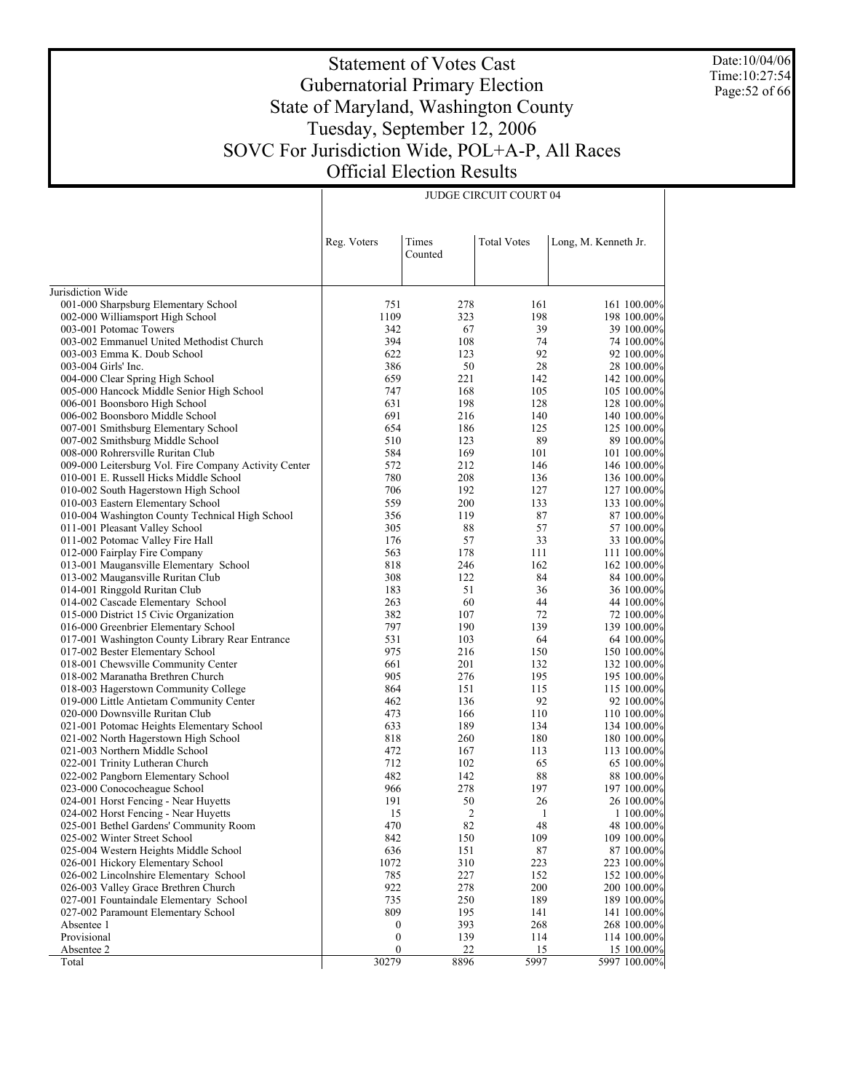Date:10/04/06 Time:10:27:54 Page:52 of 66

# Statement of Votes Cast Gubernatorial Primary Election State of Maryland, Washington County Tuesday, September 12, 2006 SOVC For Jurisdiction Wide, POL+A-P, All Races Official Election Results

JUDGE CIRCUIT COURT 04

|                                                            | Reg. Voters           | Times<br>Counted | <b>Total Votes</b> | Long, M. Kenneth Jr.       |
|------------------------------------------------------------|-----------------------|------------------|--------------------|----------------------------|
|                                                            |                       |                  |                    |                            |
| Jurisdiction Wide                                          |                       |                  |                    |                            |
| 001-000 Sharpsburg Elementary School                       | 751<br>1109           | 278              | 161<br>198         | 161 100.00%                |
| 002-000 Williamsport High School<br>003-001 Potomac Towers | 342                   | 323<br>67        | 39                 | 198 100.00%                |
| 003-002 Emmanuel United Methodist Church                   | 394                   | 108              | 74                 | 39 100.00%<br>74 100.00%   |
| 003-003 Emma K. Doub School                                | 622                   | 123              | 92                 | 92 100.00%                 |
| 003-004 Girls' Inc.                                        | 386                   | 50               | 28                 | 28 100.00%                 |
| 004-000 Clear Spring High School                           | 659                   | 221              | 142                | 142 100.00%                |
| 005-000 Hancock Middle Senior High School                  | 747                   | 168              | 105                | 105 100.00%                |
| 006-001 Boonsboro High School                              | 631                   | 198              | 128                | 128 100.00%                |
| 006-002 Boonsboro Middle School                            | 691                   | 216              | 140                | 140 100.00%                |
| 007-001 Smithsburg Elementary School                       | 654                   | 186              | 125                | 125 100.00%                |
| 007-002 Smithsburg Middle School                           | 510                   | 123              | 89                 | 89 100.00%                 |
| 008-000 Rohrersville Ruritan Club                          | 584                   | 169              | 101                | 101 100.00%                |
| 009-000 Leitersburg Vol. Fire Company Activity Center      | 572                   | 212              | 146                | 146 100.00%                |
| 010-001 E. Russell Hicks Middle School                     | 780                   | 208              | 136                | 136 100.00%                |
| 010-002 South Hagerstown High School                       | 706                   | 192              | 127                | 127 100.00%                |
| 010-003 Eastern Elementary School                          | 559                   | 200              | 133                | 133 100.00%                |
| 010-004 Washington County Technical High School            | 356                   | 119              | 87                 | 87 100.00%                 |
| 011-001 Pleasant Valley School                             | 305                   | 88               | 57                 | 57 100.00%                 |
| 011-002 Potomac Valley Fire Hall                           | 176                   | 57               | 33                 | 33 100.00%                 |
| 012-000 Fairplay Fire Company                              | 563                   | 178              | 111                | 111 100.00%                |
| 013-001 Maugansville Elementary School                     | 818                   | 246              | 162                | 162 100.00%                |
| 013-002 Maugansville Ruritan Club                          | 308                   | 122              | 84                 | 84 100.00%                 |
| 014-001 Ringgold Ruritan Club                              | 183                   | 51               | 36                 | 36 100.00%                 |
| 014-002 Cascade Elementary School                          | 263                   | 60               | 44                 | 44 100.00%                 |
| 015-000 District 15 Civic Organization                     | 382                   | 107              | 72                 | 72 100.00%                 |
| 016-000 Greenbrier Elementary School                       | 797                   | 190              | 139                | 139 100.00%                |
| 017-001 Washington County Library Rear Entrance            | 531                   | 103              | 64                 | 64 100.00%                 |
| 017-002 Bester Elementary School                           | 975                   | 216              | 150                | 150 100.00%                |
| 018-001 Chewsville Community Center                        | 661                   | 201              | 132                | 132 100.00%                |
| 018-002 Maranatha Brethren Church                          | 905                   | 276              | 195                | 195 100.00%                |
| 018-003 Hagerstown Community College                       | 864                   | 151              | 115                | 115 100.00%                |
| 019-000 Little Antietam Community Center                   | 462                   | 136              | 92                 | 92 100.00%                 |
| 020-000 Downsville Ruritan Club                            | 473                   | 166              | 110                | 110 100.00%                |
| 021-001 Potomac Heights Elementary School                  | 633                   | 189              | 134                | 134 100.00%                |
| 021-002 North Hagerstown High School                       | 818                   | 260              | 180                | 180 100.00%                |
| 021-003 Northern Middle School                             | 472                   | 167              | 113                | 113 100.00%                |
| 022-001 Trinity Lutheran Church                            | 712                   | 102              | 65                 | 65 100.00%                 |
| 022-002 Pangborn Elementary School                         | 482                   | 142              | 88                 | 88 100.00%                 |
| 023-000 Conococheague School                               | 966                   | 278              | 197                | 197 100.00%                |
| 024-001 Horst Fencing - Near Huyetts                       | 191                   | 50               | 26                 | 26 100.00%                 |
| 024-002 Horst Fencing - Near Huyetts                       | 15                    | 2                | 1                  | 1 100.00%                  |
| 025-001 Bethel Gardens' Community Room                     | 470                   | 82               | 48                 | 48 100.00%                 |
| 025-002 Winter Street School                               | 842                   | 150              | 109                | 109 100.00%                |
| 025-004 Western Heights Middle School                      | 636                   | 151              | 87                 | 87 100.00%                 |
| 026-001 Hickory Elementary School                          | 1072                  | 310              | 223                | 223 100.00%                |
| 026-002 Lincolnshire Elementary School                     | 785<br>922            | 227              | 152                | 152 100.00%                |
| 026-003 Valley Grace Brethren Church                       | 735                   | 278              | 200                | 200 100.00%                |
| 027-001 Fountaindale Elementary School                     | 809                   | 250              | 189                | 189 100.00%                |
| 027-002 Paramount Elementary School<br>Absentee 1          |                       | 195<br>393       | 141<br>268         | 141 100.00%<br>268 100.00% |
| Provisional                                                | 0<br>$\boldsymbol{0}$ | 139              | 114                | 114 100.00%                |
| Absentee 2                                                 | $\boldsymbol{0}$      | $\overline{22}$  | <u>15</u>          | 15 100.00%                 |
| Total                                                      | 30279                 | 8896             | 5997               | 5997 100.00%               |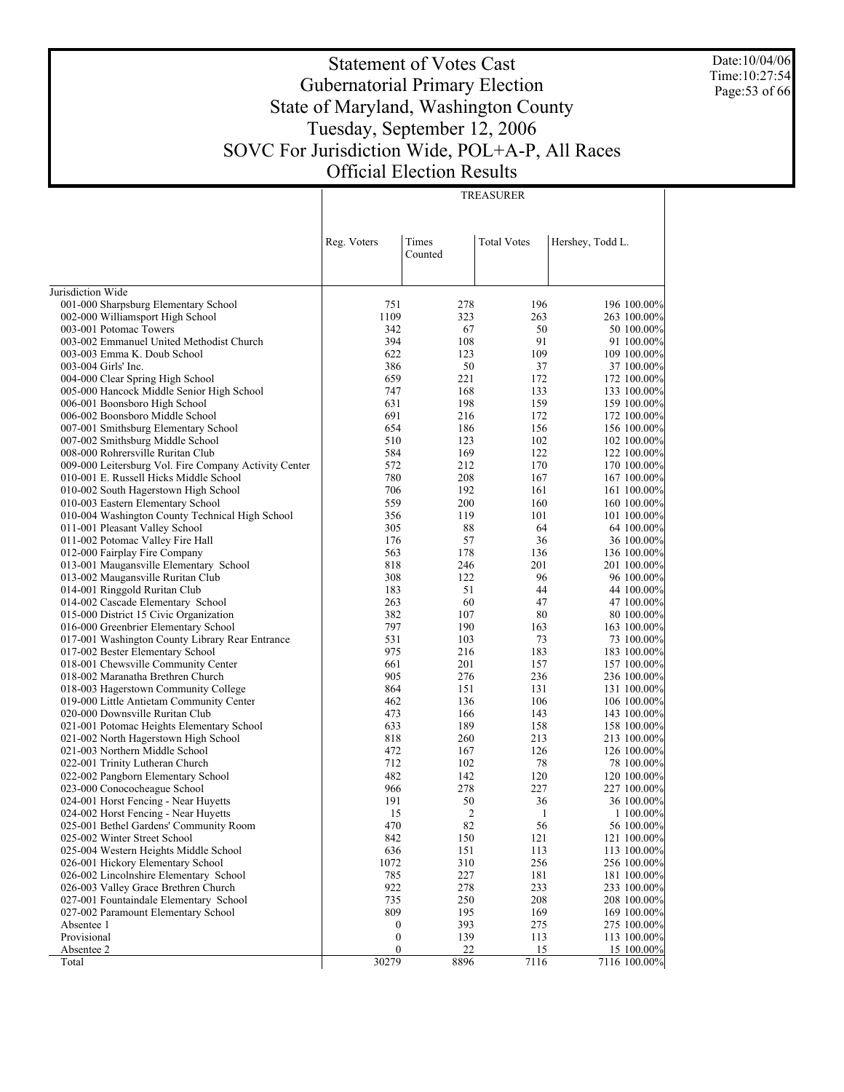Date:10/04/06 Time:10:27:54 Page:53 of 66

# Statement of Votes Cast Gubernatorial Primary Election State of Maryland, Washington County Tuesday, September 12, 2006 SOVC For Jurisdiction Wide, POL+A-P, All Races Official Election Results

TREASURER

|                                                                                | Reg. Voters                          | Times<br>Counted | <b>Total Votes</b> | Hershey, Todd L.           |
|--------------------------------------------------------------------------------|--------------------------------------|------------------|--------------------|----------------------------|
| Jurisdiction Wide                                                              |                                      |                  |                    |                            |
|                                                                                | 751                                  | 278              | 196                | 196 100.00%                |
| 001-000 Sharpsburg Elementary School<br>002-000 Williamsport High School       | 1109                                 | 323              | 263                | 263 100.00%                |
| 003-001 Potomac Towers                                                         | 342                                  | 67               | 50                 | 50 100.00%                 |
| 003-002 Emmanuel United Methodist Church                                       | 394                                  | 108              | 91                 | 91 100.00%                 |
| 003-003 Emma K. Doub School                                                    | 622                                  | 123              | 109                | 109 100.00%                |
| 003-004 Girls' Inc.                                                            | 386                                  | 50               | 37                 | 37 100.00%                 |
| 004-000 Clear Spring High School                                               | 659                                  | 221              | 172                | 172 100.00%                |
| 005-000 Hancock Middle Senior High School                                      | 747                                  | 168              | 133                | 133 100.00%                |
| 006-001 Boonsboro High School                                                  | 631                                  | 198              | 159                | 159 100.00%                |
| 006-002 Boonsboro Middle School                                                | 691                                  | 216              | 172                | 172 100.00%                |
| 007-001 Smithsburg Elementary School                                           | 654                                  | 186              | 156                | 156 100.00%                |
| 007-002 Smithsburg Middle School                                               | 510                                  | 123              | 102                | 102 100.00%                |
| 008-000 Rohrersville Ruritan Club                                              | 584                                  | 169              | 122                | 122 100.00%                |
| 009-000 Leitersburg Vol. Fire Company Activity Center                          | 572                                  | 212              | 170                | 170 100.00%                |
| 010-001 E. Russell Hicks Middle School                                         | 780                                  | 208              | 167                | 167 100.00%                |
| 010-002 South Hagerstown High School                                           | 706                                  | 192              | 161                | 161 100.00%                |
| 010-003 Eastern Elementary School                                              | 559                                  | 200              | 160                | 160 100.00%                |
| 010-004 Washington County Technical High School                                | 356                                  | 119              | 101                | 101 100.00%                |
| 011-001 Pleasant Valley School                                                 | 305                                  | 88               | 64                 | 64 100.00%                 |
| 011-002 Potomac Valley Fire Hall                                               | 176                                  | 57               | 36                 | 36 100.00%                 |
| 012-000 Fairplay Fire Company                                                  | 563                                  | 178              | 136                | 136 100.00%                |
| 013-001 Maugansville Elementary School                                         | 818                                  | 246              | 201                | 201 100.00%                |
| 013-002 Maugansville Ruritan Club                                              | 308                                  | 122              | 96                 | 96 100.00%                 |
| 014-001 Ringgold Ruritan Club                                                  | 183                                  | 51               | 44                 | 44 100.00%                 |
| 014-002 Cascade Elementary School                                              | 263<br>382                           | 60               | 47<br>80           | 47 100.00%                 |
| 015-000 District 15 Civic Organization<br>016-000 Greenbrier Elementary School | 797                                  | 107<br>190       | 163                | 80 100.00%<br>163 100.00%  |
| 017-001 Washington County Library Rear Entrance                                | 531                                  | 103              | 73                 | 73 100.00%                 |
| 017-002 Bester Elementary School                                               | 975                                  | 216              | 183                | 183 100.00%                |
| 018-001 Chewsville Community Center                                            | 661                                  | 201              | 157                | 157 100.00%                |
| 018-002 Maranatha Brethren Church                                              | 905                                  | 276              | 236                | 236 100.00%                |
| 018-003 Hagerstown Community College                                           | 864                                  | 151              | 131                | 131 100.00%                |
| 019-000 Little Antietam Community Center                                       | 462                                  | 136              | 106                | 106 100.00%                |
| 020-000 Downsville Ruritan Club                                                | 473                                  | 166              | 143                | 143 100.00%                |
| 021-001 Potomac Heights Elementary School                                      | 633                                  | 189              | 158                | 158 100.00%                |
| 021-002 North Hagerstown High School                                           | 818                                  | 260              | 213                | 213 100.00%                |
| 021-003 Northern Middle School                                                 | 472                                  | 167              | 126                | 126 100.00%                |
| 022-001 Trinity Lutheran Church                                                | 712                                  | 102              | 78                 | 78 100.00%                 |
| 022-002 Pangborn Elementary School                                             | 482                                  | 142              | 120                | 120 100.00%                |
| 023-000 Conococheague School                                                   | 966                                  | 278              | 227                | 227 100.00%                |
| 024-001 Horst Fencing - Near Huyetts                                           | 191                                  | 50               | 36                 | 36 100.00%                 |
| 024-002 Horst Fencing - Near Huyetts                                           | 15                                   | $\overline{2}$   | 1                  | 1 100.00%                  |
| 025-001 Bethel Gardens' Community Room                                         | 470                                  | 82               | 56                 | 56 100.00%                 |
| 025-002 Winter Street School                                                   | 842                                  | 150              | 121                | 121 100.00%                |
| 025-004 Western Heights Middle School                                          | 636                                  | 151              | 113                | 113 100.00%                |
| 026-001 Hickory Elementary School                                              | 1072                                 | 310              | 256                | 256 100.00%                |
| 026-002 Lincolnshire Elementary School                                         | 785                                  | 227              | 181                | 181 100.00%                |
| 026-003 Valley Grace Brethren Church                                           | 922                                  | 278              | 233                | 233 100.00%                |
| 027-001 Fountaindale Elementary School                                         | 735                                  | 250              | 208                | 208 100.00%                |
| 027-002 Paramount Elementary School<br>Absentee 1                              | 809                                  | 195<br>393       | 169<br>275         | 169 100.00%                |
| Provisional                                                                    | $\boldsymbol{0}$<br>$\boldsymbol{0}$ | 139              | 113                | 275 100.00%<br>113 100.00% |
| Absentee 2                                                                     | $\boldsymbol{0}$                     | 22               | 15                 | 15 100.00%                 |
| Total                                                                          | 30279                                | 8896             | 7116               | 7116 100.00%               |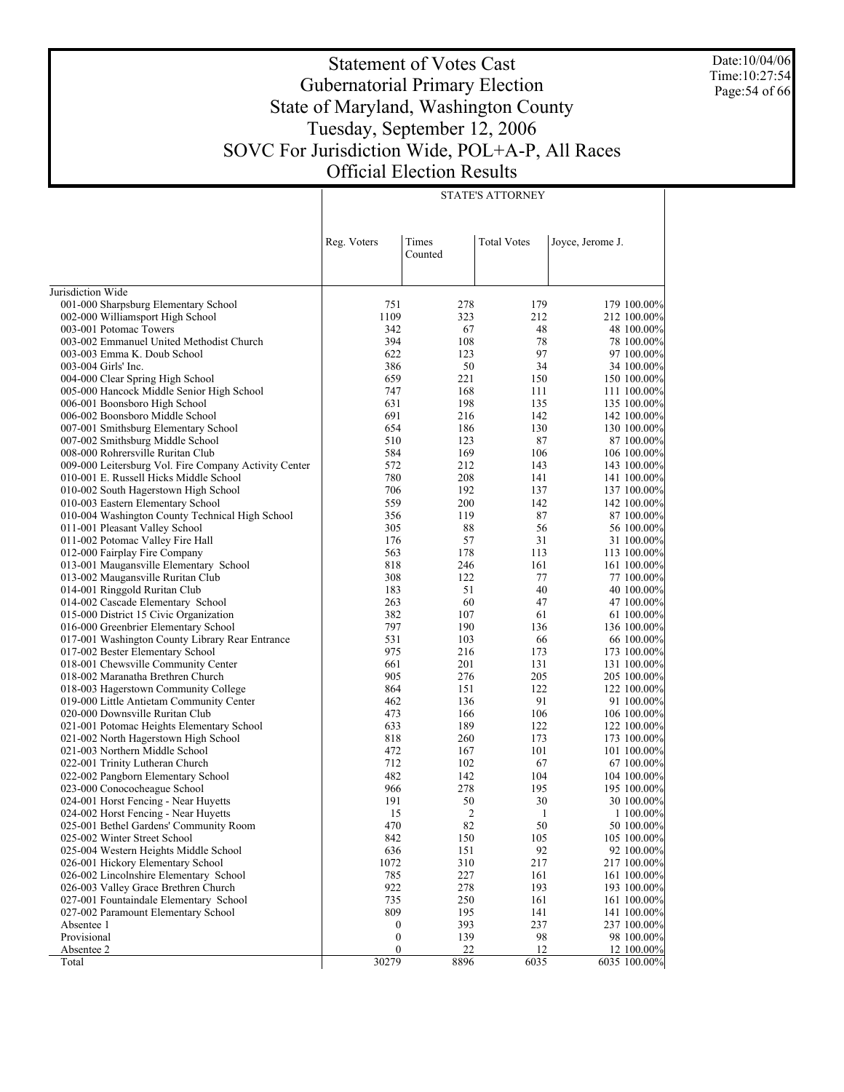Date:10/04/06 Time:10:27:54 Page:54 of 66

# Statement of Votes Cast Gubernatorial Primary Election State of Maryland, Washington County Tuesday, September 12, 2006 SOVC For Jurisdiction Wide, POL+A-P, All Races Official Election Results

STATE'S ATTORNEY

|                                                                                | Reg. Voters      | Times<br>Counted | <b>Total Votes</b> | Joyce, Jerome J.           |
|--------------------------------------------------------------------------------|------------------|------------------|--------------------|----------------------------|
| Jurisdiction Wide                                                              |                  |                  |                    |                            |
| 001-000 Sharpsburg Elementary School                                           | 751              | 278              | 179                | 179 100.00%                |
| 002-000 Williamsport High School                                               | 1109             | 323              | 212                | 212 100.00%                |
| 003-001 Potomac Towers                                                         | 342              | 67               | 48                 | 48 100.00%                 |
| 003-002 Emmanuel United Methodist Church                                       | 394              | 108              | 78                 | 78 100.00%                 |
| 003-003 Emma K. Doub School                                                    | 622              | 123              | 97                 | 97 100.00%                 |
| 003-004 Girls' Inc.                                                            | 386              | 50               | 34                 | 34 100.00%                 |
| 004-000 Clear Spring High School                                               | 659              | 221              | 150                | 150 100.00%                |
| 005-000 Hancock Middle Senior High School                                      | 747              | 168              | 111                | 111 100.00%                |
| 006-001 Boonsboro High School                                                  | 631              | 198              | 135                | 135 100.00%                |
| 006-002 Boonsboro Middle School                                                | 691              | 216              | 142                | 142 100.00%                |
| 007-001 Smithsburg Elementary School                                           | 654              | 186              | 130                | 130 100.00%                |
| 007-002 Smithsburg Middle School                                               | 510              | 123              | 87                 | 87 100.00%                 |
| 008-000 Rohrersville Ruritan Club                                              | 584              | 169              | 106                | 106 100.00%                |
| 009-000 Leitersburg Vol. Fire Company Activity Center                          | 572              | 212              | 143                | 143 100.00%                |
| 010-001 E. Russell Hicks Middle School                                         | 780              | 208              | 141                | 141 100.00%                |
| 010-002 South Hagerstown High School                                           | 706              | 192              | 137                | 137 100.00%                |
| 010-003 Eastern Elementary School                                              | 559              | 200              | 142                | 142 100.00%                |
| 010-004 Washington County Technical High School                                | 356              | 119              | 87                 | 87 100.00%                 |
| 011-001 Pleasant Valley School                                                 | 305              | 88               | 56                 | 56 100.00%                 |
| 011-002 Potomac Valley Fire Hall                                               | 176              | 57               | 31                 | 31 100.00%                 |
| 012-000 Fairplay Fire Company                                                  | 563              | 178              | 113                | 113 100.00%                |
| 013-001 Maugansville Elementary School                                         | 818              | 246              | 161                | 161 100.00%                |
| 013-002 Maugansville Ruritan Club                                              | 308<br>183       | 122<br>51        | 77<br>40           | 77 100.00%                 |
| 014-001 Ringgold Ruritan Club<br>014-002 Cascade Elementary School             | 263              | 60               | 47                 | 40 100.00%<br>47 100.00%   |
| 015-000 District 15 Civic Organization                                         | 382              | 107              | 61                 | 61 100.00%                 |
| 016-000 Greenbrier Elementary School                                           | 797              | 190              | 136                | 136 100.00%                |
| 017-001 Washington County Library Rear Entrance                                | 531              | 103              | 66                 | 66 100.00%                 |
| 017-002 Bester Elementary School                                               | 975              | 216              | 173                | 173 100.00%                |
| 018-001 Chewsville Community Center                                            | 661              | 201              | 131                | 131 100.00%                |
| 018-002 Maranatha Brethren Church                                              | 905              | 276              | 205                | 205 100.00%                |
| 018-003 Hagerstown Community College                                           | 864              | 151              | 122                | 122 100.00%                |
| 019-000 Little Antietam Community Center                                       | 462              | 136              | 91                 | 91 100.00%                 |
| 020-000 Downsville Ruritan Club                                                | 473              | 166              | 106                | 106 100.00%                |
| 021-001 Potomac Heights Elementary School                                      | 633              | 189              | 122                | 122 100.00%                |
| 021-002 North Hagerstown High School                                           | 818              | 260              | 173                | 173 100.00%                |
| 021-003 Northern Middle School                                                 | 472              | 167              | 101                | 101 100.00%                |
| 022-001 Trinity Lutheran Church                                                | 712              | 102              | 67                 | 67 100.00%                 |
| 022-002 Pangborn Elementary School                                             | 482              | 142              | 104                | 104 100.00%                |
| 023-000 Conococheague School                                                   | 966              | 278              | 195                | 195 100.00%                |
| 024-001 Horst Fencing - Near Huyetts                                           | 191              | 50               | 30                 | 30 100.00%                 |
| 024-002 Horst Fencing - Near Huyetts                                           | 15               | 2                | 1                  | 1 100.00%                  |
| 025-001 Bethel Gardens' Community Room                                         | 470              | 82               | 50                 | 50 100.00%                 |
| 025-002 Winter Street School                                                   | 842              | 150              | 105                | 105 100.00%                |
| 025-004 Western Heights Middle School                                          | 636              | 151              | 92                 | 92 100.00%                 |
| 026-001 Hickory Elementary School                                              | 1072             | 310              | 217                | 217 100.00%                |
| 026-002 Lincolnshire Elementary School                                         | 785<br>922       | 227<br>278       | 161<br>193         | 161 100.00%                |
| 026-003 Valley Grace Brethren Church<br>027-001 Fountaindale Elementary School | 735              | 250              | 161                | 193 100.00%<br>161 100.00% |
| 027-002 Paramount Elementary School                                            | 809              | 195              | 141                | 141 100.00%                |
| Absentee 1                                                                     | $\boldsymbol{0}$ | 393              | 237                | 237 100.00%                |
| Provisional                                                                    | $\boldsymbol{0}$ | 139              | 98                 | 98 100.00%                 |
| Absentee 2                                                                     | $\boldsymbol{0}$ | 22               | 12                 | 12 100.00%                 |
| Total                                                                          | 30279            | 8896             | 6035               | 6035 100.00%               |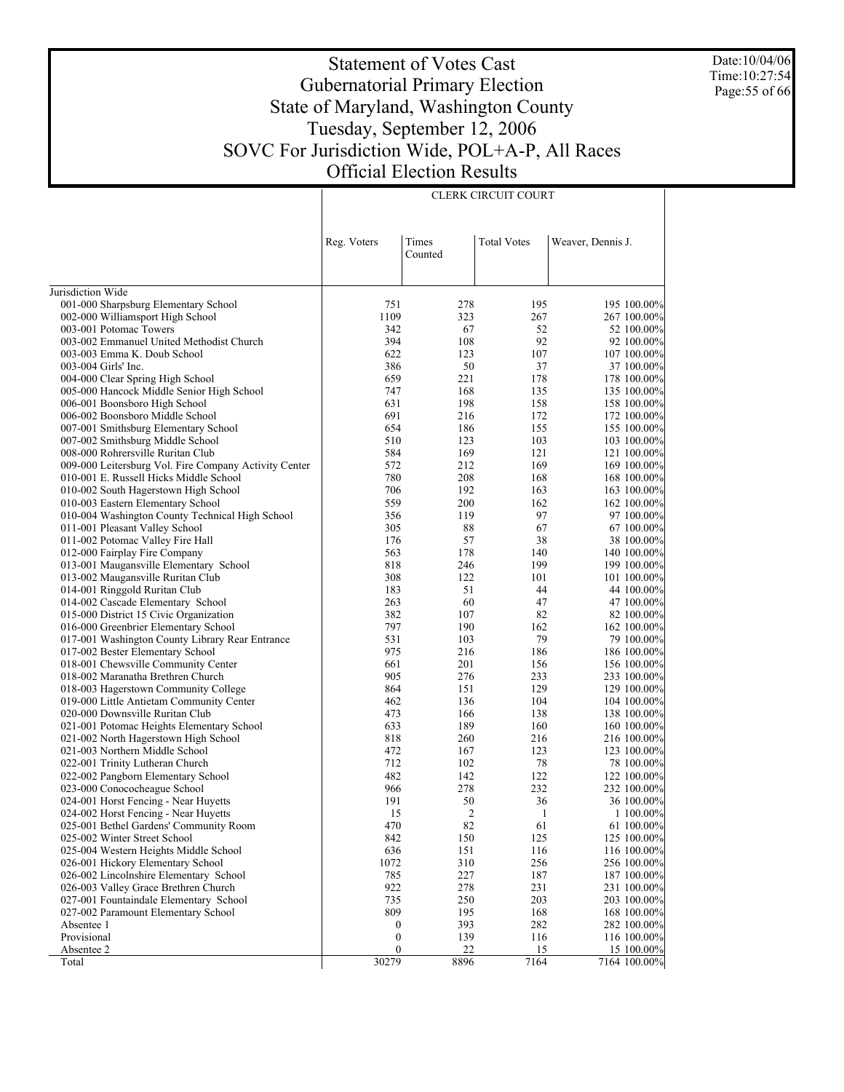Date:10/04/06 Time:10:27:54 Page:55 of 66

# Statement of Votes Cast Gubernatorial Primary Election State of Maryland, Washington County Tuesday, September 12, 2006 SOVC For Jurisdiction Wide, POL+A-P, All Races Official Election Results

|                                                                             | Reg. Voters      | Times<br>Counted | <b>Total Votes</b> | Weaver, Dennis J.          |
|-----------------------------------------------------------------------------|------------------|------------------|--------------------|----------------------------|
| Jurisdiction Wide                                                           |                  |                  |                    |                            |
| 001-000 Sharpsburg Elementary School                                        | 751              | 278              | 195                | 195 100.00%                |
| 002-000 Williamsport High School                                            | 1109             | 323              | 267                | 267 100.00%                |
| 003-001 Potomac Towers                                                      | 342              | 67               | 52                 | 52 100.00%                 |
| 003-002 Emmanuel United Methodist Church                                    | 394              | 108              | 92                 | 92 100.00%                 |
| 003-003 Emma K. Doub School                                                 | 622              | 123              | 107                | 107 100.00%                |
| 003-004 Girls' Inc.                                                         | 386              | 50               | 37                 | 37 100.00%                 |
| 004-000 Clear Spring High School                                            | 659              | 221              | 178                | 178 100.00%                |
| 005-000 Hancock Middle Senior High School                                   | 747              | 168              | 135                | 135 100.00%                |
| 006-001 Boonsboro High School                                               | 631              | 198              | 158                | 158 100.00%                |
| 006-002 Boonsboro Middle School                                             | 691              | 216              | 172                | 172 100.00%                |
| 007-001 Smithsburg Elementary School                                        | 654              | 186              | 155                | 155 100.00%                |
| 007-002 Smithsburg Middle School                                            | 510              | 123              | 103                | 103 100.00%                |
| 008-000 Rohrersville Ruritan Club                                           | 584              | 169              | 121                | 121 100.00%                |
| 009-000 Leitersburg Vol. Fire Company Activity Center                       | 572              | 212              | 169                | 169 100.00%                |
| 010-001 E. Russell Hicks Middle School                                      | 780              | 208              | 168                | 168 100.00%                |
| 010-002 South Hagerstown High School                                        | 706              | 192              | 163                | 163 100.00%                |
| 010-003 Eastern Elementary School                                           | 559              | 200              | 162                | 162 100.00%                |
| 010-004 Washington County Technical High School                             | 356              | 119              | 97                 | 97 100.00%                 |
| 011-001 Pleasant Valley School                                              | 305              | 88               | 67                 | 67 100.00%                 |
| 011-002 Potomac Valley Fire Hall                                            | 176              | 57               | 38                 | 38 100.00%                 |
| 012-000 Fairplay Fire Company                                               | 563              | 178              | 140                | 140 100.00%                |
| 013-001 Maugansville Elementary School                                      | 818              | 246              | 199                | 199 100.00%                |
| 013-002 Maugansville Ruritan Club                                           | 308              | 122              | 101                | 101 100.00%                |
| 014-001 Ringgold Ruritan Club                                               | 183<br>263       | 51<br>60         | 44<br>47           | 44 100.00%                 |
| 014-002 Cascade Elementary School<br>015-000 District 15 Civic Organization | 382              | 107              | 82                 | 47 100.00%<br>82 100.00%   |
| 016-000 Greenbrier Elementary School                                        | 797              | 190              | 162                | 162 100.00%                |
| 017-001 Washington County Library Rear Entrance                             | 531              | 103              | 79                 | 79 100.00%                 |
| 017-002 Bester Elementary School                                            | 975              | 216              | 186                | 186 100.00%                |
| 018-001 Chewsville Community Center                                         | 661              | 201              | 156                | 156 100.00%                |
| 018-002 Maranatha Brethren Church                                           | 905              | 276              | 233                | 233 100.00%                |
| 018-003 Hagerstown Community College                                        | 864              | 151              | 129                | 129 100.00%                |
| 019-000 Little Antietam Community Center                                    | 462              | 136              | 104                | 104 100.00%                |
| 020-000 Downsville Ruritan Club                                             | 473              | 166              | 138                | 138 100.00%                |
| 021-001 Potomac Heights Elementary School                                   | 633              | 189              | 160                | 160 100.00%                |
| 021-002 North Hagerstown High School                                        | 818              | 260              | 216                | 216 100.00%                |
| 021-003 Northern Middle School                                              | 472              | 167              | 123                | 123 100.00%                |
| 022-001 Trinity Lutheran Church                                             | 712              | 102              | 78                 | 78 100.00%                 |
| 022-002 Pangborn Elementary School                                          | 482              | 142              | 122                | 122 100.00%                |
| 023-000 Conococheague School                                                | 966              | 278              | 232                | 232 100.00%                |
| 024-001 Horst Fencing - Near Huyetts                                        | 191              | 50               | 36                 | 36 100.00%                 |
| 024-002 Horst Fencing - Near Huyetts                                        | 15               | 2                | 1                  | 1 100.00%                  |
| 025-001 Bethel Gardens' Community Room                                      | 470              | 82               | 61                 | 61 100.00%                 |
| 025-002 Winter Street School                                                | 842              | 150              | 125                | 125 100.00%                |
| 025-004 Western Heights Middle School                                       | 636              | 151              | 116                | 116 100.00%                |
| 026-001 Hickory Elementary School                                           | 1072             | 310              | 256                | 256 100.00%                |
| 026-002 Lincolnshire Elementary School                                      | 785              | 227              | 187                | 187 100.00%                |
| 026-003 Valley Grace Brethren Church                                        | 922              | 278              | 231                | 231 100.00%                |
| 027-001 Fountaindale Elementary School                                      | 735              | 250              | 203                | 203 100.00%                |
| 027-002 Paramount Elementary School<br>Absentee 1                           | 809<br>0         | 195<br>393       | 168<br>282         | 168 100.00%<br>282 100.00% |
| Provisional                                                                 | $\boldsymbol{0}$ | 139              | 116                | 116 100.00%                |
| Absentee 2                                                                  | $\boldsymbol{0}$ | $\overline{22}$  | <u>15</u>          | 15 100.00%                 |
| Total                                                                       | 30279            | 8896             | 7164               | 7164 100.00%               |

CLERK CIRCUIT COURT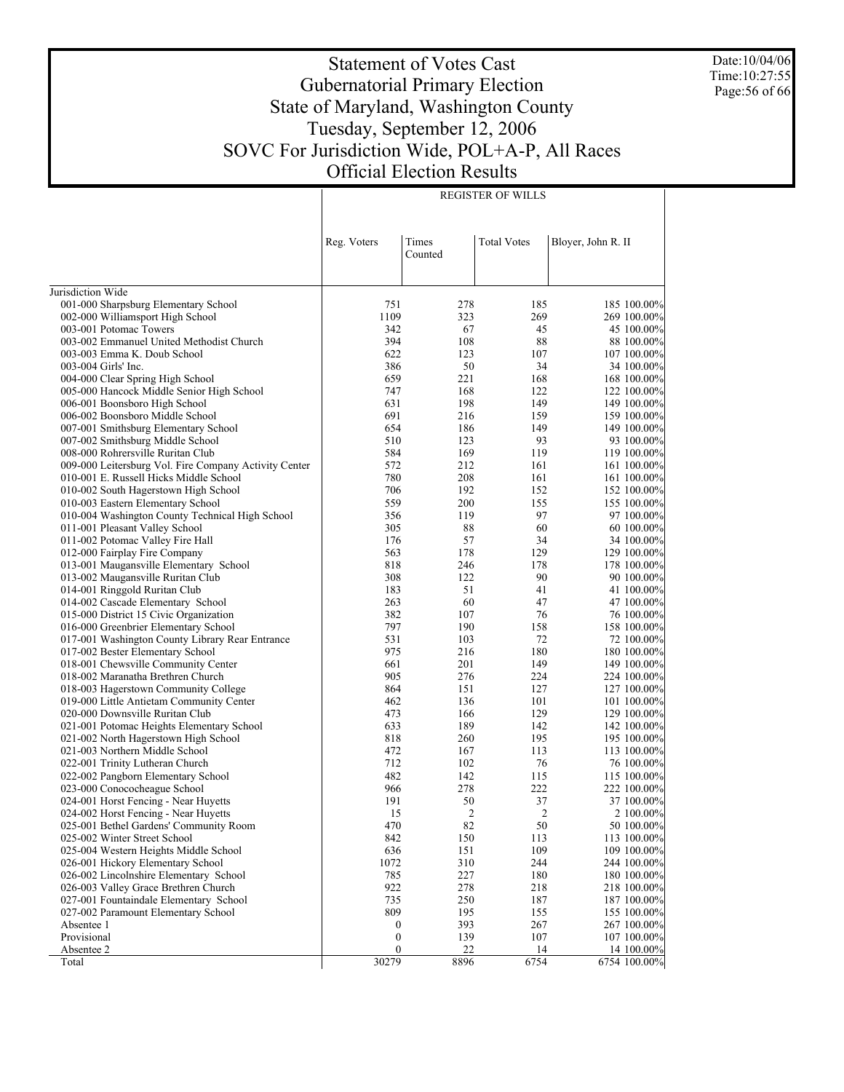Date:10/04/06 Time:10:27:55 Page:56 of 66

# Statement of Votes Cast Gubernatorial Primary Election State of Maryland, Washington County Tuesday, September 12, 2006 SOVC For Jurisdiction Wide, POL+A-P, All Races Official Election Results

REGISTER OF WILLS

|                                                       | Reg. Voters      | Times<br>Counted | <b>Total Votes</b> | Bloyer, John R. II |
|-------------------------------------------------------|------------------|------------------|--------------------|--------------------|
| Jurisdiction Wide                                     |                  |                  |                    |                    |
| 001-000 Sharpsburg Elementary School                  | 751              | 278              | 185                | 185 100.00%        |
| 002-000 Williamsport High School                      | 1109             | 323              | 269                | 269 100.00%        |
| 003-001 Potomac Towers                                | 342              | 67               | 45                 | 45 100.00%         |
| 003-002 Emmanuel United Methodist Church              | 394              | 108              | 88                 | 88 100.00%         |
| 003-003 Emma K. Doub School                           | 622              | 123              | 107                | 107 100.00%        |
| 003-004 Girls' Inc.                                   | 386              | 50               | 34                 | 34 100.00%         |
| 004-000 Clear Spring High School                      | 659              | 221              | 168                | 168 100.00%        |
| 005-000 Hancock Middle Senior High School             | 747              | 168              | 122                | 122 100.00%        |
| 006-001 Boonsboro High School                         | 631              | 198              | 149                | 149 100.00%        |
| 006-002 Boonsboro Middle School                       | 691              | 216              | 159                | 159 100.00%        |
| 007-001 Smithsburg Elementary School                  | 654              | 186              | 149                | 149 100.00%        |
| 007-002 Smithsburg Middle School                      | 510              | 123              | 93                 | 93 100.00%         |
| 008-000 Rohrersville Ruritan Club                     | 584              | 169              | 119                | 119 100.00%        |
| 009-000 Leitersburg Vol. Fire Company Activity Center | 572              | 212              | 161                | 161 100.00%        |
| 010-001 E. Russell Hicks Middle School                | 780              | 208              | 161                | 161 100.00%        |
| 010-002 South Hagerstown High School                  | 706              | 192              | 152                | 152 100.00%        |
| 010-003 Eastern Elementary School                     | 559              | 200              | 155                | 155 100.00%        |
| 010-004 Washington County Technical High School       | 356              | 119              | 97                 | 97 100.00%         |
| 011-001 Pleasant Valley School                        | 305              | 88               | 60                 | 60 100.00%         |
| 011-002 Potomac Valley Fire Hall                      | 176              | 57               | 34                 | 34 100.00%         |
| 012-000 Fairplay Fire Company                         | 563              | 178              | 129                | 129 100.00%        |
| 013-001 Maugansville Elementary School                | 818              | 246              | 178                | 178 100.00%        |
| 013-002 Maugansville Ruritan Club                     | 308              | 122              | 90                 | 90 100.00%         |
| 014-001 Ringgold Ruritan Club                         | 183              | 51               | 41                 | 41 100.00%         |
| 014-002 Cascade Elementary School                     | 263              | 60               | 47                 | 47 100.00%         |
| 015-000 District 15 Civic Organization                | 382              | 107              | 76                 | 76 100.00%         |
| 016-000 Greenbrier Elementary School                  | 797              | 190              | 158                | 158 100.00%        |
| 017-001 Washington County Library Rear Entrance       | 531              | 103              | 72                 | 72 100.00%         |
| 017-002 Bester Elementary School                      | 975              | 216              | 180                | 180 100.00%        |
| 018-001 Chewsville Community Center                   | 661              | 201              | 149                | 149 100.00%        |
| 018-002 Maranatha Brethren Church                     | 905              | 276              | 224                | 224 100.00%        |
| 018-003 Hagerstown Community College                  | 864              | 151              | 127                | 127 100.00%        |
| 019-000 Little Antietam Community Center              | 462              | 136              | 101                | 101 100.00%        |
| 020-000 Downsville Ruritan Club                       | 473              | 166              | 129                | 129 100.00%        |
| 021-001 Potomac Heights Elementary School             | 633              | 189              | 142                | 142 100.00%        |
| 021-002 North Hagerstown High School                  | 818              | 260              | 195                | 195 100.00%        |
| 021-003 Northern Middle School                        | 472              | 167              | 113                | 113 100.00%        |
| 022-001 Trinity Lutheran Church                       | 712              | 102              | 76                 | 76 100.00%         |
| 022-002 Pangborn Elementary School                    | 482              | 142              | 115                | 115 100.00%        |
| 023-000 Conococheague School                          | 966              | 278              | 222                | 222 100.00%        |
| 024-001 Horst Fencing - Near Huyetts                  | 191              | 50               | 37                 | 37 100.00%         |
| 024-002 Horst Fencing - Near Huyetts                  | 15               | 2                | 2                  | 2 100.00%          |
| 025-001 Bethel Gardens' Community Room                | 470              | 82               | 50                 | 50 100.00%         |
| 025-002 Winter Street School                          | 842              | 150              | 113                | 113 100.00%        |
| 025-004 Western Heights Middle School                 | 636              | 151              | 109                | 109 100.00%        |
| 026-001 Hickory Elementary School                     | 1072             | 310              | 244                | 244 100.00%        |
| 026-002 Lincolnshire Elementary School                | 785              | 227              | 180                | 180 100.00%        |
| 026-003 Valley Grace Brethren Church                  | 922              | 278              | 218                | 218 100.00%        |
| 027-001 Fountaindale Elementary School                | 735              | 250              | 187                | 187 100.00%        |
| 027-002 Paramount Elementary School                   | 809              | 195              | 155                | 155 100.00%        |
| Absentee 1                                            | $\boldsymbol{0}$ | 393              | 267                | 267 100.00%        |
| Provisional                                           | $\boldsymbol{0}$ | 139              | 107                | 107 100.00%        |
| Absentee 2                                            | $\boldsymbol{0}$ | 22               | 14                 | 14 100.00%         |
| Total                                                 | 30279            | 8896             | 6754               | 6754 100.00%       |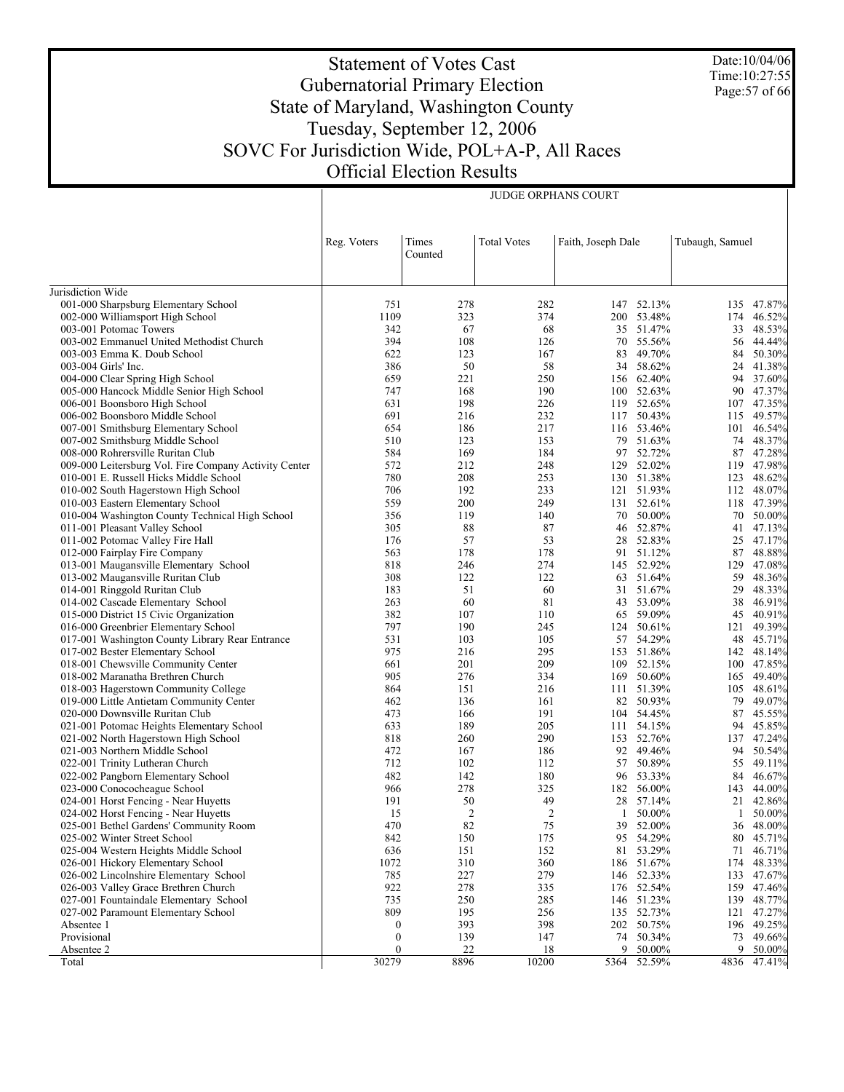Date:10/04/06 Time:10:27:55 Page:57 of 66

# Statement of Votes Cast Gubernatorial Primary Election State of Maryland, Washington County Tuesday, September 12, 2006 SOVC For Jurisdiction Wide, POL+A-P, All Races Official Election Results

JUDGE ORPHANS COURT

|                                                                         | Reg. Voters           | Times          | <b>Total Votes</b> | Faith, Joseph Dale |                    | Tubaugh, Samuel |                       |
|-------------------------------------------------------------------------|-----------------------|----------------|--------------------|--------------------|--------------------|-----------------|-----------------------|
|                                                                         |                       | Counted        |                    |                    |                    |                 |                       |
| Jurisdiction Wide                                                       |                       |                |                    |                    |                    |                 |                       |
| 001-000 Sharpsburg Elementary School                                    | 751                   | 278            | 282                |                    | 147 52.13%         | 135             | 47.87%                |
| 002-000 Williamsport High School                                        | 1109                  | 323            | 374                |                    | 200 53.48%         | 174             | 46.52%                |
| 003-001 Potomac Towers                                                  | 342                   | 67             | 68                 |                    | 35 51.47%          | 33              | 48.53%                |
| 003-002 Emmanuel United Methodist Church                                | 394                   | 108            | 126                | 70                 | 55.56%             | 56              | 44.44%                |
| 003-003 Emma K. Doub School                                             | 622                   | 123            | 167                | 83                 | 49.70%             | 84              | 50.30%                |
| 003-004 Girls' Inc.                                                     | 386                   | 50             | 58                 | 34                 | 58.62%             | 24              | 41.38%                |
| 004-000 Clear Spring High School                                        | 659                   | 221            | 250                |                    | 156 62.40%         |                 | 94 37.60%             |
| 005-000 Hancock Middle Senior High School                               | 747                   | 168            | 190                |                    | 100 52.63%         | 90              | 47.37%                |
| 006-001 Boonsboro High School                                           | 631                   | 198            | 226                |                    | 119 52.65%         | 107             | 47.35%                |
| 006-002 Boonsboro Middle School                                         | 691                   | 216            | 232                | 117                | 50.43%             | 115             | 49.57%                |
| 007-001 Smithsburg Elementary School                                    | 654                   | 186            | 217                |                    | 116 53.46%         | 101             | 46.54%                |
| 007-002 Smithsburg Middle School                                        | 510                   | 123            | 153                | 79                 | 51.63%             | 74              | 48.37%                |
| 008-000 Rohrersville Ruritan Club                                       | 584                   | 169            | 184                | 97                 | 52.72%             | 87              | 47.28%                |
| 009-000 Leitersburg Vol. Fire Company Activity Center                   | 572                   | 212            | 248                | 129                | 52.02%             | 119             | 47.98%                |
| 010-001 E. Russell Hicks Middle School                                  | 780                   | 208            | 253                |                    | 130 51.38%         | 123             | 48.62%                |
| 010-002 South Hagerstown High School                                    | 706                   | 192            | 233                |                    | 121 51.93%         | 112             | 48.07%                |
| 010-003 Eastern Elementary School                                       | 559                   | 200            | 249                |                    | 131 52.61%         | 118             | 47.39%                |
| 010-004 Washington County Technical High School                         | 356                   | 119            | 140                | 70                 | 50.00%             | 70              | 50.00%                |
| 011-001 Pleasant Valley School                                          | 305                   | 88             | 87                 |                    | 46 52.87%          | 41              | 47.13%                |
| 011-002 Potomac Valley Fire Hall                                        | 176                   | 57             | 53                 | 28<br>91           | 52.83%<br>51.12%   | 25              | 47.17%<br>48.88%      |
| 012-000 Fairplay Fire Company<br>013-001 Maugansville Elementary School | 563<br>818            | 178<br>246     | 178<br>274         |                    | 145 52.92%         | 87<br>129       | 47.08%                |
|                                                                         | 308                   | 122            | 122                |                    | 63 51.64%          | 59              | 48.36%                |
| 013-002 Maugansville Ruritan Club<br>014-001 Ringgold Ruritan Club      | 183                   | 51             | 60                 | 31                 | 51.67%             | 29              | 48.33%                |
| 014-002 Cascade Elementary School                                       | 263                   | 60             | 81                 | 43                 | 53.09%             | 38              | 46.91%                |
| 015-000 District 15 Civic Organization                                  | 382                   | 107            | 110                | 65                 | 59.09%             | 45              | 40.91%                |
| 016-000 Greenbrier Elementary School                                    | 797                   | 190            | 245                | 124                | 50.61%             | 121             | 49.39%                |
| 017-001 Washington County Library Rear Entrance                         | 531                   | 103            | 105                | 57                 | 54.29%             | 48              | 45.71%                |
| 017-002 Bester Elementary School                                        | 975                   | 216            | 295                |                    | 153 51.86%         | 142             | 48.14%                |
| 018-001 Chewsville Community Center                                     | 661                   | 201            | 209                | 109                | 52.15%             | 100             | 47.85%                |
| 018-002 Maranatha Brethren Church                                       | 905                   | 276            | 334                | 169                | 50.60%             | 165             | 49.40%                |
| 018-003 Hagerstown Community College                                    | 864                   | 151            | 216                | 111                | 51.39%             | 105             | 48.61%                |
| 019-000 Little Antietam Community Center                                | 462                   | 136            | 161                |                    | 82 50.93%          | 79              | 49.07%                |
| 020-000 Downsville Ruritan Club                                         | 473                   | 166            | 191                |                    | 104 54.45%         | 87              | 45.55%                |
| 021-001 Potomac Heights Elementary School                               | 633                   | 189            | 205                |                    | 111 54.15%         | 94              | 45.85%                |
| 021-002 North Hagerstown High School                                    | 818                   | 260            | 290                | 153                | 52.76%             | 137             | 47.24%                |
| 021-003 Northern Middle School                                          | 472                   | 167            | 186                |                    | 92 49.46%          | 94              | 50.54%                |
| 022-001 Trinity Lutheran Church                                         | 712                   | 102            | 112                | 57                 | 50.89%             | 55              | 49.11%                |
| 022-002 Pangborn Elementary School                                      | 482                   | 142            | 180                |                    | 96 53.33%          | 84              | 46.67%                |
| 023-000 Conococheague School                                            | 966                   | 278            | 325                |                    | 182 56.00%         | 143             | 44.00%                |
| 024-001 Horst Fencing - Near Huyetts                                    | 191                   | 50             | 49                 |                    | 28 57.14%          | 21              | 42.86%                |
| 024-002 Horst Fencing - Near Huyetts                                    | 15                    | $\overline{2}$ | $\overline{2}$     | 1                  | 50.00%             | 1               | 50.00%                |
| 025-001 Bethel Gardens' Community Room                                  | 470                   | 82             | 75                 |                    | 39 52.00%          |                 | 36 48.00%             |
| 025-002 Winter Street School                                            | 842                   | 150            | 175                |                    | 95 54.29%          |                 | 80 45.71%             |
| 025-004 Western Heights Middle School                                   | 636                   | 151            | 152                | 81                 | 53.29%             | 71              | 46.71%                |
| 026-001 Hickory Elementary School                                       | 1072                  | 310            | 360                |                    | 186 51.67%         | 174             | 48.33%                |
| 026-002 Lincolnshire Elementary School                                  | 785                   | 227            | 279                |                    | 146 52.33%         | 133             | 47.67%                |
| 026-003 Valley Grace Brethren Church                                    | 922                   | 278            | 335                |                    | 176 52.54%         | 159             | 47.46%                |
| 027-001 Fountaindale Elementary School                                  | 735                   | 250            | 285                |                    | 146 51.23%         | 139             | 48.77%                |
| 027-002 Paramount Elementary School                                     | 809                   | 195            | 256                |                    | 135 52.73%         | 121             | 47.27%                |
| Absentee 1<br>Provisional                                               | 0<br>$\boldsymbol{0}$ | 393            | 398                |                    | 202 50.75%         |                 | 196 49.25%            |
| Absentee 2                                                              | $\mathbf{0}$          | 139<br>22      | 147<br>18          | 74                 | 50.34%<br>9 50.00% |                 | 73 49.66%<br>9 50.00% |
| Total                                                                   | 30279                 | 8896           | 10200              |                    | 5364 52.59%        |                 | 4836 47.41%           |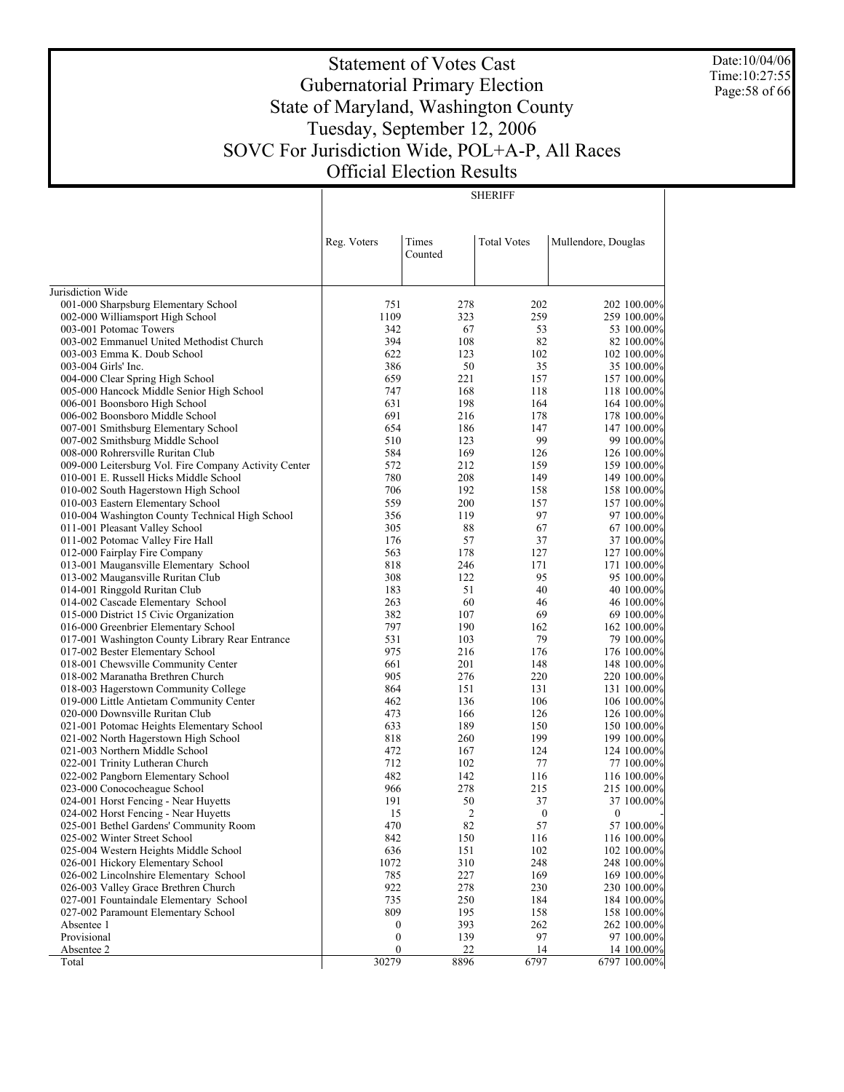Date:10/04/06 Time:10:27:55 Page:58 of 66

# Statement of Votes Cast Gubernatorial Primary Election State of Maryland, Washington County Tuesday, September 12, 2006 SOVC For Jurisdiction Wide, POL+A-P, All Races Official Election Results

SHERIFF

|                                                                                | Reg. Voters      | Times<br>Counted | <b>Total Votes</b> | Mullendore, Douglas        |
|--------------------------------------------------------------------------------|------------------|------------------|--------------------|----------------------------|
|                                                                                |                  |                  |                    |                            |
| Jurisdiction Wide                                                              |                  |                  |                    |                            |
| 001-000 Sharpsburg Elementary School                                           | 751              | 278              | 202                | 202 100.00%                |
| 002-000 Williamsport High School<br>003-001 Potomac Towers                     | 1109<br>342      | 323<br>67        | 259<br>53          | 259 100.00%                |
| 003-002 Emmanuel United Methodist Church                                       | 394              | 108              | 82                 | 53 100.00%<br>82 100.00%   |
| 003-003 Emma K. Doub School                                                    | 622              | 123              | 102                | 102 100.00%                |
| 003-004 Girls' Inc.                                                            | 386              | 50               | 35                 | 35 100.00%                 |
| 004-000 Clear Spring High School                                               | 659              | 221              | 157                | 157 100.00%                |
| 005-000 Hancock Middle Senior High School                                      | 747              | 168              | 118                | 118 100.00%                |
| 006-001 Boonsboro High School                                                  | 631              | 198              | 164                | 164 100.00%                |
| 006-002 Boonsboro Middle School                                                | 691              | 216              | 178                | 178 100.00%                |
| 007-001 Smithsburg Elementary School                                           | 654              | 186              | 147                | 147 100.00%                |
| 007-002 Smithsburg Middle School                                               | 510              | 123              | 99                 | 99 100.00%                 |
| 008-000 Rohrersville Ruritan Club                                              | 584              | 169              | 126                | 126 100.00%                |
| 009-000 Leitersburg Vol. Fire Company Activity Center                          | 572              | 212              | 159                | 159 100.00%                |
| 010-001 E. Russell Hicks Middle School                                         | 780              | 208              | 149                | 149 100.00%                |
| 010-002 South Hagerstown High School                                           | 706              | 192              | 158                | 158 100.00%                |
| 010-003 Eastern Elementary School                                              | 559              | 200              | 157                | 157 100.00%                |
| 010-004 Washington County Technical High School                                | 356              | 119              | 97                 | 97 100.00%                 |
| 011-001 Pleasant Valley School                                                 | 305              | 88               | 67                 | 67 100.00%                 |
| 011-002 Potomac Valley Fire Hall                                               | 176              | 57               | 37                 | 37 100.00%                 |
| 012-000 Fairplay Fire Company                                                  | 563              | 178              | 127                | 127 100.00%                |
| 013-001 Maugansville Elementary School                                         | 818              | 246              | 171                | 171 100.00%                |
| 013-002 Maugansville Ruritan Club                                              | 308              | 122              | 95                 | 95 100.00%                 |
| 014-001 Ringgold Ruritan Club                                                  | 183              | 51<br>60         | 40                 | 40 100.00%                 |
| 014-002 Cascade Elementary School<br>015-000 District 15 Civic Organization    | 263<br>382       | 107              | 46<br>69           | 46 100.00%                 |
| 016-000 Greenbrier Elementary School                                           | 797              | 190              | 162                | 69 100.00%<br>162 100.00%  |
| 017-001 Washington County Library Rear Entrance                                | 531              | 103              | 79                 | 79 100.00%                 |
| 017-002 Bester Elementary School                                               | 975              | 216              | 176                | 176 100.00%                |
| 018-001 Chewsville Community Center                                            | 661              | 201              | 148                | 148 100.00%                |
| 018-002 Maranatha Brethren Church                                              | 905              | 276              | 220                | 220 100.00%                |
| 018-003 Hagerstown Community College                                           | 864              | 151              | 131                | 131 100.00%                |
| 019-000 Little Antietam Community Center                                       | 462              | 136              | 106                | 106 100.00%                |
| 020-000 Downsville Ruritan Club                                                | 473              | 166              | 126                | 126 100.00%                |
| 021-001 Potomac Heights Elementary School                                      | 633              | 189              | 150                | 150 100.00%                |
| 021-002 North Hagerstown High School                                           | 818              | 260              | 199                | 199 100.00%                |
| 021-003 Northern Middle School                                                 | 472              | 167              | 124                | 124 100.00%                |
| 022-001 Trinity Lutheran Church                                                | 712              | 102              | 77                 | 77 100.00%                 |
| 022-002 Pangborn Elementary School                                             | 482              | 142              | 116                | 116 100.00%                |
| 023-000 Conococheague School                                                   | 966              | 278              | 215                | 215 100.00%                |
| 024-001 Horst Fencing - Near Huyetts                                           | 191              | 50               | 37                 | 37 100.00%                 |
| 024-002 Horst Fencing - Near Huyetts                                           | 15               | $\overline{2}$   | $\boldsymbol{0}$   | $\mathbf{0}$               |
| 025-001 Bethel Gardens' Community Room                                         | 470              | 82               | 57                 | 57 100.00%                 |
| 025-002 Winter Street School                                                   | 842              | 150              | 116                | 116 100.00%                |
| 025-004 Western Heights Middle School                                          | 636              | 151              | 102                | 102 100.00%                |
| 026-001 Hickory Elementary School                                              | 1072             | 310              | 248                | 248 100.00%                |
| 026-002 Lincolnshire Elementary School                                         | 785              | 227              | 169                | 169 100.00%                |
| 026-003 Valley Grace Brethren Church<br>027-001 Fountaindale Elementary School | 922<br>735       | 278<br>250       | 230<br>184         | 230 100.00%<br>184 100.00% |
| 027-002 Paramount Elementary School                                            | 809              | 195              | 158                | 158 100.00%                |
| Absentee 1                                                                     | $\boldsymbol{0}$ | 393              | 262                | 262 100.00%                |
| Provisional                                                                    | $\boldsymbol{0}$ | 139              | 97                 | 97 100.00%                 |
| Absentee 2                                                                     | $\boldsymbol{0}$ | 22               | 14                 | 14 100.00%                 |
| Total                                                                          | 30279            | 8896             | 6797               | 6797 100.00%               |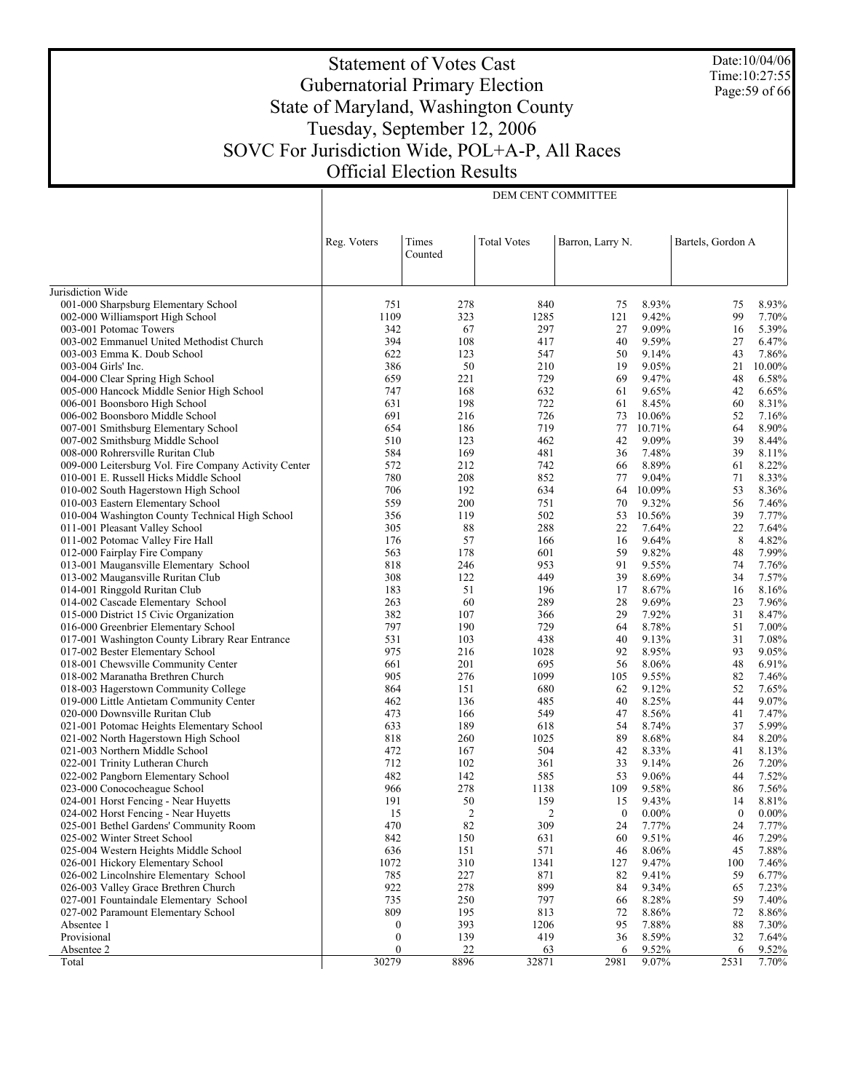Date:10/04/06 Time:10:27:55 Page:59 of 66

# Statement of Votes Cast Gubernatorial Primary Election State of Maryland, Washington County Tuesday, September 12, 2006 SOVC For Jurisdiction Wide, POL+A-P, All Races Official Election Results

DEM CENT COMMITTEE

|                                                                             | Reg. Voters                          | Times          | <b>Total Votes</b> | Barron, Larry N. |                | Bartels, Gordon A |                |
|-----------------------------------------------------------------------------|--------------------------------------|----------------|--------------------|------------------|----------------|-------------------|----------------|
|                                                                             |                                      | Counted        |                    |                  |                |                   |                |
| Jurisdiction Wide                                                           |                                      |                |                    |                  |                |                   |                |
| 001-000 Sharpsburg Elementary School                                        | 751                                  | 278            | 840                | 75               | 8.93%          | 75                | 8.93%          |
| 002-000 Williamsport High School                                            | 1109                                 | 323            | 1285               | 121              | 9.42%          | 99                | 7.70%          |
| 003-001 Potomac Towers                                                      | 342                                  | 67             | 297                | 27               | 9.09%          | 16                | 5.39%          |
| 003-002 Emmanuel United Methodist Church                                    | 394                                  | 108            | 417                | 40               | 9.59%          | 27                | 6.47%          |
| 003-003 Emma K. Doub School                                                 | 622                                  | 123            | 547                | 50               | 9.14%          | 43                | 7.86%          |
| 003-004 Girls' Inc.                                                         | 386                                  | 50             | 210                | 19               | 9.05%          | 21                | 10.00%         |
| 004-000 Clear Spring High School                                            | 659                                  | 221            | 729                | 69               | 9.47%          | 48                | 6.58%          |
| 005-000 Hancock Middle Senior High School                                   | 747                                  | 168            | 632                | 61               | 9.65%          | 42                | 6.65%          |
| 006-001 Boonsboro High School                                               | 631                                  | 198            | 722                | 61               | 8.45%          | 60                | 8.31%          |
| 006-002 Boonsboro Middle School                                             | 691                                  | 216            | 726                | 73               | 10.06%         | 52                | 7.16%          |
| 007-001 Smithsburg Elementary School                                        | 654                                  | 186            | 719                | 77               | 10.71%         | 64                | 8.90%          |
| 007-002 Smithsburg Middle School                                            | 510                                  | 123            | 462                | 42               | 9.09%          | 39                | 8.44%          |
| 008-000 Rohrersville Ruritan Club                                           | 584                                  | 169            | 481                | 36               | 7.48%          | 39                | 8.11%          |
| 009-000 Leitersburg Vol. Fire Company Activity Center                       | 572                                  | 212            | 742                | 66               | 8.89%          | 61                | 8.22%          |
| 010-001 E. Russell Hicks Middle School                                      | 780                                  | 208            | 852                | 77               | 9.04%          | 71                | 8.33%          |
| 010-002 South Hagerstown High School                                        | 706                                  | 192            | 634                | 64               | 10.09%         | 53                | 8.36%          |
| 010-003 Eastern Elementary School                                           | 559                                  | 200            | 751                | 70               | 9.32%          | 56                | 7.46%          |
| 010-004 Washington County Technical High School                             | 356                                  | 119            | 502                | 53               | 10.56%         | 39                | 7.77%          |
| 011-001 Pleasant Valley School                                              | 305                                  | 88             | 288                | 22               | 7.64%          | 22                | 7.64%          |
| 011-002 Potomac Valley Fire Hall                                            | 176                                  | 57             | 166                | 16               | 9.64%          | 8                 | 4.82%          |
| 012-000 Fairplay Fire Company                                               | 563                                  | 178            | 601                | 59               | 9.82%          | 48                | 7.99%          |
| 013-001 Maugansville Elementary School                                      | 818                                  | 246            | 953                | 91               | 9.55%          | 74                | 7.76%          |
| 013-002 Maugansville Ruritan Club                                           | 308                                  | 122            | 449                | 39               | 8.69%          | 34                | 7.57%          |
| 014-001 Ringgold Ruritan Club                                               | 183                                  | 51             | 196                | 17               | 8.67%          | 16                | 8.16%          |
| 014-002 Cascade Elementary School                                           | 263                                  | 60             | 289                | 28               | 9.69%          | 23                | 7.96%          |
| 015-000 District 15 Civic Organization                                      | 382                                  | 107            | 366                | 29               | 7.92%          | 31                | 8.47%          |
| 016-000 Greenbrier Elementary School                                        | 797                                  | 190            | 729                | 64               | 8.78%          | 51                | 7.00%          |
| 017-001 Washington County Library Rear Entrance                             | 531                                  | 103            | 438                | 40               | 9.13%          | 31                | 7.08%          |
| 017-002 Bester Elementary School                                            | 975                                  | 216            | 1028               | 92               | 8.95%          | 93                | 9.05%          |
| 018-001 Chewsville Community Center                                         | 661                                  | 201            | 695                | 56               | 8.06%          | 48                | 6.91%          |
| 018-002 Maranatha Brethren Church                                           | 905                                  | 276            | 1099               | 105              | 9.55%          | 82                | 7.46%          |
| 018-003 Hagerstown Community College                                        | 864                                  | 151            | 680                | 62               | 9.12%          | 52                | 7.65%          |
| 019-000 Little Antietam Community Center                                    | 462                                  | 136            | 485                | 40               | 8.25%          | 44                | 9.07%          |
| 020-000 Downsville Ruritan Club                                             | 473                                  | 166            | 549                | 47               | 8.56%          | 41                | 7.47%          |
| 021-001 Potomac Heights Elementary School                                   | 633                                  | 189            | 618                | 54               | 8.74%          | 37                | 5.99%          |
| 021-002 North Hagerstown High School                                        | 818                                  | 260            | 1025               | 89               | 8.68%          | 84                | 8.20%          |
| 021-003 Northern Middle School                                              | 472                                  | 167            | 504                | 42               | 8.33%          | 41                | 8.13%          |
| 022-001 Trinity Lutheran Church                                             | 712                                  | 102            | 361                | 33               | 9.14%          | 26                | 7.20%          |
| 022-002 Pangborn Elementary School                                          | 482                                  | 142            | 585                | 53               | 9.06%          | 44                | 7.52%          |
| 023-000 Conococheague School                                                | 966                                  | 278            | 1138               | 109              | 9.58%          | 86                | 7.56%          |
| 024-001 Horst Fencing - Near Huyetts                                        | 191                                  | 50             | 159                | 15               | 9.43%          | 14                | 8.81%          |
| 024-002 Horst Fencing - Near Huyetts                                        | 15                                   | $\overline{c}$ | 2                  | $\boldsymbol{0}$ | $0.00\%$       | $\mathbf{0}$      | $0.00\%$       |
| 025-001 Bethel Gardens' Community Room                                      | 470                                  | 82             | 309                | 24               | 7.77%          | 24                | 7.77%          |
| 025-002 Winter Street School                                                | 842                                  | 150            | 631                | 60               | 9.51%          | 46                | 7.29%          |
| 025-004 Western Heights Middle School                                       | 636                                  | 151            | 571                | 46               | $8.06\%$       | 45                | 7.88%          |
| 026-001 Hickory Elementary School<br>026-002 Lincolnshire Elementary School | 1072<br>785                          | 310<br>227     | 1341<br>871        | 127              | 9.47%<br>9.41% | 100               | 7.46%          |
|                                                                             |                                      |                |                    | 82               |                | 59                | 6.77%          |
| 026-003 Valley Grace Brethren Church                                        | 922<br>735                           | 278<br>250     | 899<br>797         | 84               | 9.34%          | 65                | 7.23%          |
| 027-001 Fountaindale Elementary School                                      | 809                                  | 195            |                    | 66<br>72         | 8.28%          | 59<br>72          | 7.40%          |
| 027-002 Paramount Elementary School                                         |                                      | 393            | 813<br>1206        | 95               | 8.86%          | 88                | 8.86%          |
| Absentee 1<br>Provisional                                                   | $\boldsymbol{0}$                     | 139            | 419                | 36               | 7.88%          |                   | 7.30%          |
| Absentee 2                                                                  | $\boldsymbol{0}$<br>$\boldsymbol{0}$ | 22             | 63                 | 6                | 8.59%<br>9.52% | 32<br>6           | 7.64%<br>9.52% |
| Total                                                                       | 30279                                | 8896           | 32871              | 2981             | 9.07%          | 2531              | 7.70%          |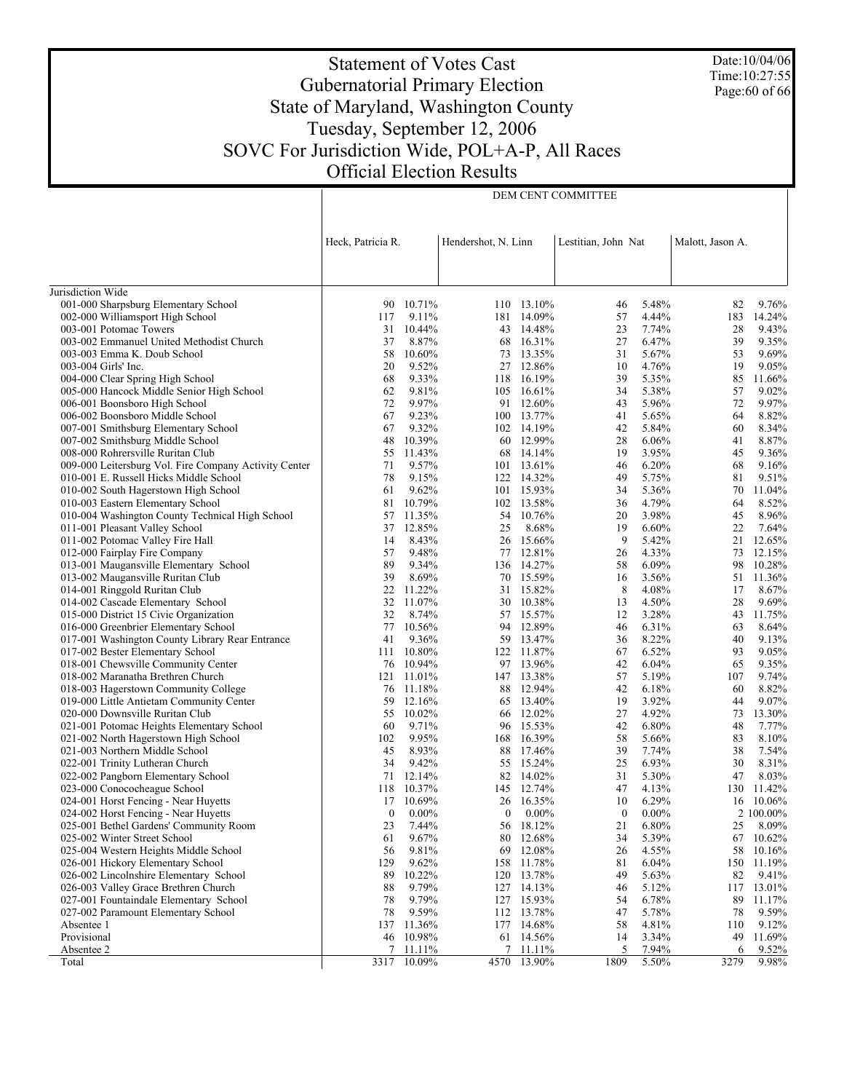Date:10/04/06 Time:10:27:55 Page:60 of 66

# Statement of Votes Cast Gubernatorial Primary Election State of Maryland, Washington County Tuesday, September 12, 2006 SOVC For Jurisdiction Wide, POL+A-P, All Races Official Election Results

DEM CENT COMMITTEE

|                                                                                         | Heck, Patricia R. |                 | Hendershot, N. Linn |                         | Lestitian, John Nat |                | Malott, Jason A. |                     |
|-----------------------------------------------------------------------------------------|-------------------|-----------------|---------------------|-------------------------|---------------------|----------------|------------------|---------------------|
|                                                                                         |                   |                 |                     |                         |                     |                |                  |                     |
| Jurisdiction Wide                                                                       |                   |                 |                     |                         |                     |                |                  |                     |
| 001-000 Sharpsburg Elementary School                                                    |                   | 90 10.71%       |                     | 110 13.10%              | 46                  | 5.48%          | 82               | 9.76%               |
| 002-000 Williamsport High School                                                        | 117               | 9.11%           |                     | 181 14.09%              | 57                  | 4.44%          | 183              | 14.24%              |
| 003-001 Potomac Towers                                                                  | 31                | 10.44%          |                     | 43 14.48%               | 23                  | 7.74%          | 28               | 9.43%               |
| 003-002 Emmanuel United Methodist Church                                                | 37                | 8.87%           |                     | 68 16.31%               | 27                  | 6.47%          | 39               | 9.35%               |
| 003-003 Emma K. Doub School                                                             | 58                | 10.60%          | 73                  | 13.35%                  | 31                  | 5.67%          | 53               | 9.69%               |
| 003-004 Girls' Inc.                                                                     | 20                | 9.52%           |                     | 27 12.86%               | 10                  | 4.76%          | 19               | 9.05%               |
| 004-000 Clear Spring High School                                                        | 68                | 9.33%           |                     | 118 16.19%              | 39                  | 5.35%          | 85               | 11.66%              |
| 005-000 Hancock Middle Senior High School                                               | 62<br>72          | 9.81%           |                     | 105 16.61%              | 34                  | 5.38%          | 57               | 9.02%<br>9.97%      |
| 006-001 Boonsboro High School                                                           | 67                | 9.97%<br>9.23%  |                     | 91 12.60%<br>100 13.77% | 43<br>41            | 5.96%<br>5.65% | 72<br>64         |                     |
| 006-002 Boonsboro Middle School<br>007-001 Smithsburg Elementary School                 | 67                | 9.32%           |                     | 102 14.19%              | 42                  | 5.84%          | 60               | 8.82%<br>8.34%      |
| 007-002 Smithsburg Middle School                                                        | 48                | 10.39%          |                     | 60 12.99%               | 28                  | 6.06%          | 41               | 8.87%               |
| 008-000 Rohrersville Ruritan Club                                                       | 55                | 11.43%          | 68                  | 14.14%                  | 19                  | 3.95%          | 45               | 9.36%               |
| 009-000 Leitersburg Vol. Fire Company Activity Center                                   | 71                | 9.57%           |                     | 101 13.61%              | 46                  | 6.20%          | 68               | 9.16%               |
| 010-001 E. Russell Hicks Middle School                                                  | 78                | 9.15%           |                     | 122 14.32%              | 49                  | 5.75%          | 81               | 9.51%               |
| 010-002 South Hagerstown High School                                                    | 61                | 9.62%           |                     | 101 15.93%              | 34                  | 5.36%          | 70               | 11.04%              |
| 010-003 Eastern Elementary School                                                       | 81                | 10.79%          |                     | 102 13.58%              | 36                  | 4.79%          | 64               | 8.52%               |
| 010-004 Washington County Technical High School                                         | 57                | 11.35%          |                     | 54 10.76%               | 20                  | 3.98%          | 45               | 8.96%               |
| 011-001 Pleasant Valley School                                                          | 37                | 12.85%          | 25                  | 8.68%                   | 19                  | 6.60%          | 22               | 7.64%               |
| 011-002 Potomac Valley Fire Hall                                                        | 14                | 8.43%           |                     | 26 15.66%               | 9                   | 5.42%          | 21               | 12.65%              |
| 012-000 Fairplay Fire Company                                                           | 57                | 9.48%           |                     | 77 12.81%               | 26                  | 4.33%          | 73               | 12.15%              |
| 013-001 Maugansville Elementary School                                                  | 89                | 9.34%           |                     | 136 14.27%              | 58                  | 6.09%          | 98               | 10.28%              |
| 013-002 Maugansville Ruritan Club                                                       | 39                | 8.69%           |                     | 70 15.59%               | 16                  | 3.56%          | 51               | 11.36%              |
| 014-001 Ringgold Ruritan Club                                                           | 22                | 11.22%          |                     | 31 15.82%               | 8                   | 4.08%          | 17               | 8.67%               |
| 014-002 Cascade Elementary School                                                       | 32                | 11.07%          | 30                  | 10.38%                  | 13                  | 4.50%          | 28               | 9.69%               |
| 015-000 District 15 Civic Organization                                                  | 32                | 8.74%           |                     | 57 15.57%               | 12                  | 3.28%          | 43               | 11.75%              |
| 016-000 Greenbrier Elementary School<br>017-001 Washington County Library Rear Entrance | 77<br>41          | 10.56%<br>9.36% |                     | 94 12.89%<br>59 13.47%  | 46<br>36            | 6.31%<br>8.22% | 63<br>40         | 8.64%<br>9.13%      |
| 017-002 Bester Elementary School                                                        | 111               | 10.80%          |                     | 122 11.87%              | 67                  | 6.52%          | 93               | 9.05%               |
| 018-001 Chewsville Community Center                                                     | 76                | 10.94%          |                     | 97 13.96%               | 42                  | 6.04%          | 65               | 9.35%               |
| 018-002 Maranatha Brethren Church                                                       | 121               | 11.01%          |                     | 147 13.38%              | 57                  | 5.19%          | 107              | 9.74%               |
| 018-003 Hagerstown Community College                                                    |                   | 76 11.18%       |                     | 88 12.94%               | 42                  | 6.18%          | 60               | 8.82%               |
| 019-000 Little Antietam Community Center                                                | 59                | 12.16%          |                     | 65 13.40%               | 19                  | 3.92%          | 44               | 9.07%               |
| 020-000 Downsville Ruritan Club                                                         | 55                | 10.02%          |                     | 66 12.02%               | 27                  | 4.92%          | 73               | 13.30%              |
| 021-001 Potomac Heights Elementary School                                               | 60                | 9.71%           |                     | 96 15.53%               | 42                  | 6.80%          | 48               | 7.77%               |
| 021-002 North Hagerstown High School                                                    | 102               | 9.95%           |                     | 168 16.39%              | 58                  | 5.66%          | 83               | 8.10%               |
| 021-003 Northern Middle School                                                          | 45                | 8.93%           | 88                  | 17.46%                  | 39                  | 7.74%          | 38               | 7.54%               |
| 022-001 Trinity Lutheran Church                                                         | 34                | 9.42%           |                     | 55 15.24%               | 25                  | 6.93%          | 30               | 8.31%               |
| 022-002 Pangborn Elementary School                                                      | 71                | 12.14%          |                     | 82 14.02%               | 31                  | 5.30%          | 47               | 8.03%               |
| 023-000 Conococheague School                                                            | 118               | 10.37%          |                     | 145 12.74%              | 47                  | 4.13%          | 130              | 11.42%              |
| 024-001 Horst Fencing - Near Huyetts                                                    | 17                | 10.69%          | 26                  | 16.35%                  | 10                  | 6.29%          | 16               | 10.06%              |
| 024-002 Horst Fencing - Near Huyetts                                                    | $\bf{0}$          | $0.00\%$        | $\bf{0}$            | $0.00\%$                | $\boldsymbol{0}$    | $0.00\%$       |                  | 2 100.00%           |
| 025-001 Bethel Gardens' Community Room                                                  | 23                | 7.44%           |                     | 56 18.12%               | 21<br>34            | 6.80%<br>5.39% |                  | 25 8.09%            |
| 025-002 Winter Street School<br>025-004 Western Heights Middle School                   | 61<br>56          | 9.67%<br>9.81%  | 69                  | 80 12.68%<br>12.08%     | 26                  | 4.55%          | 58               | 67 10.62%<br>10.16% |
| 026-001 Hickory Elementary School                                                       | 129               | 9.62%           |                     | 158 11.78%              | 81                  | 6.04%          |                  | 150 11.19%          |
| 026-002 Lincolnshire Elementary School                                                  | 89                | 10.22%          | 120                 | 13.78%                  | 49                  | 5.63%          | 82               | 9.41%               |
| 026-003 Valley Grace Brethren Church                                                    | 88                | 9.79%           |                     | 127 14.13%              | 46                  | 5.12%          | 117              | 13.01%              |
| 027-001 Fountaindale Elementary School                                                  | 78                | 9.79%           |                     | 127 15.93%              | 54                  | 6.78%          | 89               | 11.17%              |
| 027-002 Paramount Elementary School                                                     | 78                | 9.59%           |                     | 112 13.78%              | 47                  | 5.78%          | 78               | 9.59%               |
| Absentee 1                                                                              | 137               | 11.36%          | 177                 | 14.68%                  | 58                  | 4.81%          | 110              | 9.12%               |
| Provisional                                                                             | 46                | 10.98%          |                     | 61 14.56%               | 14                  | 3.34%          | 49               | 11.69%              |
| Absentee 2                                                                              | 7                 | 11.11%          | 7                   | 11.11%                  | 5                   | 7.94%          | 6                | 9.52%               |
| Total                                                                                   |                   | 3317 10.09%     | 4570                | 13.90%                  | 1809                | 5.50%          | 3279             | 9.98%               |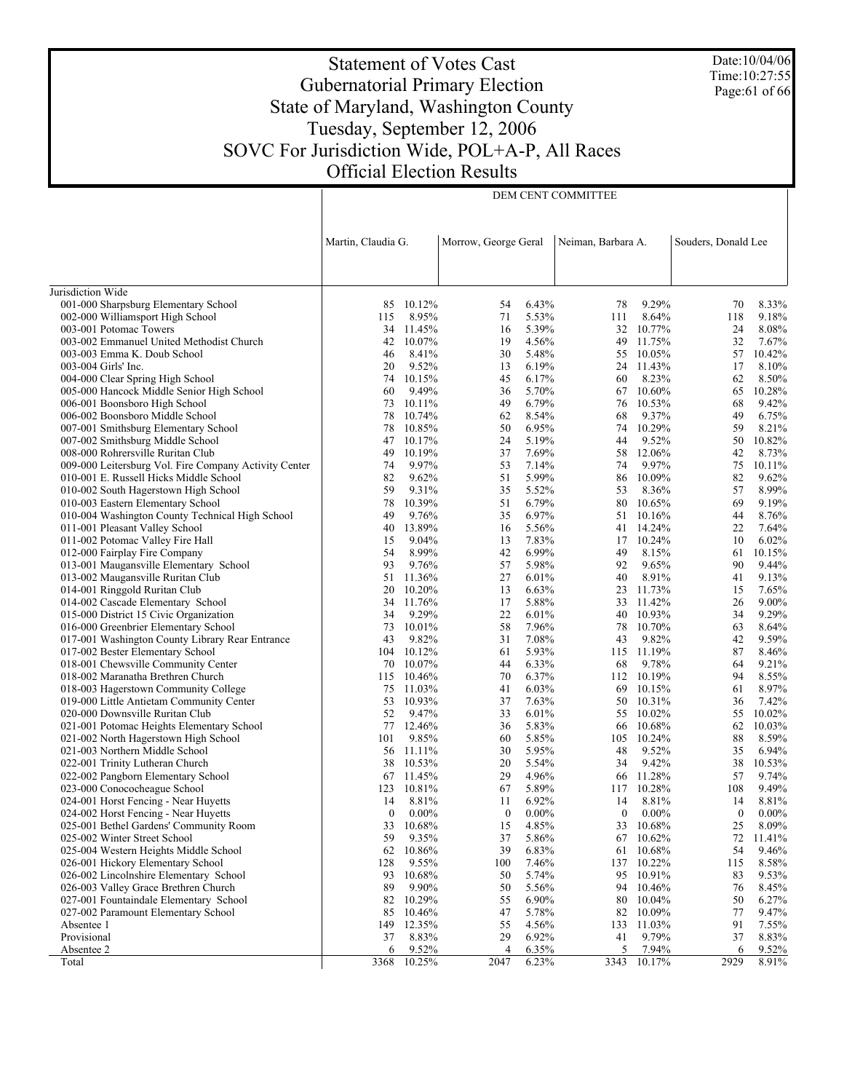# Statement of Votes Cast Gubernatorial Primary Election State of Maryland, Washington County Tuesday, September 12, 2006 SOVC For Jurisdiction Wide, POL+A-P, All Races Official Election Results

DEM CENT COMMITTEE

Date:10/04/06 Time:10:27:55 Page:61 of 66

|                                                                                         | Martin, Claudia G. |                 | Morrow, George Geral |                | Neiman, Barbara A. |                      | Souders, Donald Lee |                |
|-----------------------------------------------------------------------------------------|--------------------|-----------------|----------------------|----------------|--------------------|----------------------|---------------------|----------------|
|                                                                                         |                    |                 |                      |                |                    |                      |                     |                |
|                                                                                         |                    |                 |                      |                |                    |                      |                     |                |
| Jurisdiction Wide                                                                       |                    |                 |                      |                |                    |                      |                     |                |
| 001-000 Sharpsburg Elementary School                                                    |                    | 85 10.12%       | 54                   | 6.43%          | 78                 | 9.29%                | 70                  | 8.33%          |
| 002-000 Williamsport High School                                                        | 115                | 8.95%           | 71                   | 5.53%          | 111                | 8.64%                | 118                 | 9.18%          |
| 003-001 Potomac Towers                                                                  |                    | 34 11.45%       | 16                   | 5.39%          | 32                 | 10.77%               | 24                  | 8.08%          |
| 003-002 Emmanuel United Methodist Church                                                | 42                 | 10.07%          | 19                   | 4.56%          | 49                 | 11.75%               | 32                  | 7.67%          |
| 003-003 Emma K. Doub School                                                             | 46                 | 8.41%           | 30                   | 5.48%          |                    | 55 10.05%            | 57                  | 10.42%         |
| 003-004 Girls' Inc.<br>004-000 Clear Spring High School                                 | 20<br>74           | 9.52%<br>10.15% | 13<br>45             | 6.19%<br>6.17% | 60                 | 24 11.43%<br>8.23%   | 17<br>62            | 8.10%<br>8.50% |
| 005-000 Hancock Middle Senior High School                                               | 60                 | 9.49%           | 36                   | 5.70%          | 67                 | 10.60%               | 65                  | 10.28%         |
| 006-001 Boonsboro High School                                                           | 73                 | 10.11%          | 49                   | 6.79%          | 76                 | 10.53%               | 68                  | 9.42%          |
| 006-002 Boonsboro Middle School                                                         | 78                 | 10.74%          | 62                   | 8.54%          | 68                 | 9.37%                | 49                  | 6.75%          |
| 007-001 Smithsburg Elementary School                                                    | 78                 | 10.85%          | 50                   | 6.95%          | 74                 | 10.29%               | 59                  | 8.21%          |
| 007-002 Smithsburg Middle School                                                        | 47                 | 10.17%          | 24                   | 5.19%          | 44                 | 9.52%                | 50                  | 10.82%         |
| 008-000 Rohrersville Ruritan Club                                                       | 49                 | 10.19%          | 37                   | 7.69%          | 58                 | 12.06%               | 42                  | 8.73%          |
| 009-000 Leitersburg Vol. Fire Company Activity Center                                   | 74                 | 9.97%           | 53                   | 7.14%          | 74                 | 9.97%                | 75                  | 10.11%         |
| 010-001 E. Russell Hicks Middle School                                                  | 82                 | 9.62%           | 51                   | 5.99%          | 86                 | 10.09%               | 82                  | 9.62%          |
| 010-002 South Hagerstown High School                                                    | 59                 | 9.31%           | 35                   | 5.52%          | 53                 | 8.36%                | 57                  | 8.99%          |
| 010-003 Eastern Elementary School                                                       | 78                 | 10.39%          | 51                   | 6.79%          | 80                 | 10.65%               | 69                  | 9.19%          |
| 010-004 Washington County Technical High School                                         | 49                 | 9.76%           | 35                   | 6.97%          |                    | 51 10.16%            | 44                  | 8.76%          |
| 011-001 Pleasant Valley School                                                          | 40                 | 13.89%          | 16                   | 5.56%          | 41                 | 14.24%               | 22                  | 7.64%          |
| 011-002 Potomac Valley Fire Hall                                                        | 15                 | 9.04%           | 13                   | 7.83%          |                    | 17 10.24%            | 10                  | 6.02%          |
| 012-000 Fairplay Fire Company                                                           | 54                 | 8.99%           | 42                   | 6.99%          | 49                 | 8.15%                | 61                  | 10.15%         |
| 013-001 Maugansville Elementary School                                                  | 93                 | 9.76%           | 57                   | 5.98%          | 92                 | 9.65%                | 90                  | 9.44%          |
| 013-002 Maugansville Ruritan Club                                                       | 51                 | 11.36%          | 27                   | 6.01%          | 40                 | 8.91%                | 41                  | 9.13%          |
| 014-001 Ringgold Ruritan Club                                                           | 20                 | 10.20%          | 13                   | 6.63%          | 23                 | 11.73%               | 15                  | 7.65%          |
| 014-002 Cascade Elementary School                                                       | 34                 | 11.76%          | 17                   | 5.88%          | 33                 | 11.42%               | 26                  | 9.00%          |
| 015-000 District 15 Civic Organization                                                  | 34<br>73           | 9.29%<br>10.01% | 22<br>58             | 6.01%<br>7.96% | 78                 | 40 10.93%<br>10.70%  | 34<br>63            | 9.29%<br>8.64% |
| 016-000 Greenbrier Elementary School<br>017-001 Washington County Library Rear Entrance | 43                 | 9.82%           | 31                   | 7.08%          | 43                 | 9.82%                | 42                  | 9.59%          |
| 017-002 Bester Elementary School                                                        | 104                | 10.12%          | 61                   | 5.93%          |                    | 115 11.19%           | 87                  | 8.46%          |
| 018-001 Chewsville Community Center                                                     |                    | 70 10.07%       | 44                   | 6.33%          | 68                 | 9.78%                | 64                  | 9.21%          |
| 018-002 Maranatha Brethren Church                                                       |                    | 115 10.46%      | 70                   | 6.37%          |                    | 112 10.19%           | 94                  | 8.55%          |
| 018-003 Hagerstown Community College                                                    |                    | 75 11.03%       | 41                   | 6.03%          |                    | 69 10.15%            | 61                  | 8.97%          |
| 019-000 Little Antietam Community Center                                                |                    | 53 10.93%       | 37                   | 7.63%          |                    | 50 10.31%            | 36                  | 7.42%          |
| 020-000 Downsville Ruritan Club                                                         | 52                 | 9.47%           | 33                   | 6.01%          |                    | 55 10.02%            | 55                  | 10.02%         |
| 021-001 Potomac Heights Elementary School                                               | 77                 | 12.46%          | 36                   | 5.83%          | 66                 | 10.68%               | 62                  | 10.03%         |
| 021-002 North Hagerstown High School                                                    | 101                | 9.85%           | 60                   | 5.85%          |                    | 105 10.24%           | 88                  | 8.59%          |
| 021-003 Northern Middle School                                                          | 56                 | 11.11%          | 30                   | 5.95%          | 48                 | 9.52%                | 35                  | 6.94%          |
| 022-001 Trinity Lutheran Church                                                         |                    | 38 10.53%       | 20                   | 5.54%          | 34                 | 9.42%                | 38                  | 10.53%         |
| 022-002 Pangborn Elementary School                                                      |                    | 67 11.45%       | 29                   | 4.96%          |                    | 66 11.28%            | 57                  | 9.74%          |
| 023-000 Conococheague School                                                            | 123                | 10.81%          | 67                   | 5.89%          | 117                | 10.28%               | 108                 | 9.49%          |
| 024-001 Horst Fencing - Near Huyetts                                                    | 14                 | 8.81%           | 11                   | 6.92%          | 14                 | 8.81%                | 14                  | 8.81%          |
| 024-002 Horst Fencing - Near Huyetts                                                    | $\overline{0}$     | $0.00\%$        | $\boldsymbol{0}$     | $0.00\%$       | $\mathbf{0}$       | $0.00\%$             | $\mathbf{0}$        | $0.00\%$       |
| 025-001 Bethel Gardens' Community Room                                                  |                    | 33 10.68%       | 15                   | 4.85%          |                    | 33 10.68%            | 25                  | 8.09%          |
| 025-002 Winter Street School                                                            | 59                 | 9.35%           | 37                   | 5.86%          |                    | 67 10.62%            | 72                  | 11.41%         |
| 025-004 Western Heights Middle School                                                   |                    | 62 10.86%       | 39                   | 6.83%          | 61                 | 10.68%               | 54                  | 9.46%          |
| 026-001 Hickory Elementary School<br>026-002 Lincolnshire Elementary School             | 128<br>93          | 9.55%<br>10.68% | 100<br>50            | 7.46%<br>5.74% | 95                 | 137 10.22%<br>10.91% | 115<br>83           | 8.58%<br>9.53% |
| 026-003 Valley Grace Brethren Church                                                    | 89                 | 9.90%           | 50                   | 5.56%          | 94                 | 10.46%               | 76                  | 8.45%          |
| 027-001 Fountaindale Elementary School                                                  | 82                 | 10.29%          | 55                   | 6.90%          | 80                 | 10.04%               | 50                  | 6.27%          |
| 027-002 Paramount Elementary School                                                     | 85                 | 10.46%          | 47                   | 5.78%          | 82                 | 10.09%               | 77                  | 9.47%          |
| Absentee 1                                                                              | 149                | 12.35%          | 55                   | 4.56%          | 133                | 11.03%               | 91                  | 7.55%          |
| Provisional                                                                             | 37                 | 8.83%           | 29                   | 6.92%          | 41                 | 9.79%                | 37                  | 8.83%          |
| Absentee 2                                                                              | 6                  | 9.52%           | $\overline{4}$       | 6.35%          | 5                  | 7.94%                | 6                   | 9.52%          |
| Total                                                                                   | 3368               | 10.25%          | 2047                 | 6.23%          | 3343               | 10.17%               | 2929                | 8.91%          |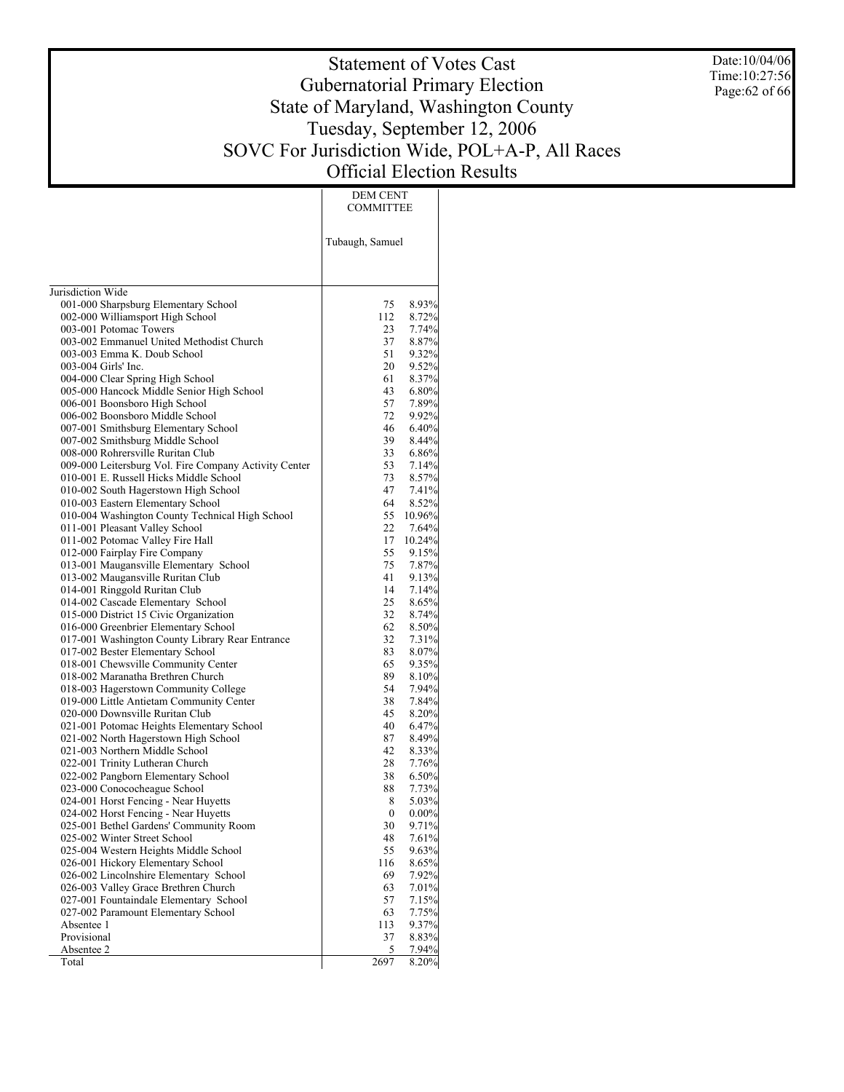Date:10/04/06 Time:10:27:56 Page:62 of 66

# Statement of Votes Cast Gubernatorial Primary Election State of Maryland, Washington County Tuesday, September 12, 2006 SOVC For Jurisdiction Wide, POL+A-P, All Races Official Election Results

DEM CENT

|                                                                         | <b>COMMITTEE</b> |                   |
|-------------------------------------------------------------------------|------------------|-------------------|
|                                                                         |                  |                   |
|                                                                         | Tubaugh, Samuel  |                   |
|                                                                         |                  |                   |
| Jurisdiction Wide                                                       |                  |                   |
| 001-000 Sharpsburg Elementary School                                    | 75               | 8.93%             |
| 002-000 Williamsport High School                                        | 112              | 8.72%             |
| 003-001 Potomac Towers                                                  | 23               | 7.74%             |
| 003-002 Emmanuel United Methodist Church                                | 37               | 8.87%             |
| 003-003 Emma K. Doub School                                             | 51               | 9.32%             |
| 003-004 Girls' Inc.                                                     | 20               | 9.52%             |
| 004-000 Clear Spring High School                                        | 61               | 8.37%             |
| 005-000 Hancock Middle Senior High School                               | 43               | 6.80%             |
| 006-001 Boonsboro High School                                           | 57               | 7.89%             |
| 006-002 Boonsboro Middle School                                         | 72               | $9.92\%$          |
| 007-001 Smithsburg Elementary School                                    | 46               | 6.40%             |
| 007-002 Smithsburg Middle School                                        | 39               | $8.44\%$          |
| 008-000 Rohrersville Ruritan Club                                       | 33               | 6.86%             |
| 009-000 Leitersburg Vol. Fire Company Activity Center                   | 53               | 7.14%             |
| 010-001 E. Russell Hicks Middle School                                  | 73               | 8.57%             |
| 010-002 South Hagerstown High School                                    | 47               | 7.41%             |
| 010-003 Eastern Elementary School                                       | 64               | 8.52%             |
| 010-004 Washington County Technical High School                         | 55               | $10.96\%$         |
| 011-001 Pleasant Valley School                                          | 22               | 7.64%             |
| 011-002 Potomac Valley Fire Hall                                        | 17               | 10.24%            |
| 012-000 Fairplay Fire Company                                           | 55               | 9.15%             |
| 013-001 Maugansville Elementary School                                  | 75               | 7.87%             |
| 013-002 Maugansville Ruritan Club                                       | 41               | 9.13%             |
| 014-001 Ringgold Ruritan Club                                           | 14               | 7.14%             |
| 014-002 Cascade Elementary School                                       | 25               | 8.65%             |
| 015-000 District 15 Civic Organization                                  | 32               | 8.74%             |
| 016-000 Greenbrier Elementary School                                    | 62<br>32         | $8.50\%$          |
| 017-001 Washington County Library Rear Entrance                         | 83               | 7.31%<br>$8.07\%$ |
| 017-002 Bester Elementary School<br>018-001 Chewsville Community Center | 65               | 9.35%             |
| 018-002 Maranatha Brethren Church                                       | 89               | $8.10\%$          |
| 018-003 Hagerstown Community College                                    | 54               | $7.94\%$          |
| 019-000 Little Antietam Community Center                                | 38               | 7.84%             |
| 020-000 Downsville Ruritan Club                                         | 45               | 8.20%             |
| 021-001 Potomac Heights Elementary School                               | 40               | 6.47%             |
| 021-002 North Hagerstown High School                                    | 87               | 8.49%             |
| 021-003 Northern Middle School                                          | 42               | 8.33%             |
| 022-001 Trinity Lutheran Church                                         | 28               | 7.76%             |
| 022-002 Pangborn Elementary School                                      | 38               | 6.50%             |
| 023-000 Conococheague School                                            | 88               | 7.73%             |
| 024-001 Horst Fencing - Near Huyetts                                    | 8                | 5.03%             |
| 024-002 Horst Fencing - Near Huyetts                                    | $\boldsymbol{0}$ | $0.00\%$          |
| 025-001 Bethel Gardens' Community Room                                  | 30               | 9.71%             |
| 025-002 Winter Street School                                            | 48               | 7.61%             |
| 025-004 Western Heights Middle School                                   | 55               | $9.63\%$          |
| 026-001 Hickory Elementary School                                       | 116              | 8.65%             |
| 026-002 Lincolnshire Elementary School                                  | 69               | 7.92%             |
| 026-003 Valley Grace Brethren Church                                    | 63               | 7.01%             |
| 027-001 Fountaindale Elementary School                                  | 57               | 7.15%             |
| 027-002 Paramount Elementary School                                     | 63               | 7.75%             |
| Absentee 1                                                              | 113              | 9.37%             |
| Provisional                                                             | 37               | 8.83%             |
| Absentee 2                                                              | 5.               | 7.94%             |
| Total                                                                   | 2697             | 8.20%             |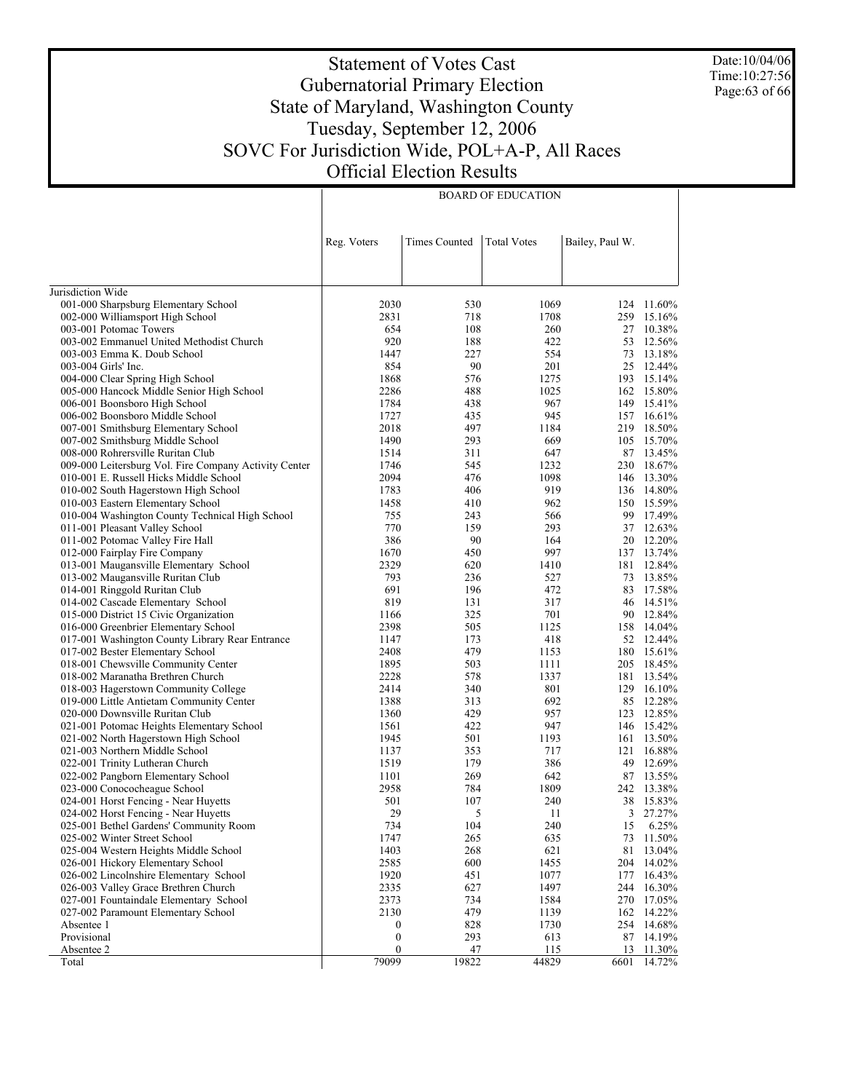Date:10/04/06 Time:10:27:56 Page:63 of 66

# Statement of Votes Cast Gubernatorial Primary Election State of Maryland, Washington County Tuesday, September 12, 2006 SOVC For Jurisdiction Wide, POL+A-P, All Races Official Election Results

BOARD OF EDUCATION

|                                                                                | Reg. Voters      | <b>Times Counted</b> | <b>Total Votes</b> | Bailey, Paul W. |                         |
|--------------------------------------------------------------------------------|------------------|----------------------|--------------------|-----------------|-------------------------|
|                                                                                |                  |                      |                    |                 |                         |
| Jurisdiction Wide                                                              |                  |                      |                    |                 |                         |
| 001-000 Sharpsburg Elementary School                                           | 2030             | 530                  | 1069               |                 | 124 11.60%              |
| 002-000 Williamsport High School                                               | 2831             | 718                  | 1708               |                 | 259 15.16%              |
| 003-001 Potomac Towers                                                         | 654              | 108                  | 260                |                 | 27 10.38%               |
| 003-002 Emmanuel United Methodist Church                                       | 920              | 188                  | 422                | 53              | 12.56%                  |
| 003-003 Emma K. Doub School                                                    | 1447             | 227                  | 554                | 73              | 13.18%                  |
| 003-004 Girls' Inc.                                                            | 854              | 90                   | 201                |                 | 25 12.44%               |
| 004-000 Clear Spring High School                                               | 1868             | 576                  | 1275               |                 | 193 15.14%              |
| 005-000 Hancock Middle Senior High School                                      | 2286             | 488                  | 1025               |                 | 162 15.80%              |
| 006-001 Boonsboro High School                                                  | 1784             | 438                  | 967                |                 | 149 15.41%              |
| 006-002 Boonsboro Middle School                                                | 1727             | 435                  | 945                |                 | 157 16.61%              |
| 007-001 Smithsburg Elementary School                                           | 2018             | 497                  | 1184               |                 | 219 18.50%              |
| 007-002 Smithsburg Middle School                                               | 1490             | 293                  | 669                |                 | 105 15.70%              |
| 008-000 Rohrersville Ruritan Club                                              | 1514             | 311                  | 647                |                 | 87 13.45%               |
| 009-000 Leitersburg Vol. Fire Company Activity Center                          | 1746             | 545                  | 1232               |                 | 230 18.67%              |
| 010-001 E. Russell Hicks Middle School                                         | 2094             | 476                  | 1098               |                 | 146 13.30%              |
| 010-002 South Hagerstown High School                                           | 1783             | 406                  | 919                |                 | 136 14.80%              |
| 010-003 Eastern Elementary School                                              | 1458             | 410                  | 962                |                 | 150 15.59%              |
| 010-004 Washington County Technical High School                                | 755              | 243                  | 566                |                 | 99 17.49%<br>37 12.63%  |
| 011-001 Pleasant Valley School                                                 | 770              | 159                  | 293                |                 |                         |
| 011-002 Potomac Valley Fire Hall                                               | 386              | 90                   | 164                |                 | 20 12.20%<br>137 13.74% |
| 012-000 Fairplay Fire Company                                                  | 1670             | 450                  | 997                |                 | 12.84%                  |
| 013-001 Maugansville Elementary School                                         | 2329             | 620                  | 1410               | 181             | 13.85%                  |
| 013-002 Maugansville Ruritan Club                                              | 793              | 236                  | 527                | 73              |                         |
| 014-001 Ringgold Ruritan Club                                                  | 691<br>819       | 196                  | 472<br>317         | 83              | 17.58%<br>14.51%        |
| 014-002 Cascade Elementary School                                              | 1166             | 131<br>325           | 701                | 46              | 90 12.84%               |
| 015-000 District 15 Civic Organization<br>016-000 Greenbrier Elementary School | 2398             | 505                  | 1125               |                 | 158 14.04%              |
| 017-001 Washington County Library Rear Entrance                                | 1147             | 173                  | 418                |                 | 52 12.44%               |
| 017-002 Bester Elementary School                                               | 2408             | 479                  | 1153               |                 | 180 15.61%              |
| 018-001 Chewsville Community Center                                            | 1895             | 503                  | 1111               |                 | 205 18.45%              |
| 018-002 Maranatha Brethren Church                                              | 2228             | 578                  | 1337               |                 | 181 13.54%              |
| 018-003 Hagerstown Community College                                           | 2414             | 340                  | 801                |                 | 129 16.10%              |
| 019-000 Little Antietam Community Center                                       | 1388             | 313                  | 692                |                 | 85 12.28%               |
| 020-000 Downsville Ruritan Club                                                | 1360             | 429                  | 957                |                 | 123 12.85%              |
| 021-001 Potomac Heights Elementary School                                      | 1561             | 422                  | 947                |                 | 146 15.42%              |
| 021-002 North Hagerstown High School                                           | 1945             | 501                  | 1193               | 161             | 13.50%                  |
| 021-003 Northern Middle School                                                 | 1137             | 353                  | 717                | 121             | 16.88%                  |
| 022-001 Trinity Lutheran Church                                                | 1519             | 179                  | 386                | 49              | 12.69%                  |
| 022-002 Pangborn Elementary School                                             | 1101             | 269                  | 642                |                 | 87 13.55%               |
| 023-000 Conococheague School                                                   | 2958             | 784                  | 1809               |                 | 242 13.38%              |
| 024-001 Horst Fencing - Near Huyetts                                           | 501              | 107                  | 240                | 38              | 15.83%                  |
| 024-002 Horst Fencing - Near Huyetts                                           | 29               | 5                    | 11                 | 3               | 27.27%                  |
| 025-001 Bethel Gardens' Community Room                                         | 734              | 104                  | 240                | 15              | 6.25%                   |
| 025-002 Winter Street School                                                   | 1747             | 265                  | 635                | 73              | 11.50%                  |
| 025-004 Western Heights Middle School                                          | 1403             | 268                  | 621                | 81              | 13.04%                  |
| 026-001 Hickory Elementary School                                              | 2585             | 600                  | 1455               | 204             | 14.02%                  |
| 026-002 Lincolnshire Elementary School                                         | 1920             | 451                  | 1077               | 177             | 16.43%                  |
| 026-003 Valley Grace Brethren Church                                           | 2335             | 627                  | 1497               | 244             | 16.30%                  |
| 027-001 Fountaindale Elementary School                                         | 2373             | 734                  | 1584               |                 | 270 17.05%              |
| 027-002 Paramount Elementary School                                            | 2130             | 479                  | 1139               | 162             | 14.22%                  |
| Absentee 1                                                                     | 0                | 828                  | 1730               | 254             | 14.68%                  |
| Provisional                                                                    | $\boldsymbol{0}$ | 293                  | 613                |                 | 87 14.19%               |
| Absentee 2                                                                     | $\boldsymbol{0}$ | 47                   | 115                | 13              | 11.30%                  |
| Total                                                                          | 79099            | 19822                | 44829              | 6601            | 14.72%                  |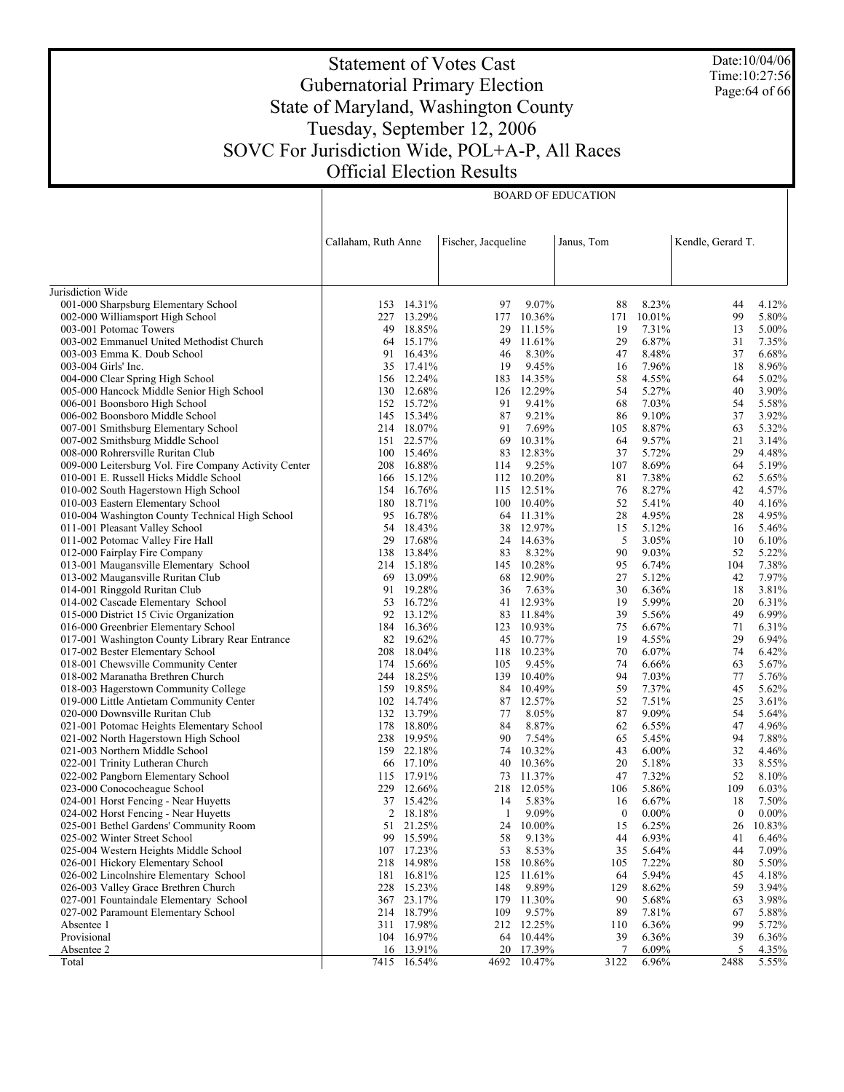Date:10/04/06 Time:10:27:56 Page:64 of 66

# Statement of Votes Cast Gubernatorial Primary Election State of Maryland, Washington County Tuesday, September 12, 2006 SOVC For Jurisdiction Wide, POL+A-P, All Races Official Election Results

BOARD OF EDUCATION

|                                                                          | Callaham, Ruth Anne |                          | Fischer, Jacqueline |                         | Janus, Tom       |                | Kendle, Gerard T. |                |
|--------------------------------------------------------------------------|---------------------|--------------------------|---------------------|-------------------------|------------------|----------------|-------------------|----------------|
|                                                                          |                     |                          |                     |                         |                  |                |                   |                |
| Jurisdiction Wide                                                        |                     |                          |                     |                         |                  |                |                   |                |
| 001-000 Sharpsburg Elementary School                                     |                     | 153 14.31%               | 97                  | 9.07%                   | 88               | 8.23%          | 44                | 4.12%          |
| 002-000 Williamsport High School                                         |                     | 227 13.29%               |                     | 177 10.36%              | 171              | 10.01%         | 99                | 5.80%          |
| 003-001 Potomac Towers                                                   | 49                  | 18.85%                   | 29                  | 11.15%                  | 19               | 7.31%          | 13                | 5.00%          |
| 003-002 Emmanuel United Methodist Church                                 | 64                  | 15.17%                   | 49                  | 11.61%                  | 29               | 6.87%          | 31                | 7.35%          |
| 003-003 Emma K. Doub School                                              | 91                  | 16.43%                   | 46                  | 8.30%                   | 47               | 8.48%          | 37                | 6.68%          |
| 003-004 Girls' Inc.                                                      | 35                  | 17.41%                   | 19                  | 9.45%                   | 16               | 7.96%          | 18                | 8.96%          |
| 004-000 Clear Spring High School                                         |                     | 156 12.24%               |                     | 183 14.35%              | 58               | 4.55%          | 64                | 5.02%          |
| 005-000 Hancock Middle Senior High School                                | 130                 | 12.68%                   |                     | 126 12.29%              | 54               | 5.27%          | 40                | 3.90%          |
| 006-001 Boonsboro High School                                            |                     | 152 15.72%               | 91                  | 9.41%                   | 68               | 7.03%          | 54                | 5.58%          |
| 006-002 Boonsboro Middle School                                          |                     | 145 15.34%               | 87                  | 9.21%                   | 86               | 9.10%          | 37                | 3.92%          |
| 007-001 Smithsburg Elementary School                                     |                     | 214 18.07%               | 91                  | 7.69%                   | 105              | 8.87%          | 63                | 5.32%          |
| 007-002 Smithsburg Middle School                                         | 151                 | 22.57%                   | 69                  | 10.31%                  | 64               | 9.57%          | 21                | 3.14%          |
| 008-000 Rohrersville Ruritan Club                                        |                     | 100 15.46%               | 83                  | 12.83%                  | 37               | 5.72%          | 29                | 4.48%          |
| 009-000 Leitersburg Vol. Fire Company Activity Center                    | 208                 | 16.88%                   | 114                 | 9.25%                   | 107              | 8.69%          | 64                | 5.19%          |
| 010-001 E. Russell Hicks Middle School                                   |                     | 166 15.12%               |                     | 112 10.20%              | 81               | 7.38%          | 62                | 5.65%          |
| 010-002 South Hagerstown High School                                     | 154                 | 16.76%                   |                     | 115 12.51%              | 76               | 8.27%          | 42                | 4.57%          |
| 010-003 Eastern Elementary School                                        | 180                 | 18.71%                   |                     | 100 10.40%              | 52               | 5.41%          | 40                | 4.16%          |
| 010-004 Washington County Technical High School                          | 95                  | 16.78%                   |                     | 64 11.31%               | 28               | 4.95%          | 28                | 4.95%          |
| 011-001 Pleasant Valley School                                           | 54                  | 18.43%                   |                     | 38 12.97%               | 15               | 5.12%          | 16                | 5.46%          |
| 011-002 Potomac Valley Fire Hall                                         | 29                  | 17.68%                   |                     | 24 14.63%               | 5                | 3.05%          | 10                | 6.10%          |
| 012-000 Fairplay Fire Company                                            | 138                 | 13.84%                   | 83                  | 8.32%                   | 90               | 9.03%          | 52                | 5.22%          |
| 013-001 Maugansville Elementary School                                   |                     | 214 15.18%               |                     | 145 10.28%              | 95               | 6.74%          | 104               | 7.38%          |
| 013-002 Maugansville Ruritan Club                                        | 69                  | 13.09%                   | 68                  | 12.90%                  | 27               | 5.12%          | 42                | 7.97%          |
| 014-001 Ringgold Ruritan Club                                            | 91                  | 19.28%                   | 36                  | 7.63%                   | 30               | 6.36%          | 18                | 3.81%          |
| 014-002 Cascade Elementary School                                        | 53                  | 16.72%                   | 41                  | 12.93%                  | 19               | 5.99%          | 20                | 6.31%          |
| 015-000 District 15 Civic Organization                                   | 92                  | 13.12%                   |                     | 83 11.84%               | 39               | 5.56%          | 49                | 6.99%          |
| 016-000 Greenbrier Elementary School                                     | 184                 | 16.36%<br>82 19.62%      |                     | 123 10.93%<br>45 10.77% | 75<br>19         | 6.67%          | 71<br>29          | 6.31%<br>6.94% |
| 017-001 Washington County Library Rear Entrance                          | 208                 |                          |                     |                         | 70               | 4.55%          | 74                |                |
| 017-002 Bester Elementary School                                         |                     | 18.04%                   | 118<br>105          | 10.23%<br>9.45%         | 74               | 6.07%<br>6.66% | 63                | 6.42%<br>5.67% |
| 018-001 Chewsville Community Center<br>018-002 Maranatha Brethren Church |                     | 174 15.66%<br>244 18.25% |                     | 139 10.40%              | 94               | 7.03%          | 77                | 5.76%          |
| 018-003 Hagerstown Community College                                     |                     | 159 19.85%               |                     | 84 10.49%               | 59               | 7.37%          | 45                | 5.62%          |
| 019-000 Little Antietam Community Center                                 |                     | 102 14.74%               | 87                  | 12.57%                  | 52               | 7.51%          | 25                | 3.61%          |
| 020-000 Downsville Ruritan Club                                          |                     | 132 13.79%               | 77                  | 8.05%                   | 87               | 9.09%          | 54                | 5.64%          |
| 021-001 Potomac Heights Elementary School                                |                     | 178 18.80%               | 84                  | 8.87%                   | 62               | $6.55\%$       | 47                | 4.96%          |
| 021-002 North Hagerstown High School                                     |                     | 238 19.95%               | 90                  | 7.54%                   | 65               | 5.45%          | 94                | 7.88%          |
| 021-003 Northern Middle School                                           |                     | 159 22.18%               | 74                  | 10.32%                  | 43               | $6.00\%$       | 32                | 4.46%          |
| 022-001 Trinity Lutheran Church                                          | 66                  | 17.10%                   | 40                  | 10.36%                  | 20               | 5.18%          | 33                | 8.55%          |
| 022-002 Pangborn Elementary School                                       | 115                 | 17.91%                   |                     | 73 11.37%               | 47               | 7.32%          | 52                | 8.10%          |
| 023-000 Conococheague School                                             | 229                 | 12.66%                   |                     | 218 12.05%              | 106              | 5.86%          | 109               | 6.03%          |
| 024-001 Horst Fencing - Near Huyetts                                     |                     | 37 15.42%                | 14                  | 5.83%                   | 16               | 6.67%          | 18                | 7.50%          |
| 024-002 Horst Fencing - Near Huyetts                                     | $\overline{2}$      | 18.18%                   | 1                   | 9.09%                   | $\boldsymbol{0}$ | $0.00\%$       | $\overline{0}$    | $0.00\%$       |
| 025-001 Bethel Gardens' Community Room                                   |                     | 51 21.25%                |                     | 24 10.00%               | 15               | 6.25%          |                   | 26 10.83%      |
| 025-002 Winter Street School                                             | 99                  | 15.59%                   | 58                  | 9.13%                   | 44               | 6.93%          | 41                | 6.46%          |
| 025-004 Western Heights Middle School                                    | 107                 | 17.23%                   | 53                  | 8.53%                   | 35               | 5.64%          | 44                | 7.09%          |
| 026-001 Hickory Elementary School                                        | 218                 | 14.98%                   | 158                 | 10.86%                  | 105              | 7.22%          | 80                | 5.50%          |
| 026-002 Lincolnshire Elementary School                                   | 181                 | 16.81%                   | 125                 | 11.61%                  | 64               | 5.94%          | 45                | 4.18%          |
| 026-003 Valley Grace Brethren Church                                     | 228                 | 15.23%                   | 148                 | 9.89%                   | 129              | 8.62%          | 59                | 3.94%          |
| 027-001 Fountaindale Elementary School                                   | 367                 | 23.17%                   | 179                 | 11.30%                  | 90               | 5.68%          | 63                | 3.98%          |
| 027-002 Paramount Elementary School                                      | 214                 | 18.79%                   | 109                 | 9.57%                   | 89               | 7.81%          | 67                | 5.88%          |
| Absentee 1                                                               | 311                 | 17.98%                   |                     | 212 12.25%              | 110              | 6.36%          | 99                | 5.72%          |
| Provisional                                                              | 104                 | 16.97%                   |                     | 64 10.44%               | 39               | 6.36%          | 39                | 6.36%          |
| Absentee 2                                                               |                     | 16 13.91%                |                     | 20 17.39%               | 7                | 6.09%          | 5                 | 4.35%          |
| Total                                                                    |                     | 7415 16.54%              |                     | 4692 10.47%             | 3122             | 6.96%          | 2488              | 5.55%          |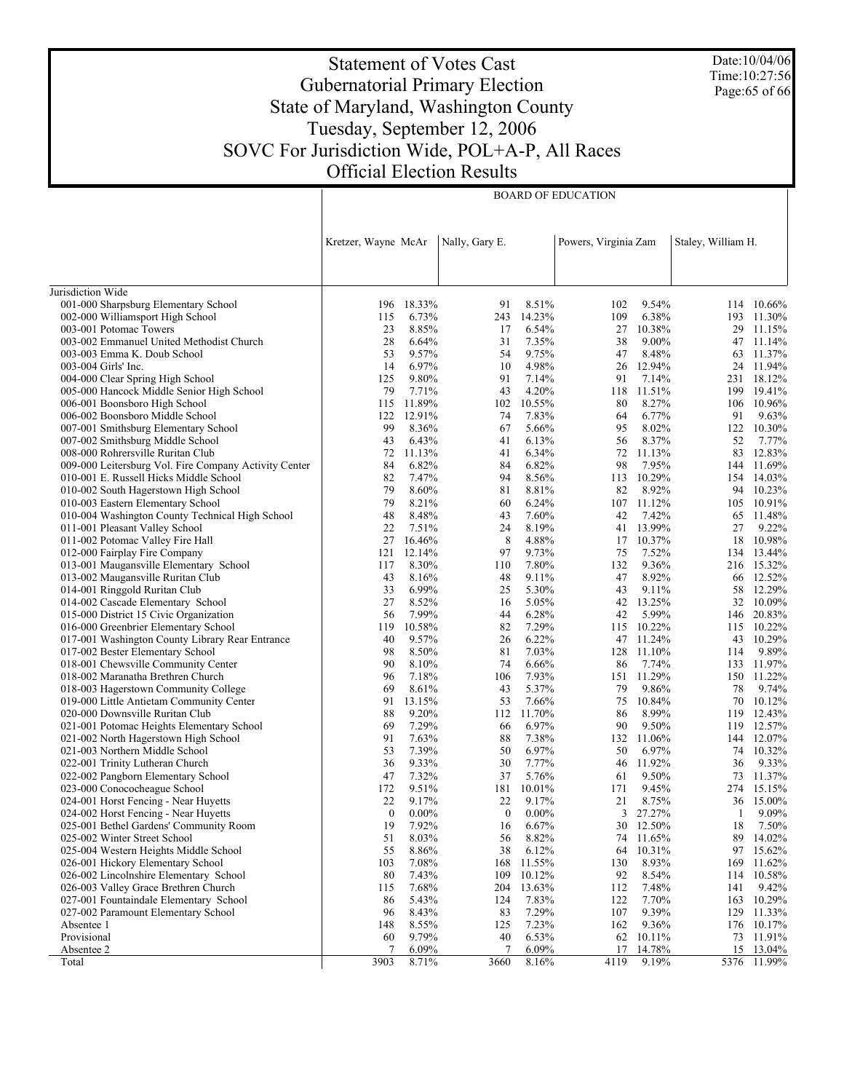Date:10/04/06 Time:10:27:56 Page:65 of 66

# Statement of Votes Cast Gubernatorial Primary Election State of Maryland, Washington County Tuesday, September 12, 2006 SOVC For Jurisdiction Wide, POL+A-P, All Races Official Election Results

BOARD OF EDUCATION

|                                                       | Kretzer, Wayne McAr |          | Nally, Gary E. |          | Powers, Virginia Zam |            | Staley, William H. |            |
|-------------------------------------------------------|---------------------|----------|----------------|----------|----------------------|------------|--------------------|------------|
|                                                       |                     |          |                |          |                      |            |                    |            |
| Jurisdiction Wide                                     |                     |          |                |          |                      |            |                    |            |
| 001-000 Sharpsburg Elementary School                  | 196                 | 18.33%   | 91             | 8.51%    | 102                  | 9.54%      |                    | 114 10.66% |
| 002-000 Williamsport High School                      | 115                 | 6.73%    | 243            | 14.23%   | 109                  | 6.38%      |                    | 193 11.30% |
| 003-001 Potomac Towers                                | 23                  | 8.85%    | 17             | 6.54%    | 27                   | 10.38%     |                    | 29 11.15%  |
| 003-002 Emmanuel United Methodist Church              | 28                  | 6.64%    | 31             | 7.35%    | 38                   | 9.00%      | 47                 | 11.14%     |
| 003-003 Emma K. Doub School                           | 53                  | 9.57%    | 54             | 9.75%    | 47                   | 8.48%      |                    | 63 11.37%  |
| 003-004 Girls' Inc.                                   | 14                  | 6.97%    | 10             | 4.98%    | 26                   | 12.94%     |                    | 24 11.94%  |
| 004-000 Clear Spring High School                      | 125                 | 9.80%    | 91             | 7.14%    | 91                   | 7.14%      |                    | 231 18.12% |
| 005-000 Hancock Middle Senior High School             | 79                  | 7.71%    | 43             | 4.20%    | 118                  | 11.51%     | 199                | 19.41%     |
| 006-001 Boonsboro High School                         | 115                 | 11.89%   | 102            | 10.55%   | 80                   | 8.27%      |                    | 106 10.96% |
| 006-002 Boonsboro Middle School                       | 122                 | 12.91%   | 74             | 7.83%    | 64                   | 6.77%      | 91                 | 9.63%      |
| 007-001 Smithsburg Elementary School                  | 99                  | 8.36%    | 67             | 5.66%    | 95                   | 8.02%      |                    | 122 10.30% |
| 007-002 Smithsburg Middle School                      | 43                  | 6.43%    | 41             | 6.13%    | 56                   | 8.37%      | 52                 | 7.77%      |
| 008-000 Rohrersville Ruritan Club                     | 72                  | 11.13%   | 41             | 6.34%    | 72                   | 11.13%     |                    | 83 12.83%  |
| 009-000 Leitersburg Vol. Fire Company Activity Center | 84                  | 6.82%    | 84             | 6.82%    | 98                   | 7.95%      |                    | 144 11.69% |
| 010-001 E. Russell Hicks Middle School                | 82                  | 7.47%    | 94             | 8.56%    | 113                  | 10.29%     |                    | 154 14.03% |
| 010-002 South Hagerstown High School                  | 79                  | 8.60%    | 81             | 8.81%    | 82                   | 8.92%      |                    | 94 10.23%  |
| 010-003 Eastern Elementary School                     | 79                  | 8.21%    | 60             | 6.24%    |                      | 107 11.12% |                    | 105 10.91% |
| 010-004 Washington County Technical High School       | 48                  | 8.48%    | 43             | 7.60%    | 42                   | 7.42%      | 65                 | 11.48%     |
| 011-001 Pleasant Valley School                        | 22                  | 7.51%    | 24             | 8.19%    | 41                   | 13.99%     | 27                 | 9.22%      |
| 011-002 Potomac Valley Fire Hall                      | 27                  | 16.46%   | 8              | 4.88%    | 17                   | 10.37%     | 18                 | 10.98%     |
| 012-000 Fairplay Fire Company                         | 121                 | 12.14%   | 97             | 9.73%    | 75                   | 7.52%      |                    | 134 13.44% |
| 013-001 Maugansville Elementary School                | 117                 | 8.30%    | 110            | 7.80%    | 132                  | 9.36%      |                    | 216 15.32% |
| 013-002 Maugansville Ruritan Club                     | 43                  | 8.16%    | 48             | 9.11%    | 47                   | 8.92%      |                    | 66 12.52%  |
| 014-001 Ringgold Ruritan Club                         | 33                  | 6.99%    | 25             | 5.30%    | 43                   | 9.11%      | 58                 | 12.29%     |
| 014-002 Cascade Elementary School                     | 27                  | 8.52%    | 16             | 5.05%    | 42                   | 13.25%     |                    | 32 10.09%  |
| 015-000 District 15 Civic Organization                | 56                  | 7.99%    | 44             | 6.28%    | 42                   | 5.99%      | 146                | 20.83%     |
| 016-000 Greenbrier Elementary School                  | 119                 | 10.58%   | 82             | 7.29%    | 115                  | 10.22%     |                    | 115 10.22% |
| 017-001 Washington County Library Rear Entrance       | 40                  | 9.57%    | 26             | 6.22%    |                      | 47 11.24%  | 43                 | 10.29%     |
| 017-002 Bester Elementary School                      | 98                  | 8.50%    | 81             | 7.03%    |                      | 128 11.10% | 114                | 9.89%      |
| 018-001 Chewsville Community Center                   | 90                  | 8.10%    | 74             | 6.66%    | 86                   | 7.74%      |                    | 133 11.97% |
| 018-002 Maranatha Brethren Church                     | 96                  | 7.18%    | 106            | 7.93%    |                      | 151 11.29% |                    | 150 11.22% |
| 018-003 Hagerstown Community College                  | 69                  | 8.61%    | 43             | 5.37%    | 79                   | 9.86%      | 78                 | 9.74%      |
| 019-000 Little Antietam Community Center              | 91                  | 13.15%   | 53             | 7.66%    | 75                   | 10.84%     | 70                 | 10.12%     |
| 020-000 Downsville Ruritan Club                       | 88                  | 9.20%    | 112            | 11.70%   | 86                   | 8.99%      | 119                | 12.43%     |
| 021-001 Potomac Heights Elementary School             | 69                  | 7.29%    | -66            | 6.97%    | 90                   | 9.50%      |                    | 119 12.57% |
| 021-002 North Hagerstown High School                  | 91                  | 7.63%    | 88             | 7.38%    | 132                  | 11.06%     | 144                | 12.07%     |
| 021-003 Northern Middle School                        | 53                  | 7.39%    | 50             | 6.97%    | 50                   | 6.97%      |                    | 74 10.32%  |
| 022-001 Trinity Lutheran Church                       | 36                  | 9.33%    | 30             | 7.77%    | 46                   | 11.92%     | 36                 | 9.33%      |
| 022-002 Pangborn Elementary School                    | 47                  | 7.32%    | 37             | 5.76%    | 61                   | 9.50%      | 73                 | 11.37%     |
| 023-000 Conococheague School                          | 172                 | 9.51%    | 181            | 10.01%   | 171                  | 9.45%      | 274                | 15.15%     |
| 024-001 Horst Fencing - Near Huyetts                  | 22                  | 9.17%    | 22             | 9.17%    | 21                   | 8.75%      |                    | 36 15.00%  |
| 024-002 Horst Fencing - Near Huyetts                  | $\boldsymbol{0}$    | $0.00\%$ | $\bf{0}$       | $0.00\%$ | 3                    | 27.27%     | 1                  | 9.09%      |
| 025-001 Bethel Gardens' Community Room                | 19                  | 7.92%    | 16             | 6.67%    |                      | 30 12.50%  | 18                 | 7.50%      |
| 025-002 Winter Street School                          | 51                  | 8.03%    | 56             | 8.82%    | 74                   | 11.65%     | 89                 | 14.02%     |
| 025-004 Western Heights Middle School                 | 55                  | 8.86%    | 38             | 6.12%    | 64                   | 10.31%     |                    | 97 15.62%  |
| 026-001 Hickory Elementary School                     | 103                 | 7.08%    | 168            | 11.55%   | 130                  | 8.93%      | 169                | 11.62%     |
| 026-002 Lincolnshire Elementary School                | 80                  | 7.43%    | 109            | 10.12%   | 92                   | 8.54%      |                    | 114 10.58% |
| 026-003 Valley Grace Brethren Church                  | 115                 | 7.68%    | 204            | 13.63%   | 112                  | 7.48%      | 141                | 9.42%      |
| 027-001 Fountaindale Elementary School                | 86                  | 5.43%    | 124            | 7.83%    | 122                  | 7.70%      |                    | 163 10.29% |
| 027-002 Paramount Elementary School                   | 96                  | 8.43%    | 83             | 7.29%    | 107                  | 9.39%      | 129                | 11.33%     |
| Absentee 1                                            | 148                 | 8.55%    | 125            | 7.23%    | 162                  | 9.36%      | 176                | 10.17%     |
| Provisional                                           | 60                  | 9.79%    | 40             | 6.53%    | 62                   | 10.11%     |                    | 73 11.91%  |
| Absentee 2                                            | 7                   | 6.09%    | 7              | 6.09%    | 17                   | 14.78%     |                    | 15 13.04%  |
| Total                                                 | 3903                | 8.71%    | 3660           | 8.16%    | 4119                 | 9.19%      | 5376               | 11.99%     |